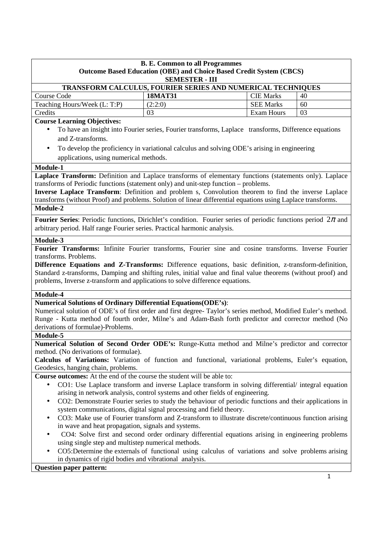|                                                                    | <b>B. E. Common to all Programmes</b>                               |                  |    |  |
|--------------------------------------------------------------------|---------------------------------------------------------------------|------------------|----|--|
|                                                                    | Outcome Based Education (OBE) and Choice Based Credit System (CBCS) |                  |    |  |
|                                                                    | <b>SEMESTER - III</b>                                               |                  |    |  |
| <b>TRANSFORM CALCULUS, FOURIER SERIES AND NUMERICAL TECHNIQUES</b> |                                                                     |                  |    |  |
| Course Code                                                        | <b>18MAT31</b>                                                      | <b>CIE Marks</b> | 40 |  |
| Teaching Hours/Week (L: T:P)                                       | (2:2:0)                                                             | <b>SEE Marks</b> | 60 |  |
| Credits                                                            | 03                                                                  | Exam Hours       | 03 |  |

## **Course Learning Objectives:**

- To have an insight into Fourier series, Fourier transforms, Laplace transforms, Difference equations and Z-transforms.
- To develop the proficiency in variational calculus and solving ODE's arising in engineering applications, using numerical methods.

## **Module-1**

**Laplace Transform:** Definition and Laplace transforms of elementary functions (statements only). Laplace transforms of Periodic functions (statement only) and unit-step function – problems.

**Inverse Laplace Transform**: Definition and problem s, Convolution theorem to find the inverse Laplace transforms (without Proof) and problems. Solution of linear differential equations using Laplace transforms. **Module-2** 

**Fourier Series**: Periodic functions, Dirichlet's condition. Fourier series of periodic functions period 2<sup>π</sup> and arbitrary period. Half range Fourier series. Practical harmonic analysis.

#### **Module-3**

**Fourier Transforms:** Infinite Fourier transforms, Fourier sine and cosine transforms. Inverse Fourier transforms. Problems.

**Difference Equations and Z-Transforms:** Difference equations, basic definition, z-transform-definition, Standard z-transforms, Damping and shifting rules, initial value and final value theorems (without proof) and problems, Inverse z-transform and applications to solve difference equations.

## **Module-4**

## **Numerical Solutions of Ordinary Differential Equations(ODE's)**:

Numerical solution of ODE's of first order and first degree- Taylor's series method, Modified Euler's method. Runge - Kutta method of fourth order, Milne's and Adam-Bash forth predictor and corrector method (No derivations of formulae)-Problems.

## **Module-5**

**Numerical Solution of Second Order ODE's:** Runge-Kutta method and Milne's predictor and corrector method. (No derivations of formulae).

**Calculus of Variations:** Variation of function and functional, variational problems, Euler's equation, Geodesics, hanging chain, problems.

**Course outcomes:** At the end of the course the student will be able to:

- CO1: Use Laplace transform and inverse Laplace transform in solving differential/ integral equation arising in network analysis, control systems and other fields of engineering.
- CO2: Demonstrate Fourier series to study the behaviour of periodic functions and their applications in system communications, digital signal processing and field theory.
- CO3: Make use of Fourier transform and Z-transform to illustrate discrete/continuous function arising in wave and heat propagation, signals and systems.
- CO4: Solve first and second order ordinary differential equations arising in engineering problems using single step and multistep numerical methods.
- CO5:Determine the externals of functional using calculus of variations and solve problems arising in dynamics of rigid bodies and vibrational analysis.

#### **Question paper pattern:**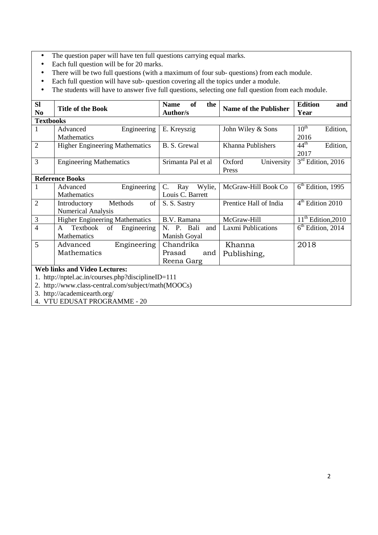- The question paper will have ten full questions carrying equal marks.
- Each full question will be for 20 marks.
- There will be two full questions (with a maximum of four sub- questions) from each module.
- Each full question will have sub- question covering all the topics under a module.
- The students will have to answer five full questions, selecting one full question from each module.

| <b>Sl</b>        | <b>Title of the Book</b>                           | <b>of</b><br><b>Name</b><br>the | <b>Name of the Publisher</b> | <b>Edition</b><br>and        |
|------------------|----------------------------------------------------|---------------------------------|------------------------------|------------------------------|
| N <sub>0</sub>   |                                                    | <b>Author/s</b>                 |                              | Year                         |
| <b>Textbooks</b> |                                                    |                                 |                              |                              |
|                  | Engineering<br>Advanced                            | E. Kreyszig                     | John Wiley & Sons            | $10^{\text{th}}$<br>Edition, |
|                  | Mathematics                                        |                                 |                              | 2016                         |
| $\overline{2}$   | <b>Higher Engineering Mathematics</b>              | B. S. Grewal                    | Khanna Publishers            | $44^{\text{th}}$<br>Edition, |
|                  |                                                    |                                 |                              | 2017                         |
| 3                | <b>Engineering Mathematics</b>                     | Srimanta Pal et al              | Oxford<br>University         | $3rd$ Edition, 2016          |
|                  |                                                    |                                 | Press                        |                              |
|                  | <b>Reference Books</b>                             |                                 |                              |                              |
| 1                | Engineering<br>Advanced                            | Wylie,<br>C.<br>Ray             | McGraw-Hill Book Co          | $6th$ Edition, 1995          |
|                  | <b>Mathematics</b>                                 | Louis C. Barrett                |                              |                              |
| $\overline{2}$   | Introductory<br>Methods<br>of                      | S. S. Sastry                    | Prentice Hall of India       | $4th$ Edition 2010           |
|                  | <b>Numerical Analysis</b>                          |                                 |                              |                              |
| $\mathfrak{Z}$   | <b>Higher Engineering Mathematics</b>              | B.V. Ramana                     | McGraw-Hill                  | $11th$ Edition, 2010         |
| $\overline{4}$   | Textbook<br>of<br>Engineering<br>$\mathsf{A}$      | N. P. Bali<br>and               | <b>Laxmi Publications</b>    | $6th$ Edition, 2014          |
|                  | <b>Mathematics</b>                                 | Manish Goyal                    |                              |                              |
| 5                | Engineering<br>Advanced                            | Chandrika                       | Khanna                       | 2018                         |
|                  | Mathematics                                        | Prasad<br>and                   | Publishing,                  |                              |
|                  |                                                    | Reena Garg                      |                              |                              |
|                  | <b>Web links and Video Lectures:</b>               |                                 |                              |                              |
|                  | 1. http://nptel.ac.in/courses.php?disciplineID=111 |                                 |                              |                              |

2. http://www.class-central.com/subject/math(MOOCs)

3. http://academicearth.org/

4. VTU EDUSAT PROGRAMME - 20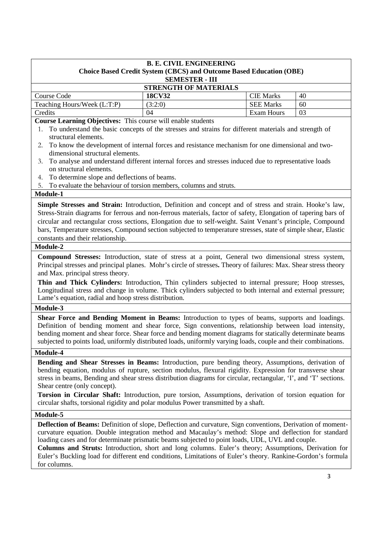| <b>B. E. CIVIL ENGINEERING</b><br><b>Choice Based Credit System (CBCS) and Outcome Based Education (OBE)</b><br><b>SEMESTER - III</b> |               |                   |    |  |  |
|---------------------------------------------------------------------------------------------------------------------------------------|---------------|-------------------|----|--|--|
| <b>STRENGTH OF MATERIALS</b>                                                                                                          |               |                   |    |  |  |
| Course Code                                                                                                                           | <b>18CV32</b> | <b>CIE Marks</b>  | 40 |  |  |
| (3:2:0)<br>Teaching Hours/Week (L:T:P)<br><b>SEE Marks</b><br>60                                                                      |               |                   |    |  |  |
| Credits                                                                                                                               | 04            | <b>Exam Hours</b> | 03 |  |  |

**Course Learning Objectives:** This course will enable students

- 1. To understand the basic concepts of the stresses and strains for different materials and strength of structural elements.
- 2. To know the development of internal forces and resistance mechanism for one dimensional and twodimensional structural elements.
- 3. To analyse and understand different internal forces and stresses induced due to representative loads on structural elements.
- 4. To determine slope and deflections of beams.
- 5. To evaluate the behaviour of torsion members, columns and struts.

## **Module-1**

**Simple Stresses and Strain:** Introduction, Definition and concept and of stress and strain. Hooke's law, Stress-Strain diagrams for ferrous and non-ferrous materials, factor of safety, Elongation of tapering bars of circular and rectangular cross sections, Elongation due to self-weight. Saint Venant's principle, Compound bars, Temperature stresses, Compound section subjected to temperature stresses, state of simple shear, Elastic constants and their relationship.

## **Module-2**

**Compound Stresses:** Introduction, state of stress at a point, General two dimensional stress system, Principal stresses and principal planes. Mohr's circle of stresses**.** Theory of failures: Max. Shear stress theory and Max. principal stress theory.

**Thin and Thick Cylinders:** Introduction, Thin cylinders subjected to internal pressure; Hoop stresses, Longitudinal stress and change in volume. Thick cylinders subjected to both internal and external pressure; Lame's equation, radial and hoop stress distribution.

#### **Module-3**

**Shear Force and Bending Moment in Beams:** Introduction to types of beams, supports and loadings. Definition of bending moment and shear force, Sign conventions, relationship between load intensity, bending moment and shear force. Shear force and bending moment diagrams for statically determinate beams subjected to points load, uniformly distributed loads, uniformly varying loads, couple and their combinations.

#### **Module-4**

**Bending and Shear Stresses in Beams:** Introduction, pure bending theory, Assumptions, derivation of bending equation, modulus of rupture, section modulus, flexural rigidity. Expression for transverse shear stress in beams, Bending and shear stress distribution diagrams for circular, rectangular, 'I', and 'T' sections. Shear centre (only concept).

**Torsion in Circular Shaft:** Introduction, pure torsion, Assumptions, derivation of torsion equation for circular shafts, torsional rigidity and polar modulus Power transmitted by a shaft.

## **Module-5**

**Deflection of Beams:** Definition of slope, Deflection and curvature, Sign conventions, Derivation of momentcurvature equation. Double integration method and Macaulay's method: Slope and deflection for standard loading cases and for determinate prismatic beams subjected to point loads, UDL, UVL and couple.

**Columns and Struts:** Introduction, short and long columns. Euler's theory; Assumptions, Derivation for Euler's Buckling load for different end conditions, Limitations of Euler's theory. Rankine-Gordon's formula for columns.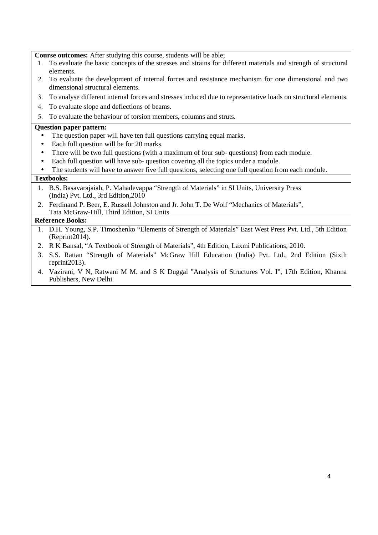**Course outcomes:** After studying this course, students will be able;

- 1. To evaluate the basic concepts of the stresses and strains for different materials and strength of structural elements.
- 2. To evaluate the development of internal forces and resistance mechanism for one dimensional and two dimensional structural elements.
- 3. To analyse different internal forces and stresses induced due to representative loads on structural elements.
- 4. To evaluate slope and deflections of beams.
- 5. To evaluate the behaviour of torsion members, columns and struts.

## **Question paper pattern:**

- The question paper will have ten full questions carrying equal marks.
- Each full question will be for 20 marks.
- There will be two full questions (with a maximum of four sub- questions) from each module.
- Each full question will have sub- question covering all the topics under a module.
- The students will have to answer five full questions, selecting one full question from each module.

## **Textbooks:**

- 1. B.S. Basavarajaiah, P. Mahadevappa "Strength of Materials" in SI Units, University Press (India) Pvt. Ltd., 3rd Edition,2010
- 2. Ferdinand P. Beer, E. Russell Johnston and Jr. John T. De Wolf "Mechanics of Materials", Tata McGraw-Hill, Third Edition, SI Units

- 1. D.H. Young, S.P. Timoshenko "Elements of Strength of Materials" East West Press Pvt. Ltd., 5th Edition (Reprint2014).
- 2. R K Bansal, "A Textbook of Strength of Materials", 4th Edition, Laxmi Publications, 2010.
- 3. S.S. Rattan "Strength of Materials" McGraw Hill Education (India) Pvt. Ltd., 2nd Edition (Sixth reprint2013).
- 4. Vazirani, V N, Ratwani M M. and S K Duggal "Analysis of Structures Vol. I", 17th Edition, Khanna Publishers, New Delhi.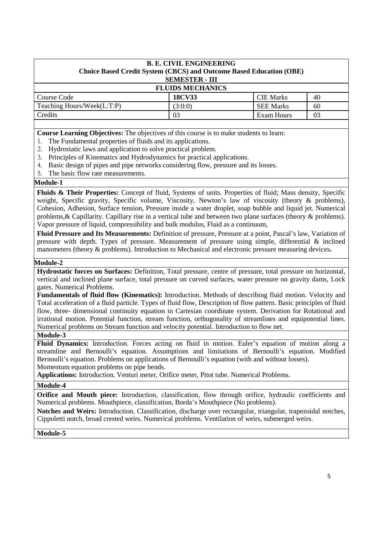| <b>B. E. CIVIL ENGINEERING</b><br>Choice Based Credit System (CBCS) and Outcome Based Education (OBE)<br><b>SEMESTER - III</b> |               |                  |    |  |
|--------------------------------------------------------------------------------------------------------------------------------|---------------|------------------|----|--|
| <b>FLUIDS MECHANICS</b>                                                                                                        |               |                  |    |  |
| Course Code                                                                                                                    | <b>18CV33</b> | <b>CIE</b> Marks | 40 |  |
| Teaching Hours/Week(L:T:P)                                                                                                     | (3:0:0)       | <b>SEE Marks</b> | 60 |  |
| Credits                                                                                                                        | 03            | Exam Hours       | 03 |  |

**Course Learning Objectives:** The objectives of this course is to make students to learn:

- 1. The Fundamental properties of fluids and its applications.
- 2. Hydrostatic laws and application to solve practical problem.
- 3. Principles of Kinematics and Hydrodynamics for practical applications.
- 4. Basic design of pipes and pipe networks considering flow, pressure and its losses.
- 5. The basic flow rate measurements.

## **Module-1**

**Fluids & Their Properties:** Concept of fluid, Systems of units. Properties of fluid; Mass density, Specific weight, Specific gravity, Specific volume, Viscosity, Newton's law of viscosity (theory & problems), Cohesion, Adhesion, Surface tension, Pressure inside a water droplet, soap bubble and liquid jet. Numerical problems, & Capillarity. Capillary rise in a vertical tube and between two plane surfaces (theory & problems). Vapor pressure of liquid, compressibility and bulk modulus, Fluid as a continuum,

**Fluid Pressure and Its Measurements:** Definition of pressure, Pressure at a point, Pascal's law, Variation of pressure with depth. Types of pressure. Measurement of pressure using simple, differential & inclined manometers (theory & problems). Introduction to Mechanical and electronic pressure measuring devices**.**

## **Module-2**

**Hydrostatic forces on Surfaces:** Definition, Total pressure, centre of pressure, total pressure on horizontal, vertical and inclined plane surface, total pressure on curved surfaces, water pressure on gravity dams, Lock gates. Numerical Problems.

**Fundamentals of fluid flow (Kinematics):** Introduction. Methods of describing fluid motion. Velocity and Total acceleration of a fluid particle. Types of fluid flow, Description of flow pattern. Basic principles of fluid flow, three- dimensional continuity equation in Cartesian coordinate system. Derivation for Rotational and irrational motion. Potential function, stream function, orthogonality of streamlines and equipotential lines. Numerical problems on Stream function and velocity potential. Introduction to flow net.

## **Module-3**

**Fluid Dynamics:** Introduction. Forces acting on fluid in motion. Euler's equation of motion along a streamline and Bernoulli's equation. Assumptions and limitations of Bernoulli's equation. Modified Bernoulli's equation. Problems on applications of Bernoulli's equation (with and without losses). Momentum equation problems on pipe bends.

**Applications:** Introduction. Venturi meter, Orifice meter, Pitot tube. Numerical Problems.

## **Module-4**

**Orifice and Mouth piece:** Introduction, classification, flow through orifice, hydraulic coefficients and Numerical problems. Mouthpiece, classification, Borda's Mouthpiece (No problems).

**Notches and Weirs:** Introduction. Classification, discharge over rectangular, triangular, trapezoidal notches, Cippoletti notch, broad crested weirs. Numerical problems. Ventilation of weirs, submerged weirs.

**Module-5**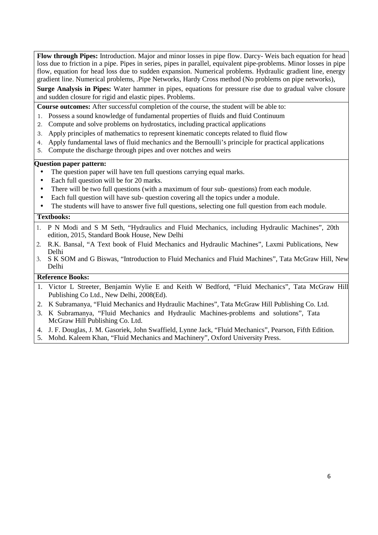**Flow through Pipes:** Introduction. Major and minor losses in pipe flow. Darcy- Weis bach equation for head loss due to friction in a pipe. Pipes in series, pipes in parallel, equivalent pipe-problems. Minor losses in pipe flow, equation for head loss due to sudden expansion. Numerical problems. Hydraulic gradient line, energy gradient line. Numerical problems, .Pipe Networks, Hardy Cross method (No problems on pipe networks),

**Surge Analysis in Pipes:** Water hammer in pipes, equations for pressure rise due to gradual valve closure and sudden closure for rigid and elastic pipes. Problems.

**Course outcomes:** After successful completion of the course, the student will be able to:

- 1. Possess a sound knowledge of fundamental properties of fluids and fluid Continuum
- 2. Compute and solve problems on hydrostatics, including practical applications
- 3. Apply principles of mathematics to represent kinematic concepts related to fluid flow
- 4. Apply fundamental laws of fluid mechanics and the Bernoulli's principle for practical applications
- 5. Compute the discharge through pipes and over notches and weirs

#### **Question paper pattern:**

- The question paper will have ten full questions carrying equal marks.
- Each full question will be for 20 marks.
- There will be two full questions (with a maximum of four sub-questions) from each module.
- Each full question will have sub- question covering all the topics under a module.
- The students will have to answer five full questions, selecting one full question from each module.

#### **Textbooks:**

- 1. P N Modi and S M Seth, "Hydraulics and Fluid Mechanics, including Hydraulic Machines", 20th edition, 2015, Standard Book House, New Delhi
- 2. R.K. Bansal, "A Text book of Fluid Mechanics and Hydraulic Machines", Laxmi Publications, New Delhi
- 3. S K SOM and G Biswas, "Introduction to Fluid Mechanics and Fluid Machines", Tata McGraw Hill, New Delhi

- 1. Victor L Streeter, Benjamin Wylie E and Keith W Bedford, "Fluid Mechanics", Tata McGraw Hill Publishing Co Ltd., New Delhi, 2008(Ed).
- 2. K Subramanya, "Fluid Mechanics and Hydraulic Machines", Tata McGraw Hill Publishing Co. Ltd.
- 3. K Subramanya, "Fluid Mechanics and Hydraulic Machines-problems and solutions", Tata McGraw Hill Publishing Co. Ltd.
- 4. J. F. Douglas, J. M. Gasoriek, John Swaffield, Lynne Jack, "Fluid Mechanics", Pearson, Fifth Edition.
- 5. Mohd. Kaleem Khan, "Fluid Mechanics and Machinery", Oxford University Press.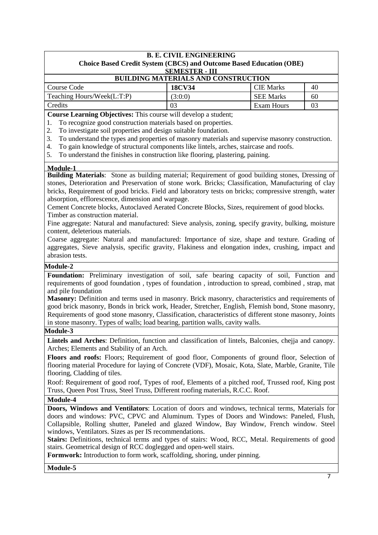## **B. E. CIVIL ENGINEERING Choice Based Credit System (CBCS) and Outcome Based Education (OBE) SEMESTER - III BUILDING MATERIALS AND CONSTRUCTION**  Course Code **18CV34** CIE Marks 40 Teaching Hours/Week(L:T:P)  $(3:0:0)$  SEE Marks 60 Credits 1 03 Exam Hours 1 03

**Course Learning Objectives:** This course will develop a student;

1. To recognize good construction materials based on properties.

2. To investigate soil properties and design suitable foundation.

3. To understand the types and properties of masonry materials and supervise masonry construction.

4. To gain knowledge of structural components like lintels, arches, staircase and roofs.

5. To understand the finishes in construction like flooring, plastering, paining.

#### **Module-1**

**Building Materials**: Stone as building material; Requirement of good building stones, Dressing of stones, Deterioration and Preservation of stone work. Bricks; Classification, Manufacturing of clay bricks, Requirement of good bricks. Field and laboratory tests on bricks; compressive strength, water absorption, efflorescence, dimension and warpage.

Cement Concrete blocks, Autoclaved Aerated Concrete Blocks, Sizes, requirement of good blocks. Timber as construction material.

Fine aggregate: Natural and manufactured: Sieve analysis, zoning, specify gravity, bulking, moisture content, deleterious materials.

Coarse aggregate: Natural and manufactured: Importance of size, shape and texture. Grading of aggregates, Sieve analysis, specific gravity, Flakiness and elongation index, crushing, impact and abrasion tests.

#### **Module-2**

**Foundation:** Preliminary investigation of soil, safe bearing capacity of soil, Function and requirements of good foundation , types of foundation , introduction to spread, combined , strap, mat and pile foundation

**Masonry:** Definition and terms used in masonry. Brick masonry, characteristics and requirements of good brick masonry, Bonds in brick work, Header, Stretcher, English, Flemish bond, Stone masonry, Requirements of good stone masonry, Classification, characteristics of different stone masonry, Joints in stone masonry. Types of walls; load bearing, partition walls, cavity walls.

## **Module-3**

**Lintels and Arches**: Definition, function and classification of lintels, Balconies, chejja and canopy. Arches; Elements and Stability of an Arch.

**Floors and roofs:** Floors; Requirement of good floor, Components of ground floor, Selection of flooring material Procedure for laying of Concrete (VDF), Mosaic, Kota, Slate, Marble, Granite, Tile flooring, Cladding of tiles.

Roof: Requirement of good roof, Types of roof, Elements of a pitched roof, Trussed roof, King post Truss, Queen Post Truss, Steel Truss, Different roofing materials, R.C.C. Roof.

**Module-4** 

**Doors, Windows and Ventilators**: Location of doors and windows, technical terms, Materials for doors and windows: PVC, CPVC and Aluminum. Types of Doors and Windows: Paneled, Flush, Collapsible, Rolling shutter, Paneled and glazed Window, Bay Window, French window. Steel windows, Ventilators. Sizes as per IS recommendations.

Stairs: Definitions, technical terms and types of stairs: Wood, RCC, Metal. Requirements of good stairs. Geometrical design of RCC doglegged and open-well stairs.

**Formwork:** Introduction to form work, scaffolding, shoring, under pinning.

**Module-5**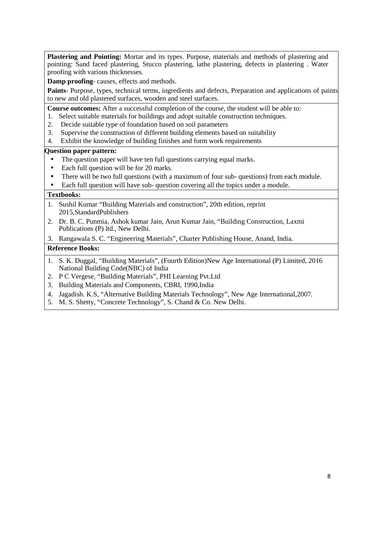**Plastering and Pointing:** Mortar and its types. Purpose, materials and methods of plastering and pointing: Sand faced plastering, Stucco plastering, lathe plastering, defects in plastering . Water proofing with various thicknesses.

**Damp proofing**- causes, effects and methods.

**Paints**- Purpose, types, technical terms, ingredients and defects, Preparation and applications of paints to new and old plastered surfaces, wooden and steel surfaces.

**Course outcomes:** After a successful completion of the course, the student will be able to:

- 1. Select suitable materials for buildings and adopt suitable construction techniques.
- 2. Decide suitable type of foundation based on soil parameters
- 3. Supervise the construction of different building elements based on suitability
- 4. Exhibit the knowledge of building finishes and form work requirements

## **Question paper pattern:**

- The question paper will have ten full questions carrying equal marks.
- Each full question will be for 20 marks.
- There will be two full questions (with a maximum of four sub-questions) from each module.
- Each full question will have sub- question covering all the topics under a module.

## **Textbooks:**

- 1. Sushil Kumar "Building Materials and construction", 20th edition, reprint 2015,StandardPublishers
- 2. Dr. B. C. Punmia, Ashok kumar Jain, Arun Kumar Jain, "Building Construction, Laxmi Publications (P) ltd., New Delhi.
- 3. Rangawala S. C. "Engineering Materials", Charter Publishing House, Anand, India.

- 1. S. K. Duggal, "Building Materials", (Fourth Edition)New Age International (P) Limited, 2016 National Building Code(NBC) of India
- 2. P C Vergese, "Building Materials", PHI Learning Pvt.Ltd
- 3. Building Materials and Components, CBRI, 1990,India
- 4. Jagadish. K.S, "Alternative Building Materials Technology", New Age International,2007.
- 5. M. S. Shetty, "Concrete Technology", S. Chand & Co. New Delhi.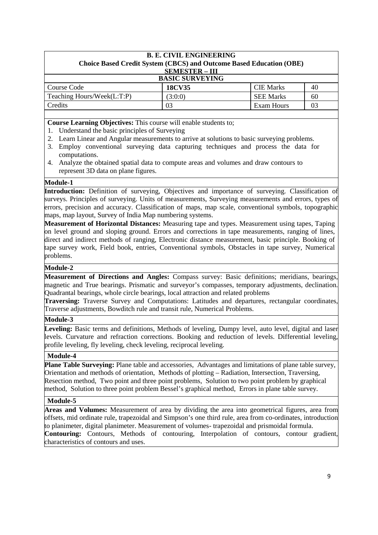| <b>B. E. CIVIL ENGINEERING</b>                                             |                       |                  |    |  |
|----------------------------------------------------------------------------|-----------------------|------------------|----|--|
| <b>Choice Based Credit System (CBCS) and Outcome Based Education (OBE)</b> |                       |                  |    |  |
|                                                                            | <b>SEMESTER - III</b> |                  |    |  |
| <b>BASIC SURVEYING</b>                                                     |                       |                  |    |  |
| Course Code                                                                | <b>18CV35</b>         | <b>CIE</b> Marks | 40 |  |
| Teaching Hours/Week(L:T:P)                                                 | (3:0:0)               | <b>SEE Marks</b> | 60 |  |
| Credits                                                                    | 03                    | Exam Hours       | 03 |  |

**Course Learning Objectives:** This course will enable students to;

- 1. Understand the basic principles of Surveying
- 2. Learn Linear and Angular measurements to arrive at solutions to basic surveying problems.
- 3. Employ conventional surveying data capturing techniques and process the data for computations.
- 4. Analyze the obtained spatial data to compute areas and volumes and draw contours to represent 3D data on plane figures.

## **Module-1**

Introduction: Definition of surveying, Objectives and importance of surveying. Classification of surveys. Principles of surveying. Units of measurements, Surveying measurements and errors, types of errors, precision and accuracy. Classification of maps, map scale, conventional symbols, topographic maps, map layout, Survey of India Map numbering systems.

**Measurement of Horizontal Distances:** Measuring tape and types. Measurement using tapes, Taping on level ground and sloping ground. Errors and corrections in tape measurements, ranging of lines, direct and indirect methods of ranging, Electronic distance measurement, basic principle. Booking of tape survey work, Field book, entries, Conventional symbols, Obstacles in tape survey, Numerical problems.

## **Module-2**

**Measurement of Directions and Angles:** Compass survey: Basic definitions; meridians, bearings, magnetic and True bearings. Prismatic and surveyor's compasses, temporary adjustments, declination. Quadrantal bearings, whole circle bearings, local attraction and related problems

**Traversing:** Traverse Survey and Computations: Latitudes and departures, rectangular coordinates, Traverse adjustments, Bowditch rule and transit rule, Numerical Problems.

## **Module-3**

Leveling: Basic terms and definitions, Methods of leveling, Dumpy level, auto level, digital and laser levels. Curvature and refraction corrections. Booking and reduction of levels. Differential leveling, profile leveling, fly leveling, check leveling, reciprocal leveling.

## **Module-4**

**Plane Table Surveying:** Plane table and accessories, Advantages and limitations of plane table survey, Orientation and methods of orientation, Methods of plotting – Radiation, Intersection, Traversing, Resection method, Two point and three point problems, Solution to two point problem by graphical method, Solution to three point problem Bessel's graphical method, Errors in plane table survey.

## **Module-5**

**Areas and Volumes:** Measurement of area by dividing the area into geometrical figures, area from offsets, mid ordinate rule, trapezoidal and Simpson's one third rule, area from co-ordinates, introduction to planimeter, digital planimeter. Measurement of volumes- trapezoidal and prismoidal formula. **Contouring:** Contours, Methods of contouring, Interpolation of contours, contour gradient, characteristics of contours and uses.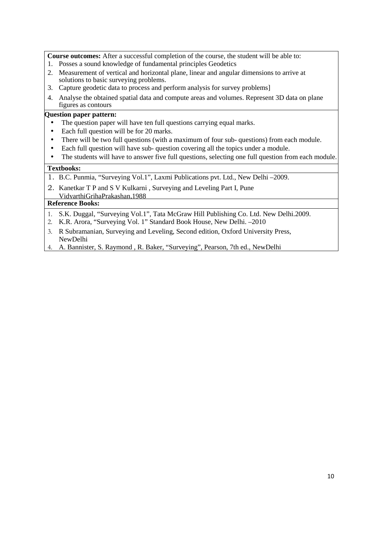**Course outcomes:** After a successful completion of the course, the student will be able to:

- 1. Posses a sound knowledge of fundamental principles Geodetics
- 2. Measurement of vertical and horizontal plane, linear and angular dimensions to arrive at solutions to basic surveying problems.
- 3. Capture geodetic data to process and perform analysis for survey problems]
- 4. Analyse the obtained spatial data and compute areas and volumes. Represent 3D data on plane figures as contours

## **Question paper pattern:**

- The question paper will have ten full questions carrying equal marks.
- Each full question will be for 20 marks.
- There will be two full questions (with a maximum of four sub- questions) from each module.
- Each full question will have sub- question covering all the topics under a module.
- The students will have to answer five full questions, selecting one full question from each module.

## **Textbooks:**

- 1. B.C. Punmia, "Surveying Vol.1", Laxmi Publications pvt. Ltd., New Delhi –2009.
- 2. Kanetkar T P and S V Kulkarni , Surveying and Leveling Part I, Pune VidyarthiGrihaPrakashan,1988

- 1. S.K. Duggal, "Surveying Vol.1", Tata McGraw Hill Publishing Co. Ltd. New Delhi.2009.
- 2. K.R. Arora, "Surveying Vol. 1" Standard Book House, New Delhi. –2010
- 3. R Subramanian, Surveying and Leveling, Second edition, Oxford University Press, NewDelhi
- 4. A. Bannister, S. Raymond , R. Baker, "Surveying", Pearson, 7th ed., NewDelhi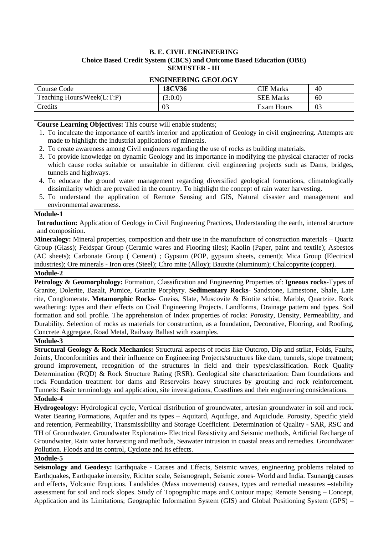## **B. E. CIVIL ENGINEERING Choice Based Credit System (CBCS) and Outcome Based Education (OBE) SEMESTER - III**

| <b>ENGINEERING GEOLOGY</b> |               |                  |    |  |
|----------------------------|---------------|------------------|----|--|
| Course Code                | <b>18CV36</b> | <b>CIE</b> Marks | 40 |  |
| Teaching Hours/Week(L:T:P) | 3:0:0         | <b>SEE Marks</b> | 60 |  |
| Credits                    | 03            | Exam Hours       | 03 |  |
|                            |               |                  |    |  |

**Course Learning Objectives:** This course will enable students;

- 1. To inculcate the importance of earth's interior and application of Geology in civil engineering. Attempts are made to highlight the industrial applications of minerals.
- 2. To create awareness among Civil engineers regarding the use of rocks as building materials.
- 3. To provide knowledge on dynamic Geology and its importance in modifying the physical character of rocks which cause rocks suitable or unsuitable in different civil engineering projects such as Dams, bridges, tunnels and highways.
- 4. To educate the ground water management regarding diversified geological formations, climatologically dissimilarity which are prevailed in the country. To highlight the concept of rain water harvesting.
- 5. To understand the application of Remote Sensing and GIS, Natural disaster and management and environmental awareness.

## **Module-1**

**Introduction:** Application of Geology in Civil Engineering Practices, Understanding the earth, internal structure and composition.

**Mineralogy:** Mineral properties, composition and their use in the manufacture of construction materials – Quartz Group (Glass); Feldspar Group (Ceramic wares and Flooring tiles); Kaolin (Paper, paint and textile); Asbestos (AC sheets); Carbonate Group ( Cement) ; Gypsum (POP, gypsum sheets, cement); Mica Group (Electrical industries); Ore minerals - Iron ores (Steel); Chro mite (Alloy); Bauxite (aluminum); Chalcopyrite (copper).

## **Module-2**

**Petrology & Geomorphology:** Formation, Classification and Engineering Properties of: **Igneous rocks-**Types of Granite, Dolerite, Basalt, Pumice, Granite Porphyry. **Sedimentary Rocks**- Sandstone, Limestone, Shale, Late rite, Conglomerate. **Metamorphic Rocks**- Gneiss, Slate, Muscovite & Biotite schist, Marble, Quartzite. Rock weathering: types and their effects on Civil Engineering Projects. Landforms, Drainage pattern and types. Soil formation and soil profile. The apprehension of Index properties of rocks: Porosity, Density, Permeability, and Durability. Selection of rocks as materials for construction, as a foundation, Decorative, Flooring, and Roofing, Concrete Aggregate, Road Metal, Railway Ballast with examples.

## **Module-3**

**Structural Geology & Rock Mechanics:** Structural aspects of rocks like Outcrop, Dip and strike, Folds, Faults, Joints, Unconformities and their influence on Engineering Projects/structures like dam, tunnels, slope treatment; ground improvement, recognition of the structures in field and their types/classification. Rock Quality Determination (RQD) & Rock Structure Rating (RSR). Geological site characterization: Dam foundations and rock Foundation treatment for dams and Reservoirs heavy structures by grouting and rock reinforcement. Tunnels: Basic terminology and application, site investigations, Coastlines and their engineering considerations.

**Module-4** 

**Hydrogeology:** Hydrological cycle, Vertical distribution of groundwater, artesian groundwater in soil and rock. Water Bearing Formations, Aquifer and its types – Aquitard, Aquifuge, and Aquiclude. Porosity, Specific yield and retention, Permeability, Transmissibility and Storage Coefficient. Determination of Quality - SAR, RSC and TH of Groundwater. Groundwater Exploration- Electrical Resistivity and Seismic methods, Artificial Recharge of Groundwater, Rain water harvesting and methods, Seawater intrusion in coastal areas and remedies. Groundwater Pollution. Floods and its control, Cyclone and its effects.

## **Module-5**

Earthquakes, Earthquake intensity, Richter scale, Seismograph, Seismic zones- World and India. Tsunami<sup>1</sup> causes **Seismology and Geodesy:** Earthquake - Causes and Effects, Seismic waves, engineering problems related to and effects, Volcanic Eruptions. Landslides (Mass movements) causes, types and remedial measures –stability assessment for soil and rock slopes. Study of Topographic maps and Contour maps; Remote Sensing – Concept, Application and its Limitations; Geographic Information System (GIS) and Global Positioning System (GPS) –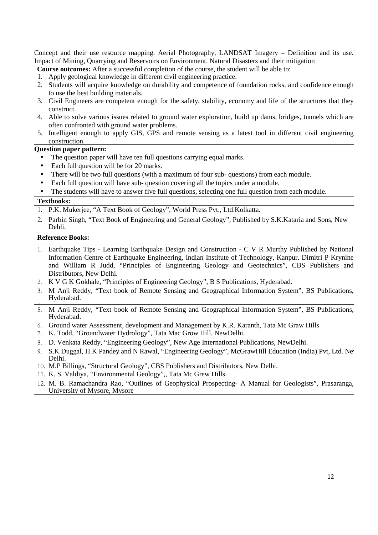Concept and their use resource mapping. Aerial Photography, LANDSAT Imagery – Definition and its use. Impact of Mining, Quarrying and Reservoirs on Environment. Natural Disasters and their mitigation

**Course outcomes:** After a successful completion of the course, the student will be able to:

- 1. Apply geological knowledge in different civil engineering practice.
- 2. Students will acquire knowledge on durability and competence of foundation rocks, and confidence enough to use the best building materials.
- 3. Civil Engineers are competent enough for the safety, stability, economy and life of the structures that they construct.
- 4. Able to solve various issues related to ground water exploration, build up dams, bridges, tunnels which are often confronted with ground water problems.
- 5. Intelligent enough to apply GIS, GPS and remote sensing as a latest tool in different civil engineering construction.

## **Question paper pattern:**

- The question paper will have ten full questions carrying equal marks.
- Each full question will be for 20 marks.
- There will be two full questions (with a maximum of four sub-questions) from each module.
- Each full question will have sub- question covering all the topics under a module.

The students will have to answer five full questions, selecting one full question from each module.

## **Textbooks:**

- 1. P.K. Mukerjee, "A Text Book of Geology", World Press Pvt., Ltd.Kolkatta.
- 2. Parbin Singh, "Text Book of Engineering and General Geology", Published by S.K.Kataria and Sons, New Dehli.

- 1. Earthquake Tips Learning Earthquake Design and Construction C V R Murthy Published by National Information Centre of Earthquake Engineering, Indian Institute of Technology, Kanpur. Dimitri P Krynine and William R Judd, "Principles of Engineering Geology and Geotechnics", CBS Publishers and Distributors, New Delhi.
- 2. K V G K Gokhale, "Principles of Engineering Geology", B S Publications, Hyderabad.
- 3. M Anji Reddy, "Text book of Remote Sensing and Geographical Information System", BS Publications, Hyderabad.
- 4. 5. M Anji Reddy, "Text book of Remote Sensing and Geographical Information System", BS Publications, Hyderabad.
- 6. Ground water Assessment, development and Management by K.R. Karanth, Tata Mc Graw Hills
- 7. K. Todd, "Groundwater Hydrology", Tata Mac Grow Hill, NewDelhi.
- 8. D. Venkata Reddy, "Engineering Geology", New Age International Publications, NewDelhi.
- 9. S.K Duggal, H.K Pandey and N Rawal, "Engineering Geology", McGrawHill Education (India) Pvt, Ltd. Ne Delhi.
- 10. M.P Billings, "Structural Geology", CBS Publishers and Distributors, New Delhi.
- 11. K. S. Valdiya, "Environmental Geology",, Tata Mc Grew Hills.
- 12. M. B. Ramachandra Rao, "Outlines of Geophysical Prospecting- A Manual for Geologists", Prasaranga, University of Mysore, Mysore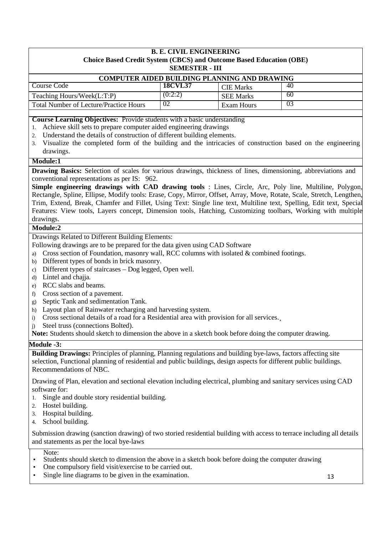#### **B. E. CIVIL ENGINEERING Choice Based Credit System (CBCS) and Outcome Based Education (OBE) SEMESTER - III**

| <b>COMPUTER AIDED BUILDING PLANNING AND DRAWING</b> |                |                  |     |  |  |
|-----------------------------------------------------|----------------|------------------|-----|--|--|
| Course Code                                         | <b>18CVL37</b> | <b>CIE Marks</b> | 40  |  |  |
| Teaching Hours/Week(L:T:P)                          | (0:2:2)        | <b>SEE Marks</b> | -60 |  |  |
| <b>Total Number of Lecture/Practice Hours</b>       | 02             | Exam Hours       | -03 |  |  |
|                                                     |                |                  |     |  |  |

**Course Learning Objectives:** Provide students with a basic understanding

- 1. Achieve skill sets to prepare computer aided engineering drawings
- 2. Understand the details of construction of different building elements.
- 3. Visualize the completed form of the building and the intricacies of construction based on the engineering drawings.

## **Module:1**

**Drawing Basics:** Selection of scales for various drawings, thickness of lines, dimensioning, abbreviations and conventional representations as per IS: 962.

**Simple engineering drawings with CAD drawing tools** : Lines, Circle, Arc, Poly line, Multiline, Polygon, Rectangle, Spline, Ellipse, Modify tools: Erase, Copy, Mirror, Offset, Array, Move, Rotate, Scale, Stretch, Lengthen, Trim, Extend, Break, Chamfer and Fillet, Using Text: Single line text, Multiline text, Spelling, Edit text, Special Features: View tools, Layers concept, Dimension tools, Hatching, Customizing toolbars, Working with multiple drawings.

## **Module:2**

Drawings Related to Different Building Elements:

- Following drawings are to be prepared for the data given using CAD Software
- a) Cross section of Foundation, masonry wall, RCC columns with isolated & combined footings.
- b) Different types of bonds in brick masonry.
- c) Different types of staircases Dog legged, Open well.
- d) Lintel and chajja.
- e) RCC slabs and beams.
- f) Cross section of a pavement.
- g) Septic Tank and sedimentation Tank.
- h) Layout plan of Rainwater recharging and harvesting system.
- i) Cross sectional details of a road for a Residential area with provision for all services.¸
- j) Steel truss (connections Bolted).

**Note:** Students should sketch to dimension the above in a sketch book before doing the computer drawing.

## **Module -3:**

**Building Drawings:** Principles of planning, Planning regulations and building bye-laws, factors affecting site selection, Functional planning of residential and public buildings, design aspects for different public buildings. Recommendations of NBC.

Drawing of Plan, elevation and sectional elevation including electrical, plumbing and sanitary services using CAD software for:

- 1. Single and double story residential building.
- 2. Hostel building.
- 3. Hospital building.
- 4. School building.

Submission drawing (sanction drawing) of two storied residential building with access to terrace including all details and statements as per the local bye-laws

Note:

- Students should sketch to dimension the above in a sketch book before doing the computer drawing
- One compulsory field visit/exercise to be carried out.
- Single line diagrams to be given in the examination.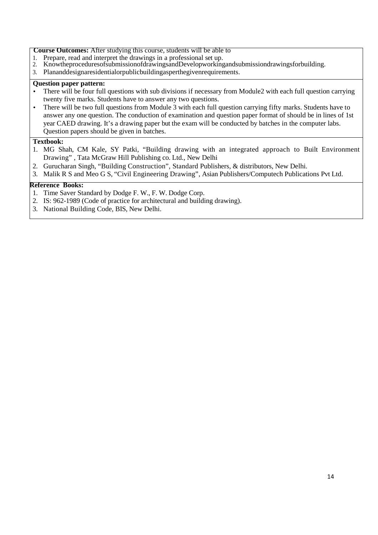#### **Course Outcomes:** After studying this course, students will be able to

- 1. Prepare, read and interpret the drawings in a professional set up.<br>2. KnowthenroceduresofsubmissionofdrawingsandDevelopworking
- 2. KnowtheproceduresofsubmissionofdrawingsandDevelopworkingandsubmissiondrawingsforbuilding.
- 3. Plananddesignaresidentialorpublicbuildingasperthegivenrequirements.

## **Question paper pattern:**

- There will be four full questions with sub divisions if necessary from Module2 with each full question carrying twenty five marks. Students have to answer any two questions.
- There will be two full questions from Module 3 with each full question carrying fifty marks. Students have to answer any one question. The conduction of examination and question paper format of should be in lines of 1st year CAED drawing. It's a drawing paper but the exam will be conducted by batches in the computer labs. Question papers should be given in batches.

#### **Textbook:**

- 1. MG Shah, CM Kale, SY Patki, "Building drawing with an integrated approach to Built Environment Drawing" , Tata McGraw Hill Publishing co. Ltd., New Delhi
- 2. Gurucharan Singh, "Building Construction", Standard Publishers, & distributors, New Delhi.
- 3. Malik R S and Meo G S, "Civil Engineering Drawing", Asian Publishers/Computech Publications Pvt Ltd.

- 1. Time Saver Standard by Dodge F. W., F. W. Dodge Corp.
- 2. IS: 962-1989 (Code of practice for architectural and building drawing).
- 3. National Building Code, BIS, New Delhi.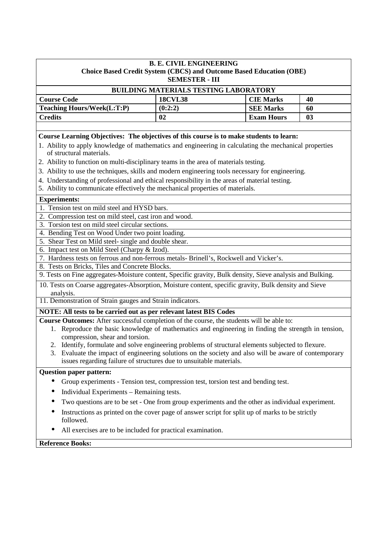| <b>B. E. CIVIL ENGINEERING</b><br><b>Choice Based Credit System (CBCS) and Outcome Based Education (OBE)</b>                                                                                                                                                                                                                                                                                                                                                                                                                                                                                                                                                                                                                                                                                                                                                                                                                                                                                                                                                                                                                                                                                                                                                                                    |                                                                       |                   |                |  |
|-------------------------------------------------------------------------------------------------------------------------------------------------------------------------------------------------------------------------------------------------------------------------------------------------------------------------------------------------------------------------------------------------------------------------------------------------------------------------------------------------------------------------------------------------------------------------------------------------------------------------------------------------------------------------------------------------------------------------------------------------------------------------------------------------------------------------------------------------------------------------------------------------------------------------------------------------------------------------------------------------------------------------------------------------------------------------------------------------------------------------------------------------------------------------------------------------------------------------------------------------------------------------------------------------|-----------------------------------------------------------------------|-------------------|----------------|--|
|                                                                                                                                                                                                                                                                                                                                                                                                                                                                                                                                                                                                                                                                                                                                                                                                                                                                                                                                                                                                                                                                                                                                                                                                                                                                                                 | <b>SEMESTER - III</b><br><b>BUILDING MATERIALS TESTING LABORATORY</b> |                   |                |  |
| <b>Course Code</b>                                                                                                                                                                                                                                                                                                                                                                                                                                                                                                                                                                                                                                                                                                                                                                                                                                                                                                                                                                                                                                                                                                                                                                                                                                                                              | <b>18CVL38</b>                                                        | <b>CIE Marks</b>  | 40             |  |
| <b>Teaching Hours/Week(L:T:P)</b>                                                                                                                                                                                                                                                                                                                                                                                                                                                                                                                                                                                                                                                                                                                                                                                                                                                                                                                                                                                                                                                                                                                                                                                                                                                               | (0:2:2)                                                               | <b>SEE Marks</b>  | 60             |  |
| <b>Credits</b>                                                                                                                                                                                                                                                                                                                                                                                                                                                                                                                                                                                                                                                                                                                                                                                                                                                                                                                                                                                                                                                                                                                                                                                                                                                                                  | 02                                                                    | <b>Exam Hours</b> | 0 <sub>3</sub> |  |
|                                                                                                                                                                                                                                                                                                                                                                                                                                                                                                                                                                                                                                                                                                                                                                                                                                                                                                                                                                                                                                                                                                                                                                                                                                                                                                 |                                                                       |                   |                |  |
| Course Learning Objectives: The objectives of this course is to make students to learn:<br>1. Ability to apply knowledge of mathematics and engineering in calculating the mechanical properties<br>of structural materials.                                                                                                                                                                                                                                                                                                                                                                                                                                                                                                                                                                                                                                                                                                                                                                                                                                                                                                                                                                                                                                                                    |                                                                       |                   |                |  |
| 2. Ability to function on multi-disciplinary teams in the area of materials testing.                                                                                                                                                                                                                                                                                                                                                                                                                                                                                                                                                                                                                                                                                                                                                                                                                                                                                                                                                                                                                                                                                                                                                                                                            |                                                                       |                   |                |  |
| 3. Ability to use the techniques, skills and modern engineering tools necessary for engineering.                                                                                                                                                                                                                                                                                                                                                                                                                                                                                                                                                                                                                                                                                                                                                                                                                                                                                                                                                                                                                                                                                                                                                                                                |                                                                       |                   |                |  |
| 4. Understanding of professional and ethical responsibility in the areas of material testing.<br>5. Ability to communicate effectively the mechanical properties of materials.                                                                                                                                                                                                                                                                                                                                                                                                                                                                                                                                                                                                                                                                                                                                                                                                                                                                                                                                                                                                                                                                                                                  |                                                                       |                   |                |  |
| <b>Experiments:</b>                                                                                                                                                                                                                                                                                                                                                                                                                                                                                                                                                                                                                                                                                                                                                                                                                                                                                                                                                                                                                                                                                                                                                                                                                                                                             |                                                                       |                   |                |  |
| 1. Tension test on mild steel and HYSD bars.<br>2. Compression test on mild steel, cast iron and wood.<br>3. Torsion test on mild steel circular sections.<br>4. Bending Test on Wood Under two point loading.<br>5. Shear Test on Mild steel- single and double shear.<br>6. Impact test on Mild Steel (Charpy & Izod).<br>7. Hardness tests on ferrous and non-ferrous metals-Brinell's, Rockwell and Vicker's.<br>8. Tests on Bricks, Tiles and Concrete Blocks.<br>9. Tests on Fine aggregates-Moisture content, Specific gravity, Bulk density, Sieve analysis and Bulking.<br>10. Tests on Coarse aggregates-Absorption, Moisture content, specific gravity, Bulk density and Sieve<br>analysis.<br>11. Demonstration of Strain gauges and Strain indicators.<br>NOTE: All tests to be carried out as per relevant latest BIS Codes<br>Course Outcomes: After successful completion of the course, the students will be able to:<br>1. Reproduce the basic knowledge of mathematics and engineering in finding the strength in tension,<br>compression, shear and torsion.<br>2. Identify, formulate and solve engineering problems of structural elements subjected to flexure.<br>3. Evaluate the impact of engineering solutions on the society and also will be aware of contemporary |                                                                       |                   |                |  |
| issues regarding failure of structures due to unsuitable materials.<br><b>Question paper pattern:</b>                                                                                                                                                                                                                                                                                                                                                                                                                                                                                                                                                                                                                                                                                                                                                                                                                                                                                                                                                                                                                                                                                                                                                                                           |                                                                       |                   |                |  |
| Group experiments - Tension test, compression test, torsion test and bending test.<br>$\bullet$                                                                                                                                                                                                                                                                                                                                                                                                                                                                                                                                                                                                                                                                                                                                                                                                                                                                                                                                                                                                                                                                                                                                                                                                 |                                                                       |                   |                |  |
| Individual Experiments - Remaining tests.<br>$\bullet$                                                                                                                                                                                                                                                                                                                                                                                                                                                                                                                                                                                                                                                                                                                                                                                                                                                                                                                                                                                                                                                                                                                                                                                                                                          |                                                                       |                   |                |  |
| Two questions are to be set - One from group experiments and the other as individual experiment.                                                                                                                                                                                                                                                                                                                                                                                                                                                                                                                                                                                                                                                                                                                                                                                                                                                                                                                                                                                                                                                                                                                                                                                                |                                                                       |                   |                |  |
| Instructions as printed on the cover page of answer script for split up of marks to be strictly<br>●<br>followed.                                                                                                                                                                                                                                                                                                                                                                                                                                                                                                                                                                                                                                                                                                                                                                                                                                                                                                                                                                                                                                                                                                                                                                               |                                                                       |                   |                |  |
| All exercises are to be included for practical examination.<br>$\bullet$                                                                                                                                                                                                                                                                                                                                                                                                                                                                                                                                                                                                                                                                                                                                                                                                                                                                                                                                                                                                                                                                                                                                                                                                                        |                                                                       |                   |                |  |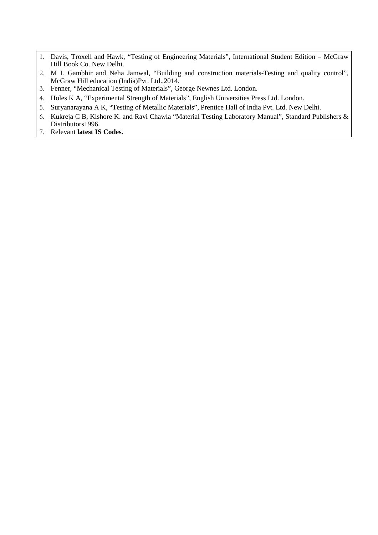- 1. Davis, Troxell and Hawk, "Testing of Engineering Materials", International Student Edition McGraw Hill Book Co. New Delhi.
- 2. M L Gambhir and Neha Jamwal, "Building and construction materials-Testing and quality control", McGraw Hill education (India)Pvt. Ltd.,2014.
- 3. Fenner, "Mechanical Testing of Materials", George Newnes Ltd. London.
- 4. Holes K A, "Experimental Strength of Materials", English Universities Press Ltd. London.
- 5. Suryanarayana A K, "Testing of Metallic Materials", Prentice Hall of India Pvt. Ltd. New Delhi.
- 6. Kukreja C B, Kishore K. and Ravi Chawla "Material Testing Laboratory Manual", Standard Publishers & Distributors<sup>1996</sup>.
- 7. Relevant **latest IS Codes.**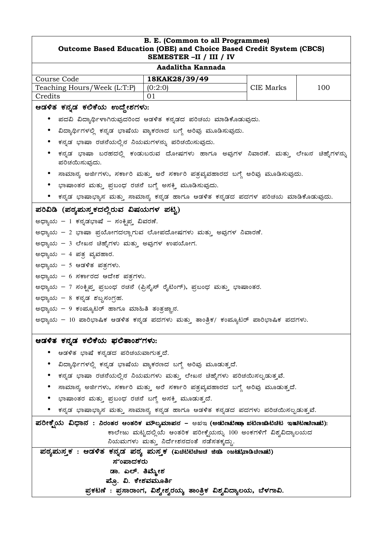| <b>B. E. (Common to all Programmes)</b><br>Outcome Based Education (OBE) and Choice Based Credit System (CBCS)<br>SEMESTER-II / III / IV |                                                                                  |           |     |  |
|------------------------------------------------------------------------------------------------------------------------------------------|----------------------------------------------------------------------------------|-----------|-----|--|
|                                                                                                                                          | Aadalitha Kannada                                                                |           |     |  |
| Course Code                                                                                                                              | 18KAK28/39/49                                                                    |           |     |  |
| Teaching Hours/Week (L:T:P)                                                                                                              | (0:2:0)                                                                          | CIE Marks | 100 |  |
| Credits                                                                                                                                  | 01                                                                               |           |     |  |
| ಆಡಳಿತ ಕನ್ನಡ ಕಲಿಕೆಯ ಉದ್ದೇಶಗಳು:                                                                                                            |                                                                                  |           |     |  |
|                                                                                                                                          | ಪದವಿ ವಿದ್ಯಾರ್ಥಿಳಾಗಿರುವುದರಿಂದ ಆಡಳಿತ ಕನ್ನಡದ ಪರಿಚಯ ಮಾಡಿಕೊಡುವುದು.                    |           |     |  |
|                                                                                                                                          | ವಿದ್ಯಾರ್ಥಿಗಳಲ್ಲಿ ಕನ್ನಡ ಭಾಷೆಯ ವ್ಯಾಕರಣದ ಬಗ್ಗೆ ಅರಿವು ಮೂಡಿಸುವುದು.                    |           |     |  |
| ಕನ್ನಡ ಭಾಷಾ ರಚನೆಯಲ್ಲಿನ ನಿಯಮಗಳನ್ನು ಪರಿಚಯಿಸುವುದು.                                                                                           |                                                                                  |           |     |  |
| ಪರಿಚಯಿಸುವುದು.                                                                                                                            | ಕನ್ನಡ ಭಾಷಾ ಬರಹದಲ್ಲಿ ಕಂಡುಬರುವ ದೋಷಗಳು ಹಾಗೂ ಅವುಗಳ ನಿವಾರಣೆ. ಮತ್ತು ಲೇಖನ ಚಿಹ್ನೆಗಳನ್ನು  |           |     |  |
|                                                                                                                                          | ಸಾಮಾನ್ಯ ಅರ್ಜಿಗಳು, ಸರ್ಕಾರಿ ಮತ್ತು ಅರೆ ಸರ್ಕಾರಿ ಪತ್ರವ್ಯವಹಾರದ ಬಗ್ಗೆ ಅರಿವು ಮೂಡಿಸುವುದು. |           |     |  |
| ಭಾಷಾಂತರ ಮತ್ತು ಪ್ರಬಂಧ ರಚನೆ ಬಗ್ಗೆ ಅಸಕ್ತಿ ಮೂಡಿಸುವುದು.                                                                                       |                                                                                  |           |     |  |
|                                                                                                                                          | ಕನ್ನಡ ಭಾಷಾಭ್ಯಾಸ ಮತ್ತು ಸಾಮಾನ್ಯ ಕನ್ನಡ ಹಾಗೂ ಆಡಳಿತ ಕನ್ನಡದ ಪದಗಳ ಪರಿಚಯ ಮಾಡಿಕೊಡುವುದು.   |           |     |  |
| ಪರಿವಿಡಿ (ಪಠ್ಯಮಸ್ತಕದಲ್ಲಿರುವ ವಿಷಯಗಳ ಪಟ್ಟಿ)                                                                                                 |                                                                                  |           |     |  |
| ಅಧ್ಯಾಯ - 1 ಕನ್ನಡಭಾಷೆ - ಸಂಕ್ಷಿಪ್ತ ವಿವರಣೆ.                                                                                                 |                                                                                  |           |     |  |
| ಅಧ್ಯಾಯ – 2 ಭಾಷಾ ಪ್ರಯೋಗದಲ್ಲಾಗುವ ಲೋಪದೋಷಗಳು ಮತ್ತು ಅವುಗಳ ನಿವಾರಣೆ.                                                                            |                                                                                  |           |     |  |
| ಅಧ್ಯಾಯ – 3 ಲೇಖನ ಚಿಹ್ನೆಗಳು ಮತ್ತು ಅವುಗಳ ಉಪಯೋಗ.                                                                                             |                                                                                  |           |     |  |
| ಅಧ್ಯಾಯ – 4 ಪತ್ರ ವ್ಯವಹಾರ.                                                                                                                 |                                                                                  |           |     |  |
| ಅಧ್ಯಾಯ – 5 ಆಡಳಿತ ಪತ್ರಗಳು.                                                                                                                |                                                                                  |           |     |  |
| ಅಧ್ಯಾಯ – 6 ಸರ್ಕಾರದ ಆದೇಶ ಪತ್ರಗಳು.                                                                                                         |                                                                                  |           |     |  |
|                                                                                                                                          |                                                                                  |           |     |  |
| ಅಧ್ಯಾಯ – 7 ಸಂಕ್ಷಿಪ್ತ ಪ್ರಬಂಧ ರಚನೆ (ಪ್ರಿಸೈಸ್ ರೈಟಿಂಗ್), ಪ್ರಬಂಧ ಮತ್ತು ಭಾಷಾಂತರ.                                                               |                                                                                  |           |     |  |
| ಅಧ್ಯಾಯ – 8 ಕನ್ನಡ ಶಬ್ದಸಂಗ್ರಹ.                                                                                                             |                                                                                  |           |     |  |
| ಅಧ್ಯಾಯ – 9 ಕಂಪ್ಯೂಟರ್ ಹಾಗೂ ಮಾಹಿತಿ ತಂತ್ರಜ್ಞಾನ.                                                                                             |                                                                                  |           |     |  |
| ಅಧ್ಯಾಯ – 10 ಪಾರಿಭಾಷಿಕ ಆಡಳಿತ ಕನ್ನಡ ಪದಗಳು ಮತ್ತು ತಾಂತ್ರಿಕ/ ಕಂಪ್ಯೂಟರ್ ಪಾರಿಭಾಷಿಕ ಪದಗಳು.                                                       |                                                                                  |           |     |  |
| ಆಡಳಿತ ಕನ್ನಡ ಕಲಿಕೆಯ ಫಲಿತಾಂಶ'ಗಳು:                                                                                                          |                                                                                  |           |     |  |
| ಆಡಳಿತ ಭಾಷೆ ಕನ್ನಡದ ಪರಿಚಯವಾಗುತ್ತದೆ.                                                                                                        |                                                                                  |           |     |  |
|                                                                                                                                          |                                                                                  |           |     |  |
|                                                                                                                                          | ವಿದ್ಯಾರ್ಥಿಗಳಲ್ಲಿ ಕನ್ನಡ ಭಾಷೆಯ ವ್ಯಾಕರಣದ ಬಗ್ಗೆ ಅರಿವು ಮೂಡುತ್ತದೆ.                     |           |     |  |
|                                                                                                                                          | ಕನ್ನಡ ಭಾಷಾ ರಚನೆಯಲ್ಲಿನ ನಿಯಮಗಳು ಮತ್ತು ಲೇಖನ ಚಿಹ್ನೆಗಳು ಪರಿಚಯಿಸಲ್ಪಡುತ್ತವೆ.            |           |     |  |
|                                                                                                                                          | ಸಾಮಾನ್ಯ ಅರ್ಜಿಗಳು, ಸರ್ಕಾರಿ ಮತ್ತು ಅರೆ ಸರ್ಕಾರಿ ಪತ್ರವ್ಯವಹಾರದ ಬಗ್ಗೆ ಅರಿವು ಮೂಡುತ್ತದೆ.  |           |     |  |
| ಭಾಷಾಂತರ ಮತ್ತು ಪ್ರಬಂಧ ರಚನೆ ಬಗ್ಗೆ ಅಸಕ್ತಿ ಮೂಡುತ್ತದೆ.                                                                                        |                                                                                  |           |     |  |
| ಕನ್ನಡ ಭಾಷಾಭ್ಯಾಸ ಮತ್ತು ಸಾಮಾನ್ಯ ಕನ್ನಡ ಹಾಗೂ ಆಡಳಿತ ಕನ್ನಡದ ಪದಗಳು ಪರಿಚಯಿಸಲ್ಪಡುತ್ತವೆ.                                                           |                                                                                  |           |     |  |
| ಪರೀಕ್ಷ್ಮೆಯ ವಿಧಾನ : ನಿರಂತರ ಆಂತರಿಕ ಮೌಲ್ಯಮಾಪನ – ಅಖಇ (ಅಡುಣುಟಿಣಾ ಖಟಿಣಜಾಟಿಚಿಟ ಇತುಿಟೆಣುಣುಚು):                                                   |                                                                                  |           |     |  |
|                                                                                                                                          | ಕಾಲೇಜು ಮಟ್ಟದಲ್ಲಿಯೆ ಆಂತರಿಕ ಪರೀಕ್ನೆಯನ್ನು 100 ಅಂಕಗಳಿಗೆ ವಿಶ್ವವಿದ್ಯಾಲಯದ               |           |     |  |
|                                                                                                                                          | ನಿಯಮಗಳು ಮತ್ತು ನಿರ್ದೇಶನದಂತೆ ನಡೆಸತಕ್ಕದ್ದು.                                         |           |     |  |
| ಪಠೈಪುಸ್ತಕ : ಆಡಳಿತ ಕನ್ನಡ ಪಠ್ಯ ಮಸ್ತಕ (ಏಚಿಟಿಟಿಚಿಜಚಿ ಜಿಡಿ ಂಜಟುಭಾಡಿಚಿಣುಟಿ)<br>ಸೆಂಪಾದಕರು                                                       |                                                                                  |           |     |  |
| ಡಾ. ಎಲ್. ತಿಮ್ಮೇಶ                                                                                                                         |                                                                                  |           |     |  |
| ಪ್ರೊ. ವಿ. ಕೇಶವಮೂರ್ತಿ                                                                                                                     |                                                                                  |           |     |  |
|                                                                                                                                          | ಪ್ರಕಟಣೆ : ಪ್ರಸಾರಾಂಗ, ವಿಶ್ವೇಶ್ವರಯ್ಯ ತಾಂತ್ರಿಕ ವಿಶ್ವವಿದ್ಯಾಲಯ, ಬೆಳಗಾವಿ.              |           |     |  |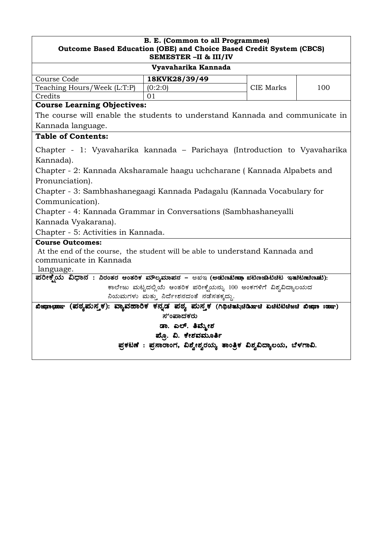| <b>B. E. (Common to all Programmes)</b><br>Outcome Based Education (OBE) and Choice Based Credit System (CBCS)<br>SEMESTER - II & III/IV                                                                                                                                                                                                                                                                                                                                                                                      |                                                                     |                  |     |  |
|-------------------------------------------------------------------------------------------------------------------------------------------------------------------------------------------------------------------------------------------------------------------------------------------------------------------------------------------------------------------------------------------------------------------------------------------------------------------------------------------------------------------------------|---------------------------------------------------------------------|------------------|-----|--|
|                                                                                                                                                                                                                                                                                                                                                                                                                                                                                                                               | Vyavaharika Kannada                                                 |                  |     |  |
| Course Code                                                                                                                                                                                                                                                                                                                                                                                                                                                                                                                   | 18KVK28/39/49                                                       |                  |     |  |
| Teaching Hours/Week (L:T:P)                                                                                                                                                                                                                                                                                                                                                                                                                                                                                                   | (0:2:0)                                                             | <b>CIE Marks</b> | 100 |  |
| Credits                                                                                                                                                                                                                                                                                                                                                                                                                                                                                                                       | 01                                                                  |                  |     |  |
| <b>Course Learning Objectives:</b>                                                                                                                                                                                                                                                                                                                                                                                                                                                                                            |                                                                     |                  |     |  |
| The course will enable the students to understand Kannada and communicate in                                                                                                                                                                                                                                                                                                                                                                                                                                                  |                                                                     |                  |     |  |
| Kannada language.                                                                                                                                                                                                                                                                                                                                                                                                                                                                                                             |                                                                     |                  |     |  |
| <b>Table of Contents:</b>                                                                                                                                                                                                                                                                                                                                                                                                                                                                                                     |                                                                     |                  |     |  |
| Chapter - 1: Vyavaharika kannada – Parichaya (Introduction to Vyavaharika<br>Kannada).<br>Chapter - 2: Kannada Aksharamale haagu uchcharane (Kannada Alpabets and<br>Pronunciation).<br>Chapter - 3: Sambhashanegaagi Kannada Padagalu (Kannada Vocabulary for<br>Communication).<br>Chapter - 4: Kannada Grammar in Conversations (Sambhashaneyalli<br>Kannada Vyakarana).<br>Chapter - 5: Activities in Kannada.<br><b>Course Outcomes:</b><br>At the end of the course, the student will be able to understand Kannada and |                                                                     |                  |     |  |
| communicate in Kannada<br>language.                                                                                                                                                                                                                                                                                                                                                                                                                                                                                           |                                                                     |                  |     |  |
| ಪರೀಕ್ಸೆಯ ವಿಧಾನ : ನಿರಂತರ ಆಂತರಿಕ ಮೌಲ್ಯಮಾಪನ – ಅಖಇ (ಅಡುಣಟಿಷ್ ಖಟೆಣಚಾಟಿಚಿಟ ಇತುಿಟಿಷುಣುಟು):                                                                                                                                                                                                                                                                                                                                                                                                                                           |                                                                     |                  |     |  |
|                                                                                                                                                                                                                                                                                                                                                                                                                                                                                                                               | ಕಾಲೇಜು ಮಟ್ಟದಲ್ಲಿಯೆ ಆಂತರಿಕ ಪರೀಕ್ಷೆಯನ್ನು 100 ಅಂಕಗಳಿಗೆ ವಿಶ್ವವಿದ್ಯಾಲಯದ  |                  |     |  |
| ನಿಯಮಗಳು ಮತ್ತು ನಿರ್ದೇಶನದಂತೆ ನಡೆಸತಕ್ಕದ್ದು.                                                                                                                                                                                                                                                                                                                                                                                                                                                                                      |                                                                     |                  |     |  |
| ಖಿಜ಼ಾೕಾ (ಪಠ್ಯಮನ್ತಕ): ವ್ಯಾವಹಾರಿಕ ಕನ್ನಡ ಪಠ್ಯ ಮನ್ತಕ (ಗಿಥಿಚಿತುಸಿಚಿಡಿಸುಚಿ ಏಚಿಟಿಟಿಚಿಜಚಿ ಖಿಜ಼ಾ ಃಹಾಌ)                                                                                                                                                                                                                                                                                                                                                                                                                                 |                                                                     |                  |     |  |
| ಸುಂಪಾದಕರು                                                                                                                                                                                                                                                                                                                                                                                                                                                                                                                     |                                                                     |                  |     |  |
| ಡಾ. ಎಲ್. ತಿಮ್ಮೇಶ                                                                                                                                                                                                                                                                                                                                                                                                                                                                                                              |                                                                     |                  |     |  |
| ಪ್ರೊ. ವಿ. ಕೇಶವಮೂರ್ತಿ                                                                                                                                                                                                                                                                                                                                                                                                                                                                                                          |                                                                     |                  |     |  |
|                                                                                                                                                                                                                                                                                                                                                                                                                                                                                                                               | ಪ್ರಕಟಣೆ : ಪ್ರಸಾರಾಂಗ, ವಿಶ್ವೇಶ್ವರಯ್ಯ ತಾಂತ್ರಿಕ ವಿಶ್ವವಿದ್ಯಾಲಯ, ಬೆಳಗಾವಿ. |                  |     |  |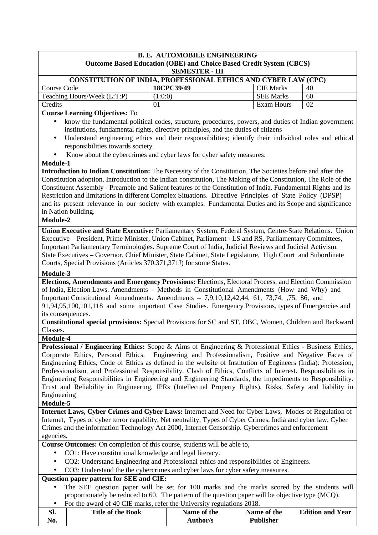| <b>B. E. AUTOMOBILE ENGINEERING</b><br><b>Outcome Based Education (OBE) and Choice Based Credit System (CBCS)</b>                                                                                                      |                                                                                                                                                                                                                                |                   |    |  |
|------------------------------------------------------------------------------------------------------------------------------------------------------------------------------------------------------------------------|--------------------------------------------------------------------------------------------------------------------------------------------------------------------------------------------------------------------------------|-------------------|----|--|
|                                                                                                                                                                                                                        | <b>SEMESTER - III</b>                                                                                                                                                                                                          |                   |    |  |
|                                                                                                                                                                                                                        | CONSTITUTION OF INDIA, PROFESSIONAL ETHICS AND CYBER LAW (CPC)                                                                                                                                                                 |                   |    |  |
| <b>Course Code</b>                                                                                                                                                                                                     | 18CPC39/49                                                                                                                                                                                                                     | <b>CIE Marks</b>  | 40 |  |
| Teaching Hours/Week (L:T:P)                                                                                                                                                                                            | (1:0:0)                                                                                                                                                                                                                        | <b>SEE Marks</b>  | 60 |  |
| Credits                                                                                                                                                                                                                | 01                                                                                                                                                                                                                             | <b>Exam Hours</b> | 02 |  |
| <b>Course Learning Objectives: To</b>                                                                                                                                                                                  |                                                                                                                                                                                                                                |                   |    |  |
|                                                                                                                                                                                                                        | know the fundamental political codes, structure, procedures, powers, and duties of Indian government<br>institutions, fundamental rights, directive principles, and the duties of citizens                                     |                   |    |  |
| $\bullet$                                                                                                                                                                                                              | Understand engineering ethics and their responsibilities; identify their individual roles and ethical                                                                                                                          |                   |    |  |
| responsibilities towards society.                                                                                                                                                                                      |                                                                                                                                                                                                                                |                   |    |  |
|                                                                                                                                                                                                                        | Know about the cybercrimes and cyber laws for cyber safety measures.                                                                                                                                                           |                   |    |  |
| Module-1                                                                                                                                                                                                               |                                                                                                                                                                                                                                |                   |    |  |
| Introduction to Indian Constitution: The Necessity of the Constitution, The Societies before and after the                                                                                                             |                                                                                                                                                                                                                                |                   |    |  |
| Constitution adoption. Introduction to the Indian constitution, The Making of the Constitution, The Role of the                                                                                                        |                                                                                                                                                                                                                                |                   |    |  |
| Constituent Assembly - Preamble and Salient features of the Constitution of India. Fundamental Rights and its                                                                                                          |                                                                                                                                                                                                                                |                   |    |  |
| Restriction and limitations in different Complex Situations. Directive Principles of State Policy (DPSP)                                                                                                               |                                                                                                                                                                                                                                |                   |    |  |
| and its present relevance in our society with examples. Fundamental Duties and its Scope and significance                                                                                                              |                                                                                                                                                                                                                                |                   |    |  |
| in Nation building.                                                                                                                                                                                                    |                                                                                                                                                                                                                                |                   |    |  |
| Module-2                                                                                                                                                                                                               |                                                                                                                                                                                                                                |                   |    |  |
| Union Executive and State Executive: Parliamentary System, Federal System, Centre-State Relations. Union                                                                                                               |                                                                                                                                                                                                                                |                   |    |  |
| Executive – President, Prime Minister, Union Cabinet, Parliament - LS and RS, Parliamentary Committees,                                                                                                                |                                                                                                                                                                                                                                |                   |    |  |
| Important Parliamentary Terminologies. Supreme Court of India, Judicial Reviews and Judicial Activism.                                                                                                                 |                                                                                                                                                                                                                                |                   |    |  |
| State Executives – Governor, Chief Minister, State Cabinet, State Legislature, High Court and Subordinate                                                                                                              |                                                                                                                                                                                                                                |                   |    |  |
| Courts, Special Provisions (Articles 370.371,371J) for some States.                                                                                                                                                    |                                                                                                                                                                                                                                |                   |    |  |
| Module-3                                                                                                                                                                                                               |                                                                                                                                                                                                                                |                   |    |  |
| Elections, Amendments and Emergency Provisions: Elections, Electoral Process, and Election Commission                                                                                                                  |                                                                                                                                                                                                                                |                   |    |  |
| of India, Election Laws. Amendments - Methods in Constitutional Amendments (How and Why) and                                                                                                                           |                                                                                                                                                                                                                                |                   |    |  |
| Important Constitutional Amendments. Amendments – 7,9,10,12,42,44, 61, 73,74, 75, 86, and                                                                                                                              |                                                                                                                                                                                                                                |                   |    |  |
| 91,94,95,100,101,118 and some important Case Studies. Emergency Provisions, types of Emergencies and                                                                                                                   |                                                                                                                                                                                                                                |                   |    |  |
| its consequences.                                                                                                                                                                                                      |                                                                                                                                                                                                                                |                   |    |  |
| <b>Constitutional special provisions:</b> Special Provisions for SC and ST, OBC, Women, Children and Backward                                                                                                          |                                                                                                                                                                                                                                |                   |    |  |
| Classes.                                                                                                                                                                                                               |                                                                                                                                                                                                                                |                   |    |  |
| Module-4                                                                                                                                                                                                               |                                                                                                                                                                                                                                |                   |    |  |
| Professional / Engineering Ethics: Scope & Aims of Engineering & Professional Ethics - Business Ethics,                                                                                                                |                                                                                                                                                                                                                                |                   |    |  |
| Corporate Ethics, Personal Ethics.<br>Engineering and Professionalism, Positive and Negative Faces of                                                                                                                  |                                                                                                                                                                                                                                |                   |    |  |
|                                                                                                                                                                                                                        | Engineering Ethics, Code of Ethics as defined in the website of Institution of Engineers (India): Profession,<br>Professionalism, and Professional Responsibility. Clash of Ethics, Conflicts of Interest. Responsibilities in |                   |    |  |
|                                                                                                                                                                                                                        |                                                                                                                                                                                                                                |                   |    |  |
| Engineering Responsibilities in Engineering and Engineering Standards, the impediments to Responsibility.<br>Trust and Reliability in Engineering, IPRs (Intellectual Property Rights), Risks, Safety and liability in |                                                                                                                                                                                                                                |                   |    |  |
| Engineering                                                                                                                                                                                                            |                                                                                                                                                                                                                                |                   |    |  |
| Module-5                                                                                                                                                                                                               |                                                                                                                                                                                                                                |                   |    |  |
| Internet Laws, Cyber Crimes and Cyber Laws: Internet and Need for Cyber Laws, Modes of Regulation of                                                                                                                   |                                                                                                                                                                                                                                |                   |    |  |
| Internet, Types of cyber terror capability, Net neutrality, Types of Cyber Crimes, India and cyber law, Cyber                                                                                                          |                                                                                                                                                                                                                                |                   |    |  |
| Crimes and the information Technology Act 2000, Internet Censorship. Cybercrimes and enforcement                                                                                                                       |                                                                                                                                                                                                                                |                   |    |  |
| agencies.                                                                                                                                                                                                              |                                                                                                                                                                                                                                |                   |    |  |
| <b>Course Outcomes:</b> On completion of this course, students will be able to,                                                                                                                                        |                                                                                                                                                                                                                                |                   |    |  |
| CO1: Have constitutional knowledge and legal literacy.                                                                                                                                                                 |                                                                                                                                                                                                                                |                   |    |  |
|                                                                                                                                                                                                                        | CO2: Understand Engineering and Professional ethics and responsibilities of Engineers.                                                                                                                                         |                   |    |  |
| ٠                                                                                                                                                                                                                      | CO3: Understand the the cybercrimes and cyber laws for cyber safety measures.                                                                                                                                                  |                   |    |  |
| Question paper pattern for SEE and CIE:                                                                                                                                                                                |                                                                                                                                                                                                                                |                   |    |  |
|                                                                                                                                                                                                                        | The SEE question paper will be set for 100 marks and the marks scored by the students will                                                                                                                                     |                   |    |  |
|                                                                                                                                                                                                                        | proportionately be reduced to 60. The pattern of the question paper will be objective type (MCQ).                                                                                                                              |                   |    |  |
|                                                                                                                                                                                                                        | For the award of 40 CIE marks, refer the University regulations 2018.                                                                                                                                                          |                   |    |  |
|                                                                                                                                                                                                                        |                                                                                                                                                                                                                                |                   |    |  |

| Sl. | <b>Title of the Book</b> | Name of the | Name of the      | <b>Edition and Year</b> |
|-----|--------------------------|-------------|------------------|-------------------------|
| No. |                          | Author/s    | <b>Publisher</b> |                         |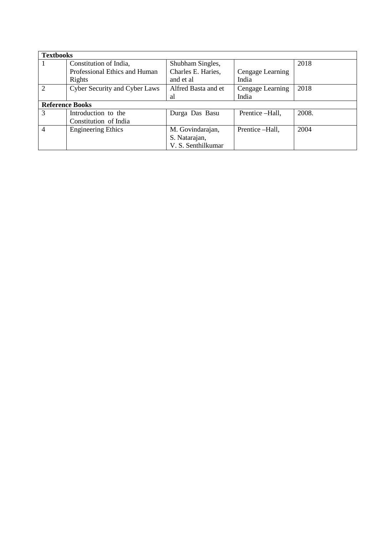| <b>Textbooks</b> |                                      |                     |                  |       |
|------------------|--------------------------------------|---------------------|------------------|-------|
|                  | Constitution of India,               | Shubham Singles,    |                  | 2018  |
|                  | Professional Ethics and Human        | Charles E. Haries,  | Cengage Learning |       |
|                  | Rights                               | and et al           | India            |       |
| $\overline{2}$   | <b>Cyber Security and Cyber Laws</b> | Alfred Basta and et | Cengage Learning | 2018  |
|                  |                                      | al                  | India            |       |
|                  | <b>Reference Books</b>               |                     |                  |       |
| 3                | Introduction to the                  | Durga Das Basu      | Prentice -Hall,  | 2008. |
|                  | Constitution of India                |                     |                  |       |
| $\overline{4}$   | <b>Engineering Ethics</b>            | M. Govindarajan,    | Prentice -Hall,  | 2004  |
|                  |                                      | S. Natarajan,       |                  |       |
|                  |                                      | V. S. Senthilkumar  |                  |       |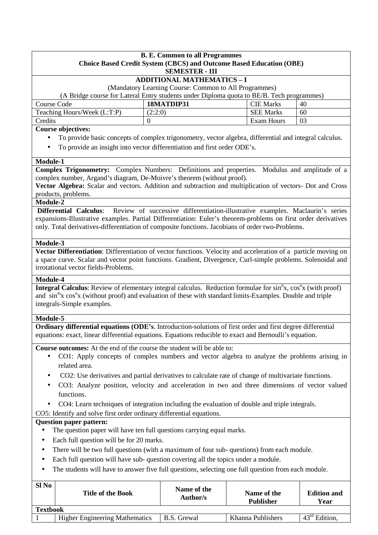|             |                                                                                                                                       | <b>B. E. Common to all Programmes</b>                                                        |                   |                    |
|-------------|---------------------------------------------------------------------------------------------------------------------------------------|----------------------------------------------------------------------------------------------|-------------------|--------------------|
|             |                                                                                                                                       | <b>Choice Based Credit System (CBCS) and Outcome Based Education (OBE)</b>                   |                   |                    |
|             |                                                                                                                                       | <b>SEMESTER - III</b>                                                                        |                   |                    |
|             |                                                                                                                                       | <b>ADDITIONAL MATHEMATICS - I</b><br>(Mandatory Learning Course: Common to All Programmes)   |                   |                    |
|             | (A Bridge course for Lateral Entry students under Diploma quota to BE/B. Tech programmes)                                             |                                                                                              |                   |                    |
| Course Code |                                                                                                                                       | 18MATDIP31                                                                                   | <b>CIE Marks</b>  | 40                 |
|             | Teaching Hours/Week (L:T:P)                                                                                                           | (2:2:0)                                                                                      | <b>SEE Marks</b>  | 60                 |
| Credits     |                                                                                                                                       | $\boldsymbol{0}$                                                                             | <b>Exam Hours</b> | 03                 |
|             | <b>Course objectives:</b>                                                                                                             |                                                                                              |                   |                    |
|             | To provide basic concepts of complex trigonometry, vector algebra, differential and integral calculus.                                |                                                                                              |                   |                    |
| $\bullet$   | To provide an insight into vector differentiation and first order ODE's.                                                              |                                                                                              |                   |                    |
|             |                                                                                                                                       |                                                                                              |                   |                    |
| Module-1    |                                                                                                                                       |                                                                                              |                   |                    |
|             | <b>Complex Trigonometry:</b> Complex Numbers: Definitions and properties. Modulus and amplitude of a                                  |                                                                                              |                   |                    |
|             | complex number, Argand's diagram, De-Moivre's theorem (without proof).                                                                |                                                                                              |                   |                    |
|             | Vector Algebra: Scalar and vectors. Addition and subtraction and multiplication of vectors- Dot and Cross<br>products, problems.      |                                                                                              |                   |                    |
| Module-2    |                                                                                                                                       |                                                                                              |                   |                    |
|             | <b>Differential Calculus:</b>                                                                                                         | Review of successive differentiation-illustrative examples. Maclaurin's series               |                   |                    |
|             | expansions-Illustrative examples. Partial Differentiation: Euler's theorem-problems on first order derivatives                        |                                                                                              |                   |                    |
|             | only. Total derivatives-differentiation of composite functions. Jacobians of order two-Problems.                                      |                                                                                              |                   |                    |
|             |                                                                                                                                       |                                                                                              |                   |                    |
| Module-3    |                                                                                                                                       |                                                                                              |                   |                    |
|             | Vector Differentiation: Differentiation of vector functions. Velocity and acceleration of a particle moving on                        |                                                                                              |                   |                    |
|             | a space curve. Scalar and vector point functions. Gradient, Divergence, Curl-simple problems. Solenoidal and                          |                                                                                              |                   |                    |
|             | irrotational vector fields-Problems.                                                                                                  |                                                                                              |                   |                    |
| Module-4    |                                                                                                                                       |                                                                                              |                   |                    |
|             | Integral Calculus: Review of elementary integral calculus. Reduction formulae for sin <sup>n</sup> x, cos <sup>n</sup> x (with proof) |                                                                                              |                   |                    |
|             | and sin <sup>m</sup> x cos <sup>n</sup> x (without proof) and evaluation of these with standard limits-Examples. Double and triple    |                                                                                              |                   |                    |
|             | integrals-Simple examples.                                                                                                            |                                                                                              |                   |                    |
| Module-5    |                                                                                                                                       |                                                                                              |                   |                    |
|             | Ordinary differential equations (ODE's. Introduction-solutions of first order and first degree differential                           |                                                                                              |                   |                    |
|             | equations: exact, linear differential equations. Equations reducible to exact and Bernoulli's equation.                               |                                                                                              |                   |                    |
|             | <b>Course outcomes:</b> At the end of the course the student will be able to:                                                         |                                                                                              |                   |                    |
|             |                                                                                                                                       |                                                                                              |                   |                    |
|             |                                                                                                                                       |                                                                                              |                   |                    |
| $\bullet$   |                                                                                                                                       | CO1: Apply concepts of complex numbers and vector algebra to analyze the problems arising in |                   |                    |
|             | related area.                                                                                                                         |                                                                                              |                   |                    |
|             | CO2: Use derivatives and partial derivatives to calculate rate of change of multivariate functions.                                   |                                                                                              |                   |                    |
| ٠           | CO3: Analyze position, velocity and acceleration in two and three dimensions of vector valued                                         |                                                                                              |                   |                    |
|             | functions.                                                                                                                            |                                                                                              |                   |                    |
|             | CO4: Learn techniques of integration including the evaluation of double and triple integrals.                                         |                                                                                              |                   |                    |
|             | CO5: Identify and solve first order ordinary differential equations.                                                                  |                                                                                              |                   |                    |
|             | <b>Question paper pattern:</b>                                                                                                        |                                                                                              |                   |                    |
|             | The question paper will have ten full questions carrying equal marks.                                                                 |                                                                                              |                   |                    |
| $\bullet$   | Each full question will be for 20 marks.                                                                                              |                                                                                              |                   |                    |
|             | There will be two full questions (with a maximum of four sub-questions) from each module.                                             |                                                                                              |                   |                    |
| ٠           | Each full question will have sub- question covering all the topics under a module.                                                    |                                                                                              |                   |                    |
| ٠           | The students will have to answer five full questions, selecting one full question from each module.                                   |                                                                                              |                   |                    |
|             |                                                                                                                                       |                                                                                              |                   |                    |
| Sl No       | <b>Title of the Book</b>                                                                                                              | Name of the                                                                                  | Name of the       | <b>Edition and</b> |

|                 |                                       | Auuivi <i>is</i> | <b>Publisher</b>  | T<br>í ear                                   |
|-----------------|---------------------------------------|------------------|-------------------|----------------------------------------------|
| <b>Textbook</b> |                                       |                  |                   |                                              |
|                 | <b>Higher Engineering Mathematics</b> | B.S.<br>Grewal   | Khanna Publishers | $42^{\circ}$ rd<br>Edition.<br><sup>40</sup> |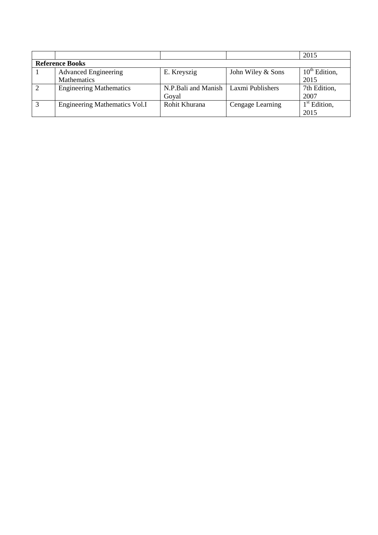|   |                                      |                     |                   | 2015                     |
|---|--------------------------------------|---------------------|-------------------|--------------------------|
|   | <b>Reference Books</b>               |                     |                   |                          |
|   | <b>Advanced Engineering</b>          | E. Kreyszig         | John Wiley & Sons | $10th$ Edition,          |
|   | <b>Mathematics</b>                   |                     |                   | 2015                     |
| 2 | <b>Engineering Mathematics</b>       | N.P.Bali and Manish | Laxmi Publishers  | 7th Edition,             |
|   |                                      | Goyal               |                   | 2007                     |
| 3 | <b>Engineering Mathematics Vol.I</b> | Rohit Khurana       | Cengage Learning  | 1 <sup>st</sup> Edition, |
|   |                                      |                     |                   | 2015                     |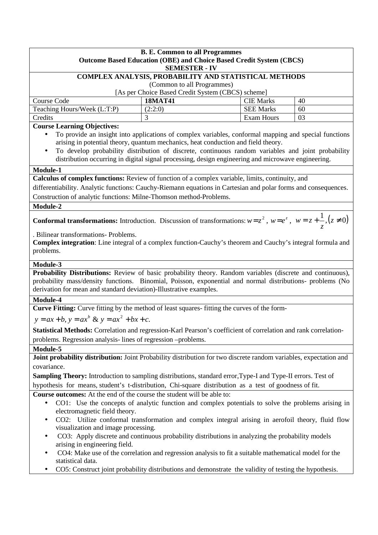| <b>B. E. Common to all Programmes</b><br><b>Outcome Based Education (OBE) and Choice Based Credit System (CBCS)</b><br><b>SEMESTER - IV</b>                                                                                                                                                   |                                                                                                        |                   |    |  |  |
|-----------------------------------------------------------------------------------------------------------------------------------------------------------------------------------------------------------------------------------------------------------------------------------------------|--------------------------------------------------------------------------------------------------------|-------------------|----|--|--|
|                                                                                                                                                                                                                                                                                               | COMPLEX ANALYSIS, PROBABILITY AND STATISTICAL METHODS                                                  |                   |    |  |  |
|                                                                                                                                                                                                                                                                                               | (Common to all Programmes)                                                                             |                   |    |  |  |
|                                                                                                                                                                                                                                                                                               | [As per Choice Based Credit System (CBCS) scheme]                                                      |                   |    |  |  |
| Course Code                                                                                                                                                                                                                                                                                   | <b>18MAT41</b>                                                                                         | <b>CIE Marks</b>  | 40 |  |  |
| Teaching Hours/Week (L:T:P)                                                                                                                                                                                                                                                                   | (2:2:0)                                                                                                | <b>SEE Marks</b>  | 60 |  |  |
| Credits                                                                                                                                                                                                                                                                                       |                                                                                                        | <b>Exam Hours</b> | 03 |  |  |
| <b>Course Learning Objectives:</b>                                                                                                                                                                                                                                                            |                                                                                                        |                   |    |  |  |
|                                                                                                                                                                                                                                                                                               | To provide an insight into applications of complex variables, conformal mapping and special functions  |                   |    |  |  |
|                                                                                                                                                                                                                                                                                               | arising in potential theory, quantum mechanics, heat conduction and field theory.                      |                   |    |  |  |
|                                                                                                                                                                                                                                                                                               | To develop probability distribution of discrete, continuous random variables and joint probability     |                   |    |  |  |
|                                                                                                                                                                                                                                                                                               | distribution occurring in digital signal processing, design engineering and microwave engineering.     |                   |    |  |  |
| Module-1                                                                                                                                                                                                                                                                                      |                                                                                                        |                   |    |  |  |
| Calculus of complex functions: Review of function of a complex variable, limits, continuity, and                                                                                                                                                                                              |                                                                                                        |                   |    |  |  |
| differentiability. Analytic functions: Cauchy-Riemann equations in Cartesian and polar forms and consequences.                                                                                                                                                                                |                                                                                                        |                   |    |  |  |
| Construction of analytic functions: Milne-Thomson method-Problems.                                                                                                                                                                                                                            |                                                                                                        |                   |    |  |  |
| Module-2                                                                                                                                                                                                                                                                                      |                                                                                                        |                   |    |  |  |
|                                                                                                                                                                                                                                                                                               |                                                                                                        |                   |    |  |  |
| <b>Conformal transformations:</b> Introduction. Discussion of transformations: $w = z^2$ , $w = e^z$ , $w = z + \frac{1}{z}$ , $(z \neq 0)$                                                                                                                                                   |                                                                                                        |                   |    |  |  |
| . Bilinear transformations- Problems.                                                                                                                                                                                                                                                         |                                                                                                        |                   |    |  |  |
| Complex integration: Line integral of a complex function-Cauchy's theorem and Cauchy's integral formula and                                                                                                                                                                                   |                                                                                                        |                   |    |  |  |
| problems.                                                                                                                                                                                                                                                                                     |                                                                                                        |                   |    |  |  |
| Module-3                                                                                                                                                                                                                                                                                      |                                                                                                        |                   |    |  |  |
| Probability Distributions: Review of basic probability theory. Random variables (discrete and continuous),<br>probability mass/density functions. Binomial, Poisson, exponential and normal distributions- problems (No<br>derivation for mean and standard deviation)-Illustrative examples. |                                                                                                        |                   |    |  |  |
|                                                                                                                                                                                                                                                                                               |                                                                                                        |                   |    |  |  |
| Module-4                                                                                                                                                                                                                                                                                      |                                                                                                        |                   |    |  |  |
| Curve Fitting: Curve fitting by the method of least squares- fitting the curves of the form-                                                                                                                                                                                                  |                                                                                                        |                   |    |  |  |
| $y = ax + b$ , $y = ax^b$ & $y = ax^2 + bx + c$ .                                                                                                                                                                                                                                             |                                                                                                        |                   |    |  |  |
| Statistical Methods: Correlation and regression-Karl Pearson's coefficient of correlation and rank correlation-                                                                                                                                                                               |                                                                                                        |                   |    |  |  |
| problems. Regression analysis-lines of regression -problems.                                                                                                                                                                                                                                  |                                                                                                        |                   |    |  |  |
| Module-5                                                                                                                                                                                                                                                                                      |                                                                                                        |                   |    |  |  |
| Joint probability distribution: Joint Probability distribution for two discrete random variables, expectation and                                                                                                                                                                             |                                                                                                        |                   |    |  |  |
| covariance.                                                                                                                                                                                                                                                                                   |                                                                                                        |                   |    |  |  |
| Sampling Theory: Introduction to sampling distributions, standard error, Type-I and Type-II errors. Test of                                                                                                                                                                                   |                                                                                                        |                   |    |  |  |
| hypothesis for means, student's t-distribution, Chi-square distribution as a test of goodness of fit.                                                                                                                                                                                         |                                                                                                        |                   |    |  |  |
| Course outcomes: At the end of the course the student will be able to:                                                                                                                                                                                                                        |                                                                                                        |                   |    |  |  |
|                                                                                                                                                                                                                                                                                               |                                                                                                        |                   |    |  |  |
| electromagnetic field theory.                                                                                                                                                                                                                                                                 | CO1: Use the concepts of analytic function and complex potentials to solve the problems arising in     |                   |    |  |  |
|                                                                                                                                                                                                                                                                                               | CO2: Utilize conformal transformation and complex integral arising in aerofoil theory, fluid flow      |                   |    |  |  |
| visualization and image processing.                                                                                                                                                                                                                                                           |                                                                                                        |                   |    |  |  |
| $\bullet$                                                                                                                                                                                                                                                                                     | CO3: Apply discrete and continuous probability distributions in analyzing the probability models       |                   |    |  |  |
| arising in engineering field.                                                                                                                                                                                                                                                                 |                                                                                                        |                   |    |  |  |
|                                                                                                                                                                                                                                                                                               | CO4: Make use of the correlation and regression analysis to fit a suitable mathematical model for the  |                   |    |  |  |
| statistical data.                                                                                                                                                                                                                                                                             | CO5: Construct joint probability distributions and demonstrate the validity of testing the hypothesis. |                   |    |  |  |
|                                                                                                                                                                                                                                                                                               |                                                                                                        |                   |    |  |  |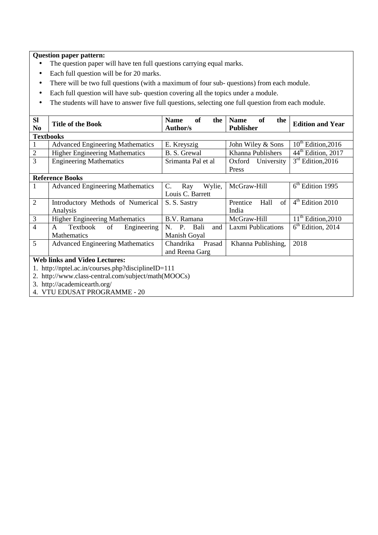## **Question paper pattern:**

- The question paper will have ten full questions carrying equal marks.
- Each full question will be for 20 marks.
- There will be two full questions (with a maximum of four sub- questions) from each module.
- Each full question will have sub- question covering all the topics under a module.
- The students will have to answer five full questions, selecting one full question from each module.

| <b>Sl</b><br>N <sub>0</sub>                           | <b>Title of the Book</b>                           | <b>of</b><br><b>Name</b><br>the<br>Author/s | of<br><b>Name</b><br>the<br><b>Publisher</b> | <b>Edition and Year</b>        |  |
|-------------------------------------------------------|----------------------------------------------------|---------------------------------------------|----------------------------------------------|--------------------------------|--|
|                                                       | <b>Textbooks</b>                                   |                                             |                                              |                                |  |
| 1                                                     | <b>Advanced Engineering Mathematics</b>            | E. Kreyszig                                 | John Wiley & Sons                            | $10^{th}$ Edition, 2016        |  |
| $\overline{2}$                                        | <b>Higher Engineering Mathematics</b>              | B. S. Grewal                                | Khanna Publishers                            | 44 <sup>th</sup> Edition, 2017 |  |
| 3                                                     | <b>Engineering Mathematics</b>                     | Srimanta Pal et al                          | Oxford University                            | $3rd$ Edition, 2016            |  |
|                                                       |                                                    |                                             | Press                                        |                                |  |
|                                                       | <b>Reference Books</b>                             |                                             |                                              |                                |  |
| 1                                                     | <b>Advanced Engineering Mathematics</b>            | Wylie,<br>C.<br>Ray                         | McGraw-Hill                                  | $6th$ Edition 1995             |  |
|                                                       |                                                    | Louis C. Barrett                            |                                              |                                |  |
| $\overline{2}$                                        | Introductory Methods of Numerical                  | S. S. Sastry                                | Hall<br>of<br>Prentice                       | $4th$ Edition 2010             |  |
|                                                       | Analysis                                           |                                             | India                                        |                                |  |
| 3                                                     | <b>Higher Engineering Mathematics</b>              | B.V. Ramana                                 | McGraw-Hill                                  | $11th$ Edition, 2010           |  |
| $\overline{4}$                                        | Textbook<br>Engineering<br>A<br>of                 | Bali<br>N. P.<br>and                        | Laxmi Publications                           | $6th$ Edition, 2014            |  |
|                                                       | <b>Mathematics</b>                                 | Manish Goyal                                |                                              |                                |  |
| 5                                                     | <b>Advanced Engineering Mathematics</b>            | Chandrika<br>Prasad                         | Khanna Publishing,                           | 2018                           |  |
|                                                       |                                                    | and Reena Garg                              |                                              |                                |  |
| <b>Web links and Video Lectures:</b>                  |                                                    |                                             |                                              |                                |  |
|                                                       | 1. http://nptel.ac.in/courses.php?disciplineID=111 |                                             |                                              |                                |  |
| $2.$ http://www.alass.control.com/subject/moth(MOOCs) |                                                    |                                             |                                              |                                |  |

2. http://www.class-central.com/subject/math(MOOCs)

3. http://academicearth.org/

4. VTU EDUSAT PROGRAMME - 20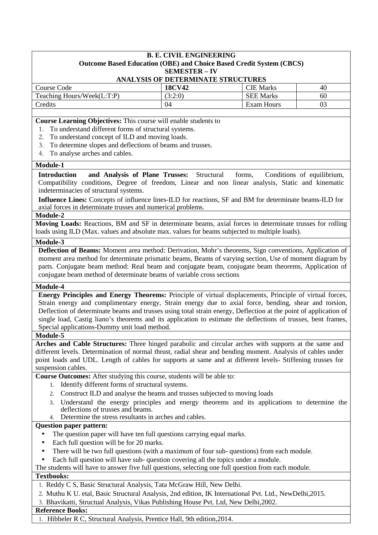## **B. E. CIVIL ENGINEERING Outcome Based Education (OBE) and Choice Based Credit System (CBCS) SEMESTER – IV**

## **ANALYSIS OF DETERMINATE STRUCTURES**

| Course Code                | <b>18CV42</b> | <b>CIE Marks</b>  | 40 |
|----------------------------|---------------|-------------------|----|
| Teaching Hours/Week(L:T:P) | (3:2:0)       | <b>SEE Marks</b>  | 60 |
| Credits                    | 04            | <b>Exam Hours</b> | 03 |

**Course Learning Objectives:** This course will enable students to

- 1. To understand different forms of structural systems.
- 2. To understand concept of ILD and moving loads.
- 3. To determine slopes and deflections of beams and trusses.
- 4. To analyse arches and cables.

## **Module-1**

**Introduction and Analysis of Plane Trusses:** Structural forms, Conditions of equilibrium, Compatibility conditions, Degree of freedom, Linear and non linear analysis, Static and kinematic indeterminacies of structural systems.

**Influence Lines:** Concepts of influence lines-ILD for reactions, SF and BM for determinate beams-ILD for axial forces in determinate trusses and numerical problems.

**Module-2** 

**Moving Loads:** Reactions, BM and SF in determinate beams, axial forces in determinate trusses for rolling loads using ILD (Max. values and absolute max. values for beams subjected to multiple loads).

#### **Module-3**

**Deflection of Beams:** Moment area method: Derivation, Mohr's theorems, Sign conventions, Application of moment area method for determinate prismatic beams, Beams of varying section, Use of moment diagram by parts. Conjugate beam method: Real beam and conjugate beam, conjugate beam theorems, Application of conjugate beam method of determinate beams of variable cross sections

## **Module-4**

**Energy Principles and Energy Theorems:** Principle of virtual displacements, Principle of virtual forces, Strain energy and complimentary energy, Strain energy due to axial force, bending, shear and torsion, Deflection of determinate beams and trusses using total strain energy, Deflection at the point of application of single load, Castig liano's theorems and its application to estimate the deflections of trusses, bent frames, Special applications-Dummy unit load method.

## **Module-5**

**Arches and Cable Structures:** Three hinged parabolic and circular arches with supports at the same and different levels. Determination of normal thrust, radial shear and bending moment. Analysis of cables under point loads and UDL. Length of cables for supports at same and at different levels- Stiffening trusses for suspension cables.

**Course Outcomes:** After studying this course, students will be able to:

- 1. Identify different forms of structural systems.
- 2. Construct ILD and analyse the beams and trusses subjected to moving loads
- 3. Understand the energy principles and energy theorems and its applications to determine the deflections of trusses and beams.
- 4. Determine the stress resultants in arches and cables.

## **Question paper pattern:**

- The question paper will have ten full questions carrying equal marks.
- Each full question will be for 20 marks.
- There will be two full questions (with a maximum of four sub- questions) from each module.
- Each full question will have sub- question covering all the topics under a module.

## The students will have to answer five full questions, selecting one full question from each module.

## **Textbooks:**

- 1. Reddy C S, Basic Structural Analysis, Tata McGraw Hill, New Delhi.
- 2. Muthu K U. etal, Basic Structural Analysis, 2nd edition, IK International Pvt. Ltd., NewDelhi,2015.
- 3. Bhavikatti, Structual Analysis, Vikas Publishing House Pvt. Ltd, New Delhi,2002.

## **Reference Books:**

1. Hibbeler R C, Structural Analysis, Prentice Hall, 9th edition,2014.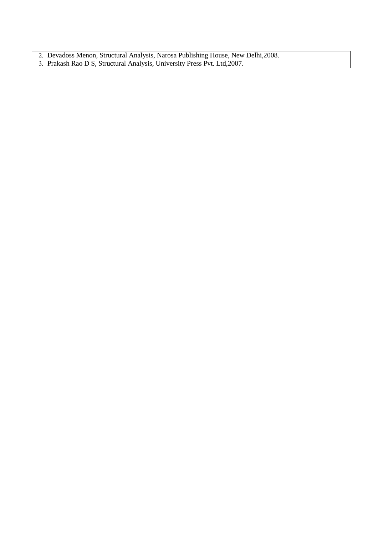- 2. Devadoss Menon, Structural Analysis, Narosa Publishing House, New Delhi,2008.
- 3. Prakash Rao D S, Structural Analysis, University Press Pvt. Ltd,2007.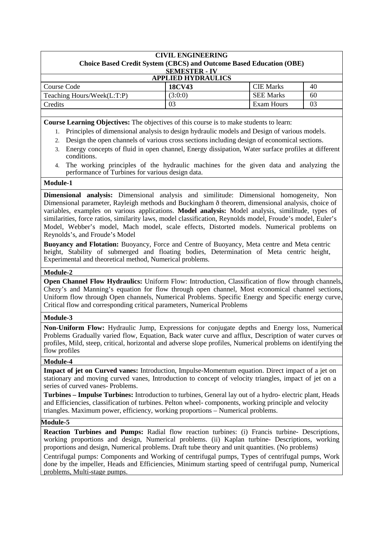| <b>CIVIL ENGINEERING</b><br><b>Choice Based Credit System (CBCS) and Outcome Based Education (OBE)</b> |                           |                  |    |  |  |
|--------------------------------------------------------------------------------------------------------|---------------------------|------------------|----|--|--|
|                                                                                                        | <b>SEMESTER - IV</b>      |                  |    |  |  |
|                                                                                                        | <b>APPLIED HYDRAULICS</b> |                  |    |  |  |
| Course Code                                                                                            | <b>18CV43</b>             | <b>CIE Marks</b> | 40 |  |  |
| Teaching Hours/Week(L:T:P)                                                                             | (3:0:0)                   | <b>SEE Marks</b> | 60 |  |  |
| Credits                                                                                                | 03                        | Exam Hours       | 03 |  |  |

**Course Learning Objectives:** The objectives of this course is to make students to learn:

- 1. Principles of dimensional analysis to design hydraulic models and Design of various models.
- 2. Design the open channels of various cross sections including design of economical sections.
- 3. Energy concepts of fluid in open channel, Energy dissipation, Water surface profiles at different conditions.
- 4. The working principles of the hydraulic machines for the given data and analyzing the performance of Turbines for various design data.

## **Module-1**

**Dimensional analysis:** Dimensional analysis and similitude: Dimensional homogeneity, Non Dimensional parameter, Rayleigh methods and Buckingham ð theorem, dimensional analysis, choice of variables, examples on various applications. **Model analysis:** Model analysis, similitude, types of similarities, force ratios, similarity laws, model classification, Reynolds model, Froude's model, Euler's Model, Webber's model, Mach model, scale effects, Distorted models. Numerical problems on Reynolds's, and Froude's Model

**Buoyancy and Flotation:** Buoyancy, Force and Centre of Buoyancy, Meta centre and Meta centric height, Stability of submerged and floating bodies, Determination of Meta centric height, Experimental and theoretical method, Numerical problems.

## **Module-2**

**Open Channel Flow Hydraulics:** Uniform Flow: Introduction, Classification of flow through channels, Chezy's and Manning's equation for flow through open channel, Most economical channel sections, Uniform flow through Open channels, Numerical Problems. Specific Energy and Specific energy curve, Critical flow and corresponding critical parameters, Numerical Problems

## **Module-3**

**Non-Uniform Flow:** Hydraulic Jump, Expressions for conjugate depths and Energy loss, Numerical Problems Gradually varied flow, Equation, Back water curve and afflux, Description of water curves or profiles, Mild, steep, critical, horizontal and adverse slope profiles, Numerical problems on identifying the flow profiles

## **Module-4**

**Impact of jet on Curved vanes:** Introduction, Impulse-Momentum equation. Direct impact of a jet on stationary and moving curved vanes, Introduction to concept of velocity triangles, impact of jet on a series of curved vanes- Problems.

**Turbines – Impulse Turbines:** Introduction to turbines, General lay out of a hydro- electric plant, Heads and Efficiencies, classification of turbines. Pelton wheel- components, working principle and velocity triangles. Maximum power, efficiency, working proportions – Numerical problems.

## **Module-5**

**Reaction Turbines and Pumps:** Radial flow reaction turbines: (i) Francis turbine- Descriptions, working proportions and design, Numerical problems. (ii) Kaplan turbine- Descriptions, working proportions and design, Numerical problems. Draft tube theory and unit quantities. (No problems)

Centrifugal pumps: Components and Working of centrifugal pumps, Types of centrifugal pumps, Work done by the impeller, Heads and Efficiencies, Minimum starting speed of centrifugal pump, Numerical problems, Multi-stage pumps.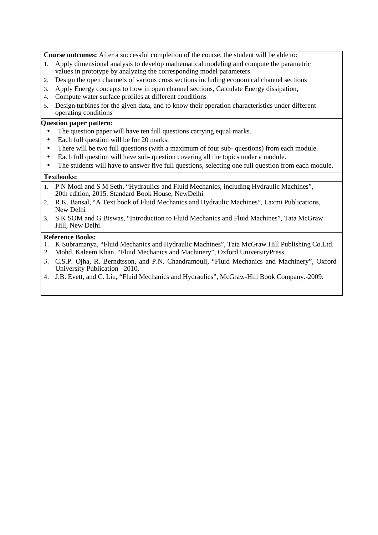**Course outcomes:** After a successful completion of the course, the student will be able to:

- 1. Apply dimensional analysis to develop mathematical modeling and compute the parametric values in prototype by analyzing the corresponding model parameters
- 2. Design the open channels of various cross sections including economical channel sections
- 3. Apply Energy concepts to flow in open channel sections, Calculate Energy dissipation,
- 4. Compute water surface profiles at different conditions
- 5. Design turbines for the given data, and to know their operation characteristics under different operating conditions

## **Question paper pattern:**

- The question paper will have ten full questions carrying equal marks.
- Each full question will be for 20 marks.
- There will be two full questions (with a maximum of four sub- questions) from each module.
- Each full question will have sub- question covering all the topics under a module.
- The students will have to answer five full questions, selecting one full question from each module.

#### **Textbooks:**

- 1. P N Modi and S M Seth, "Hydraulics and Fluid Mechanics, including Hydraulic Machines", 20th edition, 2015, Standard Book House, NewDelhi
- 2. R.K. Bansal, "A Text book of Fluid Mechanics and Hydraulic Machines", Laxmi Publications, New Delhi
- 3. S K SOM and G Biswas, "Introduction to Fluid Mechanics and Fluid Machines", Tata McGraw Hill, New Delhi.

- 1. K Subramanya, "Fluid Mechanics and Hydraulic Machines", Tata McGraw Hill Publishing Co.Ltd.
- 2. Mohd. Kaleem Khan, "Fluid Mechanics and Machinery", Oxford UniversityPress.
- 3. C.S.P. Ojha, R. Berndtsson, and P.N. Chandramouli, "Fluid Mechanics and Machinery", Oxford University Publication –2010.
- 4. J.B. Evett, and C. Liu, "Fluid Mechanics and Hydraulics", McGraw-Hill Book Company.-2009.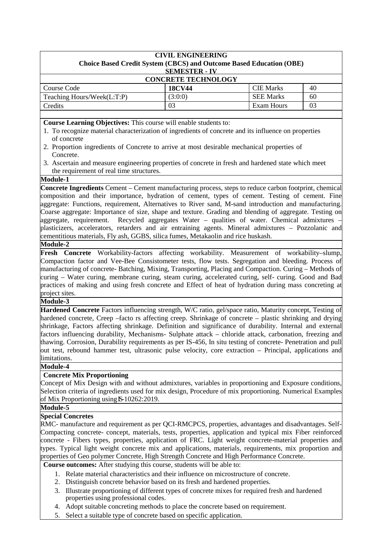| <b>CIVIL ENGINEERING</b><br><b>Choice Based Credit System (CBCS) and Outcome Based Education (OBE)</b><br><b>SEMESTER - IV</b> |               |                  |    |  |  |
|--------------------------------------------------------------------------------------------------------------------------------|---------------|------------------|----|--|--|
| <b>CONCRETE TECHNOLOGY</b>                                                                                                     |               |                  |    |  |  |
| Course Code                                                                                                                    | <b>18CV44</b> | <b>CIE Marks</b> | 40 |  |  |
| Teaching Hours/Week(L:T:P)                                                                                                     | (3:0:0)       | <b>SEE Marks</b> | 60 |  |  |
| Exam Hours<br>03<br>03<br>Credits                                                                                              |               |                  |    |  |  |
|                                                                                                                                |               |                  |    |  |  |

**Course Learning Objectives:** This course will enable students to:

- 1. To recognize material characterization of ingredients of concrete and its influence on properties of concrete
- 2. Proportion ingredients of Concrete to arrive at most desirable mechanical properties of Concrete.
- 3. Ascertain and measure engineering properties of concrete in fresh and hardened state which meet the requirement of real time structures.

## **Module-1**

**Concrete Ingredients** Cement – Cement manufacturing process, steps to reduce carbon footprint, chemical composition and their importance, hydration of cement, types of cement. Testing of cement. Fine aggregate: Functions, requirement, Alternatives to River sand, M-sand introduction and manufacturing. Coarse aggregate: Importance of size, shape and texture. Grading and blending of aggregate. Testing on aggregate, requirement. Recycled aggregates Water – qualities of water. Chemical admixtures plasticizers, accelerators, retarders and air entraining agents. Mineral admixtures – Pozzolanic and cementitious materials, Fly ash, GGBS, silica fumes, Metakaolin and rice huskash.

## **Module-2**

**Fresh Concrete** Workability-factors affecting workability. Measurement of workability–slump, Compaction factor and Vee-Bee Consistometer tests, flow tests. Segregation and bleeding. Process of manufacturing of concrete- Batching, Mixing, Transporting, Placing and Compaction. Curing – Methods of curing – Water curing, membrane curing, steam curing, accelerated curing, self- curing. Good and Bad practices of making and using fresh concrete and Effect of heat of hydration during mass concreting at project sites.

## **Module-3**

**Hardened Concrete** Factors influencing strength, W/C ratio, gel/space ratio, Maturity concept, Testing of hardened concrete, Creep –facto rs affecting creep. Shrinkage of concrete – plastic shrinking and drying shrinkage, Factors affecting shrinkage. Definition and significance of durability. Internal and external factors influencing durability, Mechanisms- Sulphate attack – chloride attack, carbonation, freezing and thawing. Corrosion, Durability requirements as per IS-456, In situ testing of concrete- Penetration and pull out test, rebound hammer test, ultrasonic pulse velocity, core extraction – Principal, applications and limitations.

**Module-4**

## **Concrete Mix Proportioning**

Concept of Mix Design with and without admixtures, variables in proportioning and Exposure conditions, Selection criteria of ingredients used for mix design, Procedure of mix proportioning. Numerical Examples of Mix Proportioning using **IS-**10262:2019.

## **Module-5**

## **Special Concretes**

RMC- manufacture and requirement as per QCI-RMCPCS, properties, advantages and disadvantages. Self-Compacting concrete- concept, materials, tests, properties, application and typical mix Fiber reinforced concrete - Fibers types, properties, application of FRC. Light weight concrete-material properties and types. Typical light weight concrete mix and applications, materials, requirements, mix proportion and properties of Geo polymer Concrete, High Strength Concrete and High Performance Concrete.

**Course outcomes:** After studying this course, students will be able to:

- 1. Relate material characteristics and their influence on microstructure of concrete.
- 2. Distinguish concrete behavior based on its fresh and hardened properties.
- 3. Illustrate proportioning of different types of concrete mixes for required fresh and hardened properties using professional codes.
- 4. Adopt suitable concreting methods to place the concrete based on requirement.
- 5. Select a suitable type of concrete based on specific application.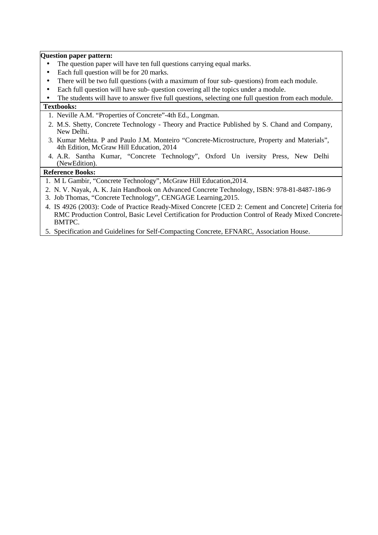**Question paper pattern:** 

- The question paper will have ten full questions carrying equal marks.
- Each full question will be for 20 marks.
- There will be two full questions (with a maximum of four sub-questions) from each module.
- Each full question will have sub- question covering all the topics under a module.

• The students will have to answer five full questions, selecting one full question from each module.

## **Textbooks:**

- 1. Neville A.M. "Properties of Concrete"-4th Ed., Longman.
- 2. M.S. Shetty, Concrete Technology Theory and Practice Published by S. Chand and Company, New Delhi.
- 3. Kumar Mehta. P and Paulo J.M. Monteiro "Concrete-Microstructure, Property and Materials", 4th Edition, McGraw Hill Education, 2014
- 4. A.R. Santha Kumar, "Concrete Technology", Oxford Un iversity Press, New Delhi (NewEdition).

- 1. M L Gambir, "Concrete Technology", McGraw Hill Education,2014.
- 2. N. V. Nayak, A. K. Jain Handbook on Advanced Concrete Technology, ISBN: 978-81-8487-186-9
- 3. Job Thomas, "Concrete Technology", CENGAGE Learning,2015.
- 4. IS 4926 (2003): Code of Practice Ready-Mixed Concrete [CED 2: Cement and Concrete] Criteria for RMC Production Control, Basic Level Certification for Production Control of Ready Mixed Concrete-BMTPC.
- 5. Specification and Guidelines for Self-Compacting Concrete, EFNARC, Association House.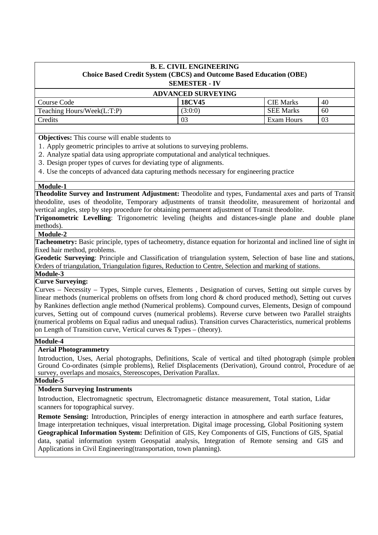| <b>B. E. CIVIL ENGINEERING</b><br>Choice Based Credit System (CBCS) and Outcome Based Education (OBE)<br><b>SEMESTER - IV</b><br><b>ADVANCED SURVEYING</b> |         |                  |    |  |  |
|------------------------------------------------------------------------------------------------------------------------------------------------------------|---------|------------------|----|--|--|
|                                                                                                                                                            |         |                  |    |  |  |
| Teaching Hours/Week(L:T:P)                                                                                                                                 | (3:0:0) | <b>SEE Marks</b> | 60 |  |  |
| Exam Hours<br>03<br>03                                                                                                                                     |         |                  |    |  |  |
| Credits                                                                                                                                                    |         |                  |    |  |  |

**Objectives:** This course will enable students to

- 1. Apply geometric principles to arrive at solutions to surveying problems.
- 2. Analyze spatial data using appropriate computational and analytical techniques.
- 3. Design proper types of curves for deviating type of alignments.
- 4. Use the concepts of advanced data capturing methods necessary for engineering practice

## **Module-1**

**Theodolite Survey and Instrument Adjustment:** Theodolite and types, Fundamental axes and parts of Transit theodolite, uses of theodolite, Temporary adjustments of transit theodolite, measurement of horizontal and vertical angles, step by step procedure for obtaining permanent adjustment of Transit theodolite.

**Trigonometric Levelling**: Trigonometric leveling (heights and distances-single plane and double plane methods).

## **Module-2**

**Tacheometry:** Basic principle, types of tacheometry, distance equation for horizontal and inclined line of sight in fixed hair method, problems.

**Geodetic Surveying**: Principle and Classification of triangulation system, Selection of base line and stations, Orders of triangulation, Triangulation figures, Reduction to Centre, Selection and marking of stations. **Module-3**

## **Curve Surveying:**

Curves – Necessity – Types, Simple curves, Elements , Designation of curves, Setting out simple curves by linear methods (numerical problems on offsets from long chord & chord produced method), Setting out curves by Rankines deflection angle method (Numerical problems). Compound curves, Elements, Design of compound curves, Setting out of compound curves (numerical problems). Reverse curve between two Parallel straights (numerical problems on Equal radius and unequal radius). Transition curves Characteristics, numerical problems on Length of Transition curve, Vertical curves & Types – (theory).

## **Module-4**

## **Aerial Photogrammetry**

Introduction, Uses, Aerial photographs, Definitions, Scale of vertical and tilted photograph (simple problem Ground Co-ordinates (simple problems), Relief Displacements (Derivation), Ground control, Procedure of ae survey, overlaps and mosaics, Stereoscopes, Derivation Parallax.

## **Module-5**

## **Modern Surveying Instruments**

Introduction, Electromagnetic spectrum, Electromagnetic distance measurement, Total station, Lidar scanners for topographical survey.

**Remote Sensing:** Introduction, Principles of energy interaction in atmosphere and earth surface features, Image interpretation techniques, visual interpretation. Digital image processing, Global Positioning system **Geographical Information System:** Definition of GIS, Key Components of GIS, Functions of GIS, Spatial data, spatial information system Geospatial analysis, Integration of Remote sensing and GIS and Applications in Civil Engineering(transportation, town planning).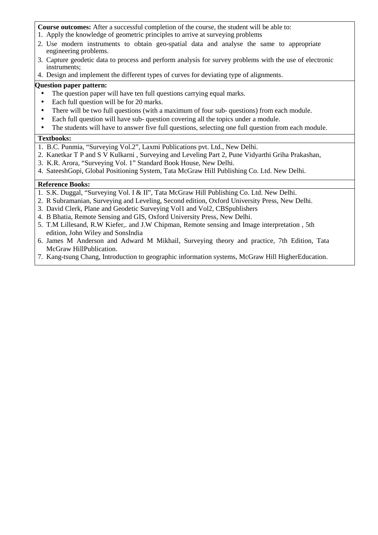**Course outcomes:** After a successful completion of the course, the student will be able to:

- 1. Apply the knowledge of geometric principles to arrive at surveying problems
- 2. Use modern instruments to obtain geo-spatial data and analyse the same to appropriate engineering problems.
- 3. Capture geodetic data to process and perform analysis for survey problems with the use of electronic instruments;

4. Design and implement the different types of curves for deviating type of alignments.

## **Question paper pattern:**

- The question paper will have ten full questions carrying equal marks.
- Each full question will be for 20 marks.
- There will be two full questions (with a maximum of four sub- questions) from each module.
- Each full question will have sub-question covering all the topics under a module.
- The students will have to answer five full questions, selecting one full question from each module.

## **Textbooks:**

- 1. B.C. Punmia, "Surveying Vol.2", Laxmi Publications pvt. Ltd., New Delhi.
- 2. Kanetkar T P and S V Kulkarni , Surveying and Leveling Part 2, Pune Vidyarthi Griha Prakashan,
- 3. K.R. Arora, "Surveying Vol. 1" Standard Book House, New Delhi.
- 4. SateeshGopi, Global Positioning System, Tata McGraw Hill Publishing Co. Ltd. New Delhi.

- 1. S.K. Duggal, "Surveying Vol. I & II", Tata McGraw Hill Publishing Co. Ltd. New Delhi.
- 2. R Subramanian, Surveying and Leveling, Second edition, Oxford University Press, New Delhi.
- 3. David Clerk, Plane and Geodetic Surveying Vol1 and Vol2, CBSpublishers
- 4. B Bhatia, Remote Sensing and GIS, Oxford University Press, New Delhi.
- 5. T.M Lillesand, R.W Kiefer,. and J.W Chipman, Remote sensing and Image interpretation , 5th edition, John Wiley and SonsIndia
- 6. James M Anderson and Adward M Mikhail, Surveying theory and practice, 7th Edition, Tata McGraw HillPublication.
- 7. Kang-tsung Chang, Introduction to geographic information systems, McGraw Hill HigherEducation.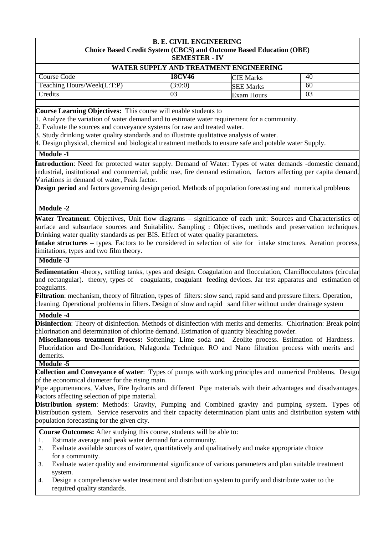#### **B. E. CIVIL ENGINEERING Choice Based Credit System (CBCS) and Outcome Based Education (OBE) SEMESTER - IV**

| WATER SUPPLY AND TREATMENT ENGINEERING |                       |                  |    |  |  |  |
|----------------------------------------|-----------------------|------------------|----|--|--|--|
| Course Code                            | <b>18CV46</b>         | <b>CIE</b> Marks | 40 |  |  |  |
| Teaching Hours/Week(L:T:P)             | 3:0:0                 | <b>SEE Marks</b> | 60 |  |  |  |
| redits                                 | 03<br>Exam Hours<br>U |                  |    |  |  |  |

**Course Learning Objectives:** This course will enable students to

1. Analyze the variation of water demand and to estimate water requirement for a community.

2. Evaluate the sources and conveyance systems for raw and treated water.

3. Study drinking water quality standards and to illustrate qualitative analysis of water.

4. Design physical, chemical and biological treatment methods to ensure safe and potable water Supply.

**Module -1**

**Introduction**: Need for protected water supply. Demand of Water: Types of water demands -domestic demand, industrial, institutional and commercial, public use, fire demand estimation, factors affecting per capita demand, Variations in demand of water, Peak factor.

**Design period** and factors governing design period. Methods of population forecasting and numerical problems

## **Module -2**

**Water Treatment**: Objectives, Unit flow diagrams – significance of each unit: Sources and Characteristics of surface and subsurface sources and Suitability. Sampling : Objectives, methods and preservation techniques. Drinking water quality standards as per BIS. Effect of water quality parameters.

**Intake structures** – types. Factors to be considered in selection of site for intake structures. Aeration process, limitations, types and two film theory.

## **Module -3**

**Sedimentation** -theory, settling tanks, types and design. Coagulation and flocculation, Clarriflocculators (circular and rectangular). theory, types of coagulants, coagulant feeding devices. Jar test apparatus and estimation of coagulants.

**Filtration**: mechanism, theory of filtration, types of filters: slow sand, rapid sand and pressure filters. Operation, cleaning. Operational problems in filters. Design of slow and rapid sand filter without under drainage system

## **Module -4**

**Disinfection**: Theory of disinfection. Methods of disinfection with merits and demerits. Chlorination: Break point chlorination and determination of chlorine demand. Estimation of quantity bleaching powder.

**Miscellaneous treatment Process:** Softening: Lime soda and Zeolite process. Estimation of Hardness. Fluoridation and De-fluoridation, Nalagonda Technique. RO and Nano filtration process with merits and demerits.

#### **Module -5**

**Collection and Conveyance of water**: Types of pumps with working principles and numerical Problems. Design of the economical diameter for the rising main.

Pipe appurtenances, Valves, Fire hydrants and different Pipe materials with their advantages and disadvantages. Factors affecting selection of pipe material.

**Distribution system**: Methods: Gravity, Pumping and Combined gravity and pumping system. Types of Distribution system. Service reservoirs and their capacity determination plant units and distribution system with population forecasting for the given city.

**Course Outcomes:** After studying this course, students will be able to:

- 1. Estimate average and peak water demand for a community.
- 2. Evaluate available sources of water, quantitatively and qualitatively and make appropriate choice for a community.
- 3. Evaluate water quality and environmental significance of various parameters and plan suitable treatment system.
- 4. Design a comprehensive water treatment and distribution system to purify and distribute water to the required quality standards.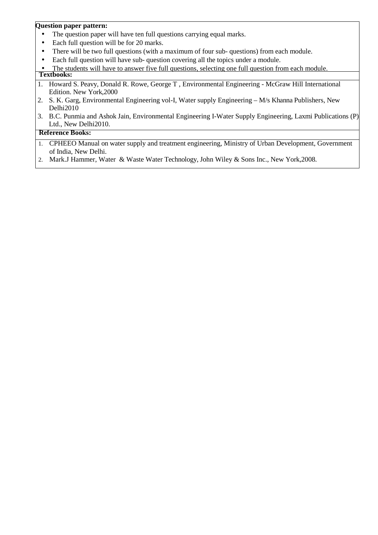## **Question paper pattern:**

- The question paper will have ten full questions carrying equal marks.
- Each full question will be for 20 marks.
- There will be two full questions (with a maximum of four sub-questions) from each module.
- Each full question will have sub- question covering all the topics under a module.
- The students will have to answer five full questions, selecting one full question from each module. **Textbooks:**
- 1. Howard S. Peavy, Donald R. Rowe, George T , Environmental Engineering McGraw Hill International Edition. New York,2000
- 2. S. K. Garg, Environmental Engineering vol-I, Water supply Engineering M/s Khanna Publishers, New Delhi2010
- 3. B.C. Punmia and Ashok Jain, Environmental Engineering I-Water Supply Engineering, Laxmi Publications (P) Ltd., New Delhi2010.

- 1. CPHEEO Manual on water supply and treatment engineering, Ministry of Urban Development, Government of India, New Delhi.
- 2. Mark.J Hammer, Water & Waste Water Technology, John Wiley & Sons Inc., New York,2008.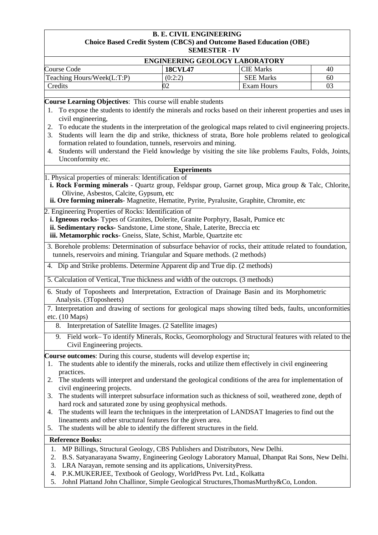## **B. E. CIVIL ENGINEERING Choice Based Credit System (CBCS) and Outcome Based Education (OBE) SEMESTER - IV**

|                                                                                                                                                                                                                                                                                                                                                                                                                                                                                                                                                                                                                              |                    | ENGINEERING GEOLOGY LABORATORY |    |  |  |
|------------------------------------------------------------------------------------------------------------------------------------------------------------------------------------------------------------------------------------------------------------------------------------------------------------------------------------------------------------------------------------------------------------------------------------------------------------------------------------------------------------------------------------------------------------------------------------------------------------------------------|--------------------|--------------------------------|----|--|--|
| <b>Course Code</b>                                                                                                                                                                                                                                                                                                                                                                                                                                                                                                                                                                                                           | <b>18CVL47</b>     | <b>CIE Marks</b>               | 40 |  |  |
| Teaching Hours/Week(L:T:P)                                                                                                                                                                                                                                                                                                                                                                                                                                                                                                                                                                                                   | (0:2:2)            | <b>SEE Marks</b>               | 60 |  |  |
| Credits                                                                                                                                                                                                                                                                                                                                                                                                                                                                                                                                                                                                                      | 02                 | Exam Hours                     | 03 |  |  |
|                                                                                                                                                                                                                                                                                                                                                                                                                                                                                                                                                                                                                              |                    |                                |    |  |  |
| Course Learning Objectives: This course will enable students<br>To expose the students to identify the minerals and rocks based on their inherent properties and uses in<br>1.<br>civil engineering,<br>To educate the students in the interpretation of the geological maps related to civil engineering projects.<br>2.<br>Students will learn the dip and strike, thickness of strata, Bore hole problems related to geological<br>3.<br>formation related to foundation, tunnels, reservoirs and mining.<br>Students will understand the Field knowledge by visiting the site like problems Faults, Folds, Joints,<br>4. |                    |                                |    |  |  |
| Unconformity etc.                                                                                                                                                                                                                                                                                                                                                                                                                                                                                                                                                                                                            |                    |                                |    |  |  |
| 1. Physical properties of minerals: Identification of                                                                                                                                                                                                                                                                                                                                                                                                                                                                                                                                                                        | <b>Experiments</b> |                                |    |  |  |
| i. Rock Forming minerals - Quartz group, Feldspar group, Garnet group, Mica group & Talc, Chlorite,<br>Olivine, Asbestos, Calcite, Gypsum, etc<br>ii. Ore forming minerals- Magnetite, Hematite, Pyrite, Pyralusite, Graphite, Chromite, etc                                                                                                                                                                                                                                                                                                                                                                                 |                    |                                |    |  |  |
| 2. Engineering Properties of Rocks: Identification of<br>i. Igneous rocks-Types of Granites, Dolerite, Granite Porphyry, Basalt, Pumice etc<br>ii. Sedimentary rocks- Sandstone, Lime stone, Shale, Laterite, Breccia etc<br>iii. Metamorphic rocks- Gneiss, Slate, Schist, Marble, Quartzite etc                                                                                                                                                                                                                                                                                                                            |                    |                                |    |  |  |
| 3. Borehole problems: Determination of subsurface behavior of rocks, their attitude related to foundation,<br>tunnels, reservoirs and mining. Triangular and Square methods. (2 methods)                                                                                                                                                                                                                                                                                                                                                                                                                                     |                    |                                |    |  |  |
| 4. Dip and Strike problems. Determine Apparent dip and True dip. (2 methods)                                                                                                                                                                                                                                                                                                                                                                                                                                                                                                                                                 |                    |                                |    |  |  |
| 5. Calculation of Vertical, True thickness and width of the outcrops. (3 methods)                                                                                                                                                                                                                                                                                                                                                                                                                                                                                                                                            |                    |                                |    |  |  |
| 6. Study of Toposheets and Interpretation, Extraction of Drainage Basin and its Morphometric<br>Analysis. (3Toposheets)                                                                                                                                                                                                                                                                                                                                                                                                                                                                                                      |                    |                                |    |  |  |
| 7. Interpretation and drawing of sections for geological maps showing tilted beds, faults, unconformities<br>etc. $(10$ Maps)                                                                                                                                                                                                                                                                                                                                                                                                                                                                                                |                    |                                |    |  |  |
| 8. Interpretation of Satellite Images. (2 Satellite images)                                                                                                                                                                                                                                                                                                                                                                                                                                                                                                                                                                  |                    |                                |    |  |  |
| 9. Field work-To identify Minerals, Rocks, Geomorphology and Structural features with related to the<br>Civil Engineering projects.                                                                                                                                                                                                                                                                                                                                                                                                                                                                                          |                    |                                |    |  |  |
| Course outcomes: During this course, students will develop expertise in;<br>The students able to identify the minerals, rocks and utilize them effectively in civil engineering<br>1.<br>practices.                                                                                                                                                                                                                                                                                                                                                                                                                          |                    |                                |    |  |  |
| The students will interpret and understand the geological conditions of the area for implementation of<br>2.<br>civil engineering projects.                                                                                                                                                                                                                                                                                                                                                                                                                                                                                  |                    |                                |    |  |  |
| The students will interpret subsurface information such as thickness of soil, weathered zone, depth of<br>3.<br>hard rock and saturated zone by using geophysical methods.                                                                                                                                                                                                                                                                                                                                                                                                                                                   |                    |                                |    |  |  |
| The students will learn the techniques in the interpretation of LANDSAT Imageries to find out the<br>4.<br>lineaments and other structural features for the given area.<br>The students will be able to identify the different structures in the field.<br>5.                                                                                                                                                                                                                                                                                                                                                                |                    |                                |    |  |  |
| <b>Reference Books:</b>                                                                                                                                                                                                                                                                                                                                                                                                                                                                                                                                                                                                      |                    |                                |    |  |  |
| MP Billings, Structural Geology, CBS Publishers and Distributors, New Delhi.<br>1.                                                                                                                                                                                                                                                                                                                                                                                                                                                                                                                                           |                    |                                |    |  |  |
| B.S. Satyanarayana Swamy, Engineering Geology Laboratory Manual, Dhanpat Rai Sons, New Delhi.<br>2.<br>LRA Narayan, remote sensing and its applications, UniversityPress.<br>3.<br>P.K.MUKERJEE, Textbook of Geology, WorldPress Pvt. Ltd., Kolkatta<br>4.<br>JohnI Plattand John Challinor, Simple Geological Structures, ThomasMurthy&Co, London.<br>5.                                                                                                                                                                                                                                                                    |                    |                                |    |  |  |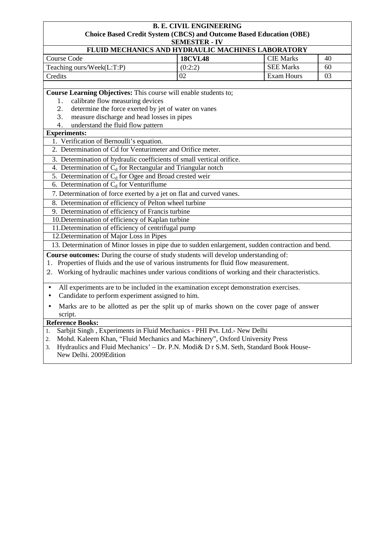#### **B. E. CIVIL ENGINEERING Choice Based Credit System (CBCS) and Outcome Based Education (OBE) SEMESTER - IV**

| D                                                        |                  |    |
|----------------------------------------------------------|------------------|----|
| <b>FLUID MECHANICS AND HYDRAULIC MACHINES LABORATORY</b> |                  |    |
| <b>18CVL48</b>                                           | <b>CIE</b> Marks | 40 |
| (0:2:2)                                                  | <b>SEE Marks</b> | 60 |
|                                                          | Exam Hours       | 03 |
|                                                          |                  |    |

**Course Learning Objectives:** This course will enable students to;

- 1. calibrate flow measuring devices
- 2. determine the force exerted by jet of water on vanes
- 3. measure discharge and head losses in pipes
- 4. understand the fluid flow pattern

## **Experiments:**

- 1. Verification of Bernoulli's equation.
- 2. Determination of Cd for Venturimeter and Orifice meter.
- 3. Determination of hydraulic coefficients of small vertical orifice.
- 4. Determination of  $C_d$  for Rectangular and Triangular notch
- 5. Determination of  $C_d$  for Ogee and Broad crested weir
- 6. Determination of  $C_d$  for Venturiflume
- 7. Determination of force exerted by a jet on flat and curved vanes.
- 8. Determination of efficiency of Pelton wheel turbine
- 9. Determination of efficiency of Francis turbine
- 10.Determination of efficiency of Kaplan turbine
- 11.Determination of efficiency of centrifugal pump
- 12.Determination of Major Loss in Pipes

13. Determination of Minor losses in pipe due to sudden enlargement, sudden contraction and bend.

- **Course outcomes:** During the course of study students will develop understanding of:
- 1. Properties of fluids and the use of various instruments for fluid flow measurement.
- 2. Working of hydraulic machines under various conditions of working and their characteristics.
- All experiments are to be included in the examination except demonstration exercises.
- Candidate to perform experiment assigned to him.
- Marks are to be allotted as per the split up of marks shown on the cover page of answer script.

- 1. Sarbjit Singh , Experiments in Fluid Mechanics PHI Pvt. Ltd.- New Delhi
- 2. Mohd. Kaleem Khan, "Fluid Mechanics and Machinery", Oxford University Press
- 3. Hydraulics and Fluid Mechanics' Dr. P.N. Modi& D r S.M. Seth, Standard Book House-
- New Delhi. 2009Edition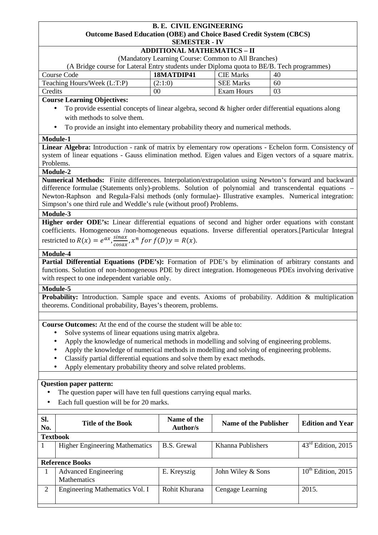#### **B. E. CIVIL ENGINEERING Outcome Based Education (OBE) and Choice Based Credit System (CBCS) SEMESTER - IV**

## **ADDITIONAL MATHEMATICS – II**

(Mandatory Learning Course: Common to All Branches)

(A Bridge course for Lateral Entry students under Diploma quota to BE/B. Tech programmes)

| Course Code                 | 18MATDIP41 | <b>CIE Marks</b> | 40 |
|-----------------------------|------------|------------------|----|
| Teaching Hours/Week (L:T:P) | (2:1:0)    | <b>SEE Marks</b> | 60 |
| Credits                     | 00         | Exam Hours       | 03 |

## **Course Learning Objectives:**

- To provide essential concepts of linear algebra, second & higher order differential equations along with methods to solve them.
- To provide an insight into elementary probability theory and numerical methods.

### **Module-1**

**Linear Algebra:** Introduction - rank of matrix by elementary row operations - Echelon form. Consistency of system of linear equations - Gauss elimination method. Eigen values and Eigen vectors of a square matrix. Problems.

### **Module-2**

**Numerical Methods:** Finite differences. Interpolation/extrapolation using Newton's forward and backward difference formulae (Statements only)-problems. Solution of polynomial and transcendental equations – Newton-Raphson and Regula-Falsi methods (only formulae)- Illustrative examples. Numerical integration: Simpson's one third rule and Weddle's rule (without proof) Problems.

### **Module-3**

**Higher order ODE's:** Linear differential equations of second and higher order equations with constant coefficients. Homogeneous /non-homogeneous equations. Inverse differential operators.[Particular Integral restricted to  $R(x) = e^{ax}$ ,  $\frac{\sin ax}{\cos ax}$  $\frac{sinax}{cosax}$ ,  $x^n$  f or  $f(D)y = R(x)$ .

### **Module-4**

**Partial Differential Equations (PDE's):** Formation of PDE's by elimination of arbitrary constants and functions. Solution of non-homogeneous PDE by direct integration. Homogeneous PDEs involving derivative with respect to one independent variable only.

### **Module-5**

**Probability:** Introduction. Sample space and events. Axioms of probability. Addition & multiplication theorems. Conditional probability, Bayes's theorem, problems.

**Course Outcomes:** At the end of the course the student will be able to:

- Solve systems of linear equations using matrix algebra.
- Apply the knowledge of numerical methods in modelling and solving of engineering problems.
- Apply the knowledge of numerical methods in modelling and solving of engineering problems.
- Classify partial differential equations and solve them by exact methods.
- Apply elementary probability theory and solve related problems.

### **Question paper pattern:**

- The question paper will have ten full questions carrying equal marks.
- Each full question will be for 20 marks.

| SI.<br>No. | <b>Title of the Book</b>                          | Name of the<br><b>Author/s</b> | Name of the Publisher | <b>Edition and Year</b>        |
|------------|---------------------------------------------------|--------------------------------|-----------------------|--------------------------------|
|            | <b>Textbook</b>                                   |                                |                       |                                |
|            | <b>Higher Engineering Mathematics</b>             | <b>B.S.</b> Grewal             | Khanna Publishers     | $43^{\text{rd}}$ Edition, 2015 |
|            | <b>Reference Books</b>                            |                                |                       |                                |
|            | <b>Advanced Engineering</b><br><b>Mathematics</b> | E. Kreyszig                    | John Wiley & Sons     | $10^{th}$ Edition, 2015        |
| 2          | Engineering Mathematics Vol. I                    | Rohit Khurana                  | Cengage Learning      | 2015.                          |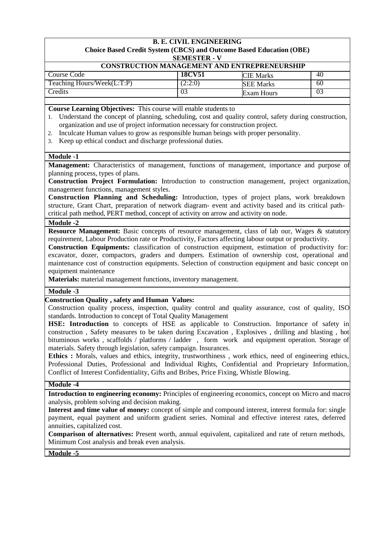| <b>CONSTRUCTION MANAGEMENT AND ENTREPRENEURSHIP</b> |               |                  |    |  |  |
|-----------------------------------------------------|---------------|------------------|----|--|--|
| Course Code                                         | <b>18CV51</b> | <b>CIE Marks</b> | 40 |  |  |
| Teaching Hours/Week(L:T:P)                          | 2:2:0         | <b>SEE Marks</b> | 60 |  |  |
| Credits                                             | 03            | Exam Hours       |    |  |  |

**Course Learning Objectives:** This course will enable students to

1. Understand the concept of planning, scheduling, cost and quality control, safety during construction, organization and use of project information necessary for construction project.

- 2. Inculcate Human values to grow as responsible human beings with proper personality.
- 3. Keep up ethical conduct and discharge professional duties.

### **Module -1**

**Management:** Characteristics of management, functions of management, importance and purpose of planning process, types of plans.

**Construction Project Formulation:** Introduction to construction management, project organization, management functions, management styles.

**Construction Planning and Scheduling:** Introduction, types of project plans, work breakdown structure, Grant Chart, preparation of network diagram- event and activity based and its critical pathcritical path method, PERT method, concept of activity on arrow and activity on node.

# **Module -2**

**Resource Management:** Basic concepts of resource management, class of lab our, Wages & statutory requirement, Labour Production rate or Productivity, Factors affecting labour output or productivity.

**Construction Equipments:** classification of construction equipment, estimation of productivity for: excavator, dozer, compactors, graders and dumpers. Estimation of ownership cost, operational and maintenance cost of construction equipments. Selection of construction equipment and basic concept on equipment maintenance

**Materials:** material management functions, inventory management.

### **Module -3**

### **Construction Quality , safety and Human Values:**

Construction quality process, inspection, quality control and quality assurance, cost of quality, ISO standards. Introduction to concept of Total Quality Management

**HSE: Introduction** to concepts of HSE as applicable to Construction. Importance of safety in construction , Safety measures to be taken during Excavation , Explosives , drilling and blasting , hot bituminous works , scaffolds / platforms / ladder , form work and equipment operation. Storage of materials. Safety through legislation, safety campaign. Insurances.

**Ethics :** Morals, values and ethics, integrity, trustworthiness , work ethics, need of engineering ethics, Professional Duties, Professional and Individual Rights, Confidential and Proprietary Information, Conflict of Interest Confidentiality, Gifts and Bribes, Price Fixing, Whistle Blowing.

#### **Module -4**

**Introduction to engineering economy:** Principles of engineering economics, concept on Micro and macro analysis, problem solving and decision making.

**Interest and time value of money:** concept of simple and compound interest, interest formula for: single payment, equal payment and uniform gradient series. Nominal and effective interest rates, deferred annuities, capitalized cost.

**Comparison of alternatives:** Present worth, annual equivalent, capitalized and rate of return methods, Minimum Cost analysis and break even analysis.

**Module -5**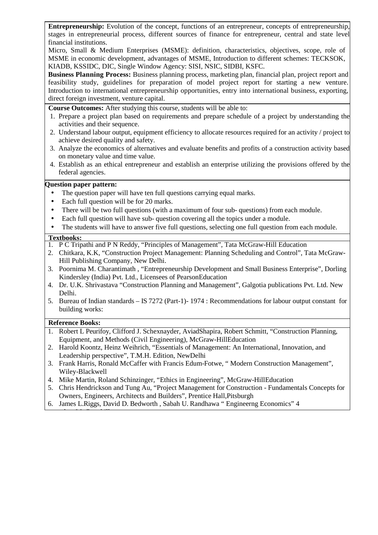**Entrepreneurship:** Evolution of the concept, functions of an entrepreneur, concepts of entrepreneurship, stages in entrepreneurial process, different sources of finance for entrepreneur, central and state level financial institutions.

Micro, Small & Medium Enterprises (MSME): definition, characteristics, objectives, scope, role of MSME in economic development, advantages of MSME, Introduction to different schemes: TECKSOK, KIADB, KSSIDC, DIC, Single Window Agency: SISI, NSIC, SIDBI, KSFC.

**Business Planning Process:** Business planning process, marketing plan, financial plan, project report and feasibility study, guidelines for preparation of model project report for starting a new venture. Introduction to international entrepreneurship opportunities, entry into international business, exporting, direct foreign investment, venture capital.

**Course Outcomes:** After studying this course, students will be able to:

- 1. Prepare a project plan based on requirements and prepare schedule of a project by understanding the activities and their sequence.
- 2. Understand labour output, equipment efficiency to allocate resources required for an activity / project to achieve desired quality and safety.
- 3. Analyze the economics of alternatives and evaluate benefits and profits of a construction activity based on monetary value and time value.
- 4. Establish as an ethical entrepreneur and establish an enterprise utilizing the provisions offered by the federal agencies.

## **Question paper pattern:**

- The question paper will have ten full questions carrying equal marks.
- Each full question will be for 20 marks.
- There will be two full questions (with a maximum of four sub-questions) from each module.
- Each full question will have sub- question covering all the topics under a module.
- The students will have to answer five full questions, selecting one full question from each module.

### **Textbooks:**

- 1. P C Tripathi and P N Reddy, "Principles of Management", Tata McGraw-Hill Education
- 2. Chitkara, K.K, "Construction Project Management: Planning Scheduling and Control", Tata McGraw-Hill Publishing Company, New Delhi.
- 3. Poornima M. Charantimath , "Entrepreneurship Development and Small Business Enterprise", Dorling Kindersley (India) Pvt. Ltd., Licensees of PearsonEducation
- 4. Dr. U.K. Shrivastava "Construction Planning and Management", Galgotia publications Pvt. Ltd. New Delhi.
- 5. Bureau of Indian standards IS 7272 (Part-1)- 1974 : Recommendations for labour output constant for building works:

# **Reference Books:**

edtataMcGrawhill.

- 1. Robert L Peurifoy, Clifford J. Schexnayder, AviadShapira, Robert Schmitt, "Construction Planning, Equipment, and Methods (Civil Engineering), McGraw-HillEducation
- 2. Harold Koontz, Heinz Weihrich, "Essentials of Management: An International, Innovation, and Leadership perspective", T.M.H. Edition, NewDelhi
- 3. Frank Harris, Ronald McCaffer with Francis Edum-Fotwe, " Modern Construction Management", Wiley-Blackwell
- 4. Mike Martin, Roland Schinzinger, "Ethics in Engineering", McGraw-HillEducation
- 5. Chris Hendrickson and Tung Au, "Project Management for Construction Fundamentals Concepts for Owners, Engineers, Architects and Builders", Prentice Hall,Pitsburgh
- 6. James L.Riggs, David D. Bedworth , Sabah U. Randhawa " Engineerng Economics" 4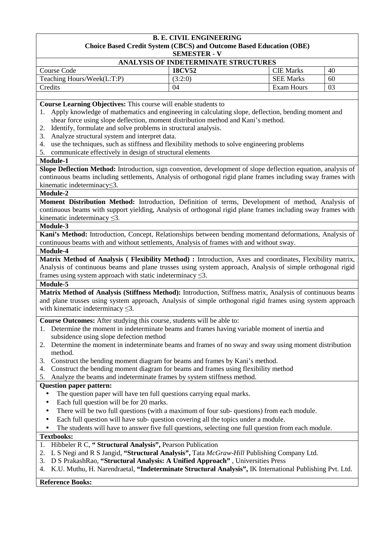| ANALYSIS OF INDETERMINATE STRUCTURES |               |                  |    |  |  |
|--------------------------------------|---------------|------------------|----|--|--|
| Course Code                          | <b>18CV52</b> | <b>CIE</b> Marks | 40 |  |  |
| Teaching Hours/Week(L:T:P)           | (3:2:0)       | <b>SEE Marks</b> | 60 |  |  |
| Credits                              | 04            | Exam Hours       | 03 |  |  |

**Course Learning Objectives:** This course will enable students to

- 1. Apply knowledge of mathematics and engineering in calculating slope, deflection, bending moment and shear force using slope deflection, moment distribution method and Kani's method.
- 2. Identify, formulate and solve problems in structural analysis.
- 3. Analyze structural system and interpret data.
- 4. use the techniques, such as stiffness and flexibility methods to solve engineering problems
- 5. communicate effectively in design of structural elements

## **Module-1**

**Slope Deflection Method:** Introduction, sign convention, development of slope deflection equation, analysis of continuous beams including settlements, Analysis of orthogonal rigid plane frames including sway frames with kinematic indeterminacy≤3.

# **Module-2**

**Moment Distribution Method:** Introduction, Definition of terms, Development of method, Analysis of continuous beams with support yielding, Analysis of orthogonal rigid plane frames including sway frames with kinematic indeterminacy ≤3.

### **Module-3**

**Kani's Method:** Introduction, Concept, Relationships between bending momentand deformations, Analysis of continuous beams with and without settlements, Analysis of frames with and without sway.

### **Module-4**

**Matrix Method of Analysis ( Flexibility Method) :** Introduction, Axes and coordinates, Flexibility matrix, Analysis of continuous beams and plane trusses using system approach, Analysis of simple orthogonal rigid frames using system approach with static indeterminacy  $\leq 3$ .

### **Module-5**

**Matrix Method of Analysis (Stiffness Method):** Introduction, Stiffness matrix, Analysis of continuous beams and plane trusses using system approach, Analysis of simple orthogonal rigid frames using system approach with kinematic indeterminacy  $\leq 3$ .

**Course Outcomes:** After studying this course, students will be able to:

- 1. Determine the moment in indeterminate beams and frames having variable moment of inertia and subsidence using slope defection method
- 2. Determine the moment in indeterminate beams and frames of no sway and sway using moment distribution method.
- 3. Construct the bending moment diagram for beams and frames by Kani's method.
- 4. Construct the bending moment diagram for beams and frames using flexibility method
- 5. Analyze the beams and indeterminate frames by system stiffness method.

## **Question paper pattern:**

- The question paper will have ten full questions carrying equal marks.
- Each full question will be for 20 marks.
- There will be two full questions (with a maximum of four sub-questions) from each module.
- Each full question will have sub- question covering all the topics under a module.
- The students will have to answer five full questions, selecting one full question from each module.

## **Textbooks:**

- 1. Hibbeler R C, **" Structural Analysis",** Pearson Publication
- 2. L S Negi and R S Jangid, **"Structural Analysis",** Tata *McGraw*-*Hill* Publishing Company Ltd.
- 3. D S PrakashRao, **"Structural Analysis: A Unified Approach"** , Universities Press
- 4. K.U. Muthu, H. Narendraetal, **"Indeterminate Structural Analysis",** IK International Publishing Pvt. Ltd.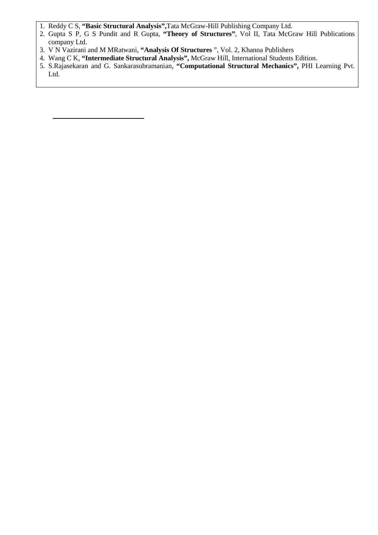- 1. Reddy C S, **"Basic Structural Analysis",**Tata McGraw-Hill Publishing Company Ltd.
- 2. Gupta S P, G S Pundit and R Gupta, **"Theory of Structures"**, Vol II, Tata McGraw Hill Publications company Ltd.
- 3. V N Vazirani and M MRatwani, **"Analysis Of Structures** ", Vol. 2, Khanna Publishers
- 4. Wang C K, **"Intermediate Structural Analysis",** McGraw Hill, International Students Edition.
- 5. S.Rajasekaran and G. Sankarasubramanian, **"Computational Structural Mechanics",** PHI Learning Pvt. Ltd.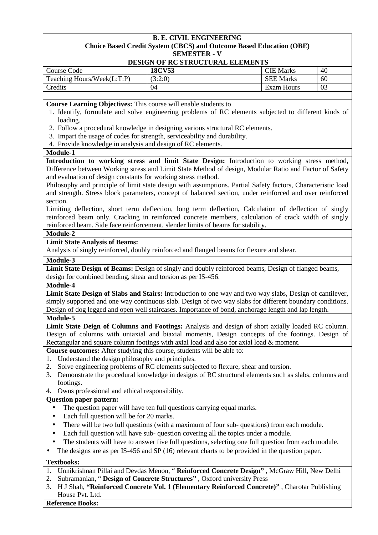| <b>DESIGN OF RC STRUCTURAL ELEMENTS</b> |               |                  |    |  |  |
|-----------------------------------------|---------------|------------------|----|--|--|
| Course Code                             | <b>18CV53</b> | <b>CIE Marks</b> | 40 |  |  |
| Teaching Hours/Week(L:T:P)              | 3:2:0         | <b>SEE Marks</b> | 60 |  |  |
| Credits                                 | 04            | Exam Hours       | 03 |  |  |

**Course Learning Objectives:** This course will enable students to

- 1. Identify, formulate and solve engineering problems of RC elements subjected to different kinds of loading.
- 2. Follow a procedural knowledge in designing various structural RC elements.
- 3. Impart the usage of codes for strength, serviceability and durability.
- 4. Provide knowledge in analysis and design of RC elements.

### **Module-1**

**Introduction to working stress and limit State Design:** Introduction to working stress method, Difference between Working stress and Limit State Method of design, Modular Ratio and Factor of Safety and evaluation of design constants for working stress method.

Philosophy and principle of limit state design with assumptions. Partial Safety factors, Characteristic load and strength. Stress block parameters, concept of balanced section, under reinforced and over reinforced section.

Limiting deflection, short term deflection, long term deflection, Calculation of deflection of singly reinforced beam only. Cracking in reinforced concrete members, calculation of crack width of singly reinforced beam. Side face reinforcement, slender limits of beams for stability.

**Module-2** 

## **Limit State Analysis of Beams:**

Analysis of singly reinforced, doubly reinforced and flanged beams for flexure and shear.

### **Module-3**

**Limit State Design of Beams:** Design of singly and doubly reinforced beams, Design of flanged beams, design for combined bending, shear and torsion as per IS-456.

#### **Module-4**

**Limit State Design of Slabs and Stairs:** Introduction to one way and two way slabs, Design of cantilever, simply supported and one way continuous slab. Design of two way slabs for different boundary conditions. Design of dog legged and open well staircases. Importance of bond, anchorage length and lap length.

# **Module-5**

**Limit State Deign of Columns and Footings:** Analysis and design of short axially loaded RC column. Design of columns with uniaxial and biaxial moments, Design concepts of the footings. Design of Rectangular and square column footings with axial load and also for axial load & moment.

**Course outcomes:** After studying this course, students will be able to:

- 1. Understand the design philosophy and principles.
- 2. Solve engineering problems of RC elements subjected to flexure, shear and torsion.
- 3. Demonstrate the procedural knowledge in designs of RC structural elements such as slabs, columns and footings.
- 4. Owns professional and ethical responsibility.

### **Question paper pattern:**

- The question paper will have ten full questions carrying equal marks.
- Each full question will be for 20 marks.
- There will be two full questions (with a maximum of four sub- questions) from each module.
- Each full question will have sub- question covering all the topics under a module.
- The students will have to answer five full questions, selecting one full question from each module.

• The designs are as per IS-456 and SP (16) relevant charts to be provided in the question paper.

### **Textbooks:**

- 1. Unnikrishnan Pillai and Devdas Menon, " **Reinforced Concrete Design"** , McGraw Hill, New Delhi
- 2. Subramanian, " **Design of Concrete Structures"** , Oxford university Press
- 3. H J Shah, **"Reinforced Concrete Vol. 1 (Elementary Reinforced Concrete)"** , Charotar Publishing House Pvt. Ltd.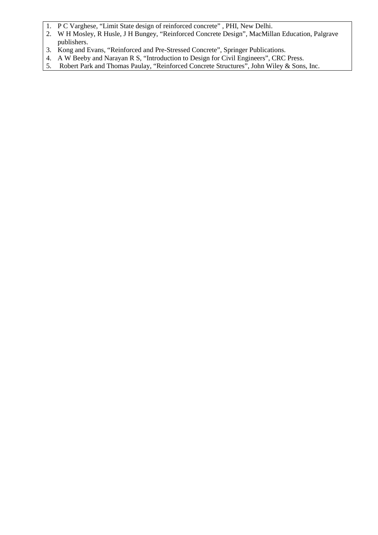- 1. P C Varghese, "Limit State design of reinforced concrete" , PHI, New Delhi.
- 2. W H Mosley, R Husle, J H Bungey, "Reinforced Concrete Design", MacMillan Education, Palgrave publishers.
- 3. Kong and Evans, "Reinforced and Pre-Stressed Concrete", Springer Publications.
- 4. A W Beeby and Narayan R S, "Introduction to Design for Civil Engineers", CRC Press.
- 5. Robert Park and Thomas Paulay, "Reinforced Concrete Structures", John Wiley & Sons, Inc.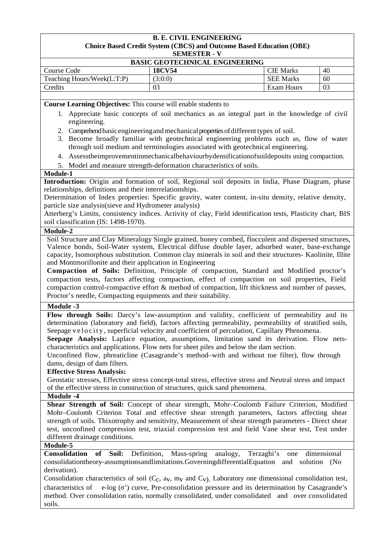| <b>BASIC GEOTECHNICAL ENGINEERING</b> |               |                  |    |  |
|---------------------------------------|---------------|------------------|----|--|
| Course Code                           | <b>18CV54</b> | <b>CIE</b> Marks | 40 |  |
| Teaching Hours/Week(L:T:P)            | (3:0:0)       | <b>SEE Marks</b> | 60 |  |
| Credits                               |               | Exam Hours       | 03 |  |

**Course Learning Objectives:** This course will enable students to

- 1. Appreciate basic concepts of soil mechanics as an integral part in the knowledge of civil engineering.
- 2. Comprehend basic engineering and mechanical properties of different types of soil.
- 3. Become broadly familiar with geotechnical engineering problems such as, flow of water through soil medium and terminologies associated with geotechnical engineering.
- 4. Assesstheimprovementinmechanicalbehaviourbydensificationofsoildeposits using compaction.
- 5. Model and measure strength-deformation characteristics of soils.

### **Module-1**

**Introduction:** Origin and formation of soil, Regional soil deposits in India, Phase Diagram, phase relationships, definitions and their interrelationships.

Determination of Index properties: Specific gravity, water content, in-situ density, relative density, particle size analysis(sieve and Hydrometer analysis)

Atterberg's Limits, consistency indices. Activity of clay, Field identification tests, Plasticity chart, BIS soil classification (IS: 1498-1970).

### **Module-2**

Soil Structure and Clay Mineralogy Single grained, honey combed, flocculent and dispersed structures, Valence bonds, Soil-Water system, Electrical diffuse double layer, adsorbed water, base-exchange capacity, Isomorphous substitution. Common clay minerals in soil and their structures- Kaolinite, Illite and Montmorillonite and their application in Engineering

**Compaction of Soils:** Definition, Principle of compaction, Standard and Modified proctor's compaction tests, factors affecting compaction, effect of compaction on soil properties, Field compaction control-compactive effort & method of compaction, lift thickness and number of passes, Proctor's needle, Compacting equipments and their suitability.

### **Module -3**

Flow through Soils: Darcy's law-assumption and validity, coefficient of permeability and its determination (laboratory and field), factors affecting permeability, permeability of stratified soils, Seepage velocity, superficial velocity and coefficient of percolation, Capillary Phenomena.

**Seepage Analysis:** Laplace equation, assumptions, limitation sand its derivation. Flow netscharacteristics and applications. Flow nets for sheet piles and below the dam section.

Unconfined flow, phreaticline (Casagrande's method–with and without toe filter), flow through dams, design of dam filters.

## **Effective Stress Analysis:**

Geostatic stresses, Effective stress concept-total stress, effective stress and Neutral stress and impact of the effective stress in construction of structures, quick sand phenomena.

### **Module -4**

**Shear Strength of Soil:** Concept of shear strength, Mohr–Coulomb Failure Criterion, Modified Mohr–Coulomb Criterion Total and effective shear strength parameters, factors affecting shear strength of soils. Thixotrophy and sensitivity, Measurement of shear strength parameters - Direct shear test, unconfined compression test, triaxial compression test and field Vane shear test, Test under different drainage conditions.

### **Module-5**

**Consolidation of Soil:** Definition, Mass-spring analogy, Terzaghi's one dimensional consolidationtheory-assumptionsandlimitations.GoverningdifferentialEquation and solution (No derivation).

Consolidation characteristics of soil ( $C_c$ ,  $a_v$ ,  $m_v$  and  $C_v$ ). Laboratory one dimensional consolidation test, characteristics of e-log (σ') curve, Pre-consolidation pressure and its determination by Casagrande's method. Over consolidation ratio, normally consolidated, under consolidated and over consolidated soils.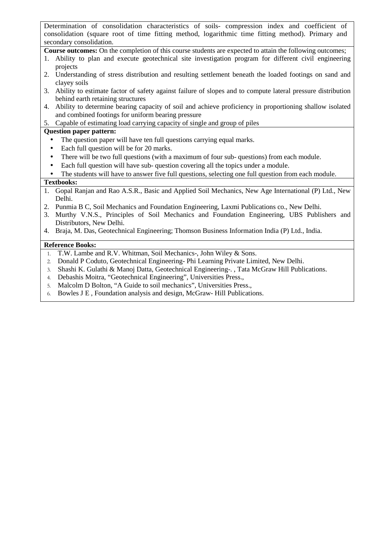Determination of consolidation characteristics of soils- compression index and coefficient of consolidation (square root of time fitting method, logarithmic time fitting method). Primary and secondary consolidation.

**Course outcomes:** On the completion of this course students are expected to attain the following outcomes;

- 1. Ability to plan and execute geotechnical site investigation program for different civil engineering projects
- 2. Understanding of stress distribution and resulting settlement beneath the loaded footings on sand and clayey soils
- 3. Ability to estimate factor of safety against failure of slopes and to compute lateral pressure distribution behind earth retaining structures
- 4. Ability to determine bearing capacity of soil and achieve proficiency in proportioning shallow isolated and combined footings for uniform bearing pressure

# 5. Capable of estimating load carrying capacity of single and group of piles

# **Question paper pattern:**

- The question paper will have ten full questions carrying equal marks.
- Each full question will be for 20 marks.
- There will be two full questions (with a maximum of four sub- questions) from each module.
- Each full question will have sub-question covering all the topics under a module.
- The students will have to answer five full questions, selecting one full question from each module.

# **Textbooks:**

- 1. Gopal Ranjan and Rao A.S.R., Basic and Applied Soil Mechanics, New Age International (P) Ltd., New Delhi.
- 2. Punmia B C, Soil Mechanics and Foundation Engineering, Laxmi Publications co., New Delhi.
- 3. Murthy V.N.S., Principles of Soil Mechanics and Foundation Engineering, UBS Publishers and Distributors, New Delhi.
- 4. Braja, M. Das, Geotechnical Engineering; Thomson Business Information India (P) Ltd., India.

- 1. T.W. Lambe and R.V. Whitman, Soil Mechanics-, John Wiley & Sons.
- 2. Donald P Coduto, Geotechnical Engineering- Phi Learning Private Limited, New Delhi.
- 3. Shashi K. Gulathi & Manoj Datta, Geotechnical Engineering-. , Tata McGraw Hill Publications.
- 4. Debashis Moitra, "Geotechnical Engineering", Universities Press.,
- 5. Malcolm D Bolton, "A Guide to soil mechanics", Universities Press.,
- 6. Bowles J E , Foundation analysis and design, McGraw- Hill Publications.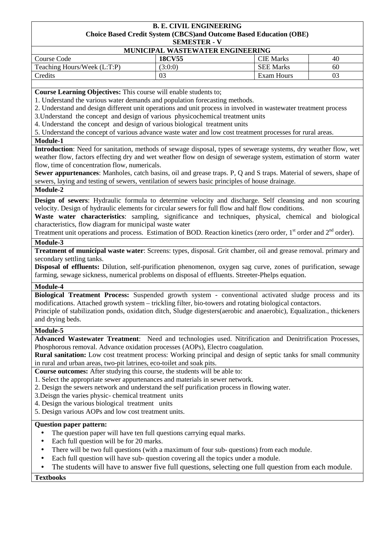| MUNICIPAL WASTEWATER ENGINEERING |               |                  |     |  |
|----------------------------------|---------------|------------------|-----|--|
| Course Code                      | <b>18CV55</b> | CIE Marks        | -46 |  |
| Teaching Hours/Week (L:T:P)      | (3:0:0)       | <b>SEE Marks</b> | -60 |  |
| Credits                          |               | Exam Hours       |     |  |

**Course Learning Objectives:** This course will enable students to;

1. Understand the various water demands and population forecasting methods.

2. Understand and design different unit operations and unit process in involved in wastewater treatment process

3.Understand the concept and design of various physicochemical treatment units

4. Understand the concept and design of various biological treatment units

5. Understand the concept of various advance waste water and low cost treatment processes for rural areas.

**Module-1** 

**Introduction**: Need for sanitation, methods of sewage disposal, types of sewerage systems, dry weather flow, wet weather flow, factors effecting dry and wet weather flow on design of sewerage system, estimation of storm water flow, time of concentration flow, numericals.

**Sewer appurtenances**: Manholes, catch basins, oil and grease traps. P, Q and S traps. Material of sewers, shape of sewers, laying and testing of sewers, ventilation of sewers basic principles of house drainage.

## **Module-2**

**Design of sewers**: Hydraulic formula to determine velocity and discharge. Self cleansing and non scouring velocity. Design of hydraulic elements for circular sewers for full flow and half flow conditions.

**Waste water characteristics**: sampling, significance and techniques, physical, chemical and biological characteristics, flow diagram for municipal waste water

Treatment unit operations and process. Estimation of BOD. Reaction kinetics (zero order, 1<sup>st</sup> order and 2<sup>nd</sup> order).

# **Module-3**

**Treatment of municipal waste water**: Screens: types, disposal. Grit chamber, oil and grease removal. primary and secondary settling tanks.

**Disposal of effluents:** Dilution, self-purification phenomenon, oxygen sag curve, zones of purification, sewage farming, sewage sickness, numerical problems on disposal of effluents. Streeter-Phelps equation.

### **Module-4**

**Biological Treatment Process:** Suspended growth system - conventional activated sludge process and its modifications. Attached growth system – trickling filter, bio-towers and rotating biological contactors. Principle of stabilization ponds, oxidation ditch, Sludge digesters(aerobic and anaerobic), Equalization., thickeners and drying beds.

#### **Module-5**

**Advanced Wastewater Treatment**: Need and technologies used. Nitrification and Denitrification Processes, Phosphorous removal. Advance oxidation processes (AOPs), Electro coagulation.

**Rural sanitation:** Low cost treatment process: Working principal and design of septic tanks for small community in rural and urban areas, two-pit latrines, eco-toilet and soak pits.

**Course outcomes:** After studying this course, the students will be able to:

- 1. Select the appropriate sewer appurtenances and materials in sewer network.
- 2. Design the sewers network and understand the self purification process in flowing water.
- 3.Deisgn the varies physic- chemical treatment units
- 4. Design the various biological treatment units
- 5. Design various AOPs and low cost treatment units.

### **Question paper pattern:**

- The question paper will have ten full questions carrying equal marks.
- Each full question will be for 20 marks.
- There will be two full questions (with a maximum of four sub- questions) from each module.
- Each full question will have sub- question covering all the topics under a module.
- The students will have to answer five full questions, selecting one full question from each module.

**Textbooks**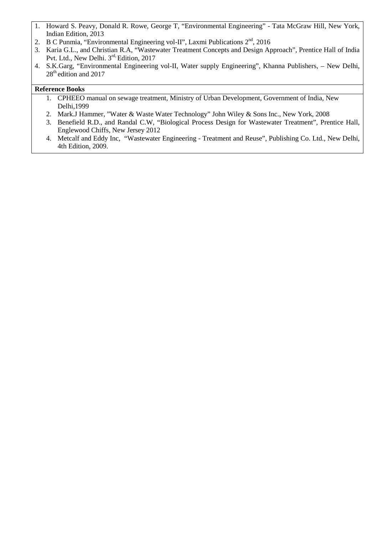- 1. Howard S. Peavy, Donald R. Rowe, George T, "Environmental Engineering" Tata McGraw Hill, New York, Indian Edition, 2013
- 2. B C Punmia, "Environmental Engineering vol-II", Laxmi Publications  $2<sup>nd</sup>$ , 2016
- 3. Karia G.L., and Christian R.A, "Wastewater Treatment Concepts and Design Approach", Prentice Hall of India Pvt. Ltd., New Delhi. 3<sup>rd,</sup> Edition, 2017
- 4. S.K.Garg, "Environmental Engineering vol-II, Water supply Engineering", Khanna Publishers, New Delhi, 28<sup>th</sup> edition and 2017

- 1. CPHEEO manual on sewage treatment, Ministry of Urban Development, Government of India, New Delhi,1999
- 2. Mark.J Hammer, "Water & Waste Water Technology" John Wiley & Sons Inc., New York, 2008
- 3. Benefield R.D., and Randal C.W, "Biological Process Design for Wastewater Treatment", Prentice Hall, Englewood Chiffs, New Jersey 2012
- 4. Metcalf and Eddy Inc, "Wastewater Engineering Treatment and Reuse", Publishing Co. Ltd., New Delhi, 4th Edition, 2009.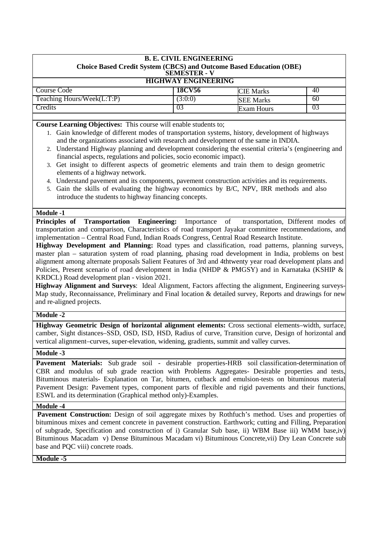| <b>B. E. CIVIL ENGINEERING</b><br><b>Choice Based Credit System (CBCS) and Outcome Based Education (OBE)</b><br><b>SEMESTER - V</b> |                                   |                  |    |  |  |  |
|-------------------------------------------------------------------------------------------------------------------------------------|-----------------------------------|------------------|----|--|--|--|
| <b>HIGHWAY ENGINEERING</b>                                                                                                          |                                   |                  |    |  |  |  |
| Course Code                                                                                                                         | <b>18CV56</b>                     | <b>CIE Marks</b> | 40 |  |  |  |
| Teaching Hours/Week(L:T:P)                                                                                                          | (3:0:0)<br>60<br><b>SEE Marks</b> |                  |    |  |  |  |
| Credits                                                                                                                             | 03<br>03<br><b>Exam Hours</b>     |                  |    |  |  |  |
|                                                                                                                                     |                                   |                  |    |  |  |  |

**Course Learning Objectives:** This course will enable students to;

- 1. Gain knowledge of different modes of transportation systems, history, development of highways and the organizations associated with research and development of the same in INDIA.
- 2. Understand Highway planning and development considering the essential criteria's (engineering and financial aspects, regulations and policies, socio economic impact).
- 3. Get insight to different aspects of geometric elements and train them to design geometric elements of a highway network.
- 4. Understand pavement and its components, pavement construction activities and its requirements.
- 5. Gain the skills of evaluating the highway economics by B/C, NPV, IRR methods and also introduce the students to highway financing concepts.

## **Module -1**

**Principles of Transportation Engineering:** Importance of transportation, Different modes of transportation and comparison, Characteristics of road transport Jayakar committee recommendations, and implementation – Central Road Fund, Indian Roads Congress, Central Road Research Institute.

**Highway Development and Planning:** Road types and classification, road patterns, planning surveys, master plan – saturation system of road planning, phasing road development in India, problems on best alignment among alternate proposals Salient Features of 3rd and 4thtwenty year road development plans and Policies, Present scenario of road development in India (NHDP & PMGSY) and in Karnataka (KSHIP & KRDCL) Road development plan - vision 2021.

**Highway Alignment and Surveys**: Ideal Alignment, Factors affecting the alignment, Engineering surveys-Map study, Reconnaissance, Preliminary and Final location & detailed survey, Reports and drawings for new and re-aligned projects.

## **Module -2**

**Highway Geometric Design of horizontal alignment elements:** Cross sectional elements–width, surface, camber, Sight distances–SSD, OSD, ISD, HSD, Radius of curve, Transition curve, Design of horizontal and vertical alignment–curves, super-elevation, widening, gradients, summit and valley curves.

### **Module -3**

Pavement Materials: Sub grade soil - desirable properties-HRB soil classification-determination of CBR and modulus of sub grade reaction with Problems Aggregates- Desirable properties and tests, Bituminous materials- Explanation on Tar, bitumen, cutback and emulsion-tests on bituminous material Pavement Design: Pavement types, component parts of flexible and rigid pavements and their functions, ESWL and its determination (Graphical method only)-Examples.

### **Module -4**

Pavement Construction: Design of soil aggregate mixes by Rothfuch's method. Uses and properties of bituminous mixes and cement concrete in pavement construction. Earthwork; cutting and Filling, Preparation of subgrade, Specification and construction of i) Granular Sub base, ii) WBM Base iii) WMM base,iv) Bituminous Macadam v) Dense Bituminous Macadam vi) Bituminous Concrete,vii) Dry Lean Concrete sub base and PQC viii) concrete roads.

**Module -5**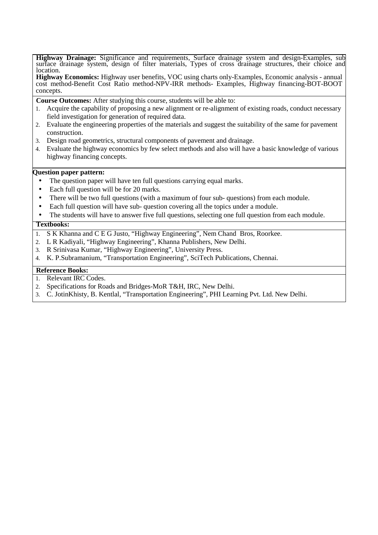**Highway Drainage:** Significance and requirements, Surface drainage system and design-Examples, sub surface drainage system, design of filter materials, Types of cross drainage structures, their choice and location.

**Highway Economics:** Highway user benefits, VOC using charts only-Examples, Economic analysis - annual cost method-Benefit Cost Ratio method-NPV-IRR methods- Examples, Highway financing-BOT-BOOT concepts.

**Course Outcomes:** After studying this course, students will be able to:

- 1. Acquire the capability of proposing a new alignment or re-alignment of existing roads, conduct necessary field investigation for generation of required data.
- 2. Evaluate the engineering properties of the materials and suggest the suitability of the same for pavement construction.
- 3. Design road geometrics, structural components of pavement and drainage.
- 4. Evaluate the highway economics by few select methods and also will have a basic knowledge of various highway financing concepts.

### **Question paper pattern:**

- The question paper will have ten full questions carrying equal marks.
- Each full question will be for 20 marks.
- There will be two full questions (with a maximum of four sub- questions) from each module.
- Each full question will have sub- question covering all the topics under a module.
- The students will have to answer five full questions, selecting one full question from each module.

### **Textbooks:**

- 1. S K Khanna and C E G Justo, "Highway Engineering", Nem Chand Bros, Roorkee.
- 2. L R Kadiyali, "Highway Engineering", Khanna Publishers, New Delhi.
- 3. R Srinivasa Kumar, "Highway Engineering", University Press.
- 4. K. P.Subramanium, "Transportation Engineering", SciTech Publications, Chennai.

- 1. Relevant IRC Codes.
- 2. Specifications for Roads and Bridges-MoR T&H, IRC, New Delhi.
- 3. C. JotinKhisty, B. Kentlal, "Transportation Engineering", PHI Learning Pvt. Ltd. New Delhi.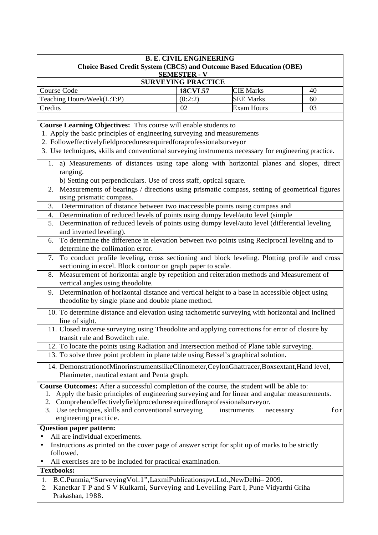| <b>B. E. CIVIL ENGINEERING</b>                                                                                                                                    |                                                  |                   |    |  |  |
|-------------------------------------------------------------------------------------------------------------------------------------------------------------------|--------------------------------------------------|-------------------|----|--|--|
| <b>Choice Based Credit System (CBCS) and Outcome Based Education (OBE)</b>                                                                                        |                                                  |                   |    |  |  |
|                                                                                                                                                                   | <b>SEMESTER - V</b><br><b>SURVEYING PRACTICE</b> |                   |    |  |  |
| <b>Course Code</b><br><b>18CVL57</b><br><b>CIE Marks</b><br>40                                                                                                    |                                                  |                   |    |  |  |
| Teaching Hours/Week(L:T:P)                                                                                                                                        | (0:2:2)                                          | <b>SEE Marks</b>  | 60 |  |  |
| Credits                                                                                                                                                           | 02                                               | <b>Exam Hours</b> | 03 |  |  |
|                                                                                                                                                                   |                                                  |                   |    |  |  |
| Course Learning Objectives: This course will enable students to                                                                                                   |                                                  |                   |    |  |  |
| 1. Apply the basic principles of engineering surveying and measurements                                                                                           |                                                  |                   |    |  |  |
| 2. Followeffectivelyfieldproceduresrequiredforaprofessionalsurveyor                                                                                               |                                                  |                   |    |  |  |
| 3. Use techniques, skills and conventional surveying instruments necessary for engineering practice.                                                              |                                                  |                   |    |  |  |
| 1. a) Measurements of distances using tape along with horizontal planes and slopes, direct                                                                        |                                                  |                   |    |  |  |
| ranging.                                                                                                                                                          |                                                  |                   |    |  |  |
| b) Setting out perpendiculars. Use of cross staff, optical square.                                                                                                |                                                  |                   |    |  |  |
| Measurements of bearings / directions using prismatic compass, setting of geometrical figures<br>2.<br>using prismatic compass.                                   |                                                  |                   |    |  |  |
| Determination of distance between two inaccessible points using compass and<br>3.                                                                                 |                                                  |                   |    |  |  |
| Determination of reduced levels of points using dumpy level/auto level (simple<br>4.                                                                              |                                                  |                   |    |  |  |
| 5. Determination of reduced levels of points using dumpy level/auto level (differential leveling                                                                  |                                                  |                   |    |  |  |
| and inverted leveling).                                                                                                                                           |                                                  |                   |    |  |  |
| To determine the difference in elevation between two points using Reciprocal leveling and to<br>6.<br>determine the collimation error.                            |                                                  |                   |    |  |  |
|                                                                                                                                                                   |                                                  |                   |    |  |  |
| To conduct profile leveling, cross sectioning and block leveling. Plotting profile and cross<br>7.<br>sectioning in excel. Block contour on graph paper to scale. |                                                  |                   |    |  |  |
| Measurement of horizontal angle by repetition and reiteration methods and Measurement of<br>8.                                                                    |                                                  |                   |    |  |  |
| vertical angles using theodolite.                                                                                                                                 |                                                  |                   |    |  |  |
| 9. Determination of horizontal distance and vertical height to a base in accessible object using                                                                  |                                                  |                   |    |  |  |
| theodolite by single plane and double plane method.                                                                                                               |                                                  |                   |    |  |  |
| 10. To determine distance and elevation using tachometric surveying with horizontal and inclined                                                                  |                                                  |                   |    |  |  |
| line of sight.                                                                                                                                                    |                                                  |                   |    |  |  |
| 11. Closed traverse surveying using Theodolite and applying corrections for error of closure by                                                                   |                                                  |                   |    |  |  |
| transit rule and Bowditch rule.                                                                                                                                   |                                                  |                   |    |  |  |
| 12. To locate the points using Radiation and Intersection method of Plane table surveying.                                                                        |                                                  |                   |    |  |  |
| 13. To solve three point problem in plane table using Bessel's graphical solution.                                                                                |                                                  |                   |    |  |  |
| 14. DemonstrationofMinorinstrumentslikeClinometer,CeylonGhattracer,Boxsextant,Hand level,<br>Planimeter, nautical extant and Penta graph.                         |                                                  |                   |    |  |  |
| Course Outcomes: After a successful completion of the course, the student will be able to:                                                                        |                                                  |                   |    |  |  |
| Apply the basic principles of engineering surveying and for linear and angular measurements.<br>ı.                                                                |                                                  |                   |    |  |  |
| Comprehendeffectivelyfieldproceduresrequiredforaprofessionalsurveyor.<br>2.                                                                                       |                                                  |                   |    |  |  |
| 3. Use techniques, skills and conventional surveying<br>for<br>instruments<br>necessary                                                                           |                                                  |                   |    |  |  |
| engineering practice.                                                                                                                                             |                                                  |                   |    |  |  |
| <b>Question paper pattern:</b>                                                                                                                                    |                                                  |                   |    |  |  |
| All are individual experiments.                                                                                                                                   |                                                  |                   |    |  |  |
| Instructions as printed on the cover page of answer script for split up of marks to be strictly<br>$\bullet$                                                      |                                                  |                   |    |  |  |
| followed.<br>All exercises are to be included for practical examination.                                                                                          |                                                  |                   |    |  |  |
| <b>Textbooks:</b>                                                                                                                                                 |                                                  |                   |    |  |  |
| B.C.Punmia, "Surveying Vol.1", LaxmiPublicationspvt.Ltd., New Delhi-2009.<br>1.                                                                                   |                                                  |                   |    |  |  |
| Kanetkar T P and S V Kulkarni, Surveying and Levelling Part I, Pune Vidyarthi Griha<br>2.                                                                         |                                                  |                   |    |  |  |
| Prakashan, 1988.                                                                                                                                                  |                                                  |                   |    |  |  |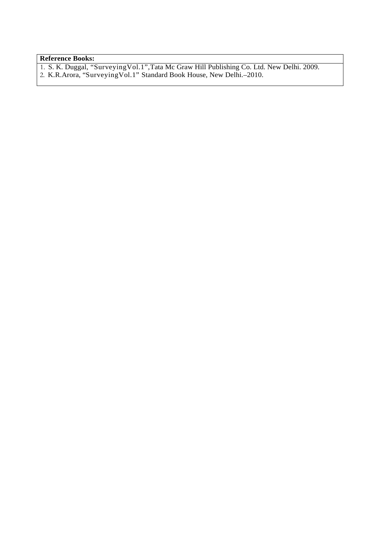# **Reference Books:**

1. S. K. Duggal, "SurveyingVol.1",Tata Mc Graw Hill Publishing Co. Ltd. New Delhi. 2009. 2. K.R.Arora, "SurveyingVol.1" Standard Book House, New Delhi.–2010.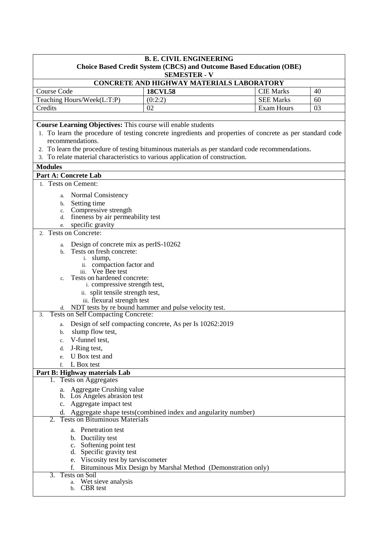| <b>B. E. CIVIL ENGINEERING</b><br><b>Choice Based Credit System (CBCS) and Outcome Based Education (OBE)</b> |                                                              |                  |    |  |  |
|--------------------------------------------------------------------------------------------------------------|--------------------------------------------------------------|------------------|----|--|--|
|                                                                                                              | <b>SEMESTER - V</b>                                          |                  |    |  |  |
|                                                                                                              | CONCRETE AND HIGHWAY MATERIALS LABORATORY                    |                  |    |  |  |
| <b>Course Code</b>                                                                                           | <b>18CVL58</b>                                               | <b>CIE Marks</b> | 40 |  |  |
| Teaching Hours/Week(L:T:P)                                                                                   | (0:2:2)                                                      | <b>SEE Marks</b> | 60 |  |  |
| Credits                                                                                                      | 02                                                           | Exam Hours       | 03 |  |  |
|                                                                                                              |                                                              |                  |    |  |  |
| Course Learning Objectives: This course will enable students                                                 |                                                              |                  |    |  |  |
| 1. To learn the procedure of testing concrete ingredients and properties of concrete as per standard code    |                                                              |                  |    |  |  |
| recommendations.                                                                                             |                                                              |                  |    |  |  |
| 2. To learn the procedure of testing bituminous materials as per standard code recommendations.              |                                                              |                  |    |  |  |
| 3. To relate material characteristics to various application of construction.                                |                                                              |                  |    |  |  |
| <b>Modules</b>                                                                                               |                                                              |                  |    |  |  |
| <b>Part A: Concrete Lab</b>                                                                                  |                                                              |                  |    |  |  |
| 1. Tests on Cement:                                                                                          |                                                              |                  |    |  |  |
| <b>Normal Consistency</b><br>a.                                                                              |                                                              |                  |    |  |  |
| Setting time<br>b.                                                                                           |                                                              |                  |    |  |  |
| Compressive strength<br>c.                                                                                   |                                                              |                  |    |  |  |
| fineness by air permeability test<br>d.                                                                      |                                                              |                  |    |  |  |
| specific gravity<br>e.                                                                                       |                                                              |                  |    |  |  |
| 2. Tests on Concrete:                                                                                        |                                                              |                  |    |  |  |
| Design of concrete mix as per IS-10262<br>a.                                                                 |                                                              |                  |    |  |  |
| Tests on fresh concrete:<br>b.                                                                               |                                                              |                  |    |  |  |
| i. slump,                                                                                                    |                                                              |                  |    |  |  |
| ii. compaction factor and                                                                                    |                                                              |                  |    |  |  |
| iii. Vee Bee test<br>Tests on hardened concrete:<br>$\mathbf{c}$ .                                           |                                                              |                  |    |  |  |
| i. compressive strength test,                                                                                |                                                              |                  |    |  |  |
| ii. split tensile strength test,                                                                             |                                                              |                  |    |  |  |
| iii. flexural strength test                                                                                  |                                                              |                  |    |  |  |
| d. NDT tests by re bound hammer and pulse velocity test.                                                     |                                                              |                  |    |  |  |
| <b>Tests on Self Compacting Concrete:</b><br>3.                                                              |                                                              |                  |    |  |  |
| Design of self compacting concrete, As per Is 10262:2019<br>a.                                               |                                                              |                  |    |  |  |
| slump flow test,<br>b.                                                                                       |                                                              |                  |    |  |  |
| V-funnel test,<br>c.                                                                                         |                                                              |                  |    |  |  |
| J-Ring test,<br>d.                                                                                           |                                                              |                  |    |  |  |
| U Box test and<br>e.                                                                                         |                                                              |                  |    |  |  |
| L Box test<br>$f_{\cdot}$                                                                                    |                                                              |                  |    |  |  |
| Part B: Highway materials Lab                                                                                |                                                              |                  |    |  |  |
| <b>Tests on Aggregates</b>                                                                                   |                                                              |                  |    |  |  |
| <b>Aggregate Crushing value</b><br>a.                                                                        |                                                              |                  |    |  |  |
| b. Los Angeles abrasion test                                                                                 |                                                              |                  |    |  |  |
|                                                                                                              | c. Aggregate impact test                                     |                  |    |  |  |
| d. Aggregate shape tests (combined index and angularity number)<br><b>Tests on Bituminous Materials</b>      |                                                              |                  |    |  |  |
|                                                                                                              |                                                              |                  |    |  |  |
| <b>Penetration test</b><br>a.                                                                                |                                                              |                  |    |  |  |
| b. Ductility test                                                                                            |                                                              |                  |    |  |  |
| c. Softening point test                                                                                      |                                                              |                  |    |  |  |
| d. Specific gravity test<br>e. Viscosity test by tarviscometer                                               |                                                              |                  |    |  |  |
|                                                                                                              | Bituminous Mix Design by Marshal Method (Demonstration only) |                  |    |  |  |
| <b>Tests on Soil</b><br>3.                                                                                   |                                                              |                  |    |  |  |
| Wet sieve analysis<br>a.                                                                                     |                                                              |                  |    |  |  |
| CBR test<br>b.                                                                                               |                                                              |                  |    |  |  |
|                                                                                                              |                                                              |                  |    |  |  |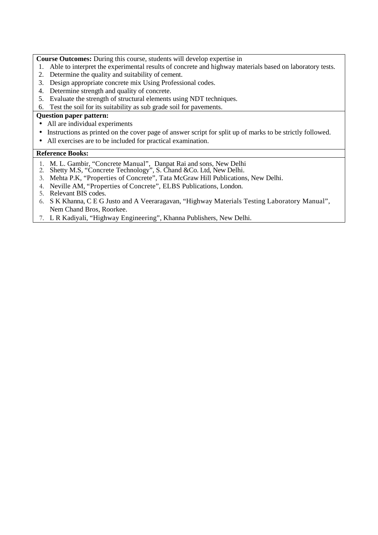**Course Outcomes:** During this course, students will develop expertise in

- 1. Able to interpret the experimental results of concrete and highway materials based on laboratory tests.
- 2. Determine the quality and suitability of cement.
- 3. Design appropriate concrete mix Using Professional codes.
- 4. Determine strength and quality of concrete.
- 5. Evaluate the strength of structural elements using NDT techniques.
- 6. Test the soil for its suitability as sub grade soil for pavements.

# **Question paper pattern:**

- All are individual experiments
- Instructions as printed on the cover page of answer script for split up of marks to be strictly followed.
- All exercises are to be included for practical examination.

- 1. M. L. Gambir, "Concrete Manual", Danpat Rai and sons, New Delhi
- 2. Shetty M.S, "Concrete Technology", S. Chand &Co. Ltd, New Delhi.
- 3. Mehta P.K, "Properties of Concrete", Tata McGraw Hill Publications, New Delhi.
- 4. Neville AM, "Properties of Concrete", ELBS Publications, London.
- 5. Relevant BIS codes.
- 6. S K Khanna, C E G Justo and A Veeraragavan, "Highway Materials Testing Laboratory Manual", Nem Chand Bros, Roorkee.
- 7. L R Kadiyali, "Highway Engineering", Khanna Publishers, New Delhi.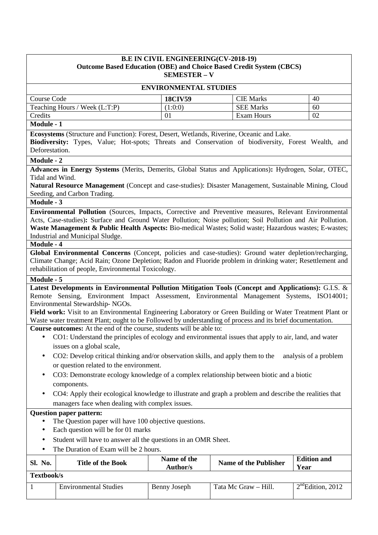## **B.E IN CIVIL ENGINEERING(CV-2018-19) Outcome Based Education (OBE) and Choice Based Credit System (CBCS) SEMESTER – V**

| <b>ENVIRONMENTAL STUDIES</b>                                                                                                                                                                                             |                                                                                                                                                                                                                                                                                                                                                                           |                                |                              |                            |  |
|--------------------------------------------------------------------------------------------------------------------------------------------------------------------------------------------------------------------------|---------------------------------------------------------------------------------------------------------------------------------------------------------------------------------------------------------------------------------------------------------------------------------------------------------------------------------------------------------------------------|--------------------------------|------------------------------|----------------------------|--|
| Course Code                                                                                                                                                                                                              |                                                                                                                                                                                                                                                                                                                                                                           | <b>18CIV59</b>                 | <b>CIE Marks</b>             | 40                         |  |
|                                                                                                                                                                                                                          | Teaching Hours / Week (L:T:P)                                                                                                                                                                                                                                                                                                                                             | (1:0:0)                        | <b>SEE Marks</b>             | 60                         |  |
| Credits                                                                                                                                                                                                                  |                                                                                                                                                                                                                                                                                                                                                                           | 01                             | <b>Exam Hours</b>            | 02                         |  |
| Module - 1                                                                                                                                                                                                               |                                                                                                                                                                                                                                                                                                                                                                           |                                |                              |                            |  |
| Deforestation.                                                                                                                                                                                                           | Ecosystems (Structure and Function): Forest, Desert, Wetlands, Riverine, Oceanic and Lake.<br>Biodiversity: Types, Value; Hot-spots; Threats and Conservation of biodiversity, Forest Wealth, and                                                                                                                                                                         |                                |                              |                            |  |
| Module - 2                                                                                                                                                                                                               |                                                                                                                                                                                                                                                                                                                                                                           |                                |                              |                            |  |
| Tidal and Wind.                                                                                                                                                                                                          | Advances in Energy Systems (Merits, Demerits, Global Status and Applications): Hydrogen, Solar, OTEC,                                                                                                                                                                                                                                                                     |                                |                              |                            |  |
|                                                                                                                                                                                                                          | Natural Resource Management (Concept and case-studies): Disaster Management, Sustainable Mining, Cloud<br>Seeding, and Carbon Trading.                                                                                                                                                                                                                                    |                                |                              |                            |  |
| Module - 3                                                                                                                                                                                                               |                                                                                                                                                                                                                                                                                                                                                                           |                                |                              |                            |  |
| <b>Module - 4</b>                                                                                                                                                                                                        | <b>Environmental Pollution</b> (Sources, Impacts, Corrective and Preventive measures, Relevant Environmental<br>Acts, Case-studies): Surface and Ground Water Pollution; Noise pollution; Soil Pollution and Air Pollution.<br>Waste Management & Public Health Aspects: Bio-medical Wastes; Solid waste; Hazardous wastes; E-wastes;<br>Industrial and Municipal Sludge. |                                |                              |                            |  |
|                                                                                                                                                                                                                          | Global Environmental Concerns (Concept, policies and case-studies): Ground water depletion/recharging,<br>Climate Change; Acid Rain; Ozone Depletion; Radon and Fluoride problem in drinking water; Resettlement and<br>rehabilitation of people, Environmental Toxicology.                                                                                               |                                |                              |                            |  |
| Module - 5                                                                                                                                                                                                               |                                                                                                                                                                                                                                                                                                                                                                           |                                |                              |                            |  |
|                                                                                                                                                                                                                          | Latest Developments in Environmental Pollution Mitigation Tools (Concept and Applications): G.I.S. &<br>Remote Sensing, Environment Impact Assessment, Environmental Management Systems, ISO14001;<br>Environmental Stewardship-NGOs.<br>Field work: Visit to an Environmental Engineering Laboratory or Green Building or Water Treatment Plant or                       |                                |                              |                            |  |
|                                                                                                                                                                                                                          | Waste water treatment Plant; ought to be Followed by understanding of process and its brief documentation.<br>Course outcomes: At the end of the course, students will be able to:                                                                                                                                                                                        |                                |                              |                            |  |
| $\bullet$<br>$\bullet$                                                                                                                                                                                                   | CO1: Understand the principles of ecology and environmental issues that apply to air, land, and water<br>issues on a global scale,<br>CO2: Develop critical thinking and/or observation skills, and apply them to the<br>or question related to the environment.                                                                                                          |                                |                              | analysis of a problem      |  |
|                                                                                                                                                                                                                          | CO3: Demonstrate ecology knowledge of a complex relationship between biotic and a biotic                                                                                                                                                                                                                                                                                  |                                |                              |                            |  |
|                                                                                                                                                                                                                          | components.                                                                                                                                                                                                                                                                                                                                                               |                                |                              |                            |  |
| $\bullet$                                                                                                                                                                                                                | CO4: Apply their ecological knowledge to illustrate and graph a problem and describe the realities that                                                                                                                                                                                                                                                                   |                                |                              |                            |  |
| managers face when dealing with complex issues.<br><b>Question paper pattern:</b>                                                                                                                                        |                                                                                                                                                                                                                                                                                                                                                                           |                                |                              |                            |  |
| The Question paper will have 100 objective questions.<br>Each question will be for 01 marks<br>٠<br>Student will have to answer all the questions in an OMR Sheet.<br>$\bullet$<br>The Duration of Exam will be 2 hours. |                                                                                                                                                                                                                                                                                                                                                                           |                                |                              |                            |  |
| Sl. No.                                                                                                                                                                                                                  | <b>Title of the Book</b>                                                                                                                                                                                                                                                                                                                                                  | Name of the<br><b>Author/s</b> | <b>Name of the Publisher</b> | <b>Edition and</b><br>Year |  |
| Textbook/s                                                                                                                                                                                                               |                                                                                                                                                                                                                                                                                                                                                                           |                                |                              |                            |  |
|                                                                                                                                                                                                                          | <b>Environmental Studies</b>                                                                                                                                                                                                                                                                                                                                              | <b>Benny Joseph</b>            | Tata Mc Graw - Hill.         | $2nd$ Edition, 2012        |  |
|                                                                                                                                                                                                                          |                                                                                                                                                                                                                                                                                                                                                                           |                                |                              |                            |  |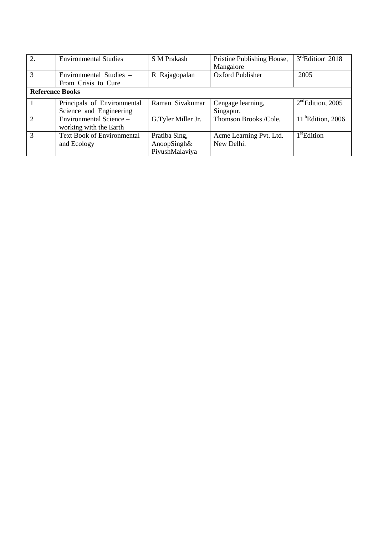| $\overline{2}$ . | <b>Environmental Studies</b>      | S M Prakash        | Pristine Publishing House, | $3rd$ Edition' 2018            |
|------------------|-----------------------------------|--------------------|----------------------------|--------------------------------|
|                  |                                   |                    | Mangalore                  |                                |
| $\overline{3}$   | Environmental Studies –           | R Rajagopalan      | <b>Oxford Publisher</b>    | 2005                           |
|                  | From Crisis to Cure               |                    |                            |                                |
|                  | <b>Reference Books</b>            |                    |                            |                                |
|                  | Principals of Environmental       | Raman Sivakumar    | Cengage learning,          | $2nd$ Edition, 2005            |
|                  | Science and Engineering           |                    | Singapur.                  |                                |
| 2                | Environmental Science -           | G.Tyler Miller Jr. | Thomson Brooks /Cole,      | $11^{\text{th}}$ Edition, 2006 |
|                  | working with the Earth            |                    |                            |                                |
| $\overline{3}$   | <b>Text Book of Environmental</b> | Pratiba Sing,      | Acme Learning Pvt. Ltd.    | $1st$ Edition                  |
|                  | and Ecology                       | AnoopSingh&        | New Delhi.                 |                                |
|                  |                                   | PiyushMalaviya     |                            |                                |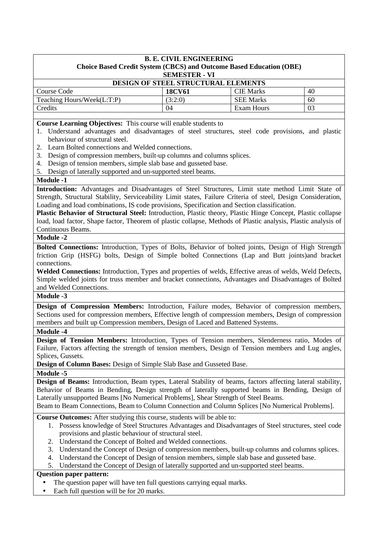| <b>B. E. CIVIL ENGINEERING</b><br>Choice Based Credit System (CBCS) and Outcome Based Education (OBE)<br><b>SEMESTER - VI</b> |               |                   |    |
|-------------------------------------------------------------------------------------------------------------------------------|---------------|-------------------|----|
|                                                                                                                               |               |                   |    |
| Course Code                                                                                                                   | <b>18CV61</b> | <b>CIE Marks</b>  | 40 |
| Teaching Hours/Week(L:T:P)                                                                                                    | (3:2:0)       | <b>SEE Marks</b>  | 60 |
| Credits                                                                                                                       | 04            | <b>Exam Hours</b> | 03 |
|                                                                                                                               |               |                   |    |

**Course Learning Objectives:** This course will enable students to

- 1. Understand advantages and disadvantages of steel structures, steel code provisions, and plastic behaviour of structural steel.
- 2. Learn Bolted connections and Welded connections.
- 3. Design of compression members, built-up columns and columns splices.
- 4. Design of tension members, simple slab base and gusseted base.
- 5. Design of laterally supported and un-supported steel beams.

### **Module -1**

**Introduction:** Advantages and Disadvantages of Steel Structures, Limit state method Limit State of Strength, Structural Stability, Serviceability Limit states, Failure Criteria of steel, Design Consideration, Loading and load combinations, IS code provisions, Specification and Section classification.

**Plastic Behavior of Structural Steel:** Introduction, Plastic theory, Plastic Hinge Concept, Plastic collapse load, load factor, Shape factor, Theorem of plastic collapse, Methods of Plastic analysis, Plastic analysis of Continuous Beams.

## **Module -2**

**Bolted Connections:** Introduction, Types of Bolts, Behavior of bolted joints, Design of High Strength friction Grip (HSFG) bolts, Design of Simple bolted Connections (Lap and Butt joints)and bracket connections.

**Welded Connections:** Introduction, Types and properties of welds, Effective areas of welds, Weld Defects, Simple welded joints for truss member and bracket connections, Advantages and Disadvantages of Bolted and Welded Connections.

## **Module -3**

**Design of Compression Members:** Introduction, Failure modes, Behavior of compression members, Sections used for compression members, Effective length of compression members, Design of compression members and built up Compression members, Design of Laced and Battened Systems.

### **Module -4**

**Design of Tension Members:** Introduction, Types of Tension members, Slenderness ratio, Modes of Failure, Factors affecting the strength of tension members, Design of Tension members and Lug angles, Splices, Gussets.

**Design of Column Bases:** Design of Simple Slab Base and Gusseted Base.

**Module -5** 

**Design of Beams:** Introduction, Beam types, Lateral Stability of beams, factors affecting lateral stability, Behavior of Beams in Bending, Design strength of laterally supported beams in Bending, Design of Laterally unsupported Beams [No Numerical Problems], Shear Strength of Steel Beams.

Beam to Beam Connections, Beam to Column Connection and Column Splices [No Numerical Problems].

**Course Outcomes:** After studying this course, students will be able to:

- 1. Possess knowledge of Steel Structures Advantages and Disadvantages of Steel structures, steel code provisions and plastic behaviour of structural steel.
- 2. Understand the Concept of Bolted and Welded connections.
- 3. Understand the Concept of Design of compression members, built-up columns and columns splices.
- 4. Understand the Concept of Design of tension members, simple slab base and gusseted base.
- 5. Understand the Concept of Design of laterally supported and un-supported steel beams.

# **Question paper pattern:**

- The question paper will have ten full questions carrying equal marks.
- Each full question will be for 20 marks.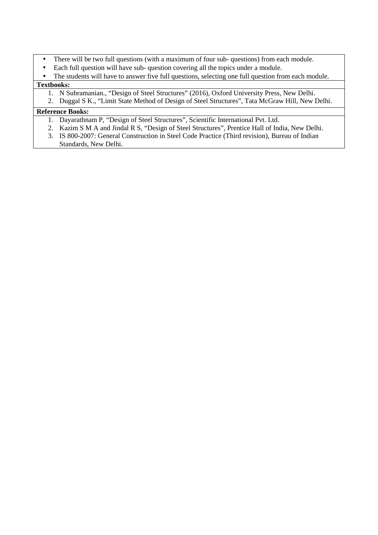- There will be two full questions (with a maximum of four sub- questions) from each module.
- Each full question will have sub- question covering all the topics under a module.
- The students will have to answer five full questions, selecting one full question from each module.

# **Textbooks:**

- 1. N Subramanian., "Design of Steel Structures" (2016), Oxford University Press, New Delhi.
- 2. Duggal S K., "Limit State Method of Design of Steel Structures", Tata McGraw Hill, New Delhi.

- 1. Dayarathnam P, "Design of Steel Structures", Scientific International Pvt. Ltd.
- 2. Kazim S M A and Jindal R S, "Design of Steel Structures", Prentice Hall of India, New Delhi.
- 3. IS 800-2007: General Construction in Steel Code Practice (Third revision), Bureau of Indian Standards, New Delhi.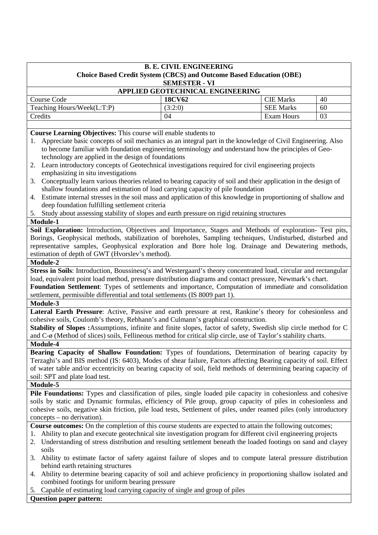| <b>B. E. CIVIL ENGINEERING</b>                                                                                                                                                                                                     |    |  |  |
|------------------------------------------------------------------------------------------------------------------------------------------------------------------------------------------------------------------------------------|----|--|--|
| <b>Choice Based Credit System (CBCS) and Outcome Based Education (OBE)</b><br><b>SEMESTER - VI</b>                                                                                                                                 |    |  |  |
| APPLIED GEOTECHNICAL ENGINEERING                                                                                                                                                                                                   |    |  |  |
| Course Code<br><b>CIE Marks</b><br><b>18CV62</b>                                                                                                                                                                                   | 40 |  |  |
| Teaching Hours/Week(L:T:P)<br><b>SEE Marks</b><br>(3:2:0)                                                                                                                                                                          | 60 |  |  |
| <b>Exam Hours</b><br>Credits<br>04                                                                                                                                                                                                 | 03 |  |  |
|                                                                                                                                                                                                                                    |    |  |  |
| Course Learning Objectives: This course will enable students to                                                                                                                                                                    |    |  |  |
| Appreciate basic concepts of soil mechanics as an integral part in the knowledge of Civil Engineering. Also<br>1.                                                                                                                  |    |  |  |
| to become familiar with foundation engineering terminology and understand how the principles of Geo-                                                                                                                               |    |  |  |
| technology are applied in the design of foundations                                                                                                                                                                                |    |  |  |
| Learn introductory concepts of Geotechnical investigations required for civil engineering projects<br>2.                                                                                                                           |    |  |  |
| emphasizing in situ investigations                                                                                                                                                                                                 |    |  |  |
| Conceptually learn various theories related to bearing capacity of soil and their application in the design of<br>3.                                                                                                               |    |  |  |
| shallow foundations and estimation of load carrying capacity of pile foundation                                                                                                                                                    |    |  |  |
| Estimate internal stresses in the soil mass and application of this knowledge in proportioning of shallow and<br>4.                                                                                                                |    |  |  |
| deep foundation fulfilling settlement criteria                                                                                                                                                                                     |    |  |  |
| 5. Study about assessing stability of slopes and earth pressure on rigid retaining structures                                                                                                                                      |    |  |  |
| Module-1                                                                                                                                                                                                                           |    |  |  |
| Soil Exploration: Introduction, Objectives and Importance, Stages and Methods of exploration- Test pits,<br>Borings, Geophysical methods, stabilization of boreholes, Sampling techniques, Undisturbed, disturbed and              |    |  |  |
| representative samples, Geophysical exploration and Bore hole log. Drainage and Dewatering methods,                                                                                                                                |    |  |  |
| estimation of depth of GWT (Hvorslev's method).                                                                                                                                                                                    |    |  |  |
| Module-2                                                                                                                                                                                                                           |    |  |  |
| Stress in Soils: Introduction, Boussinesq's and Westergaard's theory concentrated load, circular and rectangular                                                                                                                   |    |  |  |
| load, equivalent point load method, pressure distribution diagrams and contact pressure, Newmark's chart.                                                                                                                          |    |  |  |
| Foundation Settlement: Types of settlements and importance, Computation of immediate and consolidation                                                                                                                             |    |  |  |
| settlement, permissible differential and total settlements (IS 8009 part 1).                                                                                                                                                       |    |  |  |
| Module-3                                                                                                                                                                                                                           |    |  |  |
| Lateral Earth Pressure: Active, Passive and earth pressure at rest, Rankine's theory for cohesionless and                                                                                                                          |    |  |  |
| cohesive soils, Coulomb's theory, Rebhann's and Culmann's graphical construction.                                                                                                                                                  |    |  |  |
| Stability of Slopes : Assumptions, infinite and finite slopes, factor of safety, Swedish slip circle method for C                                                                                                                  |    |  |  |
| and C-ø (Method of slices) soils, Fellineous method for critical slip circle, use of Taylor's stability charts.                                                                                                                    |    |  |  |
| Module-4                                                                                                                                                                                                                           |    |  |  |
| Bearing Capacity of Shallow Foundation: Types of foundations, Determination of bearing capacity by                                                                                                                                 |    |  |  |
| Terzaghi's and BIS method (IS: 6403), Modes of shear failure, Factors affecting Bearing capacity of soil. Effect                                                                                                                   |    |  |  |
| of water table and/or eccentricity on bearing capacity of soil, field methods of determining bearing capacity of                                                                                                                   |    |  |  |
| soil: SPT and plate load test.                                                                                                                                                                                                     |    |  |  |
| <b>Module-5</b>                                                                                                                                                                                                                    |    |  |  |
| Pile Foundations: Types and classification of piles, single loaded pile capacity in cohesionless and cohesive                                                                                                                      |    |  |  |
| soils by static and Dynamic formulas, efficiency of Pile group, group capacity of piles in cohesionless and                                                                                                                        |    |  |  |
| cohesive soils, negative skin friction, pile load tests, Settlement of piles, under reamed piles (only introductory                                                                                                                |    |  |  |
| concepts – no derivation).                                                                                                                                                                                                         |    |  |  |
| Course outcomes: On the completion of this course students are expected to attain the following outcomes;                                                                                                                          |    |  |  |
| 1. Ability to plan and execute geotechnical site investigation program for different civil engineering projects<br>2. Understanding of stress distribution and resulting settlement beneath the loaded footings on sand and clayey |    |  |  |
| soils                                                                                                                                                                                                                              |    |  |  |
| Ability to estimate factor of safety against failure of slopes and to compute lateral pressure distribution<br>3.                                                                                                                  |    |  |  |
| behind earth retaining structures                                                                                                                                                                                                  |    |  |  |
| Ability to determine bearing capacity of soil and achieve proficiency in proportioning shallow isolated and<br>4.                                                                                                                  |    |  |  |
| combined footings for uniform bearing pressure                                                                                                                                                                                     |    |  |  |
| Capable of estimating load carrying capacity of single and group of piles<br>5.                                                                                                                                                    |    |  |  |
| <b>Question paper pattern:</b>                                                                                                                                                                                                     |    |  |  |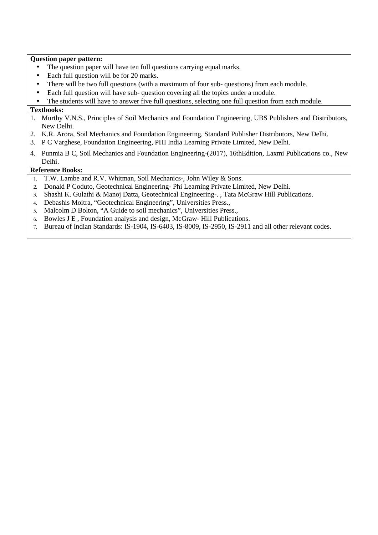### **Question paper pattern:**

- The question paper will have ten full questions carrying equal marks.
- Each full question will be for 20 marks.
- There will be two full questions (with a maximum of four sub-questions) from each module.
- Each full question will have sub-question covering all the topics under a module.

The students will have to answer five full questions, selecting one full question from each module.

### **Textbooks:**

- 1. Murthy V.N.S., Principles of Soil Mechanics and Foundation Engineering, UBS Publishers and Distributors, New Delhi.
- 2. K.R. Arora, Soil Mechanics and Foundation Engineering, Standard Publisher Distributors, New Delhi.
- 3. P C Varghese, Foundation Engineering, PHI India Learning Private Limited, New Delhi.
- 4. Punmia B C, Soil Mechanics and Foundation Engineering-(2017), 16thEdition, Laxmi Publications co., New Delhi.

- 1. T.W. Lambe and R.V. Whitman, Soil Mechanics-, John Wiley & Sons.
- 2. Donald P Coduto, Geotechnical Engineering- Phi Learning Private Limited, New Delhi.
- 3. Shashi K. Gulathi & Manoj Datta, Geotechnical Engineering-. , Tata McGraw Hill Publications.
- 4. Debashis Moitra, "Geotechnical Engineering", Universities Press.,
- 5. Malcolm D Bolton, "A Guide to soil mechanics", Universities Press.,
- 6. Bowles J E , Foundation analysis and design, McGraw- Hill Publications.
- 7. Bureau of Indian Standards: IS-1904, IS-6403, IS-8009, IS-2950, IS-2911 and all other relevant codes.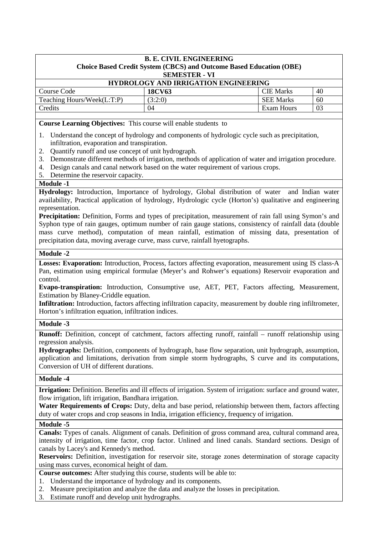| <b>HYDROLOGY AND IRRIGATION ENGINEERING</b> |         |                  |    |
|---------------------------------------------|---------|------------------|----|
| Course Code                                 | 18CV63  | <b>CIE</b> Marks | 40 |
| Teaching Hours/Week(L:T:P)                  | (3:2:0) | <b>SEE Marks</b> | 60 |
| Credits                                     | 04      | Exam Hours       | 03 |
|                                             |         |                  |    |

**Course Learning Objectives:** This course will enable students to

- 1. Understand the concept of hydrology and components of hydrologic cycle such as precipitation, infiltration, evaporation and transpiration.
- 2. Quantify runoff and use concept of unit hydrograph.
- 3. Demonstrate different methods of irrigation, methods of application of water and irrigation procedure.
- 4. Design canals and canal network based on the water requirement of various crops.
- 5. Determine the reservoir capacity.

## **Module -1**

**Hydrology:** Introduction, Importance of hydrology, Global distribution of water and Indian water availability, Practical application of hydrology, Hydrologic cycle (Horton's) qualitative and engineering representation.

**Precipitation:** Definition, Forms and types of precipitation, measurement of rain fall using Symon's and Syphon type of rain gauges, optimum number of rain gauge stations, consistency of rainfall data (double mass curve method), computation of mean rainfall, estimation of missing data, presentation of precipitation data, moving average curve, mass curve, rainfall hyetographs.

## **Module -2**

**Losses: Evaporation:** Introduction, Process, factors affecting evaporation, measurement using IS class-A Pan, estimation using empirical formulae (Meyer's and Rohwer's equations) Reservoir evaporation and control.

**Evapo-transpiration:** Introduction, Consumptive use, AET, PET, Factors affecting, Measurement, Estimation by Blaney-Criddle equation.

**Infiltration:** Introduction, factors affecting infiltration capacity, measurement by double ring infiltrometer, Horton's infiltration equation, infiltration indices.

# **Module -3**

**Runoff:** Definition, concept of catchment, factors affecting runoff, rainfall – runoff relationship using regression analysis.

**Hydrographs:** Definition, components of hydrograph, base flow separation, unit hydrograph, assumption, application and limitations, derivation from simple storm hydrographs, S curve and its computations, Conversion of UH of different durations.

## **Module -4**

**Irrigation:** Definition. Benefits and ill effects of irrigation. System of irrigation: surface and ground water, flow irrigation, lift irrigation, Bandhara irrigation.

**Water Requirements of Crops:** Duty, delta and base period, relationship between them, factors affecting duty of water crops and crop seasons in India, irrigation efficiency, frequency of irrigation.

### **Module -5**

**Canals:** Types of canals. Alignment of canals. Definition of gross command area, cultural command area, intensity of irrigation, time factor, crop factor. Unlined and lined canals. Standard sections. Design of canals by Lacey's and Kennedy's method.

**Reservoirs:** Definition, investigation for reservoir site, storage zones determination of storage capacity using mass curves, economical height of dam.

**Course outcomes:** After studying this course, students will be able to:

- 1. Understand the importance of hydrology and its components.
- 2. Measure precipitation and analyze the data and analyze the losses in precipitation.
- 3. Estimate runoff and develop unit hydrographs.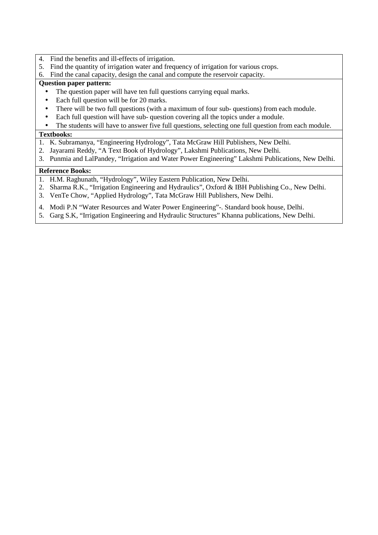- 4. Find the benefits and ill-effects of irrigation.
- 5. Find the quantity of irrigation water and frequency of irrigation for various crops.
- 6. Find the canal capacity, design the canal and compute the reservoir capacity.

## **Question paper pattern:**

- The question paper will have ten full questions carrying equal marks.
- Each full question will be for 20 marks.
- There will be two full questions (with a maximum of four sub- questions) from each module.
- Each full question will have sub- question covering all the topics under a module.
- The students will have to answer five full questions, selecting one full question from each module.

## **Textbooks:**

- 1. K. Subramanya, "Engineering Hydrology", Tata McGraw Hill Publishers, New Delhi.
- 2. Jayarami Reddy, "A Text Book of Hydrology", Lakshmi Publications, New Delhi.
- 3. Punmia and LalPandey, "Irrigation and Water Power Engineering" Lakshmi Publications, New Delhi.

- 1. H.M. Raghunath, "Hydrology", Wiley Eastern Publication, New Delhi.
- 2. Sharma R.K., "Irrigation Engineering and Hydraulics", Oxford & IBH Publishing Co., New Delhi.
- 3. VenTe Chow, "Applied Hydrology", Tata McGraw Hill Publishers, New Delhi.
- 4. Modi P.N "Water Resources and Water Power Engineering"-. Standard book house, Delhi.
- 5. Garg S.K, "Irrigation Engineering and Hydraulic Structures" Khanna publications, New Delhi.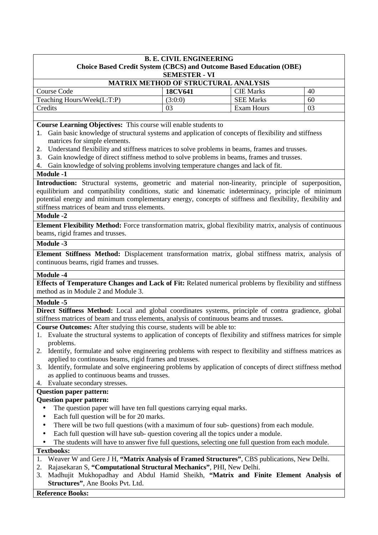# **B. E. CIVIL ENGINEERING Choice Based Credit System (CBCS) and Outcome Based Education (OBE) SEMESTER - VI MATRIX METHOD OF STRUCTURAL ANALYSIS**

| Course Code                | 18CV641 | CIE Marks        | 40  |
|----------------------------|---------|------------------|-----|
| Teaching Hours/Week(L:T:P) | (3:0:0) | <b>SEE Marks</b> | 60  |
| <b>Tredits</b>             | 03      | Exam Hours       | -03 |
|                            |         |                  |     |

**Course Learning Objectives:** This course will enable students to

- 1. Gain basic knowledge of structural systems and application of concepts of flexibility and stiffness matrices for simple elements.
- 2. Understand flexibility and stiffness matrices to solve problems in beams, frames and trusses.
- 3. Gain knowledge of direct stiffness method to solve problems in beams, frames and trusses.
- 4. Gain knowledge of solving problems involving temperature changes and lack of fit.

### **Module -1**

**Introduction:** Structural systems, geometric and material non-linearity, principle of superposition, equilibrium and compatibility conditions, static and kinematic indeterminacy, principle of minimum potential energy and minimum complementary energy, concepts of stiffness and flexibility, flexibility and stiffness matrices of beam and truss elements.

### **Module -2**

**Element Flexibility Method:** Force transformation matrix, global flexibility matrix, analysis of continuous beams, rigid frames and trusses.

### **Module -3**

**Element Stiffness Method:** Displacement transformation matrix, global stiffness matrix, analysis of continuous beams, rigid frames and trusses.

### **Module -4**

**Effects of Temperature Changes and Lack of Fit:** Related numerical problems by flexibility and stiffness method as in Module 2 and Module 3.

# **Module -5**

**Direct Stiffness Method:** Local and global coordinates systems, principle of contra gradience, global stiffness matrices of beam and truss elements, analysis of continuous beams and trusses.

**Course Outcomes:** After studying this course, students will be able to:

- 1. Evaluate the structural systems to application of concepts of flexibility and stiffness matrices for simple problems.
- 2. Identify, formulate and solve engineering problems with respect to flexibility and stiffness matrices as applied to continuous beams, rigid frames and trusses.
- 3. Identify, formulate and solve engineering problems by application of concepts of direct stiffness method as applied to continuous beams and trusses.
- 4. Evaluate secondary stresses.

# **Question paper pattern:**

### **Question paper pattern:**

- The question paper will have ten full questions carrying equal marks.
- Each full question will be for 20 marks.
- There will be two full questions (with a maximum of four sub- questions) from each module.
- Each full question will have sub- question covering all the topics under a module.
- The students will have to answer five full questions, selecting one full question from each module.

### **Textbooks:**

- 1. Weaver W and Gere J H, **"Matrix Analysis of Framed Structures"**, CBS publications, New Delhi.
- 2. Rajasekaran S, **"Computational Structural Mechanics"**, PHI, New Delhi.
- 3. Madhujit Mukhopadhay and Abdul Hamid Sheikh, **"Matrix and Finite Element Analysis of Structures"**, Ane Books Pvt. Ltd.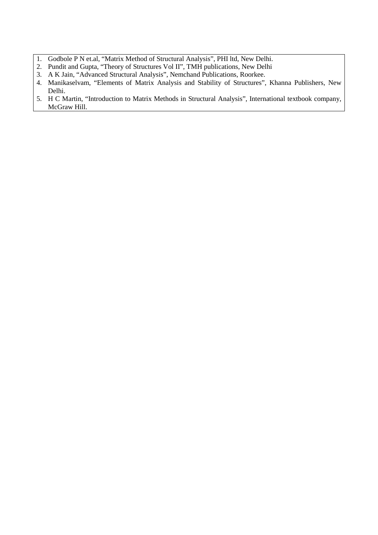- 1. Godbole P N et.al, "Matrix Method of Structural Analysis", PHI ltd, New Delhi.
- 2. Pundit and Gupta, "Theory of Structures Vol II", TMH publications, New Delhi
- 3. A K Jain, "Advanced Structural Analysis", Nemchand Publications, Roorkee.
- 4. Manikaselvam, "Elements of Matrix Analysis and Stability of Structures", Khanna Publishers, New Delhi.
- 5. H C Martin, "Introduction to Matrix Methods in Structural Analysis", International textbook company, McGraw Hill.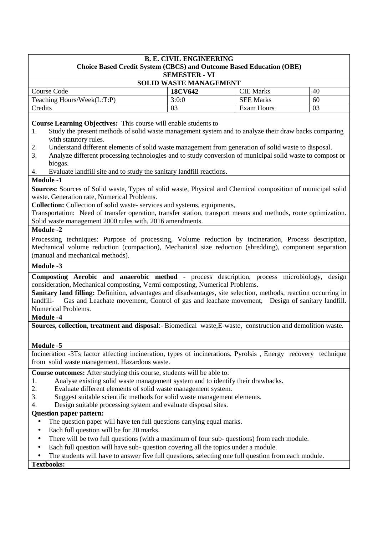| <b>SOLID WASTE MANAGEMENT</b> |         |                  |    |
|-------------------------------|---------|------------------|----|
| Course Code                   | 18CV642 | <b>CIE</b> Marks | 40 |
| Teaching Hours/Week(L:T:P)    | 3:0:0   | <b>SEE Marks</b> | 60 |
| Credits                       | 03      | Exam Hours       | 03 |
|                               |         |                  |    |

**Course Learning Objectives:** This course will enable students to

- 1. Study the present methods of solid waste management system and to analyze their draw backs comparing with statutory rules.
- 2. Understand different elements of solid waste management from generation of solid waste to disposal.
- 3. Analyze different processing technologies and to study conversion of municipal solid waste to compost or biogas.
- 4. Evaluate landfill site and to study the sanitary landfill reactions.

## **Module -1**

**Sources:** Sources of Solid waste, Types of solid waste, Physical and Chemical composition of municipal solid waste. Generation rate, Numerical Problems.

**Collection:** Collection of solid waste- services and systems, equipments,

Transportation: Need of transfer operation, transfer station, transport means and methods, route optimization. Solid waste management 2000 rules with, 2016 amendments.

### **Module -2**

Processing techniques: Purpose of processing, Volume reduction by incineration, Process description, Mechanical volume reduction (compaction), Mechanical size reduction (shredding), component separation (manual and mechanical methods).

## **Module -3**

**Composting Aerobic and anaerobic method** - process description, process microbiology, design consideration, Mechanical composting, Vermi composting, Numerical Problems.

**Sanitary land filling:** Definition, advantages and disadvantages, site selection, methods, reaction occurring in landfill- Gas and Leachate movement, Control of gas and leachate movement, Design of sanitary landfill. Numerical Problems.

## **Module -4**

**Sources, collection, treatment and disposal**:- Biomedical waste,E-waste, construction and demolition waste.

# **Module -5**

Incineration -3Ts factor affecting incineration, types of incinerations, Pyrolsis , Energy recovery technique from solid waste management. Hazardous waste.

**Course outcomes:** After studying this course, students will be able to:

- 1. Analyse existing solid waste management system and to identify their drawbacks.
- 2. Evaluate different elements of solid waste management system.
- 3. Suggest suitable scientific methods for solid waste management elements.
- 4. Design suitable processing system and evaluate disposal sites.

## **Question paper pattern:**

- The question paper will have ten full questions carrying equal marks.
- Each full question will be for 20 marks.
- There will be two full questions (with a maximum of four sub-questions) from each module.
- Each full question will have sub- question covering all the topics under a module.
- The students will have to answer five full questions, selecting one full question from each module.

**Textbooks:**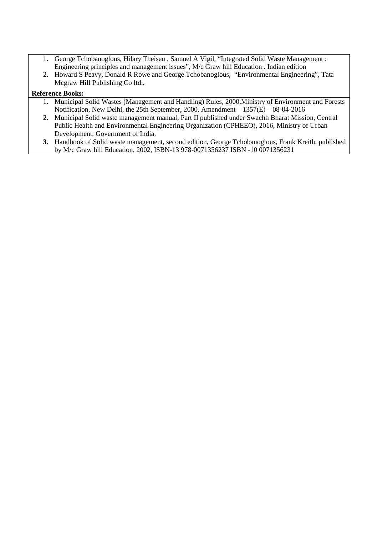- 1. George Tchobanoglous, Hilary Theisen , Samuel A Vigil, "Integrated Solid Waste Management : Engineering principles and management issues", M/c Graw hill Education . Indian edition
- 2. Howard S Peavy, Donald R Rowe and George Tchobanoglous, "Environmental Engineering", Tata Mcgraw Hill Publishing Co ltd.,

- 1. Municipal Solid Wastes (Management and Handling) Rules, 2000.Ministry of Environment and Forests Notification, New Delhi, the 25th September, 2000. Amendment – 1357(E) – 08-04-2016
- 2. Municipal Solid waste management manual, Part II published under Swachh Bharat Mission, Central Public Health and Environmental Engineering Organization (CPHEEO), 2016, Ministry of Urban Development, Government of India.
- **3.** Handbook of Solid waste management, second edition, George Tchobanoglous, Frank Kreith, published by M/c Graw hill Education, 2002, ISBN-13 978-0071356237 ISBN -10 0071356231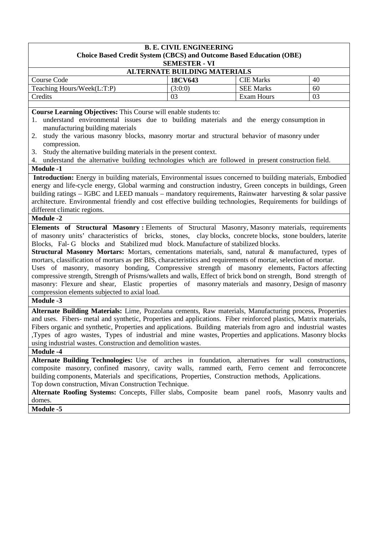| <b>B. E. CIVIL ENGINEERING</b><br>Choice Based Credit System (CBCS) and Outcome Based Education (OBE) |         |                  |    |
|-------------------------------------------------------------------------------------------------------|---------|------------------|----|
| <b>SEMESTER - VI</b>                                                                                  |         |                  |    |
| <b>ALTERNATE BUILDING MATERIALS</b>                                                                   |         |                  |    |
| Course Code                                                                                           | 18CV643 | <b>CIE Marks</b> | 40 |
| Teaching Hours/Week(L:T:P)                                                                            | (3:0:0) | <b>SEE Marks</b> | 60 |
| Credits                                                                                               | 03      | Exam Hours       | 03 |
|                                                                                                       |         |                  |    |

**Course Learning Objectives:** This Course will enable students to:

- 1. understand environmental issues due to building materials and the energy consumption in manufacturing building materials
- 2. study the various masonry blocks, masonry mortar and structural behavior of masonry under compression.
- 3. Study the alternative building materials in the present context.
- 4. understand the alternative building technologies which are followed in present construction field.

# **Module -1**

**Introduction:** Energy in building materials, Environmental issues concerned to building materials, Embodied energy and life-cycle energy, Global warming and construction industry, Green concepts in buildings, Green building ratings – IGBC and LEED manuals – mandatory requirements, Rainwater harvesting & solar passive architecture. Environmental friendly and cost effective building technologies, Requirements for buildings of different climatic regions.

## **Module -2**

**Elements of Structural Masonry :** Elements of Structural Masonry, Masonry materials, requirements of masonry units' characteristics of bricks, stones, clay blocks, concrete blocks, stone boulders, laterite Blocks, Fal- G blocks and Stabilized mud block. Manufacture of stabilized blocks.

**Structural Masonry Mortars:** Mortars, cementations materials, sand, natural & manufactured, types of mortars, classification of mortars as per BIS, characteristics and requirements of mortar, selection of mortar.

Uses of masonry, masonry bonding, Compressive strength of masonry elements, Factors affecting compressive strength, Strength of Prisms/wallets and walls, Effect of brick bond on strength, Bond strength of masonry: Flexure and shear, Elastic properties of masonry materials and masonry, Design of masonry compression elements subjected to axial load.

## **Module -3**

**Alternate Building Materials:** Lime, Pozzolana cements, Raw materials, Manufacturing process, Properties and uses. Fibers- metal and synthetic, Properties and applications. Fiber reinforced plastics, Matrix materials, Fibers organic and synthetic, Properties and applications. Building materials from agro and industrial wastes ,Types of agro wastes, Types of industrial and mine wastes, Properties and applications. Masonry blocks using industrial wastes. Construction and demolition wastes.

### **Module -4**

**Alternate Building Technologies:** Use of arches in foundation, alternatives for wall constructions, composite masonry, confined masonry, cavity walls, rammed earth, Ferro cement and ferroconcrete building components, Materials and specifications, Properties, Construction methods, Applications. Top down construction, Mivan Construction Technique.

**Alternate Roofing Systems:** Concepts, Filler slabs, Composite beam panel roofs, Masonry vaults and domes.

**Module -5**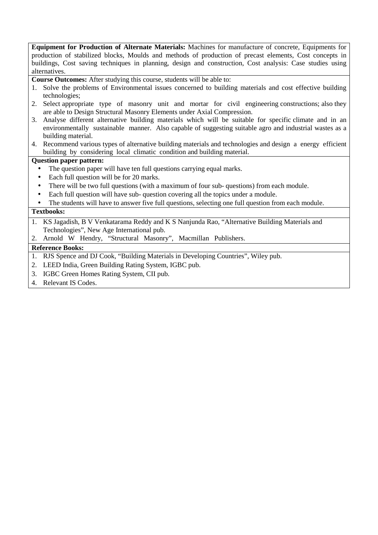**Equipment for Production of Alternate Materials:** Machines for manufacture of concrete, Equipments for production of stabilized blocks, Moulds and methods of production of precast elements, Cost concepts in buildings, Cost saving techniques in planning, design and construction, Cost analysis: Case studies using alternatives.

**Course Outcomes:** After studying this course, students will be able to:

- 1. Solve the problems of Environmental issues concerned to building materials and cost effective building technologies;
- 2. Select appropriate type of masonry unit and mortar for civil engineering constructions; also they are able to Design Structural Masonry Elements under Axial Compression.
- 3. Analyse different alternative building materials which will be suitable for specific climate and in an environmentally sustainable manner. Also capable of suggesting suitable agro and industrial wastes as a building material.
- 4. Recommend various types of alternative building materials and technologies and design a energy efficient building by considering local climatic condition and building material.

## **Question paper pattern:**

- The question paper will have ten full questions carrying equal marks.
- Each full question will be for 20 marks.
- There will be two full questions (with a maximum of four sub-questions) from each module.
- Each full question will have sub- question covering all the topics under a module.
- The students will have to answer five full questions, selecting one full question from each module.

## **Textbooks:**

- 1. KS Jagadish, B V Venkatarama Reddy and K S Nanjunda Rao, "Alternative Building Materials and Technologies", New Age International pub.
- 2. Arnold W Hendry, "Structural Masonry", Macmillan Publishers.

- 1. RJS Spence and DJ Cook, "Building Materials in Developing Countries", Wiley pub.
- 2. LEED India, Green Building Rating System, IGBC pub.
- 3. IGBC Green Homes Rating System, CII pub.
- 4. Relevant IS Codes.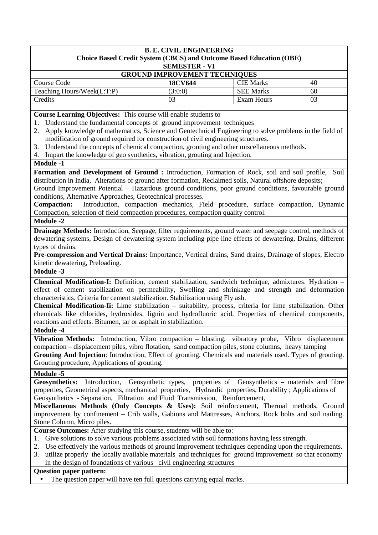| <b>GROUND IMPROVEMENT TECHNIQUES</b> |         |                  |    |
|--------------------------------------|---------|------------------|----|
| Course Code                          | 18CV644 | <b>CIE</b> Marks | 40 |
| Teaching Hours/Week(L:T:P)           | (3:0:0) | <b>SEE Marks</b> | 60 |
| Credits                              | 03      | Exam Hours       | 03 |

**Course Learning Objectives:** This course will enable students to

- 1. Understand the fundamental concepts of ground improvement techniques
- 2. Apply knowledge of mathematics, Science and Geotechnical Engineering to solve problems in the field of modification of ground required for construction of civil engineering structures.
- 3. Understand the concepts of chemical compaction, grouting and other miscellaneous methods.
- 4. Impart the knowledge of geo synthetics, vibration, grouting and Injection.
- **Module -1**

**Formation and Development of Ground :** Introduction, Formation of Rock, soil and soil profile, Soil distribution in India, Alterations of ground after formation, Reclaimed soils, Natural offshore deposits;

Ground Improvement Potential – Hazardous ground conditions, poor ground conditions, favourable ground conditions, Alternative Approaches, Geotechnical processes.

**Compaction:** Introduction, compaction mechanics, Field procedure, surface compaction, Dynamic Compaction, selection of field compaction procedures, compaction quality control.

**Module -2** 

**Drainage Methods:** Introduction, Seepage, filter requirements, ground water and seepage control, methods of dewatering systems, Design of dewatering system including pipe line effects of dewatering. Drains, different types of drains.

**Pre-compression and Vertical Drains:** Importance, Vertical drains, Sand drains, Drainage of slopes, Electro kinetic dewatering, Preloading.

**Module -3** 

**Chemical Modification-I:** Definition, cement stabilization, sandwich technique, admixtures. Hydration – effect of cement stabilization on permeability, Swelling and shrinkage and strength and deformation characteristics. Criteria for cement stabilization. Stabilization using Fly ash.

**Chemical Modification-Ii:** Lime stabilization – suitability, process, criteria for lime stabilization. Other chemicals like chlorides, hydroxides, lignin and hydrofluoric acid. Properties of chemical components, reactions and effects. Bitumen, tar or asphalt in stabilization.

### **Module -4**

**Vibration Methods:** Introduction, Vibro compaction – blasting, vibratory probe, Vibro displacement compaction – displacement piles, vibro flotation, sand compaction piles, stone columns, heavy tamping **Grouting And Injection**: Introduction, Effect of grouting. Chemicals and materials used. Types of grouting. Grouting procedure, Applications of grouting.

**Module -5** 

Geosynthetics: Introduction, Geosynthetic types, properties of Geosynthetics – materials and fibre properties, Geometrical aspects, mechanical properties, Hydraulic properties, Durability ; Applications of Geosynthetics - Separation, Filtration and Fluid Transmission, Reinforcement,

**Miscellaneous Methods (Only Concepts & Uses):** Soil reinforcement, Thermal methods, Ground improvement by confinement – Crib walls, Gabions and Mattresses, Anchors, Rock bolts and soil nailing. Stone Column, Micro piles.

**Course Outcomes:** After studying this course, students will be able to:

- 1. Give solutions to solve various problems associated with soil formations having less strength.
- 2. Use effectively the various methods of ground improvement techniques depending upon the requirements.
- 3. utilize properly the locally available materials and techniques for ground improvement so that economy in the design of foundations of various civil engineering structures

### **Question paper pattern:**

The question paper will have ten full questions carrying equal marks.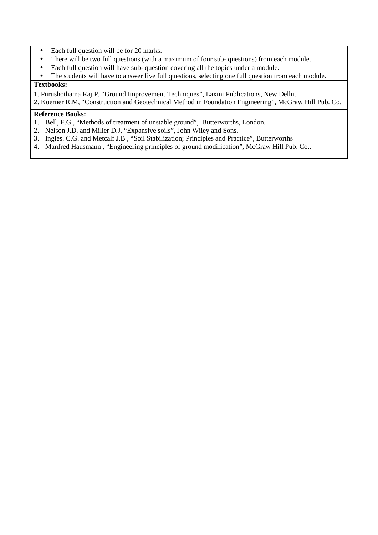- Each full question will be for 20 marks.
- There will be two full questions (with a maximum of four sub- questions) from each module.
- Each full question will have sub-question covering all the topics under a module.
- The students will have to answer five full questions, selecting one full question from each module.

## **Textbooks:**

- 1. Purushothama Raj P, "Ground Improvement Techniques", Laxmi Publications, New Delhi.
- 2. Koerner R.M, "Construction and Geotechnical Method in Foundation Engineering", McGraw Hill Pub. Co.

- 1. Bell, F.G., "Methods of treatment of unstable ground", Butterworths, London.
- 2. Nelson J.D. and Miller D.J, "Expansive soils", John Wiley and Sons.
- 3. Ingles. C.G. and Metcalf J.B , "Soil Stabilization; Principles and Practice", Butterworths
- 4. Manfred Hausmann , "Engineering principles of ground modification", McGraw Hill Pub. Co.,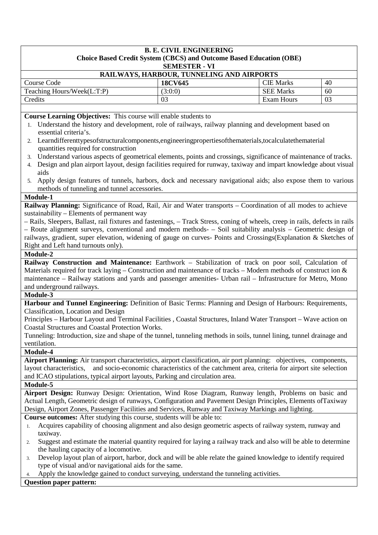# **RAILWAYS, HARBOUR, TUNNELING AND AIRPORTS**

| Code<br>Course             | 18CV645 | CIE Marks           | 40 |
|----------------------------|---------|---------------------|----|
| Teaching Hours/Week(L:T:P) | (3:0:0) | <b>SEE</b><br>Marks | 60 |
| Credits                    | 03      | <b>Exam Hours</b>   | 03 |

**Course Learning Objectives:** This course will enable students to

- 1. Understand the history and development, role of railways, railway planning and development based on essential criteria's.
- 2. Learndifferenttypesofstructuralcomponents,engineeringpropertiesofthematerials,tocalculatethematerial quantities required for construction
- 3. Understand various aspects of geometrical elements, points and crossings, significance of maintenance of tracks.
- 4. Design and plan airport layout, design facilities required for runway, taxiway and impart knowledge about visual aids
- 5. Apply design features of tunnels, harbors, dock and necessary navigational aids; also expose them to various methods of tunneling and tunnel accessories.

## **Module-1**

**Railway Planning:** Significance of Road, Rail, Air and Water transports – Coordination of all modes to achieve sustainability – Elements of permanent way

– Rails, Sleepers, Ballast, rail fixtures and fastenings, – Track Stress, coning of wheels, creep in rails, defects in rails – Route alignment surveys, conventional and modern methods- – Soil suitability analysis – Geometric design of railways, gradient, super elevation, widening of gauge on curves- Points and Crossings(Explanation & Sketches of Right and Left hand turnouts only).

# **Module-2**

**Railway Construction and Maintenance:** Earthwork – Stabilization of track on poor soil, Calculation of Materials required for track laying – Construction and maintenance of tracks – Modern methods of construct ion & maintenance – Railway stations and yards and passenger amenities- Urban rail – Infrastructure for Metro, Mono and underground railways.

### **Module-3**

**Harbour and Tunnel Engineering:** Definition of Basic Terms: Planning and Design of Harbours: Requirements, Classification, Location and Design

Principles – Harbour Layout and Terminal Facilities , Coastal Structures, Inland Water Transport – Wave action on Coastal Structures and Coastal Protection Works.

Tunneling: Introduction, size and shape of the tunnel, tunneling methods in soils, tunnel lining, tunnel drainage and ventilation.

# **Module-4**

**Airport Planning:** Air transport characteristics, airport classification, air port planning: objectives, components, layout characteristics, and socio-economic characteristics of the catchment area, criteria for airport site selection and ICAO stipulations, typical airport layouts, Parking and circulation area.

### **Module-5**

**Airport Design:** Runway Design: Orientation, Wind Rose Diagram, Runway length, Problems on basic and Actual Length, Geometric design of runways, Configuration and Pavement Design Principles, Elements ofTaxiway Design, Airport Zones, Passenger Facilities and Services, Runway and Taxiway Markings and lighting.

**Course outcomes:** After studying this course, students will be able to:

- 1. Acquires capability of choosing alignment and also design geometric aspects of railway system, runway and taxiway.
- 2. Suggest and estimate the material quantity required for laying a railway track and also will be able to determine the hauling capacity of a locomotive.
- 3. Develop layout plan of airport, harbor, dock and will be able relate the gained knowledge to identify required type of visual and/or navigational aids for the same.
- Apply the knowledge gained to conduct surveying, understand the tunneling activities.

# **Question paper pattern:**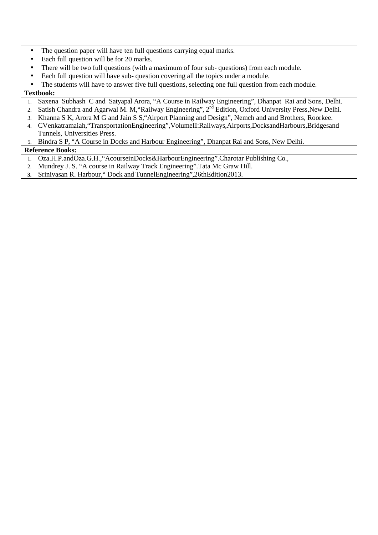- The question paper will have ten full questions carrying equal marks.
- Each full question will be for 20 marks.
- There will be two full questions (with a maximum of four sub-questions) from each module.
- Each full question will have sub- question covering all the topics under a module.
- The students will have to answer five full questions, selecting one full question from each module.

### **Textbook:**

- 1. Saxena Subhash C and Satyapal Arora, "A Course in Railway Engineering", Dhanpat Rai and Sons, Delhi.
- 2. Satish Chandra and Agarwal M. M, "Railway Engineering", 2<sup>nd</sup> Edition, Oxford University Press, New Delhi.
- 3. Khanna S K, Arora M G and Jain S S,"Airport Planning and Design", Nemch and and Brothers, Roorkee.
- 4. CVenkatramaiah,"TransportationEngineering",VolumeII:Railways,Airports,DocksandHarbours,Bridgesand Tunnels, Universities Press.
- 5. Bindra S P, "A Course in Docks and Harbour Engineering", Dhanpat Rai and Sons, New Delhi.

- 1. Oza.H.P.andOza.G.H.,"AcourseinDocks&HarbourEngineering".Charotar Publishing Co.,
- 2. Mundrey J. S. "A course in Railway Track Engineering".Tata Mc Graw Hill.
- **3.** Srinivasan R. Harbour," Dock and TunnelEngineering",26thEdition2013.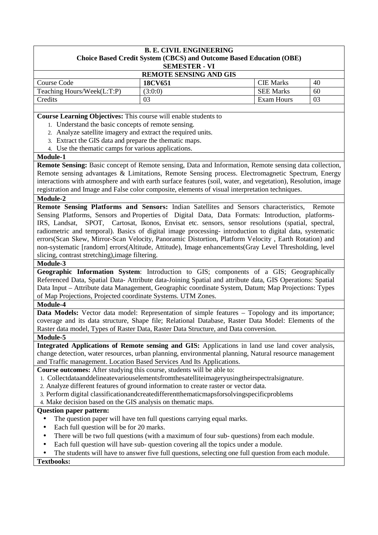| <b>REMOTE SENSING AND GIS</b> |                  |    |  |  |
|-------------------------------|------------------|----|--|--|
| 18CV651                       | <b>CIE Marks</b> | 40 |  |  |
| (3:0:0)                       | <b>SEE Marks</b> | 60 |  |  |
| 03                            | Exam Hours       | 03 |  |  |
|                               |                  |    |  |  |

**Course Learning Objectives:** This course will enable students to

- 1. Understand the basic concepts of remote sensing.
- 2. Analyze satellite imagery and extract the required units.
- 3. Extract the GIS data and prepare the thematic maps.
- 4. Use the thematic camps for various applications.

### **Module-1**

**Remote Sensing:** Basic concept of Remote sensing, Data and Information, Remote sensing data collection, Remote sensing advantages & Limitations, Remote Sensing process. Electromagnetic Spectrum, Energy interactions with atmosphere and with earth surface features (soil, water, and vegetation), Resolution, image registration and Image and False color composite, elements of visual interpretation techniques.

### **Module-2**

**Remote Sensing Platforms and Sensors:** Indian Satellites and Sensors characteristics, Remote Sensing Platforms, Sensors and Properties of Digital Data, Data Formats: Introduction, platforms-IRS, Landsat, SPOT, Cartosat, Ikonos, Envisat etc. sensors, sensor resolutions (spatial, spectral, radiometric and temporal). Basics of digital image processing- introduction to digital data, systematic errors(Scan Skew, Mirror-Scan Velocity, Panoramic Distortion, Platform Velocity , Earth Rotation) and non-systematic [random] errors(Altitude, Attitude), Image enhancements(Gray Level Thresholding, level slicing, contrast stretching),image filtering.

### **Module-3**

**Geographic Information System**: Introduction to GIS; components of a GIS; Geographically Referenced Data, Spatial Data- Attribute data-Joining Spatial and attribute data, GIS Operations: Spatial Data Input – Attribute data Management, Geographic coordinate System, Datum; Map Projections: Types of Map Projections, Projected coordinate Systems. UTM Zones.

### **Module-4**

**Data Models:** Vector data model: Representation of simple features – Topology and its importance; coverage and its data structure, Shape file; Relational Database, Raster Data Model: Elements of the Raster data model, Types of Raster Data, Raster Data Structure, and Data conversion.

### **Module-5**

**Integrated Applications of Remote sensing and GIS:** Applications in land use land cover analysis, change detection, water resources, urban planning, environmental planning, Natural resource management and Traffic management. Location Based Services And Its Applications.

**Course outcomes:** After studying this course, students will be able to:

- 1. Collectdataanddelineatevariouselementsfromthesatelliteimageryusingtheirspectralsignature.
- 2. Analyze different features of ground information to create raster or vector data.
- 3. Perform digital classificationandcreatedifferentthematicmapsforsolvingspecificproblems

4. Make decision based on the GIS analysis on thematic maps.

### **Question paper pattern:**

- The question paper will have ten full questions carrying equal marks.
- Each full question will be for 20 marks.
- There will be two full questions (with a maximum of four sub-questions) from each module.
- Each full question will have sub- question covering all the topics under a module.
- The students will have to answer five full questions, selecting one full question from each module.

**Textbooks:**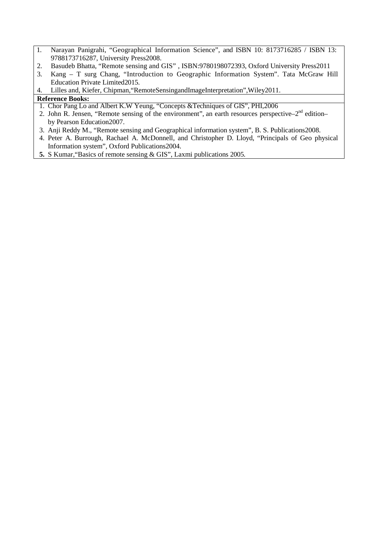- 1. Narayan Panigrahi, "Geographical Information Science", and ISBN 10: 8173716285 / ISBN 13: 9788173716287, University Press2008.
- 2. Basudeb Bhatta, "Remote sensing and GIS" , ISBN:9780198072393, Oxford University Press2011
- 3. Kang T surg Chang, "Introduction to Geographic Information System". Tata McGraw Hill Education Private Limited2015.
- 4. Lilles and, Kiefer, Chipman,"RemoteSensingandImageInterpretation",Wiley2011.

- 1. Chor Pang Lo and Albert K.W Yeung, "Concepts &Techniques of GIS", PHI,2006
- 2. John R. Jensen, "Remote sensing of the environment", an earth resources perspective– $2^{nd}$  edition– by Pearson Education2007.
- 3. Anji Reddy M., "Remote sensing and Geographical information system", B. S. Publications2008.
- 4. Peter A. Burrough, Rachael A. McDonnell, and Christopher D. Lloyd, "Principals of Geo physical Information system", Oxford Publications2004.
- **5.** S Kumar,"Basics of remote sensing & GIS", Laxmi publications 2005.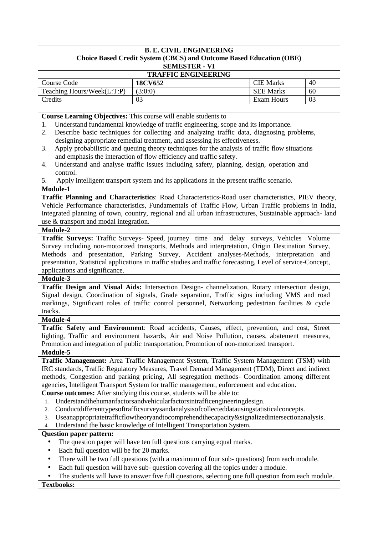#### **B. E. CIVIL ENGINEERING Choice Based Credit System (CBCS) and Outcome Based Education (OBE) SEMESTER - VI**

| <b>TRAFFIC ENGINEERING</b> |                |                  |    |  |  |
|----------------------------|----------------|------------------|----|--|--|
| Course Code                | <b>18CV652</b> | <b>CIE</b> Marks | 40 |  |  |
| Teaching Hours/Week(L:T:P) | (3:0:0)        | <b>SEE Marks</b> | 60 |  |  |
| Credits                    | 03             | Exam Hours       | 03 |  |  |

**Course Learning Objectives:** This course will enable students to

- 1. Understand fundamental knowledge of traffic engineering, scope and its importance.
- 2. Describe basic techniques for collecting and analyzing traffic data, diagnosing problems, designing appropriate remedial treatment, and assessing its effectiveness.
- 3. Apply probabilistic and queuing theory techniques for the analysis of traffic flow situations and emphasis the interaction of flow efficiency and traffic safety.
- 4. Understand and analyse traffic issues including safety, planning, design, operation and control.
- 5. Apply intelligent transport system and its applications in the present traffic scenario.

#### **Module-1**

**Traffic Planning and Characteristics**: Road Characteristics-Road user characteristics, PIEV theory, Vehicle Performance characteristics, Fundamentals of Traffic Flow, Urban Traffic problems in India, Integrated planning of town, country, regional and all urban infrastructures, Sustainable approach- land use & transport and modal integration.

#### **Module-2**

**Traffic Surveys:** Traffic Surveys- Speed, journey time and delay surveys, Vehicles Volume Survey including non-motorized transports, Methods and interpretation, Origin Destination Survey, Methods and presentation, Parking Survey, Accident analyses-Methods, interpretation and presentation, Statistical applications in traffic studies and traffic forecasting, Level of service-Concept, applications and significance.

#### **Module-3**

**Traffic Design and Visual Aids:** Intersection Design- channelization, Rotary intersection design, Signal design, Coordination of signals, Grade separation, Traffic signs including VMS and road markings, Significant roles of traffic control personnel, Networking pedestrian facilities & cycle tracks.

#### **Module-4**

**Traffic Safety and Environment**: Road accidents, Causes, effect, prevention, and cost, Street lighting, Traffic and environment hazards, Air and Noise Pollution, causes, abatement measures, Promotion and integration of public transportation, Promotion of non-motorized transport.

#### **Module-5**

**Traffic Management:** Area Traffic Management System, Traffic System Management (TSM) with IRC standards, Traffic Regulatory Measures, Travel Demand Management (TDM), Direct and indirect methods, Congestion and parking pricing, All segregation methods- Coordination among different agencies, Intelligent Transport System for traffic management, enforcement and education.

**Course outcomes:** After studying this course, students will be able to:

- 1. Understandthehumanfactorsandvehicularfactorsintrafficengineeringdesign.
- 2. Conductdifferenttypesoftrafficsurveysandanalysisofcollecteddatausingstatisticalconcepts.
- 3. Useanappropriatetrafficflowtheoryandtocomprehendthecapacity&signalizedintersectionanalysis.
- 4. Understand the basic knowledge of Intelligent Transportation System.

#### **Question paper pattern:**

- The question paper will have ten full questions carrying equal marks.
- Each full question will be for 20 marks.
- There will be two full questions (with a maximum of four sub- questions) from each module.
- Each full question will have sub- question covering all the topics under a module.
- The students will have to answer five full questions, selecting one full question from each module. **Textbooks:**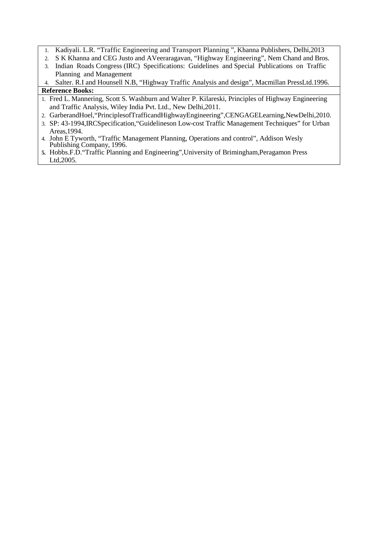- 1. Kadiyali. L.R. "Traffic Engineering and Transport Planning ", Khanna Publishers, Delhi,2013
- 2. S K Khanna and CEG Justo and AVeeraragavan, "Highway Engineering", Nem Chand and Bros.
- 3. Indian Roads Congress (IRC) Specifications: Guidelines and Special Publications on Traffic Planning and Management
- 4. Salter. R.I and Hounsell N.B, "Highway Traffic Analysis and design", Macmillan PressLtd.1996.

- 1. Fred L. Mannering, Scott S. Washburn and Walter P. Kilareski, Principles of Highway Engineering and Traffic Analysis, Wiley India Pvt. Ltd., New Delhi,2011.
- 2. GarberandHoel,"PrinciplesofTrafficandHighwayEngineering",CENGAGELearning,NewDelhi,2010.
- 3. SP: 43-1994,IRCSpecification,"Guidelineson Low-cost Traffic Management Techniques" for Urban Areas,1994.
- 4. John E Tyworth, "Traffic Management Planning, Operations and control", Addison Wesly Publishing Company, 1996.
- **5.** Hobbs.F.D."Traffic Planning and Engineering",University of Brimingham,Peragamon Press Ltd,2005.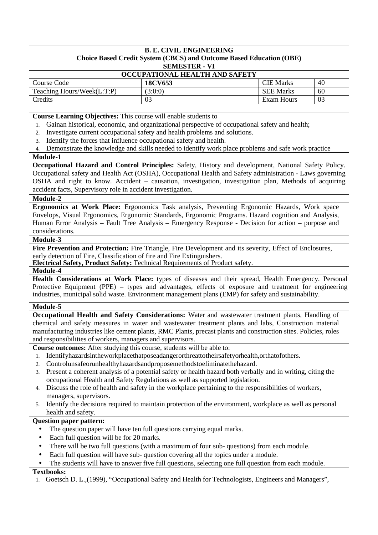#### **B. E. CIVIL ENGINEERING Choice Based Credit System (CBCS) and Outcome Based Education (OBE) SEMESTER - VI**

| OCCUPATIONAL HEALTH AND SAFETY |         |                  |    |  |  |  |
|--------------------------------|---------|------------------|----|--|--|--|
| Course Code                    | 18CV653 | <b>CIE Marks</b> | 40 |  |  |  |
| Teaching Hours/Week(L:T:P)     | 3:0:0   | <b>SEE Marks</b> | 60 |  |  |  |
| Credits                        |         | Exam Hours       | 03 |  |  |  |
|                                |         |                  |    |  |  |  |

**Course Learning Objectives:** This course will enable students to

- 1. Gainan historical, economic, and organizational perspective of occupational safety and health;
- 2. Investigate current occupational safety and health problems and solutions.
- 3. Identify the forces that influence occupational safety and health.
- 4. Demonstrate the knowledge and skills needed to identify work place problems and safe work practice

#### **Module-1**

**Occupational Hazard and Control Principles:** Safety, History and development, National Safety Policy. Occupational safety and Health Act (OSHA), Occupational Health and Safety administration - Laws governing OSHA and right to know. Accident – causation, investigation, investigation plan, Methods of acquiring accident facts, Supervisory role in accident investigation.

#### **Module-2**

**Ergonomics at Work Place:** Ergonomics Task analysis, Preventing Ergonomic Hazards, Work space Envelops, Visual Ergonomics, Ergonomic Standards, Ergonomic Programs. Hazard cognition and Analysis, Human Error Analysis – Fault Tree Analysis – Emergency Response - Decision for action – purpose and considerations.

### **Module-3**

**Fire Prevention and Protection:** Fire Triangle, Fire Development and its severity, Effect of Enclosures, early detection of Fire, Classification of fire and Fire Extinguishers.

**Electrical Safety, Product Safety:** Technical Requirements of Product safety.

#### **Module-4**

**Health Considerations at Work Place:** types of diseases and their spread, Health Emergency. Personal Protective Equipment (PPE) – types and advantages, effects of exposure and treatment for engineering industries, municipal solid waste. Environment management plans (EMP) for safety and sustainability.

#### **Module-5**

**Occupational Health and Safety Considerations:** Water and wastewater treatment plants, Handling of chemical and safety measures in water and wastewater treatment plants and labs, Construction material manufacturing industries like cement plants, RMC Plants, precast plants and construction sites. Policies, roles and responsibilities of workers, managers and supervisors.

**Course outcomes:** After studying this course, students will be able to:

- 1. Identifyhazardsintheworkplacethatposeadangerorthreattotheirsafetyorhealth,orthatofothers.
- 2. Controlunsafeorunhealthyhazardsandproposemethodstoeliminatethehazard.
- 3. Present a coherent analysis of a potential safety or health hazard both verbally and in writing, citing the occupational Health and Safety Regulations as well as supported legislation.
- 4. Discuss the role of health and safety in the workplace pertaining to the responsibilities of workers, managers, supervisors.
- 5. Identify the decisions required to maintain protection of the environment, workplace as well as personal health and safety.

### **Question paper pattern:**

- The question paper will have ten full questions carrying equal marks.
- Each full question will be for 20 marks.
- There will be two full questions (with a maximum of four sub- questions) from each module.
- Each full question will have sub- question covering all the topics under a module.
- The students will have to answer five full questions, selecting one full question from each module. **Textbooks:**

1. Goetsch D. L.,(1999), "Occupational Safety and Health for Technologists, Engineers and Managers",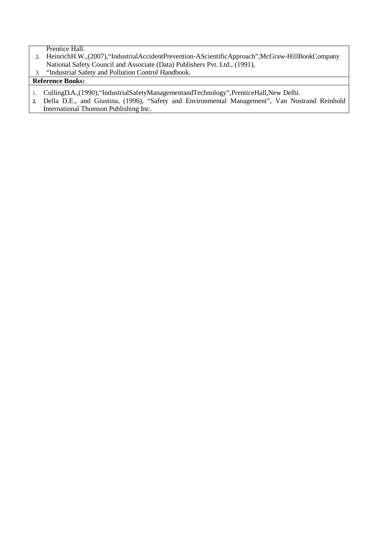Prentice Hall.

- 2. HeinrichH.W.,(2007),"IndustrialAccidentPrevention-AScientificApproach",McGraw-HillBookCompany National Safety Council and Associate (Data) Publishers Pvt. Ltd., (1991),
- 3. "Industrial Safety and Pollution Control Handbook.

- 1. CollingD.A.,(1990),"IndustrialSafetyManagementandTechnology",PrenticeHall,New Delhi.
- **2.** Della D.E., and Giustina, (1996), "Safety and Environmental Management", Van Nostrand Reinhold International Thomson Publishing Inc.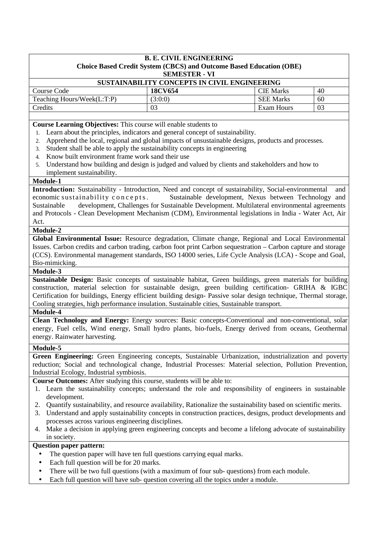# **B. E. CIVIL ENGINEERING Choice Based Credit System (CBCS) and Outcome Based Education (OBE) SEMESTER - VI**

| SUSTAINABILITY CONCEPTS IN CIVIL ENGINEERING |         |                  |    |  |  |  |
|----------------------------------------------|---------|------------------|----|--|--|--|
| Course Code                                  | 18CV654 | <b>CIE Marks</b> | 40 |  |  |  |
| Teaching Hours/Week(L:T:P)                   | (3:0:0) | <b>SEE Marks</b> | 60 |  |  |  |
| Credits                                      | 03      | Exam Hours       | 03 |  |  |  |
|                                              |         |                  |    |  |  |  |

**Course Learning Objectives:** This course will enable students to

- 1. Learn about the principles, indicators and general concept of sustainability.
- 2. Apprehend the local, regional and global impacts of unsustainable designs, products and processes.
- 3. Student shall be able to apply the sustainability concepts in engineering
- 4. Know built environment frame work sand their use
- 5. Understand how building and design is judged and valued by clients and stakeholders and how to implement sustainability.

#### **Module-1**

**Introduction:** Sustainability - Introduction, Need and concept of sustainability, Social-environmental and economic sustainability concepts. Sustainable development, Nexus between Technology and Sustainable development, Challenges for Sustainable Development. Multilateral environmental agreements and Protocols - Clean Development Mechanism (CDM), Environmental legislations in India - Water Act, Air Act.

#### **Module-2**

**Global Environmental Issue:** Resource degradation, Climate change, Regional and Local Environmental Issues. Carbon credits and carbon trading, carbon foot print Carbon sequestration – Carbon capture and storage (CCS). Environmental management standards, ISO 14000 series, Life Cycle Analysis (LCA) - Scope and Goal, Bio-mimicking.

**Module-3** 

**Sustainable Design:** Basic concepts of sustainable habitat, Green buildings, green materials for building construction, material selection for sustainable design, green building certification- GRIHA & IGBC Certification for buildings, Energy efficient building design- Passive solar design technique, Thermal storage, Cooling strategies, high performance insulation. Sustainable cities, Sustainable transport.

# **Module-4**

**Clean Technology and Energy:** Energy sources: Basic concepts-Conventional and non-conventional, solar energy, Fuel cells, Wind energy, Small hydro plants, bio-fuels, Energy derived from oceans, Geothermal energy. Rainwater harvesting.

### **Module-5**

**Green Engineering:** Green Engineering concepts, Sustainable Urbanization, industrialization and poverty reduction; Social and technological change, Industrial Processes: Material selection, Pollution Prevention, Industrial Ecology, Industrial symbiosis.

**Course Outcomes:** After studying this course, students will be able to:

- 1. Learn the sustainability concepts; understand the role and responsibility of engineers in sustainable development.
- 2. Quantify sustainability, and resource availability, Rationalize the sustainability based on scientific merits.
- 3. Understand and apply sustainability concepts in construction practices, designs, product developments and processes across various engineering disciplines.
- 4. Make a decision in applying green engineering concepts and become a lifelong advocate of sustainability in society.

# **Question paper pattern:**

- The question paper will have ten full questions carrying equal marks.
- Each full question will be for 20 marks.
- There will be two full questions (with a maximum of four sub- questions) from each module.
- Each full question will have sub- question covering all the topics under a module.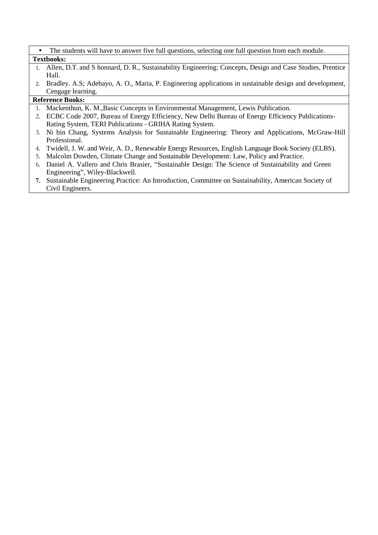| The students will have to answer five full questions, selecting one full question from each module. |
|-----------------------------------------------------------------------------------------------------|
| <b>Textbooks:</b>                                                                                   |

- 1. Allen, D.T. and S honnard, D. R., Sustainability Engineering: Concepts, Design and Case Studies, Prentice Hall.
- 2. Bradley. A.S; Adebayo, A. O., Maria, P. Engineering applications in sustainable design and development, Cengage learning.

- 1. Mackenthun, K. M.,Basic Concepts in Environmental Management, Lewis Publication.
- 2. ECBC Code 2007, Bureau of Energy Efficiency, New Delhi Bureau of Energy Efficiency Publications-Rating System, TERI Publications - GRIHA Rating System.
- 3. Ni bin Chang, Systems Analysis for Sustainable Engineering: Theory and Applications, McGraw-Hill Professional.
- 4. Twidell, J. W. and Weir, A. D., Renewable Energy Resources, English Language Book Society (ELBS).
- 5. Malcolm Dowden, Climate Change and Sustainable Development: Law, Policy and Practice.
- 6. Daniel A. Vallero and Chris Brasier, "Sustainable Design: The Science of Sustainability and Green Engineering", Wiley-Blackwell.
- **7.** Sustainable Engineering Practice: An Introduction, Committee on Sustainability, American Society of Civil Engineers.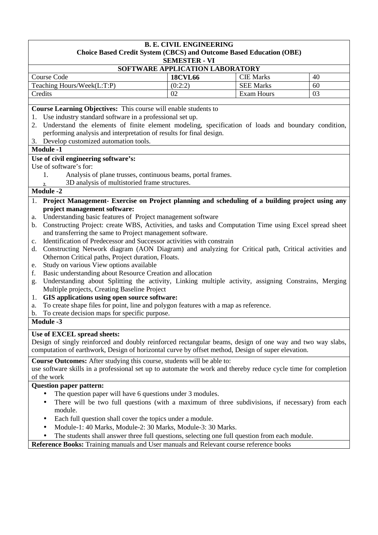# **B. E. CIVIL ENGINEERING Choice Based Credit System (CBCS) and Outcome Based Education (OBE) SEMESTER - VI SOFTWARE APPLICATION LABORATORY**  Course Code **18CVL66 CIE Marks** 40 Teaching Hours/Week(L:T:P)  $(0.2.2)$  SEE Marks 60

**Course Learning Objectives:** This course will enable students to

1. Use industry standard software in a professional set up.

2. Understand the elements of finite element modeling, specification of loads and boundary condition, performing analysis and interpretation of results for final design.

Credits 02 Exam Hours 03

3. Develop customized automation tools.

# **Module -1**

# **Use of civil engineering software's:**

Use of software's for:

- 1. Analysis of plane trusses, continuous beams, portal frames.
	- **2.** 3D analysis of multistoried frame structures.

# **Module -2**

- 1. **Project Management- Exercise on Project planning and scheduling of a building project using any project management software:**
- a. Understanding basic features of Project management software
- b. Constructing Project: create WBS, Activities, and tasks and Computation Time using Excel spread sheet and transferring the same to Project management software.
- c. Identification of Predecessor and Successor activities with constrain
- d. Constructing Network diagram (AON Diagram) and analyzing for Critical path, Critical activities and Othernon Critical paths, Project duration, Floats.
- e. Study on various View options available
- f. Basic understanding about Resource Creation and allocation
- g. Understanding about Splitting the activity, Linking multiple activity, assigning Constrains, Merging Multiple projects, Creating Baseline Project
- 1. **GIS applications using open source software:**
- a. To create shape files for point, line and polygon features with a map as reference.
- b. To create decision maps for specific purpose.

**Module -3**

# **Use of EXCEL spread sheets:**

Design of singly reinforced and doubly reinforced rectangular beams, design of one way and two way slabs, computation of earthwork, Design of horizontal curve by offset method, Design of super elevation.

**Course Outcomes:** After studying this course, students will be able to:

use software skills in a professional set up to automate the work and thereby reduce cycle time for completion of the work

# **Question paper pattern:**

- The question paper will have 6 questions under 3 modules.
- There will be two full questions (with a maximum of three subdivisions, if necessary) from each module.
- Each full question shall cover the topics under a module.
- Module-1: 40 Marks, Module-2: 30 Marks, Module-3: 30 Marks.
- The students shall answer three full questions, selecting one full question from each module.

**Reference Books:** Training manuals and User manuals and Relevant course reference books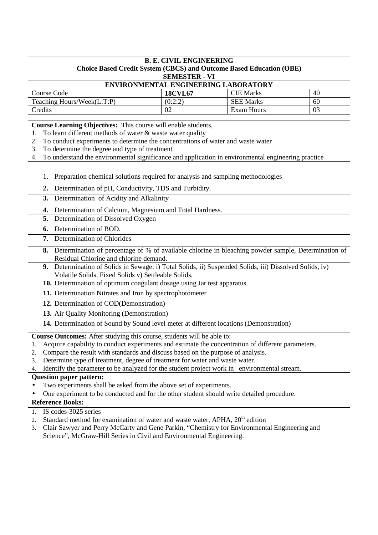|                                                                                                           | <b>B. E. CIVIL ENGINEERING</b> |                                                                            |    |
|-----------------------------------------------------------------------------------------------------------|--------------------------------|----------------------------------------------------------------------------|----|
|                                                                                                           |                                | <b>Choice Based Credit System (CBCS) and Outcome Based Education (OBE)</b> |    |
|                                                                                                           | <b>SEMESTER - VI</b>           |                                                                            |    |
|                                                                                                           |                                | ENVIRONMENTAL ENGINEERING LABORATORY                                       |    |
| Course Code                                                                                               | <b>18CVL67</b>                 | <b>CIE Marks</b>                                                           | 40 |
| Teaching Hours/Week(L:T:P)                                                                                | (0:2:2)                        | <b>SEE Marks</b>                                                           | 60 |
| Credits                                                                                                   | 02                             | Exam Hours                                                                 | 03 |
| Course Learning Objectives: This course will enable students,                                             |                                |                                                                            |    |
| To learn different methods of water & waste water quality<br>1.                                           |                                |                                                                            |    |
| To conduct experiments to determine the concentrations of water and waste water<br>2.                     |                                |                                                                            |    |
| To determine the degree and type of treatment<br>3.                                                       |                                |                                                                            |    |
| To understand the environmental significance and application in environmental engineering practice<br>4.  |                                |                                                                            |    |
|                                                                                                           |                                |                                                                            |    |
| Preparation chemical solutions required for analysis and sampling methodologies<br>1.                     |                                |                                                                            |    |
| Determination of pH, Conductivity, TDS and Turbidity.<br>2.                                               |                                |                                                                            |    |
| Determination of Acidity and Alkalinity<br>3.                                                             |                                |                                                                            |    |
| Determination of Calcium, Magnesium and Total Hardness.<br>4.                                             |                                |                                                                            |    |
| Determination of Dissolved Oxygen<br>5.                                                                   |                                |                                                                            |    |
| Determination of BOD.<br>6.                                                                               |                                |                                                                            |    |
| Determination of Chlorides<br>7.                                                                          |                                |                                                                            |    |
| Determination of percentage of % of available chlorine in bleaching powder sample, Determination of<br>8. |                                |                                                                            |    |
| Residual Chlorine and chlorine demand.                                                                    |                                |                                                                            |    |
| 9. Determination of Solids in Sewage: i) Total Solids, ii) Suspended Solids, iii) Dissolved Solids, iv)   |                                |                                                                            |    |
| Volatile Solids, Fixed Solids v) Settleable Solids.                                                       |                                |                                                                            |    |
| 10. Determination of optimum coagulant dosage using Jar test apparatus.                                   |                                |                                                                            |    |
| 11. Determination Nitrates and Iron by spectrophotometer                                                  |                                |                                                                            |    |
| 12. Determination of COD(Demonstration)                                                                   |                                |                                                                            |    |
| 13. Air Quality Monitoring (Demonstration)                                                                |                                |                                                                            |    |
| 14. Determination of Sound by Sound level meter at different locations (Demonstration)                    |                                |                                                                            |    |
| Course Outcomes: After studying this course, students will be able to:                                    |                                |                                                                            |    |
| Acquire capability to conduct experiments and estimate the concentration of different parameters.<br>1.   |                                |                                                                            |    |
| Compare the result with standards and discuss based on the purpose of analysis.<br>2.                     |                                |                                                                            |    |
| Determine type of treatment, degree of treatment for water and waste water.<br>3.                         |                                |                                                                            |    |
| Identify the parameter to be analyzed for the student project work in environmental stream.<br>4.         |                                |                                                                            |    |
| <b>Question paper pattern:</b>                                                                            |                                |                                                                            |    |
| Two experiments shall be asked from the above set of experiments.<br>$\bullet$                            |                                |                                                                            |    |
| One experiment to be conducted and for the other student should write detailed procedure.                 |                                |                                                                            |    |
| <b>Reference Books:</b>                                                                                   |                                |                                                                            |    |
| IS codes-3025 series<br>1.                                                                                |                                |                                                                            |    |
| Standard method for examination of water and waste water, APHA, 20 <sup>th</sup> edition<br>2.            |                                |                                                                            |    |
| Clair Sawyer and Perry McCarty and Gene Parkin, "Chemistry for Environmental Engineering and<br>3.        |                                |                                                                            |    |

Science", McGraw-Hill Series in Civil and Environmental Engineering.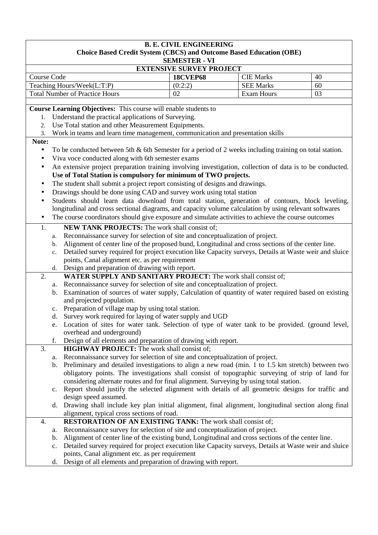| <b>B. E. CIVIL ENGINEERING</b><br><b>Choice Based Credit System (CBCS) and Outcome Based Education (OBE)</b>                                                                              |                                           |                   |    |  |  |  |  |
|-------------------------------------------------------------------------------------------------------------------------------------------------------------------------------------------|-------------------------------------------|-------------------|----|--|--|--|--|
|                                                                                                                                                                                           | <b>SEMESTER - VI</b>                      |                   |    |  |  |  |  |
| <b>EXTENSIVE SURVEY PROJECT</b>                                                                                                                                                           |                                           |                   |    |  |  |  |  |
| <b>Course Code</b>                                                                                                                                                                        | <b>18CVEP68</b><br><b>CIE Marks</b><br>40 |                   |    |  |  |  |  |
| Teaching Hours/Week(L:T:P)                                                                                                                                                                | (0:2:2)                                   | <b>SEE Marks</b>  | 60 |  |  |  |  |
| <b>Total Number of Practice Hours</b>                                                                                                                                                     | 02                                        | <b>Exam Hours</b> | 03 |  |  |  |  |
| Course Learning Objectives: This course will enable students to                                                                                                                           |                                           |                   |    |  |  |  |  |
| Understand the practical applications of Surveying.<br>1.                                                                                                                                 |                                           |                   |    |  |  |  |  |
| Use Total station and other Measurement Equipments.<br>2.                                                                                                                                 |                                           |                   |    |  |  |  |  |
| Work in teams and learn time management, communication and presentation skills<br>3.                                                                                                      |                                           |                   |    |  |  |  |  |
| Note:                                                                                                                                                                                     |                                           |                   |    |  |  |  |  |
| To be conducted between 5th & 6th Semester for a period of 2 weeks including training on total station.<br>$\bullet$                                                                      |                                           |                   |    |  |  |  |  |
| Viva voce conducted along with 6th semester exams<br>$\bullet$                                                                                                                            |                                           |                   |    |  |  |  |  |
|                                                                                                                                                                                           |                                           |                   |    |  |  |  |  |
| An extensive project preparation training involving investigation, collection of data is to be conducted.<br>$\bullet$<br>Use of Total Station is compulsory for minimum of TWO projects. |                                           |                   |    |  |  |  |  |
|                                                                                                                                                                                           |                                           |                   |    |  |  |  |  |
| The student shall submit a project report consisting of designs and drawings.                                                                                                             |                                           |                   |    |  |  |  |  |
| Drawings should be done using CAD and survey work using total station<br>٠                                                                                                                |                                           |                   |    |  |  |  |  |
| Students should learn data download from total station, generation of contours, block leveling,                                                                                           |                                           |                   |    |  |  |  |  |
| longitudinal and cross sectional diagrams, and capacity volume calculation by using relevant softwares                                                                                    |                                           |                   |    |  |  |  |  |
| The course coordinators should give exposure and simulate activities to achieve the course outcomes                                                                                       |                                           |                   |    |  |  |  |  |
| NEW TANK PROJECTS: The work shall consist of;<br>1.                                                                                                                                       |                                           |                   |    |  |  |  |  |
| Reconnaissance survey for selection of site and conceptualization of project.<br>a.                                                                                                       |                                           |                   |    |  |  |  |  |
| Alignment of center line of the proposed bund, Longitudinal and cross sections of the center line.<br>b.                                                                                  |                                           |                   |    |  |  |  |  |
| Detailed survey required for project execution like Capacity surveys, Details at Waste weir and sluice<br>c.                                                                              |                                           |                   |    |  |  |  |  |
| points, Canal alignment etc. as per requirement                                                                                                                                           |                                           |                   |    |  |  |  |  |
| Design and preparation of drawing with report.<br>d.                                                                                                                                      |                                           |                   |    |  |  |  |  |
| WATER SUPPLY AND SANITARY PROJECT: The work shall consist of;<br>2.                                                                                                                       |                                           |                   |    |  |  |  |  |
| Reconnaissance survey for selection of site and conceptualization of project.<br>a.                                                                                                       |                                           |                   |    |  |  |  |  |
| Examination of sources of water supply, Calculation of quantity of water required based on existing<br>b.                                                                                 |                                           |                   |    |  |  |  |  |
| and projected population.                                                                                                                                                                 |                                           |                   |    |  |  |  |  |
| Preparation of village map by using total station.<br>$\mathbf{c}$ .                                                                                                                      |                                           |                   |    |  |  |  |  |
| Survey work required for laying of water supply and UGD<br>d.                                                                                                                             |                                           |                   |    |  |  |  |  |
| Location of sites for water tank. Selection of type of water tank to be provided. (ground level,<br>e.                                                                                    |                                           |                   |    |  |  |  |  |
| overhead and underground)                                                                                                                                                                 |                                           |                   |    |  |  |  |  |
| f.<br>Design of all elements and preparation of drawing with report.                                                                                                                      |                                           |                   |    |  |  |  |  |
| 3.<br><b>HIGHWAY PROJECT:</b> The work shall consist of;                                                                                                                                  |                                           |                   |    |  |  |  |  |
| Reconnaissance survey for selection of site and conceptualization of project.<br>a.                                                                                                       |                                           |                   |    |  |  |  |  |
| Preliminary and detailed investigations to align a new road (min. 1 to 1.5 km stretch) between two<br>b.                                                                                  |                                           |                   |    |  |  |  |  |
| obligatory points. The investigations shall consist of topographic surveying of strip of land for                                                                                         |                                           |                   |    |  |  |  |  |
| considering alternate routes and for final alignment. Surveying by using total station.                                                                                                   |                                           |                   |    |  |  |  |  |
| Report should justify the selected alignment with details of all geometric designs for traffic and<br>c.                                                                                  |                                           |                   |    |  |  |  |  |
| design speed assumed.                                                                                                                                                                     |                                           |                   |    |  |  |  |  |
| Drawing shall include key plan initial alignment, final alignment, longitudinal section along final<br>d.                                                                                 |                                           |                   |    |  |  |  |  |
| alignment, typical cross sections of road.                                                                                                                                                |                                           |                   |    |  |  |  |  |
| <b>RESTORATION OF AN EXISTING TANK: The work shall consist of;</b><br>4.                                                                                                                  |                                           |                   |    |  |  |  |  |
| Reconnaissance survey for selection of site and conceptualization of project.<br>a.                                                                                                       |                                           |                   |    |  |  |  |  |
| Alignment of center line of the existing bund, Longitudinal and cross sections of the center line.<br>b.                                                                                  |                                           |                   |    |  |  |  |  |
| Detailed survey required for project execution like Capacity surveys, Details at Waste weir and sluice<br>c.                                                                              |                                           |                   |    |  |  |  |  |
| points, Canal alignment etc. as per requirement                                                                                                                                           |                                           |                   |    |  |  |  |  |
| Design of all elements and preparation of drawing with report.<br>d.                                                                                                                      |                                           |                   |    |  |  |  |  |
|                                                                                                                                                                                           |                                           |                   |    |  |  |  |  |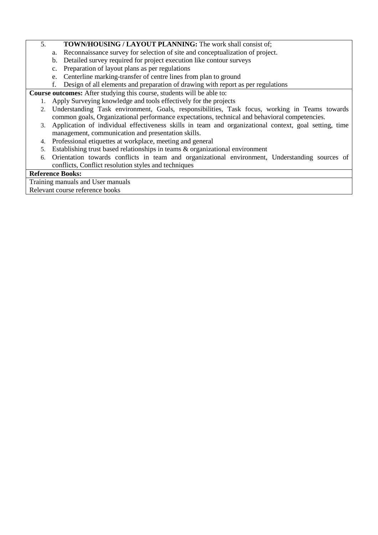# 5. **TOWN/HOUSING / LAYOUT PLANNING:** The work shall consist of;

- a. Reconnaissance survey for selection of site and conceptualization of project.
- b. Detailed survey required for project execution like contour surveys
- c. Preparation of layout plans as per regulations
- e. Centerline marking-transfer of centre lines from plan to ground
- f. Design of all elements and preparation of drawing with report as per regulations

**Course outcomes:** After studying this course, students will be able to:

- 1. Apply Surveying knowledge and tools effectively for the projects
- 2. Understanding Task environment, Goals, responsibilities, Task focus, working in Teams towards common goals, Organizational performance expectations, technical and behavioral competencies.
- 3. Application of individual effectiveness skills in team and organizational context, goal setting, time management, communication and presentation skills.
- 4. Professional etiquettes at workplace, meeting and general
- 5. Establishing trust based relationships in teams & organizational environment
- 6. Orientation towards conflicts in team and organizational environment, Understanding sources of conflicts, Conflict resolution styles and techniques

# **Reference Books:**

Training manuals and User manuals Relevant course reference books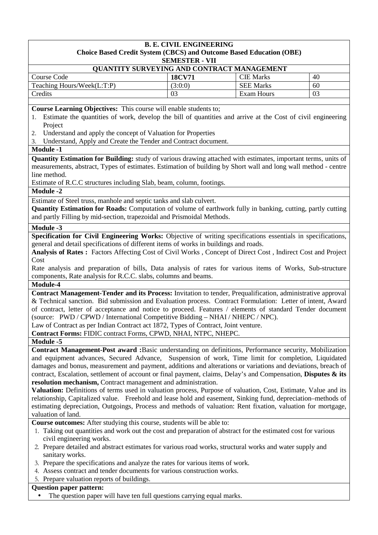#### **B. E. CIVIL ENGINEERING Choice Based Credit System (CBCS) and Outcome Based Education (OBE) SEMESTER - VII**

| SEMIESTER - VII                                   |               |                  |    |  |  |  |
|---------------------------------------------------|---------------|------------------|----|--|--|--|
| <b>QUANTITY SURVEYING AND CONTRACT MANAGEMENT</b> |               |                  |    |  |  |  |
| Course Code                                       | <b>18CV71</b> | <b>CIE</b> Marks | 40 |  |  |  |
| Teaching Hours/Week(L:T:P)                        | (3:0:0)       | <b>SEE Marks</b> | 60 |  |  |  |
| Credits                                           | 03            | Exam Hours       | 03 |  |  |  |

**Course Learning Objectives:** This course will enable students to;

- 1. Estimate the quantities of work, develop the bill of quantities and arrive at the Cost of civil engineering Project
- 2. Understand and apply the concept of Valuation for Properties
- 3. Understand, Apply and Create the Tender and Contract document.

# **Module -1**

**Quantity Estimation for Building:** study of various drawing attached with estimates, important terms, units of measurements, abstract, Types of estimates. Estimation of building by Short wall and long wall method - centre line method.

Estimate of R.C.C structures including Slab, beam, column, footings.

# **Module -2**

Estimate of Steel truss, manhole and septic tanks and slab culvert.

**Quantity Estimation for Roads:** Computation of volume of earthwork fully in banking, cutting, partly cutting and partly Filling by mid-section, trapezoidal and Prismoidal Methods.

#### **Module -3**

**Specification for Civil Engineering Works:** Objective of writing specifications essentials in specifications, general and detail specifications of different items of works in buildings and roads.

**Analysis of Rates :** Factors Affecting Cost of Civil Works , Concept of Direct Cost , Indirect Cost and Project Cost

Rate analysis and preparation of bills, Data analysis of rates for various items of Works, Sub-structure components, Rate analysis for R.C.C. slabs, columns and beams.

# **Module-4**

**Contract Management-Tender and its Process:** Invitation to tender, Prequalification, administrative approval & Technical sanction. Bid submission and Evaluation process. Contract Formulation: Letter of intent, Award of contract, letter of acceptance and notice to proceed. Features / elements of standard Tender document (source: PWD / CPWD / International Competitive Bidding – NHAI / NHEPC / NPC).

Law of Contract as per Indian Contract act 1872, Types of Contract, Joint venture.

**Contract Forms:** FIDIC contract Forms, CPWD, NHAI, NTPC, NHEPC.

# **Module -5**

**Contract Management-Post award :**Basic understanding on definitions, Performance security, Mobilization and equipment advances, Secured Advance, Suspension of work, Time limit for completion, Liquidated damages and bonus, measurement and payment, additions and alterations or variations and deviations, breach of contract, Escalation, settlement of account or final payment, claims, Delay's and Compensation, **Disputes & its resolution mechanism,** Contract management and administration.

**Valuation:** Definitions of terms used in valuation process, Purpose of valuation, Cost, Estimate, Value and its relationship, Capitalized value. Freehold and lease hold and easement, Sinking fund, depreciation–methods of estimating depreciation, Outgoings, Process and methods of valuation: Rent fixation, valuation for mortgage, valuation of land.

**Course outcomes:** After studying this course, students will be able to:

- 1. Taking out quantities and work out the cost and preparation of abstract for the estimated cost for various civil engineering works.
- 2. Prepare detailed and abstract estimates for various road works, structural works and water supply and sanitary works.
- 3. Prepare the specifications and analyze the rates for various items of work.
- 4. Assess contract and tender documents for various construction works.
- 5. Prepare valuation reports of buildings.

#### **Question paper pattern:**

• The question paper will have ten full questions carrying equal marks.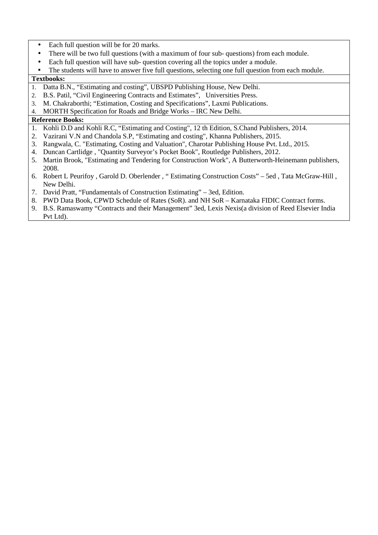- Each full question will be for 20 marks.
- There will be two full questions (with a maximum of four sub-questions) from each module.
- Each full question will have sub-question covering all the topics under a module.
- The students will have to answer five full questions, selecting one full question from each module.

# **Textbooks:**

- 1. Datta B.N., "Estimating and costing", UBSPD Publishing House, New Delhi.
- 2. B.S. Patil, "Civil Engineering Contracts and Estimates", Universities Press.
- 3. M. Chakraborthi; "Estimation, Costing and Specifications", Laxmi Publications.
- 4. MORTH Specification for Roads and Bridge Works IRC New Delhi.

- 1. Kohli D.D and Kohli R.C, "Estimating and Costing", 12 th Edition, S.Chand Publishers, 2014.
- 2. Vazirani V.N and Chandola S.P, "Estimating and costing", Khanna Publishers, 2015.
- 3. Rangwala, C. "Estimating, Costing and Valuation", Charotar Publishing House Pvt. Ltd., 2015.
- 4. Duncan Cartlidge , "Quantity Surveyor's Pocket Book", Routledge Publishers, 2012.
- 5. Martin Brook, "Estimating and Tendering for Construction Work", A Butterworth-Heinemann publishers, 2008.
- 6. Robert L Peurifoy , Garold D. Oberlender , " Estimating Construction Costs" 5ed , Tata McGraw-Hill , New Delhi.
- 7. David Pratt, "Fundamentals of Construction Estimating" 3ed, Edition.
- 8. PWD Data Book, CPWD Schedule of Rates (SoR). and NH SoR Karnataka FIDIC Contract forms.
- 9. B.S. Ramaswamy "Contracts and their Management" 3ed, Lexis Nexis(a division of Reed Elsevier India Pvt Ltd).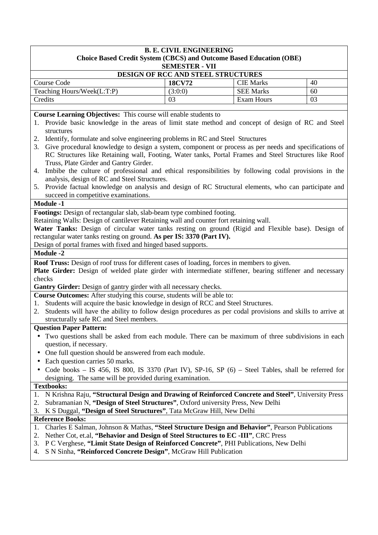| <b>B. E. CIVIL ENGINEERING</b><br><b>Choice Based Credit System (CBCS) and Outcome Based Education (OBE)</b> |               |                  |    |  |
|--------------------------------------------------------------------------------------------------------------|---------------|------------------|----|--|
| <b>SEMESTER - VII</b>                                                                                        |               |                  |    |  |
| DESIGN OF RCC AND STEEL STRUCTURES                                                                           |               |                  |    |  |
| Course Code                                                                                                  | <b>18CV72</b> | <b>CIE Marks</b> | 40 |  |
| Teaching Hours/Week(L:T:P)                                                                                   | (3:0:0)       | <b>SEE Marks</b> | 60 |  |
| Credits                                                                                                      | 03            | Exam Hours       | 03 |  |
|                                                                                                              |               |                  |    |  |

**Course Learning Objectives:** This course will enable students to

- 1. Provide basic knowledge in the areas of limit state method and concept of design of RC and Steel structures
- 2. Identify, formulate and solve engineering problems in RC and Steel Structures
- 3. Give procedural knowledge to design a system, component or process as per needs and specifications of RC Structures like Retaining wall, Footing, Water tanks, Portal Frames and Steel Structures like Roof Truss, Plate Girder and Gantry Girder.
- 4. Imbibe the culture of professional and ethical responsibilities by following codal provisions in the analysis, design of RC and Steel Structures.
- 5. Provide factual knowledge on analysis and design of RC Structural elements, who can participate and succeed in competitive examinations.

#### **Module -1**

**Footings:** Design of rectangular slab, slab-beam type combined footing.

Retaining Walls: Design of cantilever Retaining wall and counter fort retaining wall.

**Water Tanks:** Design of circular water tanks resting on ground (Rigid and Flexible base). Design of rectangular water tanks resting on ground. **As per IS: 3370 (Part IV).** 

Design of portal frames with fixed and hinged based supports.

# **Module -2**

**Roof Truss:** Design of roof truss for different cases of loading, forces in members to given.

**Plate Girder:** Design of welded plate girder with intermediate stiffener, bearing stiffener and necessary checks

**Gantry Girder:** Design of gantry girder with all necessary checks.

**Course Outcomes:** After studying this course, students will be able to:

- 1. Students will acquire the basic knowledge in design of RCC and Steel Structures.
- 2. Students will have the ability to follow design procedures as per codal provisions and skills to arrive at structurally safe RC and Steel members.

# **Question Paper Pattern:**

- Two questions shall be asked from each module. There can be maximum of three subdivisions in each question, if necessary.
- One full question should be answered from each module.
- Each question carries 50 marks.
- Code books IS 456, IS 800, IS 3370 (Part IV), SP-16, SP (6) Steel Tables, shall be referred for designing. The same will be provided during examination.

#### **Textbooks:**

- 1. N Krishna Raju, **"Structural Design and Drawing of Reinforced Concrete and Steel"**, University Press
- 2. Subramanian N, **"Design of Steel Structures"**, Oxford university Press, New Delhi
- 3. K S Duggal, **"Design of Steel Structures"**, Tata McGraw Hill, New Delhi

- 1. Charles E Salman, Johnson & Mathas, **"Steel Structure Design and Behavior"**, Pearson Publications
- 2. Nether Cot, et.al, **"Behavior and Design of Steel Structures to EC -III"**, CRC Press
- 3. P C Verghese, **"Limit State Design of Reinforced Concrete"**, PHI Publications, New Delhi
- 4. S N Sinha, **"Reinforced Concrete Design"**, McGraw Hill Publication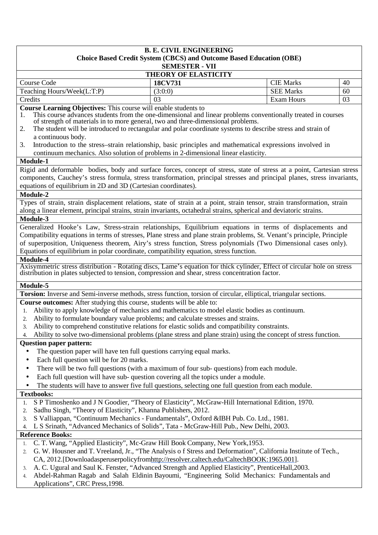|                                                                                                                                                                                                                                                 | <b>B. E. CIVIL ENGINEERING</b> | <b>Choice Based Credit System (CBCS) and Outcome Based Education (OBE)</b> |    |
|-------------------------------------------------------------------------------------------------------------------------------------------------------------------------------------------------------------------------------------------------|--------------------------------|----------------------------------------------------------------------------|----|
|                                                                                                                                                                                                                                                 | <b>SEMESTER - VII</b>          |                                                                            |    |
|                                                                                                                                                                                                                                                 | <b>THEORY OF ELASTICITY</b>    |                                                                            |    |
| Course Code                                                                                                                                                                                                                                     | 18CV731                        | <b>CIE Marks</b>                                                           | 40 |
| Teaching Hours/Week(L:T:P)                                                                                                                                                                                                                      | (3:0:0)                        | <b>SEE Marks</b>                                                           | 60 |
| Credits                                                                                                                                                                                                                                         | 03                             | Exam Hours                                                                 | 03 |
| Course Learning Objectives: This course will enable students to                                                                                                                                                                                 |                                |                                                                            |    |
| This course advances students from the one-dimensional and linear problems conventionally treated in courses<br>1.<br>of strength of materials in to more general, two and three-dimensional problems.                                          |                                |                                                                            |    |
| The student will be introduced to rectangular and polar coordinate systems to describe stress and strain of<br>2.                                                                                                                               |                                |                                                                            |    |
| a continuous body.                                                                                                                                                                                                                              |                                |                                                                            |    |
| Introduction to the stress-strain relationship, basic principles and mathematical expressions involved in<br>3.                                                                                                                                 |                                |                                                                            |    |
| continuum mechanics. Also solution of problems in 2-dimensional linear elasticity.                                                                                                                                                              |                                |                                                                            |    |
| Module-1                                                                                                                                                                                                                                        |                                |                                                                            |    |
| Rigid and deformable bodies, body and surface forces, concept of stress, state of stress at a point, Cartesian stress                                                                                                                           |                                |                                                                            |    |
| components, Cauchey's stress formula, stress transformation, principal stresses and principal planes, stress invariants,                                                                                                                        |                                |                                                                            |    |
| equations of equilibrium in 2D and 3D (Cartesian coordinates).                                                                                                                                                                                  |                                |                                                                            |    |
| Module-2                                                                                                                                                                                                                                        |                                |                                                                            |    |
| Types of strain, strain displacement relations, state of strain at a point, strain tensor, strain transformation, strain<br>along a linear element, principal strains, strain invariants, octahedral strains, spherical and deviatoric strains. |                                |                                                                            |    |
| Module-3                                                                                                                                                                                                                                        |                                |                                                                            |    |
| Generalized Hooke's Law, Stress-strain relationships, Equilibrium equations in terms of displacements and                                                                                                                                       |                                |                                                                            |    |
| Compatibility equations in terms of stresses, Plane stress and plane strain problems, St. Venant's principle, Principle                                                                                                                         |                                |                                                                            |    |
| of superposition, Uniqueness theorem, Airy's stress function, Stress polynomials (Two Dimensional cases only).                                                                                                                                  |                                |                                                                            |    |
| Equations of equilibrium in polar coordinate, compatibility equation, stress function.                                                                                                                                                          |                                |                                                                            |    |
| Module-4                                                                                                                                                                                                                                        |                                |                                                                            |    |
| Axisymmetric stress distribution - Rotating discs, Lame's equation for thick cylinder, Effect of circular hole on stress<br>distribution in plates subjected to tension, compression and shear, stress concentration factor.                    |                                |                                                                            |    |
|                                                                                                                                                                                                                                                 |                                |                                                                            |    |
| Module-5                                                                                                                                                                                                                                        |                                |                                                                            |    |
| Torsion: Inverse and Semi-inverse methods, stress function, torsion of circular, elliptical, triangular sections.                                                                                                                               |                                |                                                                            |    |
| Course outcomes: After studying this course, students will be able to:                                                                                                                                                                          |                                |                                                                            |    |
| Ability to apply knowledge of mechanics and mathematics to model elastic bodies as continuum.<br>1.<br>Ability to formulate boundary value problems; and calculate stresses and strains.<br>2.                                                  |                                |                                                                            |    |
| 3. Ability to comprehend constitutive relations for elastic solids and compatibility constraints.                                                                                                                                               |                                |                                                                            |    |
| Ability to solve two-dimensional problems (plane stress and plane strain) using the concept of stress function.<br>4.                                                                                                                           |                                |                                                                            |    |
| <b>Question paper pattern:</b>                                                                                                                                                                                                                  |                                |                                                                            |    |
| The question paper will have ten full questions carrying equal marks.                                                                                                                                                                           |                                |                                                                            |    |
| Each full question will be for 20 marks.                                                                                                                                                                                                        |                                |                                                                            |    |
| There will be two full questions (with a maximum of four sub- questions) from each module.                                                                                                                                                      |                                |                                                                            |    |
| Each full question will have sub-question covering all the topics under a module.<br>$\bullet$                                                                                                                                                  |                                |                                                                            |    |
| The students will have to answer five full questions, selecting one full question from each module.<br>$\bullet$                                                                                                                                |                                |                                                                            |    |
| <b>Textbooks:</b>                                                                                                                                                                                                                               |                                |                                                                            |    |
| S P Timoshenko and J N Goodier, "Theory of Elasticity", McGraw-Hill International Edition, 1970.<br>1.                                                                                                                                          |                                |                                                                            |    |
| Sadhu Singh, "Theory of Elasticity", Khanna Publishers, 2012.<br>2.                                                                                                                                                                             |                                |                                                                            |    |
| S Valliappan, "Continuum Mechanics - Fundamentals", Oxford &IBH Pub. Co. Ltd., 1981.<br>3.                                                                                                                                                      |                                |                                                                            |    |
| L S Srinath, "Advanced Mechanics of Solids", Tata - McGraw-Hill Pub., New Delhi, 2003.<br>4.<br><b>Reference Books:</b>                                                                                                                         |                                |                                                                            |    |
| C. T. Wang, "Applied Elasticity", Mc-Graw Hill Book Company, New York, 1953.<br>1.                                                                                                                                                              |                                |                                                                            |    |
| G. W. Housner and T. Vreeland, Jr., "The Analysis of Stress and Deformation", California Institute of Tech.,<br>2.                                                                                                                              |                                |                                                                            |    |
| CA, 2012.[Downloadasperuserpolicyfromhttp://resolver.caltech.edu/CaltechBOOK:1965.001].                                                                                                                                                         |                                |                                                                            |    |
| A. C. Ugural and Saul K. Fenster, "Advanced Strength and Applied Elasticity", PrenticeHall, 2003.<br>3.                                                                                                                                         |                                |                                                                            |    |
| Abdel-Rahman Ragab and Salah Eldinin Bayoumi, "Engineering Solid Mechanics: Fundamentals and<br>4.                                                                                                                                              |                                |                                                                            |    |
| Applications", CRC Press, 1998.                                                                                                                                                                                                                 |                                |                                                                            |    |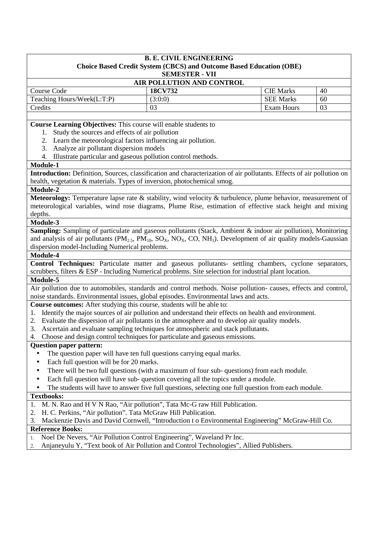|                                                                                                                                         | <b>B. E. CIVIL ENGINEERING</b> |                                                                            |    |  |  |  |
|-----------------------------------------------------------------------------------------------------------------------------------------|--------------------------------|----------------------------------------------------------------------------|----|--|--|--|
|                                                                                                                                         |                                | <b>Choice Based Credit System (CBCS) and Outcome Based Education (OBE)</b> |    |  |  |  |
|                                                                                                                                         | <b>SEMESTER - VII</b>          |                                                                            |    |  |  |  |
|                                                                                                                                         | AIR POLLUTION AND CONTROL      |                                                                            | 40 |  |  |  |
| Course Code<br>18CV732<br><b>CIE Marks</b>                                                                                              |                                |                                                                            |    |  |  |  |
| Teaching Hours/Week(L:T:P)                                                                                                              | (3:0:0)                        | <b>SEE Marks</b>                                                           | 60 |  |  |  |
| Credits                                                                                                                                 | 03                             | <b>Exam Hours</b>                                                          | 03 |  |  |  |
|                                                                                                                                         |                                |                                                                            |    |  |  |  |
| Course Learning Objectives: This course will enable students to                                                                         |                                |                                                                            |    |  |  |  |
| Study the sources and effects of air pollution<br>1.                                                                                    |                                |                                                                            |    |  |  |  |
| 2. Learn the meteorological factors influencing air pollution.                                                                          |                                |                                                                            |    |  |  |  |
| Analyze air pollutant dispersion models<br>3.                                                                                           |                                |                                                                            |    |  |  |  |
| Illustrate particular and gaseous pollution control methods.<br>4.                                                                      |                                |                                                                            |    |  |  |  |
| Module-1                                                                                                                                |                                |                                                                            |    |  |  |  |
| Introduction: Definition, Sources, classification and characterization of air pollutants. Effects of air pollution on                   |                                |                                                                            |    |  |  |  |
| health, vegetation & materials. Types of inversion, photochemical smog.                                                                 |                                |                                                                            |    |  |  |  |
| Module-2                                                                                                                                |                                |                                                                            |    |  |  |  |
| Meteorology: Temperature lapse rate & stability, wind velocity & turbulence, plume behavior, measurement of                             |                                |                                                                            |    |  |  |  |
| meteorological variables, wind rose diagrams, Plume Rise, estimation of effective stack height and mixing                               |                                |                                                                            |    |  |  |  |
| depths.                                                                                                                                 |                                |                                                                            |    |  |  |  |
| Module-3                                                                                                                                |                                |                                                                            |    |  |  |  |
| Sampling: Sampling of particulate and gaseous pollutants (Stack, Ambient & indoor air pollution), Monitoring                            |                                |                                                                            |    |  |  |  |
| and analysis of air pollutants ( $PM_{2.5}$ , $PM_{10}$ , $SO_X$ , $NO_X$ , $CO$ , $NH_3$ ). Development of air quality models-Gaussian |                                |                                                                            |    |  |  |  |
| dispersion model-Including Numerical problems.                                                                                          |                                |                                                                            |    |  |  |  |
| Module-4                                                                                                                                |                                |                                                                            |    |  |  |  |
| <b>Control Techniques:</b> Particulate matter and gaseous pollutants- settling chambers, cyclone separators,                            |                                |                                                                            |    |  |  |  |
| scrubbers, filters & ESP - Including Numerical problems. Site selection for industrial plant location.                                  |                                |                                                                            |    |  |  |  |
| Module-5                                                                                                                                |                                |                                                                            |    |  |  |  |
| Air pollution due to automobiles, standards and control methods. Noise pollution-causes, effects and control,                           |                                |                                                                            |    |  |  |  |
| noise standards. Environmental issues, global episodes. Environmental laws and acts.                                                    |                                |                                                                            |    |  |  |  |
| Course outcomes: After studying this course, students will be able to:                                                                  |                                |                                                                            |    |  |  |  |
| Identify the major sources of air pollution and understand their effects on health and environment.<br>1.                               |                                |                                                                            |    |  |  |  |
| Evaluate the dispersion of air pollutants in the atmosphere and to develop air quality models.<br>2.                                    |                                |                                                                            |    |  |  |  |
| Ascertain and evaluate sampling techniques for atmospheric and stack pollutants.<br>3.                                                  |                                |                                                                            |    |  |  |  |
| 4. Choose and design control techniques for particulate and gaseous emissions.                                                          |                                |                                                                            |    |  |  |  |

#### **Question paper pattern:**

- The question paper will have ten full questions carrying equal marks.
- Each full question will be for 20 marks.
- There will be two full questions (with a maximum of four sub- questions) from each module.
- Each full question will have sub-question covering all the topics under a module.
- The students will have to answer five full questions, selecting one full question from each module.

#### **Textbooks:**

- 1. M. N. Rao and H V N Rao, "Air pollution", Tata Mc-G raw Hill Publication.
- 2. H. C. Perkins, "Air pollution". Tata McGraw Hill Publication.
- 3. Mackenzie Davis and David Cornwell, "Introduction t o Environmental Engineering" McGraw-Hill Co.

- 1. Noel De Nevers, "Air Pollution Control Engineering", Waveland Pr Inc.
- 2. Anjaneyulu Y, "Text book of Air Pollution and Control Technologies", Allied Publishers.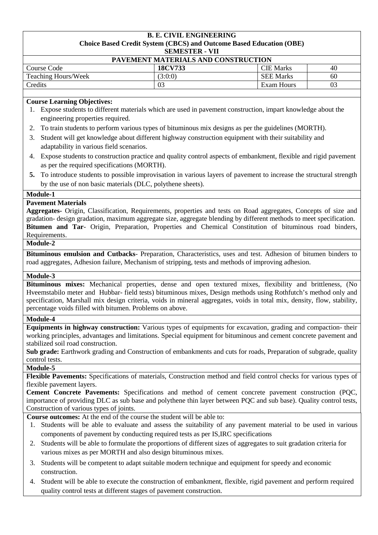#### **B. E. CIVIL ENGINEERING Choice Based Credit System (CBCS) and Outcome Based Education (OBE) SEMESTER - VII**

| P <sub>1</sub><br>.                              |         |                  |    |  |  |  |
|--------------------------------------------------|---------|------------------|----|--|--|--|
| PAVEMENT MATERIALS AND CONSTRUCTION              |         |                  |    |  |  |  |
| <b>CIE</b> Marks<br>Course Code<br>18CV733<br>40 |         |                  |    |  |  |  |
| <b>Teaching Hours/Week</b>                       | (3:0:0) | <b>SEE Marks</b> | 60 |  |  |  |
| Credits                                          | 03      | Exam Hours       |    |  |  |  |

# **Course Learning Objectives:**

- 1. Expose students to different materials which are used in pavement construction, impart knowledge about the engineering properties required.
- 2. To train students to perform various types of bituminous mix designs as per the guidelines (MORTH).
- 3. Student will get knowledge about different highway construction equipment with their suitability and adaptability in various field scenarios.
- 4. Expose students to construction practice and quality control aspects of embankment, flexible and rigid pavement as per the required specifications (MORTH).
- **5.** To introduce students to possible improvisation in various layers of pavement to increase the structural strength by the use of non basic materials (DLC, polythene sheets).

# **Module-1**

# **Pavement Materials**

**Aggregates-** Origin, Classification, Requirements, properties and tests on Road aggregates, Concepts of size and gradation- design gradation, maximum aggregate size, aggregate blending by different methods to meet specification. **Bitumen and Tar**- Origin, Preparation, Properties and Chemical Constitution of bituminous road binders, Requirements.

# **Module-2**

**Bituminous emulsion and Cutbacks**- Preparation, Characteristics, uses and test. Adhesion of bitumen binders to road aggregates, Adhesion failure, Mechanism of stripping, tests and methods of improving adhesion.

#### **Module-3**

**Bituminous mixes:** Mechanical properties, dense and open textured mixes, flexibility and brittleness, (No Hveemstabilo meter and Hubbar- field tests) bituminous mixes, Design methods using Rothfutch's method only and specification, Marshall mix design criteria, voids in mineral aggregates, voids in total mix, density, flow, stability, percentage voids filled with bitumen. Problems on above.

#### **Module-4**

**Equipments in highway construction:** Various types of equipments for excavation, grading and compaction- their working principles, advantages and limitations. Special equipment for bituminous and cement concrete pavement and stabilized soil road construction.

**Sub grade:** Earthwork grading and Construction of embankments and cuts for roads, Preparation of subgrade, quality control tests.

# **Module-5**

**Flexible Pavements:** Specifications of materials, Construction method and field control checks for various types of flexible pavement layers.

**Cement Concrete Pavements:** Specifications and method of cement concrete pavement construction (PQC, importance of providing DLC as sub base and polythene thin layer between PQC and sub base). Quality control tests, Construction of various types of joints.

**Course outcomes:** At the end of the course the student will be able to:

- 1. Students will be able to evaluate and assess the suitability of any pavement material to be used in various components of pavement by conducting required tests as per IS,IRC specifications
- 2. Students will be able to formulate the proportions of different sizes of aggregates to suit gradation criteria for various mixes as per MORTH and also design bituminous mixes.
- 3. Students will be competent to adapt suitable modern technique and equipment for speedy and economic construction.
- 4. Student will be able to execute the construction of embankment, flexible, rigid pavement and perform required quality control tests at different stages of pavement construction.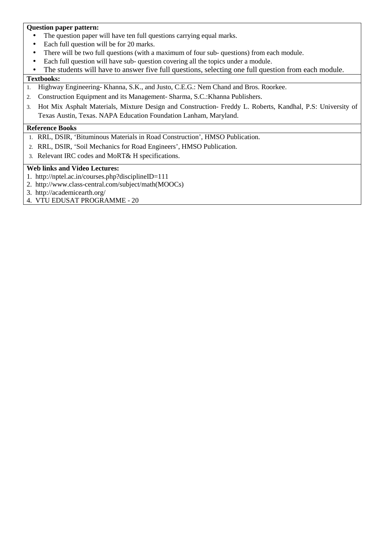# **Question paper pattern:**

- The question paper will have ten full questions carrying equal marks.
- Each full question will be for 20 marks.
- There will be two full questions (with a maximum of four sub- questions) from each module.
- Each full question will have sub- question covering all the topics under a module.
- The students will have to answer five full questions, selecting one full question from each module.

# **Textbooks:**

- 1. Highway Engineering- Khanna, S.K., and Justo, C.E.G.: Nem Chand and Bros. Roorkee.
- 2. Construction Equipment and its Management- Sharma, S.C.:Khanna Publishers.
- 3. Hot Mix Asphalt Materials, Mixture Design and Construction- Freddy L. Roberts, Kandhal, P.S: University of Texas Austin, Texas. NAPA Education Foundation Lanham, Maryland.

# **Reference Books**

- 1. RRL, DSIR, 'Bituminous Materials in Road Construction', HMSO Publication.
- 2. RRL, DSIR, 'Soil Mechanics for Road Engineers', HMSO Publication.
- 3. Relevant IRC codes and MoRT& H specifications.

# **Web links and Video Lectures:**

- 1. http://nptel.ac.in/courses.php?disciplineID=111
- 2. http://www.class-central.com/subject/math(MOOCs)
- 3. http://academicearth.org/
- 4. VTU EDUSAT PROGRAMME 20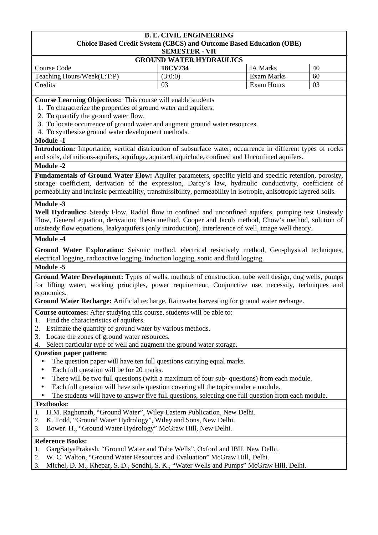#### **B. E. CIVIL ENGINEERING Choice Based Credit System (CBCS) and Outcome Based Education (OBE) SEMESTER - VII**

|  | <u> БЕЛІЕВІЕК - VII</u> |  |  |  |  |
|--|-------------------------|--|--|--|--|
|  |                         |  |  |  |  |

| <b>GROUND WATER HYDRAULICS</b> |         |                 |    |
|--------------------------------|---------|-----------------|----|
| Course Code                    | 18CV734 | <b>IA Marks</b> | 40 |
| Teaching Hours/Week(L:T:P)     | (3:0:0) | Exam Marks      | 60 |
| Credits                        |         | Exam Hours      | 03 |

**Course Learning Objectives:** This course will enable students

1. To characterize the properties of ground water and aquifers.

- 2. To quantify the ground water flow.
- 3. To locate occurrence of ground water and augment ground water resources.
- 4. To synthesize ground water development methods.

# **Module -1**

**Introduction:** Importance, vertical distribution of subsurface water, occurrence in different types of rocks and soils, definitions-aquifers, aquifuge, aquitard, aquiclude, confined and Unconfined aquifers.

# **Module -2**

**Fundamentals of Ground Water Flow:** Aquifer parameters, specific yield and specific retention, porosity, storage coefficient, derivation of the expression, Darcy's law, hydraulic conductivity, coefficient of permeability and intrinsic permeability, transmissibility, permeability in isotropic, anisotropic layered soils.

# **Module -3**

**Well Hydraulics:** Steady Flow, Radial flow in confined and unconfined aquifers, pumping test Unsteady Flow, General equation, derivation; thesis method, Cooper and Jacob method, Chow's method, solution of unsteady flow equations, leakyaquifers (only introduction), interference of well, image well theory.

# **Module -4**

**Ground Water Exploration:** Seismic method, electrical resistively method, Geo-physical techniques, electrical logging, radioactive logging, induction logging, sonic and fluid logging.

## **Module -5**

**Ground Water Development:** Types of wells, methods of construction, tube well design, dug wells, pumps for lifting water, working principles, power requirement, Conjunctive use, necessity, techniques and economics.

**Ground Water Recharge:** Artificial recharge, Rainwater harvesting for ground water recharge.

- **Course outcomes:** After studying this course, students will be able to:
- 1. Find the characteristics of aquifers.
- 2. Estimate the quantity of ground water by various methods.
- 3. Locate the zones of ground water resources.
- 4. Select particular type of well and augment the ground water storage.

#### **Question paper pattern:**

- The question paper will have ten full questions carrying equal marks.
- Each full question will be for 20 marks.
- There will be two full questions (with a maximum of four sub- questions) from each module.
- Each full question will have sub- question covering all the topics under a module.
- The students will have to answer five full questions, selecting one full question from each module.

# **Textbooks:**

- 1. H.M. Raghunath, "Ground Water", Wiley Eastern Publication, New Delhi.
- 2. K. Todd, "Ground Water Hydrology", Wiley and Sons, New Delhi.
- 3. Bower. H., "Ground Water Hydrology" McGraw Hill, New Delhi.

- 1. GargSatyaPrakash, "Ground Water and Tube Wells", Oxford and IBH, New Delhi.
- 2. W. C. Walton, "Ground Water Resources and Evaluation" McGraw Hill, Delhi.
- 3. Michel, D. M., Khepar, S. D., Sondhi, S. K., "Water Wells and Pumps" McGraw Hill, Delhi.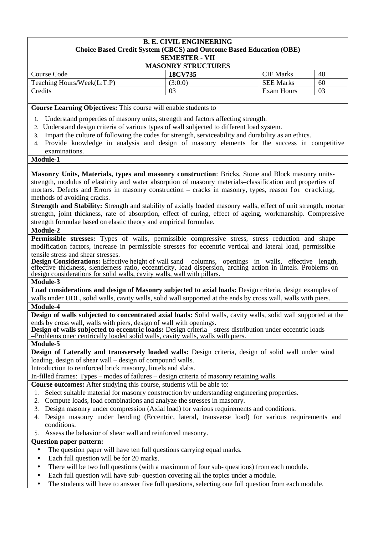#### **B. E. CIVIL ENGINEERING Choice Based Credit System (CBCS) and Outcome Based Education (OBE) SEMESTER - VII**

| <b>MASONRY STRUCTURES</b>  |         |                  |    |
|----------------------------|---------|------------------|----|
| Course Code                | 18CV735 | CIE Marks        | 40 |
| Teaching Hours/Week(L:T:P) | (3:0:0) | <b>SEE Marks</b> | 60 |
| Credits                    | 03      | Exam Hours       | 03 |

**Course Learning Objectives:** This course will enable students to

- 1. Understand properties of masonry units, strength and factors affecting strength.
- 2. Understand design criteria of various types of wall subjected to different load system.
- 3. Impart the culture of following the codes for strength, serviceability and durability as an ethics.
- 4. Provide knowledge in analysis and design of masonry elements for the success in competitive examinations.

# **Module-1**

**Masonry Units, Materials, types and masonry construction**: Bricks, Stone and Block masonry unitsstrength, modulus of elasticity and water absorption of masonry materials–classification and properties of mortars. Defects and Errors in masonry construction – cracks in masonry, types, reason for cracking, methods of avoiding cracks.

**Strength and Stability:** Strength and stability of axially loaded masonry walls, effect of unit strength, mortar strength, joint thickness, rate of absorption, effect of curing, effect of ageing, workmanship. Compressive strength formulae based on elastic theory and empirical formulae.

#### **Module-2**

**Permissible stresses:** Types of walls, permissible compressive stress, stress reduction and shape modification factors, increase in permissible stresses for eccentric vertical and lateral load, permissible tensile stress and shear stresses.

**Design Considerations:** Effective height of wall sand columns, openings in walls, effective length, effective thickness, slenderness ratio, eccentricity, load dispersion, arching action in lintels. Problems on design considerations for solid walls, cavity walls, wall with pillars.

#### **Module-3**

**Load considerations and design of Masonry subjected to axial loads:** Design criteria, design examples of walls under UDL, solid walls, cavity walls, solid wall supported at the ends by cross wall, walls with piers.

# **Module-4**

**Design of walls subjected to concentrated axial loads:** Solid walls, cavity walls, solid wall supported at the ends by cross wall, walls with piers, design of wall with openings.

**Design of walls subjected to eccentric loads:** Design criteria – stress distribution under eccentric loads –Problems onec centrically loaded solid walls, cavity walls, walls with piers.

#### **Module-5**

**Design of Laterally and transversely loaded walls:** Design criteria, design of solid wall under wind loading, design of shear wall – design of compound walls.

Introduction to reinforced brick masonry, lintels and slabs.

In-filled frames: Types – modes of failures – design criteria of masonry retaining walls.

**Course outcomes:** After studying this course, students will be able to:

- 1. Select suitable material for masonry construction by understanding engineering properties.
- 2. Compute loads, load combinations and analyze the stresses in masonry.
- 3. Design masonry under compression (Axial load) for various requirements and conditions.
- 4. Design masonry under bending (Eccentric, lateral, transverse load) for various requirements and conditions.
- 5. Assess the behavior of shear wall and reinforced masonry.

# **Question paper pattern:**

- The question paper will have ten full questions carrying equal marks.
- Each full question will be for 20 marks.
- There will be two full questions (with a maximum of four sub- questions) from each module.
- Each full question will have sub- question covering all the topics under a module.
- The students will have to answer five full questions, selecting one full question from each module.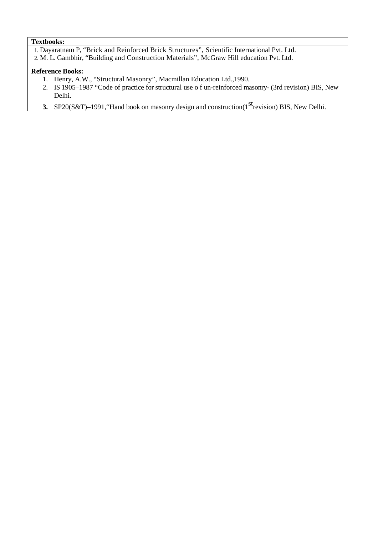# **Textbooks:**

- 1. Dayaratnam P, "Brick and Reinforced Brick Structures", Scientific International Pvt. Ltd.
- 2. M. L. Gambhir, "Building and Construction Materials", McGraw Hill education Pvt. Ltd.

- 1. Henry, A.W., "Structural Masonry", Macmillan Education Ltd.,1990.
- 2. IS 1905–1987 "Code of practice for structural use o f un-reinforced masonry- (3rd revision) BIS, New Delhi.
- **3.** SP20(S&T)–1991, "Hand book on masonry design and construction(1<sup>st</sup> revision) BIS, New Delhi.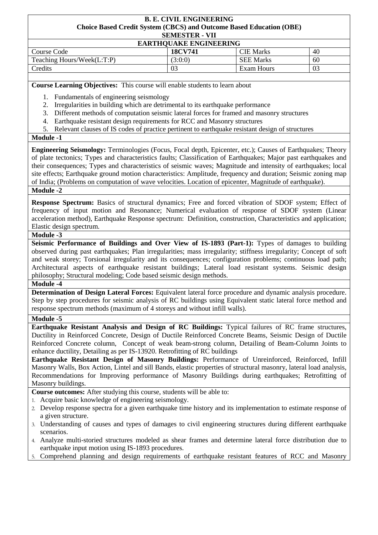#### **B. E. CIVIL ENGINEERING Choice Based Credit System (CBCS) and Outcome Based Education (OBE) SEMESTER - VII**

#### **EARTHQUAKE ENGINEERING**

| Course Code                | 18CV741 | CIE Marks        | 40 |
|----------------------------|---------|------------------|----|
| Teaching Hours/Week(L:T:P) | (3:0:0) | <b>SEE Marks</b> | 60 |
| Credits                    | 03      | Exam Hours       | 03 |

**Course Learning Objectives:** This course will enable students to learn about

- 1. Fundamentals of engineering seismology
- 2. Irregularities in building which are detrimental to its earthquake performance
- 3. Different methods of computation seismic lateral forces for framed and masonry structures
- 4. Earthquake resistant design requirements for RCC and Masonry structures
- 5. Relevant clauses of IS codes of practice pertinent to earthquake resistant design of structures

# **Module -1**

**Engineering Seismology:** Terminologies (Focus, Focal depth, Epicenter, etc.); Causes of Earthquakes; Theory of plate tectonics; Types and characteristics faults; Classification of Earthquakes; Major past earthquakes and their consequences; Types and characteristics of seismic waves; Magnitude and intensity of earthquakes; local site effects; Earthquake ground motion characteristics: Amplitude, frequency and duration; Seismic zoning map of India; (Problems on computation of wave velocities. Location of epicenter, Magnitude of earthquake). **Module -2** 

**Response Spectrum:** Basics of structural dynamics; Free and forced vibration of SDOF system; Effect of frequency of input motion and Resonance; Numerical evaluation of response of SDOF system (Linear acceleration method), Earthquake Response spectrum: Definition, construction, Characteristics and application; Elastic design spectrum.

# **Module -3**

**Seismic Performance of Buildings and Over View of IS-1893 (Part-1):** Types of damages to building observed during past earthquakes; Plan irregularities; mass irregularity; stiffness irregularity; Concept of soft and weak storey; Torsional irregularity and its consequences; configuration problems; continuous load path; Architectural aspects of earthquake resistant buildings; Lateral load resistant systems. Seismic design philosophy; Structural modeling; Code based seismic design methods.

#### **Module -4**

**Determination of Design Lateral Forces:** Equivalent lateral force procedure and dynamic analysis procedure. Step by step procedures for seismic analysis of RC buildings using Equivalent static lateral force method and response spectrum methods (maximum of 4 storeys and without infill walls).

# **Module -5**

**Earthquake Resistant Analysis and Design of RC Buildings:** Typical failures of RC frame structures, Ductility in Reinforced Concrete, Design of Ductile Reinforced Concrete Beams, Seismic Design of Ductile Reinforced Concrete column, Concept of weak beam-strong column, Detailing of Beam-Column Joints to enhance ductility, Detailing as per IS-13920. Retrofitting of RC buildings

**Earthquake Resistant Design of Masonry Buildings:** Performance of Unreinforced, Reinforced, Infill Masonry Walls, Box Action, Lintel and sill Bands, elastic properties of structural masonry, lateral load analysis, Recommendations for Improving performance of Masonry Buildings during earthquakes; Retrofitting of Masonry buildings.

**Course outcomes:** After studying this course, students will be able to:

- 1. Acquire basic knowledge of engineering seismology.
- 2. Develop response spectra for a given earthquake time history and its implementation to estimate response of a given structure.
- 3. Understanding of causes and types of damages to civil engineering structures during different earthquake scenarios.
- 4. Analyze multi-storied structures modeled as shear frames and determine lateral force distribution due to earthquake input motion using IS-1893 procedures.
- 5. Comprehend planning and design requirements of earthquake resistant features of RCC and Masonry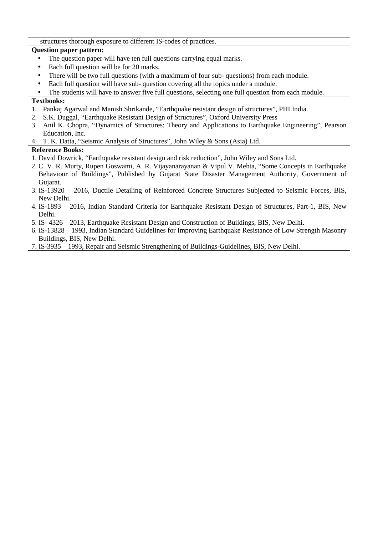structures thorough exposure to different IS-codes of practices.

# **Question paper pattern:**

- The question paper will have ten full questions carrying equal marks.
- Each full question will be for 20 marks.
- There will be two full questions (with a maximum of four sub- questions) from each module.
- Each full question will have sub- question covering all the topics under a module.
- The students will have to answer five full questions, selecting one full question from each module.

# **Textbooks:**

- 1. Pankaj Agarwal and Manish Shrikande, "Earthquake resistant design of structures", PHI India.
- 2. S.K. Duggal, "Earthquake Resistant Design of Structures", Oxford University Press
- 3. Anil K. Chopra, "Dynamics of Structures: Theory and Applications to Earthquake Engineering", Pearson Education, Inc.
- 4. T. K. Datta, "Seismic Analysis of Structures", John Wiley & Sons (Asia) Ltd.

- 1. David Dowrick, "Earthquake resistant design and risk reduction", John Wiley and Sons Ltd.
- 2. C. V. R. Murty, Rupen Goswami, A. R. Vijayanarayanan & Vipul V. Mehta, "Some Concepts in Earthquake Behaviour of Buildings", Published by Gujarat State Disaster Management Authority, Government of Gujarat.
- 3. IS-13920 2016, Ductile Detailing of Reinforced Concrete Structures Subjected to Seismic Forces, BIS, New Delhi.
- 4. IS-1893 2016, Indian Standard Criteria for Earthquake Resistant Design of Structures, Part-1, BIS, New Delhi.
- 5. IS- 4326 2013, Earthquake Resistant Design and Construction of Buildings, BIS, New Delhi.
- 6. IS-13828 1993, Indian Standard Guidelines for Improving Earthquake Resistance of Low Strength Masonry Buildings, BIS, New Delhi.
- 7. IS-3935 1993, Repair and Seismic Strengthening of Buildings-Guidelines, BIS, New Delhi.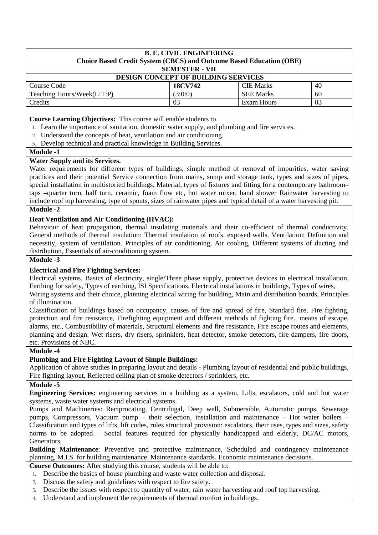| <b>B. E. CIVIL ENGINEERING</b><br>Choice Based Credit System (CBCS) and Outcome Based Education (OBE) |                       |                  |    |
|-------------------------------------------------------------------------------------------------------|-----------------------|------------------|----|
|                                                                                                       | <b>SEMESTER - VII</b> |                  |    |
| <b>DESIGN CONCEPT OF BUILDING SERVICES</b>                                                            |                       |                  |    |
| Course Code                                                                                           | <b>18CV742</b>        | <b>CIE Marks</b> | 40 |
| Teaching Hours/Week(L:T:P)                                                                            | (3:0:0)               | <b>SEE Marks</b> | 60 |
| Credits                                                                                               | 03                    | Exam Hours       | 03 |
|                                                                                                       |                       |                  |    |

**Course Learning Objectives:** This course will enable students to

- 1. Learn the importance of sanitation, domestic water supply, and plumbing and fire services.
- 2. Understand the concepts of heat, ventilation and air conditioning.
- 3. Develop technical and practical knowledge in Building Services.

#### **Module -1**

#### **Water Supply and its Services.**

Water requirements for different types of buildings, simple method of removal of impurities, water saving practices and their potential Service connection from mains, sump and storage tank, types and sizes of pipes, special installation in multistoried buildings. Material, types of fixtures and fitting for a contemporary bathroom– taps –quarter turn, half turn, ceramic, foam flow etc, hot water mixer, hand shower Rainwater harvesting to include roof top harvesting, type of spouts, sizes of rainwater pipes and typical detail of a water harvesting pit.

#### **Module -2**

#### **Heat Ventilation and Air Conditioning (HVAC):**

Behaviour of heat propagation, thermal insulating materials and their co-efficient of thermal conductivity. General methods of thermal insulation: Thermal insulation of roofs, exposed walls. Ventilation: Definition and necessity, system of ventilation. Principles of air conditioning, Air cooling, Different systems of ducting and distribution, Essentials of air-conditioning system.

#### **Module -3**

# **Electrical and Fire Fighting Services:**

Electrical systems, Basics of electricity, single/Three phase supply, protective devices in electrical installation, Earthing for safety, Types of earthing, ISI Specifications. Electrical installations in buildings, Types of wires, Wiring systems and their choice, planning electrical wiring for building, Main and distribution boards, Principles of illumination.

Classification of buildings based on occupancy, causes of fire and spread of fire, Standard fire, Fire fighting, protection and fire resistance, Firefighting equipment and different methods of fighting fire., means of escape, alarms, etc., Combustibility of materials, Structural elements and fire resistance, Fire escape routes and elements, planning and design. Wet risers, dry risers, sprinklers, heat detector, smoke detectors, fire dampers, fire doors, etc. Provisions of NBC.

#### **Module -4**

# **Plumbing and Fire Fighting Layout of Simple Buildings:**

Application of above studies in preparing layout and details - Plumbing layout of residential and public buildings, Fire fighting layout, Reflected ceiling plan of smoke detectors / sprinklers, etc.

#### **Module -5**

**Engineering Services:** engineering services in a building as a system, Lifts, escalators, cold and hot water systems, waste water systems and electrical systems.

Pumps and Machineries: Reciprocating, Centrifugal, Deep well, Submersible, Automatic pumps, Sewerage pumps, Compressors, Vacuum pump – their selection, installation and maintenance – Hot water boilers – Classification and types of lifts, lift codes, rules structural provision: escalators, their uses, types and sizes, safety norms to be adopted – Social features required for physically handicapped and elderly, DC/AC motors, Generators,

**Building Maintenance**: Preventive and protective maintenance, Scheduled and contingency maintenance planning, M.I.S. for building maintenance. Maintenance standards. Economic maintenance decisions.

**Course Outcomes:** After studying this course, students will be able to:

- 1. Describe the basics of house plumbing and waste water collection and disposal.
- 2. Discuss the safety and guidelines with respect to fire safety.
- 3. Describe the issues with respect to quantity of water, rain water harvesting and roof top harvesting.
- 4. Understand and implement the requirements of thermal comfort in buildings.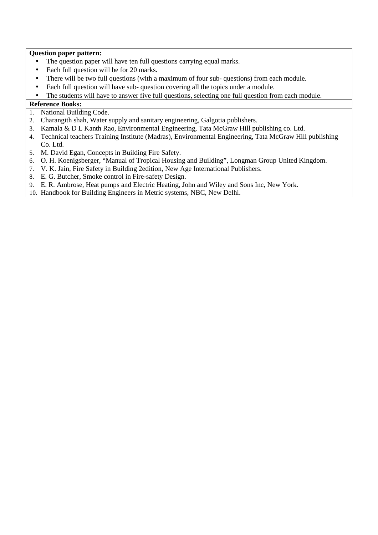# **Question paper pattern:**

- The question paper will have ten full questions carrying equal marks.
- Each full question will be for 20 marks.
- There will be two full questions (with a maximum of four sub- questions) from each module.
- Each full question will have sub-question covering all the topics under a module.
- The students will have to answer five full questions, selecting one full question from each module.

- 1. National Building Code.
- 2. Charangith shah, Water supply and sanitary engineering, Galgotia publishers.
- 3. Kamala & D L Kanth Rao, Environmental Engineering, Tata McGraw Hill publishing co. Ltd.
- 4. Technical teachers Training Institute (Madras), Environmental Engineering, Tata McGraw Hill publishing Co. Ltd.
- 5. M. David Egan, Concepts in Building Fire Safety.
- 6. O. H. Koenigsberger, "Manual of Tropical Housing and Building", Longman Group United Kingdom.
- 7. V. K. Jain, Fire Safety in Building 2edition, New Age International Publishers.
- 8. E. G. Butcher, Smoke control in Fire-safety Design.
- 9. E. R. Ambrose, Heat pumps and Electric Heating, John and Wiley and Sons Inc, New York.
- 10. Handbook for Building Engineers in Metric systems, NBC, New Delhi.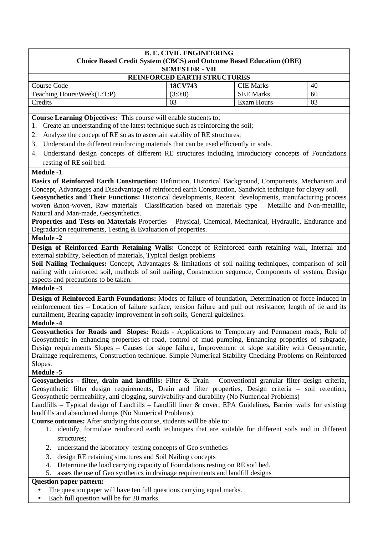| <b>B. E. CIVIL ENGINEERING</b>                                             |                       |                  |    |
|----------------------------------------------------------------------------|-----------------------|------------------|----|
| <b>Choice Based Credit System (CBCS) and Outcome Based Education (OBE)</b> |                       |                  |    |
|                                                                            | <b>SEMESTER - VII</b> |                  |    |
| <b>REINFORCED EARTH STRUCTURES</b>                                         |                       |                  |    |
| Course Code                                                                | <b>18CV743</b>        | <b>CIE</b> Marks | 40 |
| Teaching Hours/Week(L:T:P)                                                 | (3:0:0)               | <b>SEE Marks</b> | 60 |
| Credits                                                                    | 03                    | Exam Hours       | 03 |

**Course Learning Objectives:** This course will enable students to;

- 1. Create an understanding of the latest technique such as reinforcing the soil;
- 2. Analyze the concept of RE so as to ascertain stability of RE structures;
- 3. Understand the different reinforcing materials that can be used efficiently in soils.
- 4. Understand design concepts of different RE structures including introductory concepts of Foundations resting of RE soil bed.

## **Module -1**

**Basics of Reinforced Earth Construction:** Definition, Historical Background, Components, Mechanism and Concept, Advantages and Disadvantage of reinforced earth Construction, Sandwich technique for clayey soil.

**Geosynthetics and Their Functions:** Historical developments, Recent developments, manufacturing process woven &non-woven, Raw materials –Classification based on materials type – Metallic and Non-metallic, Natural and Man-made, Geosynthetics.

**Properties and Tests on Materials** Properties – Physical, Chemical, Mechanical, Hydraulic, Endurance and Degradation requirements, Testing & Evaluation of properties.

**Module -2** 

**Design of Reinforced Earth Retaining Walls:** Concept of Reinforced earth retaining wall, Internal and external stability, Selection of materials, Typical design problems

**Soil Nailing Techniques:** Concept, Advantages & limitations of soil nailing techniques, comparison of soil nailing with reinforced soil, methods of soil nailing, Construction sequence, Components of system, Design aspects and precautions to be taken.

# **Module -3**

**Design of Reinforced Earth Foundations:** Modes of failure of foundation, Determination of force induced in reinforcement ties – Location of failure surface, tension failure and pull out resistance, length of tie and its curtailment, Bearing capacity improvement in soft soils, General guidelines.

# **Module -4**

**Geosynthetics for Roads and Slopes:** Roads - Applications to Temporary and Permanent roads, Role of Geosynthetic in enhancing properties of road, control of mud pumping, Enhancing properties of subgrade, Design requirements Slopes – Causes for slope failure, Improvement of slope stability with Geosynthetic, Drainage requirements, Construction technique. Simple Numerical Stability Checking Problems on Reinforced Slopes.

# **Module -5**

**Geosynthetics - filter, drain and landfills:** Filter & Drain – Conventional granular filter design criteria, Geosynthetic filter design requirements, Drain and filter properties, Design criteria – soil retention, Geosynthetic permeability, anti clogging, survivability and durability (No Numerical Problems)

Landfills – Typical design of Landfills – Landfill liner  $\&$  cover, EPA Guidelines, Barrier walls for existing landfills and abandoned dumps (No Numerical Problems).

**Course outcomes:** After studying this course, students will be able to:

- 1. identify, formulate reinforced earth techniques that are suitable for different soils and in different structures;
- 2. understand the laboratory testing concepts of Geo synthetics
- 3. design RE retaining structures and Soil Nailing concepts
- 4. Determine the load carrying capacity of Foundations resting on RE soil bed.
- 5. asses the use of Geo synthetics in drainage requirements and landfill designs

#### **Question paper pattern:**

- The question paper will have ten full questions carrying equal marks.
- Each full question will be for 20 marks.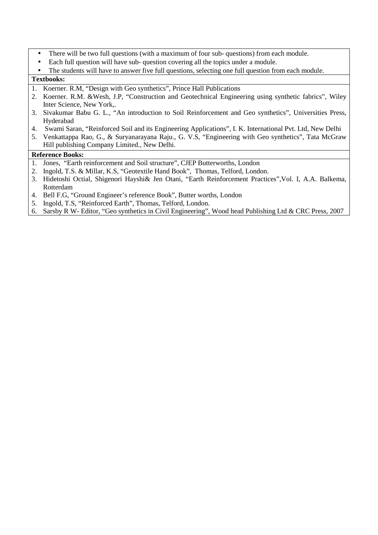- There will be two full questions (with a maximum of four sub- questions) from each module.
- Each full question will have sub- question covering all the topics under a module.
- The students will have to answer five full questions, selecting one full question from each module. **Textbooks:**

- 1. Koerner. R.M, "Design with Geo synthetics", Prince Hall Publications
- 2. Koerner. R.M. &Wesh, J.P, "Construction and Geotechnical Engineering using synthetic fabrics", Wiley Inter Science, New York,.
- 3. Sivakumar Babu G. L., "An introduction to Soil Reinforcement and Geo synthetics", Universities Press, Hyderabad
- 4. Swami Saran, "Reinforced Soil and its Engineering Applications", I. K. International Pvt. Ltd, New Delhi
- 5. Venkattappa Rao, G., & Suryanarayana Raju., G. V.S, "Engineering with Geo synthetics", Tata McGraw Hill publishing Company Limited., New Delhi.

- 1. Jones, "Earth reinforcement and Soil structure", CJEP Butterworths, London
- 2. Ingold, T.S. & Millar, K.S, "Geotextile Hand Book", Thomas, Telford, London.
- 3. Hidetoshi Octial, Shigenori Hayshi& Jen Otani, "Earth Reinforcement Practices",Vol. I, A.A. Balkema, Rotterdam
- 4. Bell F.G, "Ground Engineer's reference Book", Butter worths, London
- 5. Ingold, T.S, "Reinforced Earth", Thomas, Telford, London.
- 6. Sarsby R W- Editor, "Geo synthetics in Civil Engineering", Wood head Publishing Ltd & CRC Press, 2007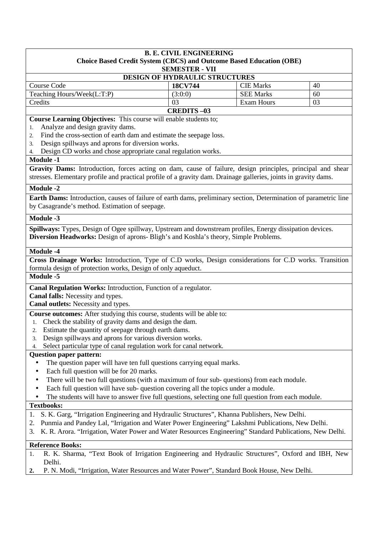| <b>B. E. CIVIL ENGINEERING</b>                                                                                                                                                                                                                                                                                                                   |                       |                   |    |  |  |
|--------------------------------------------------------------------------------------------------------------------------------------------------------------------------------------------------------------------------------------------------------------------------------------------------------------------------------------------------|-----------------------|-------------------|----|--|--|
| <b>Choice Based Credit System (CBCS) and Outcome Based Education (OBE)</b>                                                                                                                                                                                                                                                                       |                       |                   |    |  |  |
|                                                                                                                                                                                                                                                                                                                                                  | <b>SEMESTER - VII</b> |                   |    |  |  |
| DESIGN OF HYDRAULIC STRUCTURES<br>18CV744<br>Course Code<br><b>CIE Marks</b><br>40                                                                                                                                                                                                                                                               |                       |                   |    |  |  |
| Teaching Hours/Week(L:T:P)                                                                                                                                                                                                                                                                                                                       | (3:0:0)               | <b>SEE Marks</b>  | 60 |  |  |
| Credits                                                                                                                                                                                                                                                                                                                                          | 03                    | <b>Exam Hours</b> | 03 |  |  |
|                                                                                                                                                                                                                                                                                                                                                  | <b>CREDITS-03</b>     |                   |    |  |  |
| Course Learning Objectives: This course will enable students to;<br>Analyze and design gravity dams.<br>1.<br>Find the cross-section of earth dam and estimate the seepage loss.<br>2.<br>Design spillways and aprons for diversion works.<br>3.<br>Design CD works and chose appropriate canal regulation works.<br>4.<br><b>Module -1</b>      |                       |                   |    |  |  |
|                                                                                                                                                                                                                                                                                                                                                  |                       |                   |    |  |  |
| Gravity Dams: Introduction, forces acting on dam, cause of failure, design principles, principal and shear<br>stresses. Elementary profile and practical profile of a gravity dam. Drainage galleries, joints in gravity dams.                                                                                                                   |                       |                   |    |  |  |
|                                                                                                                                                                                                                                                                                                                                                  |                       |                   |    |  |  |
| <b>Module -2</b>                                                                                                                                                                                                                                                                                                                                 |                       |                   |    |  |  |
| Earth Dams: Introduction, causes of failure of earth dams, preliminary section, Determination of parametric line<br>by Casagrande's method. Estimation of seepage.                                                                                                                                                                               |                       |                   |    |  |  |
| <b>Module -3</b>                                                                                                                                                                                                                                                                                                                                 |                       |                   |    |  |  |
| Spillways: Types, Design of Ogee spillway, Upstream and downstream profiles, Energy dissipation devices.<br>Diversion Headworks: Design of aprons- Bligh's and Koshla's theory, Simple Problems.                                                                                                                                                 |                       |                   |    |  |  |
| <b>Module -4</b>                                                                                                                                                                                                                                                                                                                                 |                       |                   |    |  |  |
| Cross Drainage Works: Introduction, Type of C.D works, Design considerations for C.D works. Transition<br>formula design of protection works, Design of only aqueduct.                                                                                                                                                                           |                       |                   |    |  |  |
| Module -5                                                                                                                                                                                                                                                                                                                                        |                       |                   |    |  |  |
| Canal Regulation Works: Introduction, Function of a regulator.                                                                                                                                                                                                                                                                                   |                       |                   |    |  |  |
| Canal falls: Necessity and types.                                                                                                                                                                                                                                                                                                                |                       |                   |    |  |  |
| Canal outlets: Necessity and types.                                                                                                                                                                                                                                                                                                              |                       |                   |    |  |  |
| Course outcomes: After studying this course, students will be able to:<br>Check the stability of gravity dams and design the dam.<br>1.<br>2. Estimate the quantity of seepage through earth dams.<br>Design spillways and aprons for various diversion works.<br>3.<br>Select particular type of canal regulation work for canal network.<br>4. |                       |                   |    |  |  |
| <b>Question paper pattern:</b>                                                                                                                                                                                                                                                                                                                   |                       |                   |    |  |  |
| The question paper will have ten full questions carrying equal marks.<br>Each full question will be for 20 marks.                                                                                                                                                                                                                                |                       |                   |    |  |  |
| There will be two full questions (with a maximum of four sub-questions) from each module.                                                                                                                                                                                                                                                        |                       |                   |    |  |  |
| Each full question will have sub- question covering all the topics under a module.                                                                                                                                                                                                                                                               |                       |                   |    |  |  |
| The students will have to answer five full questions, selecting one full question from each module.                                                                                                                                                                                                                                              |                       |                   |    |  |  |
| <b>Textbooks:</b>                                                                                                                                                                                                                                                                                                                                |                       |                   |    |  |  |
| S. K. Garg, "Irrigation Engineering and Hydraulic Structures", Khanna Publishers, New Delhi.<br>1.                                                                                                                                                                                                                                               |                       |                   |    |  |  |
| Punmia and Pandey Lal, "Irrigation and Water Power Engineering" Lakshmi Publications, New Delhi.<br>2.<br>K. R. Arora. "Irrigation, Water Power and Water Resources Engineering" Standard Publications, New Delhi.<br>3.                                                                                                                         |                       |                   |    |  |  |
| <b>Reference Books:</b>                                                                                                                                                                                                                                                                                                                          |                       |                   |    |  |  |
| R. K. Sharma, "Text Book of Irrigation Engineering and Hydraulic Structures", Oxford and IBH, New<br>1.                                                                                                                                                                                                                                          |                       |                   |    |  |  |
| Delhi.                                                                                                                                                                                                                                                                                                                                           |                       |                   |    |  |  |

**2.** P. N. Modi, "Irrigation, Water Resources and Water Power", Standard Book House, New Delhi.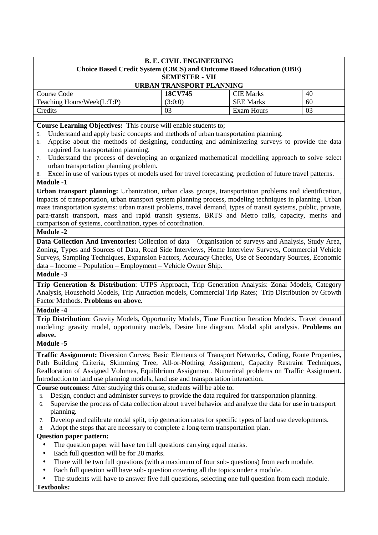| <b>B. E. CIVIL ENGINEERING</b><br><b>Choice Based Credit System (CBCS) and Outcome Based Education (OBE)</b><br><b>SEMESTER - VII</b> |         |                  |    |
|---------------------------------------------------------------------------------------------------------------------------------------|---------|------------------|----|
| <b>URBAN TRANSPORT PLANNING</b>                                                                                                       |         |                  |    |
| Course Code                                                                                                                           | 18CV745 | <b>CIE Marks</b> | 40 |
| Teaching Hours/Week(L:T:P)                                                                                                            | (3:0:0) | <b>SEE Marks</b> | 60 |
| Credits                                                                                                                               | 03      | Exam Hours       | 03 |

**Course Learning Objectives:** This course will enable students to;

- 5. Understand and apply basic concepts and methods of urban transportation planning.
- 6. Apprise about the methods of designing, conducting and administering surveys to provide the data required for transportation planning.
- 7. Understand the process of developing an organized mathematical modelling approach to solve select urban transportation planning problem.
- 8. Excel in use of various types of models used for travel forecasting, prediction of future travel patterns. **Module -1**

**Urban transport planning:** Urbanization, urban class groups, transportation problems and identification, impacts of transportation, urban transport system planning process, modeling techniques in planning. Urban mass transportation systems: urban transit problems, travel demand, types of transit systems, public, private, para-transit transport, mass and rapid transit systems, BRTS and Metro rails, capacity, merits and comparison of systems, coordination, types of coordination.

# **Module -2**

**Data Collection And Inventories:** Collection of data – Organisation of surveys and Analysis, Study Area, Zoning, Types and Sources of Data, Road Side Interviews, Home Interview Surveys, Commercial Vehicle Surveys, Sampling Techniques, Expansion Factors, Accuracy Checks, Use of Secondary Sources, Economic data – Income – Population – Employment – Vehicle Owner Ship.

#### **Module -3**

**Trip Generation & Distribution**: UTPS Approach, Trip Generation Analysis: Zonal Models, Category Analysis, Household Models, Trip Attraction models, Commercial Trip Rates; Trip Distribution by Growth Factor Methods. **Problems on above.** 

#### **Module -4**

**Trip Distribution**: Gravity Models, Opportunity Models, Time Function Iteration Models. Travel demand modeling: gravity model, opportunity models, Desire line diagram. Modal split analysis. **Problems on above.** 

# **Module -5**

**Traffic Assignment:** Diversion Curves; Basic Elements of Transport Networks, Coding, Route Properties, Path Building Criteria, Skimming Tree, All-or-Nothing Assignment, Capacity Restraint Techniques, Reallocation of Assigned Volumes, Equilibrium Assignment. Numerical problems on Traffic Assignment. Introduction to land use planning models, land use and transportation interaction.

**Course outcomes:** After studying this course, students will be able to:

- 5. Design, conduct and administer surveys to provide the data required for transportation planning.
- 6. Supervise the process of data collection about travel behavior and analyze the data for use in transport planning.
- 7. Develop and calibrate modal split, trip generation rates for specific types of land use developments.
- Adopt the steps that are necessary to complete a long-term transportation plan.

# **Question paper pattern:**

- The question paper will have ten full questions carrying equal marks.
- Each full question will be for 20 marks.
- There will be two full questions (with a maximum of four sub- questions) from each module.
- Each full question will have sub- question covering all the topics under a module.
- The students will have to answer five full questions, selecting one full question from each module.

**Textbooks:**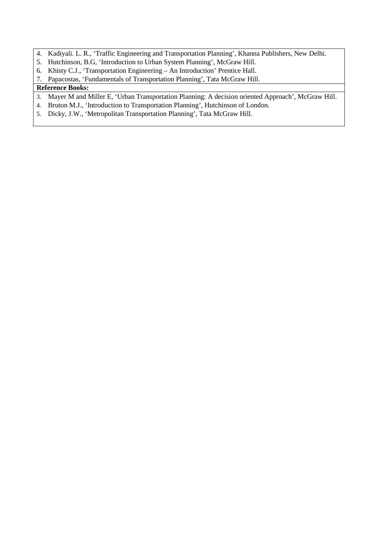- 4. Kadiyali. L. R., 'Traffic Engineering and Transportation Planning', Khanna Publishers, New Delhi.
- 5. Hutchinson, B.G, 'Introduction to Urban System Planning', McGraw Hill.
- 6. Khisty C.J., 'Transportation Engineering An Introduction' Prentice Hall.
- 7. Papacostas, 'Fundamentals of Transportation Planning', Tata McGraw Hill.

- 3. Mayer M and Miller E, 'Urban Transportation Planning: A decision oriented Approach', McGraw Hill.
- 4. Bruton M.J., 'Introduction to Transportation Planning', Hutchinson of London.
- 5. Dicky, J.W., 'Metropolitan Transportation Planning', Tata McGraw Hill.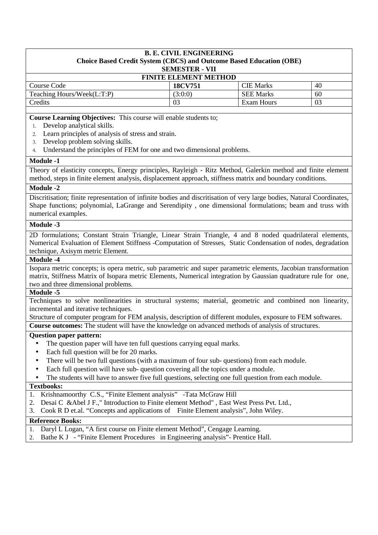#### **B. E. CIVIL ENGINEERING Choice Based Credit System (CBCS) and Outcome Based Education (OBE) SEMESTER - VII**

| <b>FINITE ELEMENT METHOD</b> |            |    |  |
|------------------------------|------------|----|--|
| <b>18CV751</b>               | CIE Marks  | 40 |  |
| (3:0:0)                      | SEE Marks  | 60 |  |
| 03                           | Exam Hours | 03 |  |
|                              |            |    |  |

**Course Learning Objectives:** This course will enable students to;

- 1. Develop analytical skills.
- 2. Learn principles of analysis of stress and strain.
- 3. Develop problem solving skills.
- Understand the principles of FEM for one and two dimensional problems.

#### **Module -1**

Theory of elasticity concepts, Energy principles, Rayleigh - Ritz Method, Galerkin method and finite element method, steps in finite element analysis, displacement approach, stiffness matrix and boundary conditions.

# **Module -2**

Discritisation; finite representation of infinite bodies and discritisation of very large bodies, Natural Coordinates, Shape functions; polynomial, LaGrange and Serendipity , one dimensional formulations; beam and truss with numerical examples.

# **Module -3**

2D formulations; Constant Strain Triangle, Linear Strain Triangle, 4 and 8 noded quadrilateral elements, Numerical Evaluation of Element Stiffness -Computation of Stresses, Static Condensation of nodes, degradation technique, Axisym metric Element.

#### **Module -4**

Isopara metric concepts; is opera metric, sub parametric and super parametric elements, Jacobian transformation matrix, Stiffness Matrix of Isopara metric Elements, Numerical integration by Gaussian quadrature rule for one, two and three dimensional problems.

#### **Module -5**

Techniques to solve nonlinearities in structural systems; material, geometric and combined non linearity, incremental and iterative techniques.

Structure of computer program for FEM analysis, description of different modules, exposure to FEM softwares.

**Course outcomes:** The student will have the knowledge on advanced methods of analysis of structures.

#### **Question paper pattern:**

- The question paper will have ten full questions carrying equal marks.
- Each full question will be for 20 marks.
- There will be two full questions (with a maximum of four sub- questions) from each module.
- Each full question will have sub- question covering all the topics under a module.
- The students will have to answer five full questions, selecting one full question from each module.

## **Textbooks:**

- 1. Krishnamoorthy C.S., "Finite Element analysis" -Tata McGraw Hill
- 2. Desai C &Abel J F.," Introduction to Finite element Method" , East West Press Pvt. Ltd.,
- 3. Cook R D et.al. "Concepts and applications of Finite Element analysis", John Wiley.

- 1. Daryl L Logan, "A first course on Finite element Method", Cengage Learning.
- 2. Bathe K J "Finite Element Procedures in Engineering analysis"- Prentice Hall.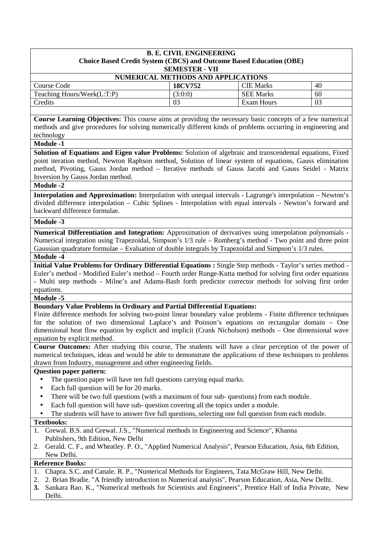| <b>B. E. CIVIL ENGINEERING</b><br><b>Choice Based Credit System (CBCS) and Outcome Based Education (OBE)</b><br><b>SEMESTER - VII</b> |                |                  |    |
|---------------------------------------------------------------------------------------------------------------------------------------|----------------|------------------|----|
| NUMERICAL METHODS AND APPLICATIONS                                                                                                    |                |                  |    |
| Course Code                                                                                                                           | <b>18CV752</b> | <b>CIE Marks</b> | 40 |
| Teaching Hours/Week(L:T:P)                                                                                                            | (3:0:0)        | <b>SEE Marks</b> | 60 |
| Credits                                                                                                                               | 03             | Exam Hours       | 03 |
|                                                                                                                                       |                |                  |    |

**Course Learning Objectives:** This course aims at providing the necessary basic concepts of a few numerical methods and give procedures for solving numerically different kinds of problems occurring in engineering and technology

**Module -1** 

**Solution of Equations and Eigen value Problems:** Solution of algebraic and transcendental equations, Fixed point iteration method, Newton Raphson method, Solution of linear system of equations, Gauss elimination method, Pivoting, Gauss Jordan method – Iterative methods of Gauss Jacobi and Gauss Seidel - Matrix Inversion by Gauss Jordan method.

#### **Module -2**

**Interpolation and Approximation:** Interpolation with unequal intervals - Lagrange's interpolation – Newton's divided difference interpolation – Cubic Splines - Interpolation with equal intervals - Newton's forward and backward difference formulae.

#### **Module -3**

**Numerical Differentiation and Integration:** Approximation of derivatives using interpolation polynomials - Numerical integration using Trapezoidal, Simpson's 1/3 rule – Romberg's method - Two point and three point Gaussian quadrature formulae – Evaluation of double integrals by Trapezoidal and Simpson's 1/3 rules.

# **Module -4**

**Initial Value Problems for Ordinary Differential Equations :** Single Step methods - Taylor's series method - Euler's method - Modified Euler's method – Fourth order Runge-Kutta method for solving first order equations - Multi step methods - Milne's and Adams-Bash forth predictor corrector methods for solving first order equations.

#### **Module -5**

#### **Boundary Value Problems in Ordinary and Partial Differential Equations:**

Finite difference methods for solving two-point linear boundary value problems - Finite difference techniques for the solution of two dimensional Laplace's and Poisson's equations on rectangular domain – One dimensional heat flow equation by explicit and implicit (Crank Nicholson) methods – One dimensional wave equation by explicit method.

**Course Outcomes:** After studying this course, The students will have a clear perception of the power of numerical techniques, ideas and would be able to demonstrate the applications of these techniques to problems drawn from Industry, management and other engineering fields.

# **Question paper pattern:**

- The question paper will have ten full questions carrying equal marks.
- Each full question will be for 20 marks.
- There will be two full questions (with a maximum of four sub- questions) from each module.
- Each full question will have sub- question covering all the topics under a module.
- The students will have to answer five full questions, selecting one full question from each module.

#### **Textbooks:**

- 1. Grewal. B.S. and Grewal. J.S., "Numerical methods in Engineering and Science", Khanna Publishers, 9th Edition, New Delhi
- 2. Gerald. C. F., and Wheatley. P. O., "Applied Numerical Analysis", Pearson Education, Asia, 6th Edition, New Delhi.

- 1. Chapra. S.C. and Canale. R. P., "Numerical Methods for Engineers, Tata McGraw Hill, New Delhi.
- 2. 2. Brian Bradie. "A friendly introduction to Numerical analysis", Pearson Education, Asia, New Delhi.
- **3.** Sankara Rao. K., "Numerical methods for Scientists and Engineers", Prentice Hall of India Private, New Delhi.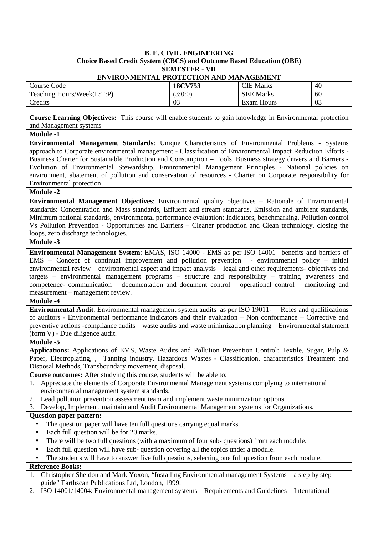| <b>B. E. CIVIL ENGINEERING</b><br>Choice Based Credit System (CBCS) and Outcome Based Education (OBE)<br><b>SEMESTER - VII</b> |         |                  |    |
|--------------------------------------------------------------------------------------------------------------------------------|---------|------------------|----|
| <b>ENVIRONMENTAL PROTECTION AND MANAGEMENT</b>                                                                                 |         |                  |    |
| Course Code                                                                                                                    | 18CV753 | <b>CIE</b> Marks | 40 |
| Teaching Hours/Week(L:T:P)                                                                                                     | (3:0:0) | <b>SEE Marks</b> | 60 |
| Credits                                                                                                                        | 03      | Exam Hours       | 03 |
|                                                                                                                                |         |                  |    |

**Course Learning Objectives:** This course will enable students to gain knowledge in Environmental protection and Management systems

**Module -1** 

**Environmental Management Standards**: Unique Characteristics of Environmental Problems - Systems approach to Corporate environmental management - Classification of Environmental Impact Reduction Efforts - Business Charter for Sustainable Production and Consumption – Tools, Business strategy drivers and Barriers - Evolution of Environmental Stewardship. Environmental Management Principles - National policies on environment, abatement of pollution and conservation of resources - Charter on Corporate responsibility for Environmental protection.

**Module -2** 

**Environmental Management Objectives**: Environmental quality objectives – Rationale of Environmental standards: Concentration and Mass standards, Effluent and stream standards, Emission and ambient standards, Minimum national standards, environmental performance evaluation: Indicators, benchmarking. Pollution control Vs Pollution Prevention - Opportunities and Barriers – Cleaner production and Clean technology, closing the loops, zero discharge technologies.

# **Module -3**

**Environmental Management System**: EMAS, ISO 14000 - EMS as per ISO 14001– benefits and barriers of EMS – Concept of continual improvement and pollution prevention - environmental policy – initial environmental review – environmental aspect and impact analysis – legal and other requirements- objectives and targets – environmental management programs – structure and responsibility – training awareness and competence- communication – documentation and document control – operational control – monitoring and measurement – management review.

# **Module -4**

**Environmental Audit**: Environmental management system audits as per ISO 19011- – Roles and qualifications of auditors - Environmental performance indicators and their evaluation – Non conformance – Corrective and preventive actions -compliance audits – waste audits and waste minimization planning – Environmental statement (form V) - Due diligence audit.

#### **Module -5**

**Applications:** Applications of EMS, Waste Audits and Pollution Prevention Control: Textile, Sugar, Pulp & Paper, Electroplating, , Tanning industry. Hazardous Wastes - Classification, characteristics Treatment and Disposal Methods, Transboundary movement, disposal.

**Course outcomes:** After studying this course, students will be able to:

- 1. Appreciate the elements of Corporate Environmental Management systems complying to international environmental management system standards.
- 2. Lead pollution prevention assessment team and implement waste minimization options.
- 3. Develop, Implement, maintain and Audit Environmental Management systems for Organizations.

# **Question paper pattern:**

- The question paper will have ten full questions carrying equal marks.
- Each full question will be for 20 marks.
- There will be two full questions (with a maximum of four sub- questions) from each module.
- Each full question will have sub-question covering all the topics under a module.
- The students will have to answer five full questions, selecting one full question from each module.

- 1. Christopher Sheldon and Mark Yoxon, "Installing Environmental management Systems a step by step guide" Earthscan Publications Ltd, London, 1999.
- 2. ISO 14001/14004: Environmental management systems Requirements and Guidelines International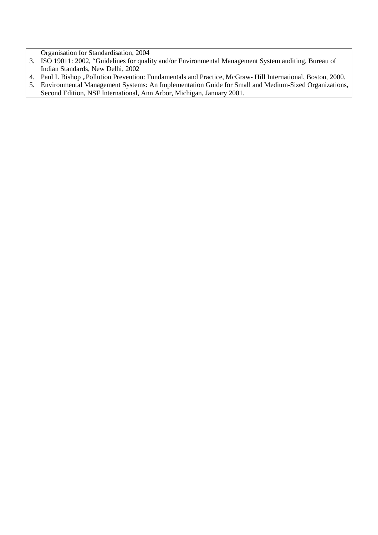Organisation for Standardisation, 2004

- 3. ISO 19011: 2002, "Guidelines for quality and/or Environmental Management System auditing, Bureau of Indian Standards, New Delhi, 2002
- 4. Paul L Bishop "Pollution Prevention: Fundamentals and Practice, McGraw- Hill International, Boston, 2000.
- 5. Environmental Management Systems: An Implementation Guide for Small and Medium-Sized Organizations, Second Edition, NSF International, Ann Arbor, Michigan, January 2001.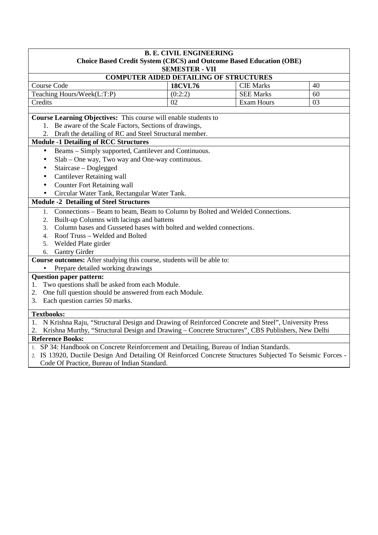| <b>B. E. CIVIL ENGINEERING</b>                                                                                                                                                                               |                       |                  |    |
|--------------------------------------------------------------------------------------------------------------------------------------------------------------------------------------------------------------|-----------------------|------------------|----|
| <b>Choice Based Credit System (CBCS) and Outcome Based Education (OBE)</b>                                                                                                                                   |                       |                  |    |
|                                                                                                                                                                                                              | <b>SEMESTER - VII</b> |                  |    |
| <b>COMPUTER AIDED DETAILING OF STRUCTURES</b>                                                                                                                                                                |                       |                  |    |
| Course Code                                                                                                                                                                                                  | <b>18CVL76</b>        | <b>CIE Marks</b> | 40 |
| Teaching Hours/Week(L:T:P)                                                                                                                                                                                   | (0:2:2)               | <b>SEE Marks</b> | 60 |
| Credits                                                                                                                                                                                                      | 02                    | Exam Hours       | 03 |
|                                                                                                                                                                                                              |                       |                  |    |
| Course Learning Objectives: This course will enable students to                                                                                                                                              |                       |                  |    |
| 1. Be aware of the Scale Factors, Sections of drawings,                                                                                                                                                      |                       |                  |    |
| Draft the detailing of RC and Steel Structural member.<br><b>Module -1 Detailing of RCC Structures</b>                                                                                                       |                       |                  |    |
| Beams – Simply supported, Cantilever and Continuous.<br>$\bullet$                                                                                                                                            |                       |                  |    |
| Slab – One way, Two way and One-way continuous.<br>$\bullet$                                                                                                                                                 |                       |                  |    |
| Staircase - Doglegged<br>$\bullet$                                                                                                                                                                           |                       |                  |    |
| <b>Cantilever Retaining wall</b>                                                                                                                                                                             |                       |                  |    |
| <b>Counter Fort Retaining wall</b>                                                                                                                                                                           |                       |                  |    |
| $\bullet$                                                                                                                                                                                                    |                       |                  |    |
| Circular Water Tank, Rectangular Water Tank.<br><b>Module -2 Detailing of Steel Structures</b>                                                                                                               |                       |                  |    |
|                                                                                                                                                                                                              |                       |                  |    |
| Connections - Beam to beam, Beam to Column by Bolted and Welded Connections.<br>1.                                                                                                                           |                       |                  |    |
| Built-up Columns with lacings and battens<br>2.<br>Column bases and Gusseted bases with bolted and welded connections.<br>3.                                                                                 |                       |                  |    |
| Roof Truss - Welded and Bolted<br>4.                                                                                                                                                                         |                       |                  |    |
| Welded Plate girder<br>5.                                                                                                                                                                                    |                       |                  |    |
| <b>Gantry Girder</b><br>6.                                                                                                                                                                                   |                       |                  |    |
| Course outcomes: After studying this course, students will be able to:                                                                                                                                       |                       |                  |    |
| Prepare detailed working drawings                                                                                                                                                                            |                       |                  |    |
| <b>Question paper pattern:</b>                                                                                                                                                                               |                       |                  |    |
| 1. Two questions shall be asked from each Module.                                                                                                                                                            |                       |                  |    |
| One full question should be answered from each Module.<br>2.                                                                                                                                                 |                       |                  |    |
| Each question carries 50 marks.<br>3.                                                                                                                                                                        |                       |                  |    |
|                                                                                                                                                                                                              |                       |                  |    |
| <b>Textbooks:</b>                                                                                                                                                                                            |                       |                  |    |
| N Krishna Raju, "Structural Design and Drawing of Reinforced Concrete and Steel", University Press<br>1.<br>Krishna Murthy, "Structural Design and Drawing – Concrete Structures", CBS Publishers, New Delhi |                       |                  |    |
| <b>Reference Books:</b>                                                                                                                                                                                      |                       |                  |    |
| 1. SP 34: Handbook on Concrete Reinforcement and Detailing, Bureau of Indian Standards.                                                                                                                      |                       |                  |    |
| 2. IS 13920, Ductile Design And Detailing Of Reinforced Concrete Structures Subjected To Seismic Forces -                                                                                                    |                       |                  |    |

Code Of Practice, Bureau of Indian Standard.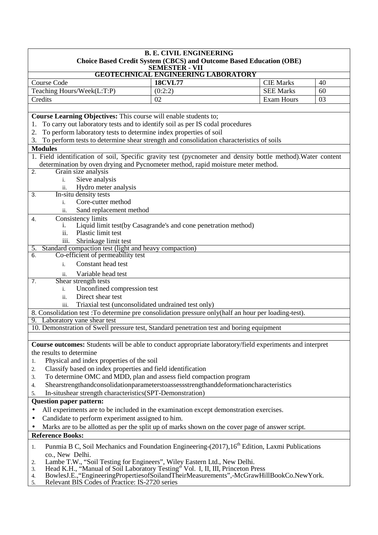| <b>B. E. CIVIL ENGINEERING</b>                                                                                                                                                                   |                                                                                              |                   |    |
|--------------------------------------------------------------------------------------------------------------------------------------------------------------------------------------------------|----------------------------------------------------------------------------------------------|-------------------|----|
|                                                                                                                                                                                                  | Choice Based Credit System (CBCS) and Outcome Based Education (OBE)<br><b>SEMESTER - VII</b> |                   |    |
|                                                                                                                                                                                                  | <b>GEOTECHNICAL ENGINEERING LABORATORY</b>                                                   |                   |    |
| Course Code                                                                                                                                                                                      | <b>18CVL77</b>                                                                               | <b>CIE Marks</b>  | 40 |
| Teaching Hours/Week(L:T:P)                                                                                                                                                                       | (0:2:2)                                                                                      | <b>SEE Marks</b>  | 60 |
| Credits                                                                                                                                                                                          | 02                                                                                           | <b>Exam Hours</b> | 03 |
|                                                                                                                                                                                                  |                                                                                              |                   |    |
| Course Learning Objectives: This course will enable students to;                                                                                                                                 |                                                                                              |                   |    |
| To carry out laboratory tests and to identify soil as per IS codal procedures                                                                                                                    |                                                                                              |                   |    |
| To perform laboratory tests to determine index properties of soil<br>2.                                                                                                                          |                                                                                              |                   |    |
| 3. To perform tests to determine shear strength and consolidation characteristics of soils                                                                                                       |                                                                                              |                   |    |
| <b>Modules</b>                                                                                                                                                                                   |                                                                                              |                   |    |
| 1. Field identification of soil, Specific gravity test (pycnometer and density bottle method). Water content<br>determination by oven drying and Pycnometer method, rapid moisture meter method. |                                                                                              |                   |    |
| Grain size analysis<br>2.                                                                                                                                                                        |                                                                                              |                   |    |
| Sieve analysis<br>$i$ .                                                                                                                                                                          |                                                                                              |                   |    |
| Hydro meter analysis<br>ii.                                                                                                                                                                      |                                                                                              |                   |    |
| In-situ density tests<br>$\overline{3}$ .                                                                                                                                                        |                                                                                              |                   |    |
| Core-cutter method<br>$i$ .                                                                                                                                                                      |                                                                                              |                   |    |
| Sand replacement method<br>ii.                                                                                                                                                                   |                                                                                              |                   |    |
| Consistency limits<br>4.                                                                                                                                                                         |                                                                                              |                   |    |
| i.                                                                                                                                                                                               | Liquid limit test(by Casagrande's and cone penetration method)                               |                   |    |
| Plastic limit test<br>ii.                                                                                                                                                                        |                                                                                              |                   |    |
| Shrinkage limit test<br>iii.                                                                                                                                                                     |                                                                                              |                   |    |
| Standard compaction test (light and heavy compaction)<br>5.                                                                                                                                      |                                                                                              |                   |    |
| Co-efficient of permeability test<br>6.                                                                                                                                                          |                                                                                              |                   |    |
| Constant head test<br>$\mathbf{i}$ .                                                                                                                                                             |                                                                                              |                   |    |
| Variable head test<br>ii.                                                                                                                                                                        |                                                                                              |                   |    |
| Shear strength tests<br>7.                                                                                                                                                                       |                                                                                              |                   |    |
| Unconfined compression test<br>i.                                                                                                                                                                |                                                                                              |                   |    |
| Direct shear test<br>ii.                                                                                                                                                                         |                                                                                              |                   |    |
| Triaxial test (unconsolidated undrained test only)<br>iii.                                                                                                                                       |                                                                                              |                   |    |
| 8. Consolidation test : To determine pre consolidation pressure only (half an hour per loading-test).<br>9. Laboratory vane shear test                                                           |                                                                                              |                   |    |
| 10. Demonstration of Swell pressure test, Standard penetration test and boring equipment                                                                                                         |                                                                                              |                   |    |
|                                                                                                                                                                                                  |                                                                                              |                   |    |
| Course outcomes: Students will be able to conduct appropriate laboratory/field experiments and interpret                                                                                         |                                                                                              |                   |    |
| the results to determine                                                                                                                                                                         |                                                                                              |                   |    |
| Physical and index properties of the soil<br>1.                                                                                                                                                  |                                                                                              |                   |    |
| Classify based on index properties and field identification<br>2.                                                                                                                                |                                                                                              |                   |    |
| To determine OMC and MDD, plan and assess field compaction program<br>3.                                                                                                                         |                                                                                              |                   |    |
| Shearstrengthandconsolidationparameterstoassessstrengthanddeformationcharacteristics<br>4.                                                                                                       |                                                                                              |                   |    |
| In-situshear strength characteristics(SPT-Demonstration)<br>5.                                                                                                                                   |                                                                                              |                   |    |
| <b>Question paper pattern:</b>                                                                                                                                                                   |                                                                                              |                   |    |
| All experiments are to be included in the examination except demonstration exercises.<br>$\bullet$                                                                                               |                                                                                              |                   |    |
| Candidate to perform experiment assigned to him.<br>$\bullet$                                                                                                                                    |                                                                                              |                   |    |
| Marks are to be allotted as per the split up of marks shown on the cover page of answer script.<br>$\bullet$                                                                                     |                                                                                              |                   |    |
| <b>Reference Books:</b>                                                                                                                                                                          |                                                                                              |                   |    |
| Punmia B C, Soil Mechanics and Foundation Engineering-(2017), 16 <sup>th</sup> Edition, Laxmi Publications<br>1.                                                                                 |                                                                                              |                   |    |
| co., New Delhi.                                                                                                                                                                                  |                                                                                              |                   |    |
| Lambe T.W., "Soil Testing for Engineers", Wiley Eastern Ltd., New Delhi.<br>2.                                                                                                                   |                                                                                              |                   |    |
| Head K.H., "Manual of Soil Laboratory Testing" Vol. I, II, III, Princeton Press<br>3.                                                                                                            |                                                                                              |                   |    |
| BowlesJ.E., "EngineeringPropertiesofSoilandTheirMeasurements",-McGrawHillBookCo.NewYork.<br>4.<br>Relevant BIS Codes of Practice: IS-2720 series<br>5.                                           |                                                                                              |                   |    |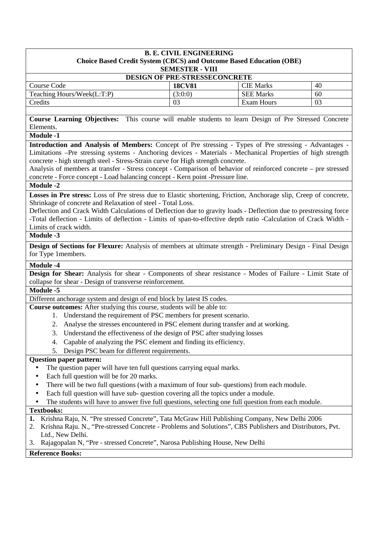| <b>B. E. CIVIL ENGINEERING</b><br>Choice Based Credit System (CBCS) and Outcome Based Education (OBE)<br><b>SEMESTER - VIII</b> |               |                  |    |
|---------------------------------------------------------------------------------------------------------------------------------|---------------|------------------|----|
| <b>DESIGN OF PRE-STRESSECONCRETE</b>                                                                                            |               |                  |    |
| Course Code                                                                                                                     | <b>18CV81</b> | <b>CIE Marks</b> | 40 |
| Teaching Hours/Week(L:T:P)                                                                                                      | (3:0:0)       | <b>SEE Marks</b> | 60 |
| Credits                                                                                                                         | 03            | Exam Hours       | 03 |

**Course Learning Objectives:** This course will enable students to learn Design of Pre Stressed Concrete Elements.

**Module -1** 

**Introduction and Analysis of Members:** Concept of Pre stressing - Types of Pre stressing - Advantages - Limitations –Pre stressing systems - Anchoring devices - Materials - Mechanical Properties of high strength concrete - high strength steel - Stress-Strain curve for High strength concrete.

Analysis of members at transfer - Stress concept - Comparison of behavior of reinforced concrete – pre stressed concrete - Force concept - Load balancing concept - Kern point -Pressure line.

## **Module -2**

**Losses in Pre stress:** Loss of Pre stress due to Elastic shortening, Friction, Anchorage slip, Creep of concrete, Shrinkage of concrete and Relaxation of steel - Total Loss.

Deflection and Crack Width Calculations of Deflection due to gravity loads - Deflection due to prestressing force -Total deflection - Limits of deflection - Limits of span-to-effective depth ratio -Calculation of Crack Width - Limits of crack width.

## **Module -3**

**Design of Sections for Flexure:** Analysis of members at ultimate strength - Preliminary Design - Final Design for Type 1members.

#### **Module -4**

**Design for Shear:** Analysis for shear - Components of shear resistance - Modes of Failure - Limit State of collapse for shear - Design of transverse reinforcement.

## **Module -5**

Different anchorage system and design of end block by latest IS codes.

- **Course outcomes:** After studying this course, students will be able to:
	- 1. Understand the requirement of PSC members for present scenario.
	- 2. Analyse the stresses encountered in PSC element during transfer and at working.
	- 3. Understand the effectiveness of the design of PSC after studying losses
	- 4. Capable of analyzing the PSC element and finding its efficiency.
	- 5. Design PSC beam for different requirements.

#### **Question paper pattern:**

- The question paper will have ten full questions carrying equal marks.
- Each full question will be for 20 marks.
- There will be two full questions (with a maximum of four sub- questions) from each module.
- Each full question will have sub- question covering all the topics under a module.
- The students will have to answer five full questions, selecting one full question from each module.

## **Textbooks:**

- **1.** Krishna Raju, N. "Pre stressed Concrete", Tata McGraw Hill Publishing Company, New Delhi 2006
- 2. Krishna Raju. N., "Pre-stressed Concrete Problems and Solutions", CBS Publishers and Distributors, Pvt. Ltd., New Delhi.
- 3. Rajagopalan N, "Pre stressed Concrete", Narosa Publishing House, New Delhi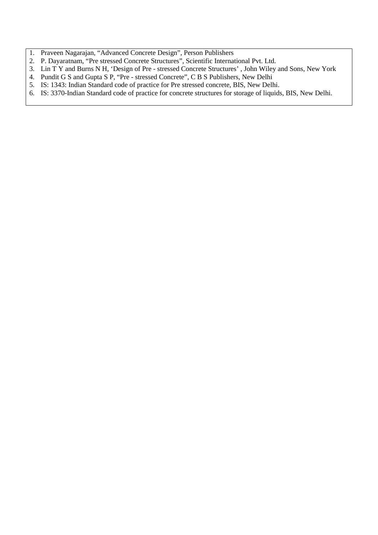- 1. Praveen Nagarajan, "Advanced Concrete Design", Person Publishers
- 2. P. Dayaratnam, "Pre stressed Concrete Structures", Scientific International Pvt. Ltd.
- 3. Lin T Y and Burns N H, 'Design of Pre stressed Concrete Structures' , John Wiley and Sons, New York
- 4. Pundit G S and Gupta S P, "Pre stressed Concrete", C B S Publishers, New Delhi
- 5. IS: 1343: Indian Standard code of practice for Pre stressed concrete, BIS, New Delhi.
- 6. IS: 3370-Indian Standard code of practice for concrete structures for storage of liquids, BIS, New Delhi.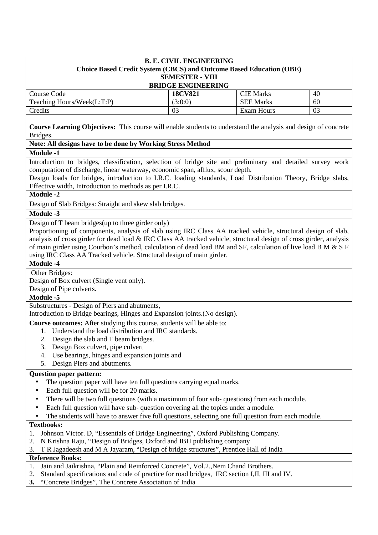| <b>B. E. CIVIL ENGINEERING</b><br><b>Choice Based Credit System (CBCS) and Outcome Based Education (OBE)</b><br><b>SEMESTER - VIII</b> |                |                  |    |
|----------------------------------------------------------------------------------------------------------------------------------------|----------------|------------------|----|
| <b>BRIDGE ENGINEERING</b>                                                                                                              |                |                  |    |
| Course Code                                                                                                                            | <b>18CV821</b> | <b>CIE Marks</b> | 40 |
| Teaching Hours/Week(L:T:P)                                                                                                             | (3:0:0)        | <b>SEE Marks</b> | 60 |
| Credits                                                                                                                                | 03             | Exam Hours       | 03 |

**Course Learning Objectives:** This course will enable students to understand the analysis and design of concrete Bridges.

## **Note: All designs have to be done by Working Stress Method**

## **Module -1**

Introduction to bridges, classification, selection of bridge site and preliminary and detailed survey work computation of discharge, linear waterway, economic span, afflux, scour depth.

Design loads for bridges, introduction to I.R.C. loading standards, Load Distribution Theory, Bridge slabs, Effective width, Introduction to methods as per I.R.C.

#### **Module -2**

Design of Slab Bridges: Straight and skew slab bridges.

#### **Module -3**

Design of T beam bridges(up to three girder only)

Proportioning of components, analysis of slab using IRC Class AA tracked vehicle, structural design of slab, analysis of cross girder for dead load & IRC Class AA tracked vehicle, structural design of cross girder, analysis of main girder using Courbon's method, calculation of dead load BM and SF, calculation of live load B M & S F using IRC Class AA Tracked vehicle. Structural design of main girder.

#### **Module -4**

Other Bridges:

Design of Box culvert (Single vent only).

Design of Pipe culverts.

## **Module -5**

Substructures - Design of Piers and abutments,

Introduction to Bridge bearings, Hinges and Expansion joints.(No design).

**Course outcomes:** After studying this course, students will be able to:

- 1. Understand the load distribution and IRC standards.
- 2. Design the slab and T beam bridges.
- 3. Design Box culvert, pipe culvert
- 4. Use bearings, hinges and expansion joints and
- 5. Design Piers and abutments.

#### **Question paper pattern:**

- The question paper will have ten full questions carrying equal marks.
- Each full question will be for 20 marks.
- There will be two full questions (with a maximum of four sub- questions) from each module.
- Each full question will have sub- question covering all the topics under a module.
- The students will have to answer five full questions, selecting one full question from each module.

#### **Textbooks:**

- 1. Johnson Victor. D, "Essentials of Bridge Engineering", Oxford Publishing Company.
- 2. N Krishna Raju, "Design of Bridges, Oxford and IBH publishing company
- 3. T R Jagadeesh and M A Jayaram, "Design of bridge structures", Prentice Hall of India

- 1. Jain and Jaikrishna, "Plain and Reinforced Concrete", Vol.2.,Nem Chand Brothers.
- 2. Standard specifications and code of practice for road bridges, IRC section I,II, III and IV.
- **3.** "Concrete Bridges", The Concrete Association of India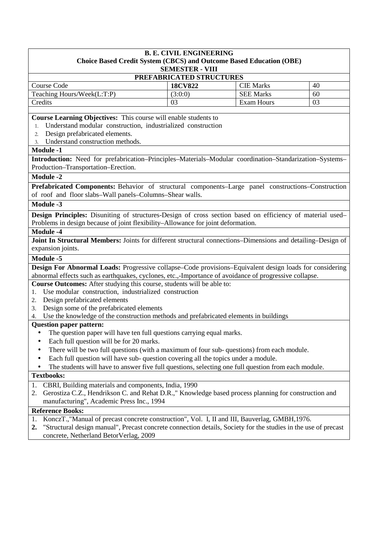# **B. E. CIVIL ENGINEERING Choice Based Credit System (CBCS) and Outcome Based Education (OBE)**

| <b>SEMESTER - VIII</b> |  |
|------------------------|--|
|                        |  |

| PREFABRICATED STRUCTURES   |                |                  |    |
|----------------------------|----------------|------------------|----|
| Course Code                | <b>18CV822</b> | CIE Marks        | 40 |
| Teaching Hours/Week(L:T:P) | (3:0:0)        | <b>SEE Marks</b> | 60 |
| Credits                    |                | Exam Hours       | 03 |

**Course Learning Objectives:** This course will enable students to

- 1. Understand modular construction, industrialized construction
- 2. Design prefabricated elements.
- 3. Understand construction methods.

## **Module -1**

**Introduction:** Need for prefabrication–Principles–Materials–Modular coordination–Standarization–Systems– Production–Transportation–Erection.

#### **Module -2**

**Prefabricated Components:** Behavior of structural components–Large panel constructions–Construction of roof and floor slabs–Wall panels–Columns–Shear walls.

#### **Module -3**

**Design Principles:** Disuniting of structures-Design of cross section based on efficiency of material used– Problems in design because of joint flexibility–Allowance for joint deformation.

#### **Module -4**

**Joint In Structural Members:** Joints for different structural connections–Dimensions and detailing–Design of expansion joints.

#### **Module -5**

**Design For Abnormal Loads:** Progressive collapse–Code provisions–Equivalent design loads for considering abnormal effects such as earthquakes, cyclones, etc.,-Importance of avoidance of progressive collapse.

**Course Outcomes:** After studying this course, students will be able to:

- 1. Use modular construction, industrialized construction
- 2. Design prefabricated elements
- 3. Design some of the prefabricated elements

4. Use the knowledge of the construction methods and prefabricated elements in buildings

#### **Question paper pattern:**

- The question paper will have ten full questions carrying equal marks.
- Each full question will be for 20 marks.
- There will be two full questions (with a maximum of four sub-questions) from each module.
- Each full question will have sub-question covering all the topics under a module.
- The students will have to answer five full questions, selecting one full question from each module.

#### **Textbooks:**

- 1. CBRI, Building materials and components, India, 1990
- 2. Gerostiza C.Z., Hendrikson C. and Rehat D.R.," Knowledge based process planning for construction and manufacturing", Academic Press Inc., 1994

- 1. KonczT.,"Manual of precast concrete construction", Vol. I, II and III, Bauverlag, GMBH,1976.
- **2.** "Structural design manual", Precast concrete connection details, Society for the studies in the use of precast concrete, Netherland BetorVerlag, 2009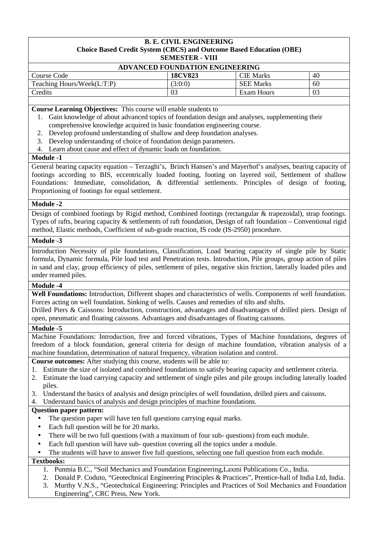#### **B. E. CIVIL ENGINEERING Choice Based Credit System (CBCS) and Outcome Based Education (OBE) SEMESTER - VIII**

| <b>ADVANCED FOUNDATION ENGINEERING</b> |                |                  |    |
|----------------------------------------|----------------|------------------|----|
| Course Code                            | <b>18CV823</b> | <b>CIE Marks</b> | 40 |
| Teaching Hours/Week(L:T:P)             | (3:0:0)        | <b>SEE Marks</b> | 60 |
| Credits                                | 03             | Exam Hours       | 03 |

**Course Learning Objectives:** This course will enable students to

- 1. Gain knowledge of about advanced topics of foundation design and analyses, supplementing their comprehensive knowledge acquired in basic foundation engineering course.
- 2. Develop profound understanding of shallow and deep foundation analyses.
- 3. Develop understanding of choice of foundation design parameters.
- 4. Learn about cause and effect of dynamic loads on foundation.

#### **Module -1**

General bearing capacity equation – Terzaghi's, Brinch Hansen's and Mayerhof's analyses, bearing capacity of footings according to BIS, eccentrically loaded footing, footing on layered soil, Settlement of shallow Foundations: Immediate, consolidation, & differential settlements. Principles of design of footing, Proportioning of footings for equal settlement.

#### **Module -2**

Design of combined footings by Rigid method, Combined footings (rectangular & trapezoidal), strap footings. Types of rafts, bearing capacity & settlements of raft foundation, Design of raft foundation – Conventional rigid method, Elastic methods, Coefficient of sub-grade reaction, IS code (IS-2950) procedure.

## **Module -3**

Introduction Necessity of pile foundations, Classification, Load bearing capacity of single pile by Static formula, Dynamic formula, Pile load test and Penetration tests. Introduction, Pile groups, group action of piles in sand and clay, group efficiency of piles, settlement of piles, negative skin friction, laterally loaded piles and under reamed piles.

#### **Module -4**

**Well Foundations:** Introduction, Different shapes and characteristics of wells. Components of well foundation. Forces acting on well foundation. Sinking of wells. Causes and remedies of tilts and shifts.

Drilled Piers & Caissons: Introduction, construction, advantages and disadvantages of drilled piers. Design of open, pneumatic and floating caissons. Advantages and disadvantages of floating caissons.

#### **Module -5**

Machine Foundations: Introduction, free and forced vibrations, Types of Machine foundations, degrees of freedom of a block foundation, general criteria for design of machine foundation, vibration analysis of a machine foundation, determination of natural frequency, vibration isolation and control.

**Course outcomes:** After studying this course, students will be able to:

- 1. Estimate the size of isolated and combined foundations to satisfy bearing capacity and settlement criteria.
- 2. Estimate the load carrying capacity and settlement of single piles and pile groups including laterally loaded piles.
- 3. Understand the basics of analysis and design principles of well foundation, drilled piers and caissons.
- Understand basics of analysis and design principles of machine foundations.

#### **Question paper pattern:**

- The question paper will have ten full questions carrying equal marks.
- Each full question will be for 20 marks.
- There will be two full questions (with a maximum of four sub-questions) from each module.
- Each full question will have sub- question covering all the topics under a module.
- The students will have to answer five full questions, selecting one full question from each module.

## **Textbooks:**

- 1. Punmia B.C., "Soil Mechanics and Foundation Engineering,Laxmi Publications Co., India.
- 2. Donald P. Coduto, "Geotechnical Engineering Principles & Practices", Prentice-hall of India Ltd, India.
- 3. Murthy V.N.S., "Geotechnical Engineering: Principles and Practices of Soil Mechanics and Foundation Engineering", CRC Press, New York.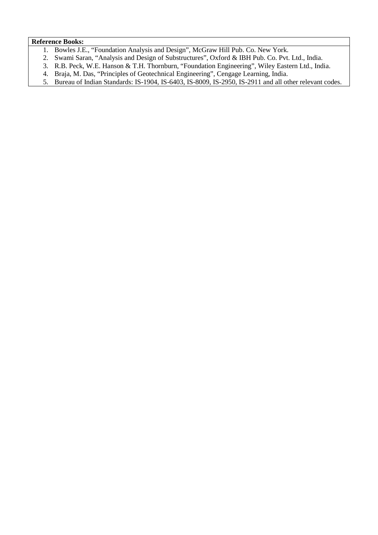#### **Reference Books:**

- 1. Bowles J.E., "Foundation Analysis and Design", McGraw Hill Pub. Co. New York.
- 2. Swami Saran, "Analysis and Design of Substructures", Oxford & IBH Pub. Co. Pvt. Ltd., India.
- 3. R.B. Peck, W.E. Hanson & T.H. Thornburn, "Foundation Engineering", Wiley Eastern Ltd., India.
- 4. Braja, M. Das, "Principles of Geotechnical Engineering", Cengage Learning, India.

5. Bureau of Indian Standards: IS-1904, IS-6403, IS-8009, IS-2950, IS-2911 and all other relevant codes.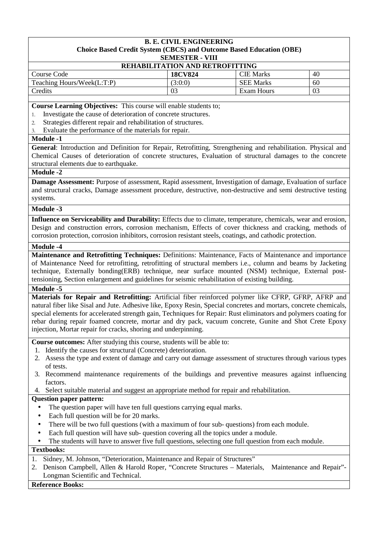#### **B. E. CIVIL ENGINEERING Choice Based Credit System (CBCS) and Outcome Based Education (OBE) SEMESTER - VIII**

| <b>REHABILITATION AND RETROFITTING</b> |                |                  |    |
|----------------------------------------|----------------|------------------|----|
| Course Code                            | <b>18CV824</b> | <b>CIE Marks</b> | 40 |
| Teaching Hours/Week(L:T:P)             | (3:0:0)        | <b>SEE Marks</b> | 60 |
| Credits                                | 03             | Exam Hours       | 03 |

**Course Learning Objectives:** This course will enable students to;

- 1. Investigate the cause of deterioration of concrete structures.
- 2. Strategies different repair and rehabilitation of structures.
- 3. Evaluate the performance of the materials for repair.

#### **Module -1**

**General**: Introduction and Definition for Repair, Retrofitting, Strengthening and rehabilitation. Physical and Chemical Causes of deterioration of concrete structures, Evaluation of structural damages to the concrete structural elements due to earthquake.

#### **Module -2**

**Damage Assessment:** Purpose of assessment, Rapid assessment, Investigation of damage, Evaluation of surface and structural cracks, Damage assessment procedure, destructive, non-destructive and semi destructive testing systems.

#### **Module -3**

**Influence on Serviceability and Durability:** Effects due to climate, temperature, chemicals, wear and erosion, Design and construction errors, corrosion mechanism, Effects of cover thickness and cracking, methods of corrosion protection, corrosion inhibitors, corrosion resistant steels, coatings, and cathodic protection.

## **Module -4**

**Maintenance and Retrofitting Techniques:** Definitions: Maintenance, Facts of Maintenance and importance of Maintenance Need for retrofitting, retrofitting of structural members i.e., column and beams by Jacketing technique, Externally bonding(ERB) technique, near surface mounted (NSM) technique, External posttensioning, Section enlargement and guidelines for seismic rehabilitation of existing building.

## **Module -5**

**Materials for Repair and Retrofitting:** Artificial fiber reinforced polymer like CFRP, GFRP, AFRP and natural fiber like Sisal and Jute. Adhesive like, Epoxy Resin, Special concretes and mortars, concrete chemicals, special elements for accelerated strength gain, Techniques for Repair: Rust eliminators and polymers coating for rebar during repair foamed concrete, mortar and dry pack, vacuum concrete, Gunite and Shot Crete Epoxy injection, Mortar repair for cracks, shoring and underpinning.

**Course outcomes:** After studying this course, students will be able to:

- 1. Identify the causes for structural (Concrete) deterioration.
- 2. Assess the type and extent of damage and carry out damage assessment of structures through various types of tests.
- 3. Recommend maintenance requirements of the buildings and preventive measures against influencing factors.
- 4. Select suitable material and suggest an appropriate method for repair and rehabilitation.

#### **Question paper pattern:**

- The question paper will have ten full questions carrying equal marks.
- Each full question will be for 20 marks.
- There will be two full questions (with a maximum of four sub-questions) from each module.
- Each full question will have sub-question covering all the topics under a module.
- The students will have to answer five full questions, selecting one full question from each module.

### **Textbooks:**

- 1. Sidney, M. Johnson, "Deterioration, Maintenance and Repair of Structures"
- 2. Denison Campbell, Allen & Harold Roper, "Concrete Structures Materials, Maintenance and Repair"- Longman Scientific and Technical.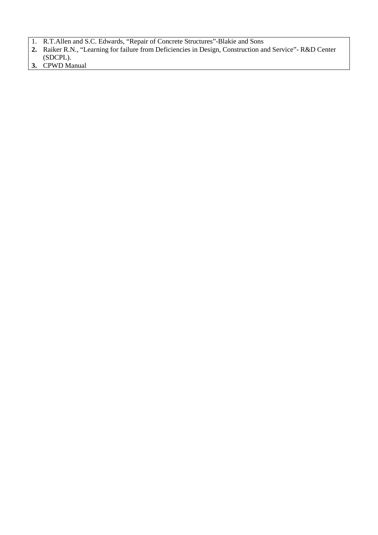- 1. R.T.Allen and S.C. Edwards, "Repair of Concrete Structures"-Blakie and Sons
- **2.** Raiker R.N., "Learning for failure from Deficiencies in Design, Construction and Service"- R&D Center (SDCPL).
- **3.** CPWD Manual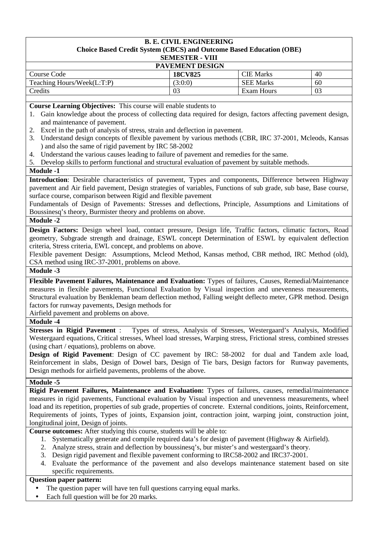#### **B. E. CIVIL ENGINEERING Choice Based Credit System (CBCS) and Outcome Based Education (OBE) SEMESTER - VIII**

| .                          |                |                  |    |
|----------------------------|----------------|------------------|----|
| <b>PAVEMENT DESIGN</b>     |                |                  |    |
| Course Code                | <b>18CV825</b> | <b>CIE Marks</b> | 40 |
| Teaching Hours/Week(L:T:P) | (3:0:0)        | <b>SEE Marks</b> | 60 |
| Credits                    | 03             | Exam Hours       | 03 |

**Course Learning Objectives:** This course will enable students to

- 1. Gain knowledge about the process of collecting data required for design, factors affecting pavement design, and maintenance of pavement.
- 2. Excel in the path of analysis of stress, strain and deflection in pavement.
- 3. Understand design concepts of flexible pavement by various methods (CBR, IRC 37-2001, Mcleods, Kansas ) and also the same of rigid pavement by IRC 58-2002
- 4. Understand the various causes leading to failure of pavement and remedies for the same.
- 5. Develop skills to perform functional and structural evaluation of pavement by suitable methods.

#### **Module -1**

**Introduction**: Desirable characteristics of pavement, Types and components, Difference between Highway pavement and Air field pavement, Design strategies of variables, Functions of sub grade, sub base, Base course, surface course, comparison between Rigid and flexible pavement

Fundamentals of Design of Pavements: Stresses and deflections, Principle, Assumptions and Limitations of Boussinesq's theory, Burmister theory and problems on above.

#### **Module -2**

**Design Factors:** Design wheel load, contact pressure, Design life, Traffic factors, climatic factors, Road geometry, Subgrade strength and drainage, ESWL concept Determination of ESWL by equivalent deflection criteria, Stress criteria, EWL concept, and problems on above.

Flexible pavement Design: Assumptions, Mcleod Method, Kansas method, CBR method, IRC Method (old), CSA method using IRC-37-2001, problems on above.

**Module -3** 

**Flexible Pavement Failures, Maintenance and Evaluation:** Types of failures, Causes, Remedial/Maintenance measures in flexible pavements, Functional Evaluation by Visual inspection and unevenness measurements, Structural evaluation by Benkleman beam deflection method, Falling weight deflecto meter, GPR method. Design factors for runway pavements, Design methods for

Airfield pavement and problems on above.

## **Module -4**

**Stresses in Rigid Pavement** : Types of stress, Analysis of Stresses, Westergaard's Analysis, Modified Westergaard equations, Critical stresses, Wheel load stresses, Warping stress, Frictional stress, combined stresses (using chart / equations), problems on above.

**Design of Rigid Pavement:** Design of CC pavement by IRC: 58-2002 for dual and Tandem axle load, Reinforcement in slabs, Design of Dowel bars, Design of Tie bars, Design factors for Runway pavements, Design methods for airfield pavements, problems of the above.

#### **Module -5**

**Rigid Pavement Failures, Maintenance and Evaluation:** Types of failures, causes, remedial/maintenance measures in rigid pavements, Functional evaluation by Visual inspection and unevenness measurements, wheel load and its repetition, properties of sub grade, properties of concrete. External conditions, joints, Reinforcement, Requirements of joints, Types of joints, Expansion joint, contraction joint, warping joint, construction joint, longitudinal joint, Design of joints.

**Course outcomes:** After studying this course, students will be able to:

- 1. Systematically generate and compile required data's for design of pavement (Highway & Airfield).
- 2. Analyze stress, strain and deflection by boussinesq's, bur mister's and westergaard's theory.
- 3. Design rigid pavement and flexible pavement conforming to IRC58-2002 and IRC37-2001.
- 4. Evaluate the performance of the pavement and also develops maintenance statement based on site specific requirements.

#### **Question paper pattern:**

- The question paper will have ten full questions carrying equal marks.
- Each full question will be for 20 marks.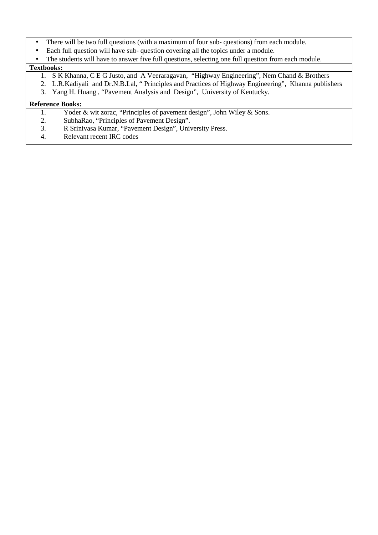- There will be two full questions (with a maximum of four sub- questions) from each module.
- Each full question will have sub- question covering all the topics under a module.
- The students will have to answer five full questions, selecting one full question from each module.

## **Textbooks:**

- 1. S K Khanna, C E G Justo, and A Veeraragavan, "Highway Engineering", Nem Chand & Brothers
- 2. L.R.Kadiyali and Dr.N.B.Lal, " Principles and Practices of Highway Engineering", Khanna publishers
- 3. Yang H. Huang , "Pavement Analysis and Design", University of Kentucky.

- 1. Yoder & wit zorac, "Principles of pavement design", John Wiley & Sons.
- 2. SubhaRao, "Principles of Pavement Design".
- 3. R Srinivasa Kumar, "Pavement Design", University Press.
- 4. Relevant recent IRC codes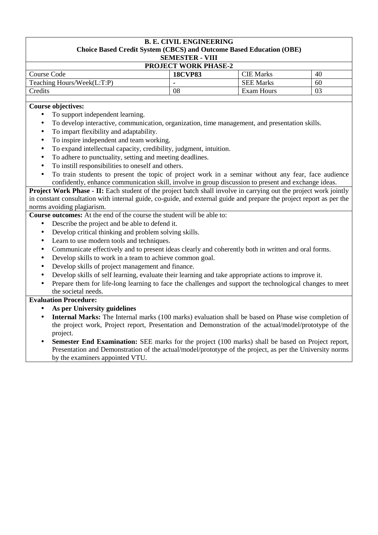## **B. E. CIVIL ENGINEERING Choice Based Credit System (CBCS) and Outcome Based Education (OBE) SEMESTER - VIII PROJECT WORK PHASE-2**  Course Code **18CVP83** CIE Marks 40 Teaching Hours/Week(L:T:P) **- SEE Marks** 60 Credits 108 Exam Hours 103 **Course objectives:**

- To support independent learning.
- To develop interactive, communication, organization, time management, and presentation skills.
- To impart flexibility and adaptability.
- To inspire independent and team working.
- To expand intellectual capacity, credibility, judgment, intuition.
- To adhere to punctuality, setting and meeting deadlines.
- To instill responsibilities to oneself and others.
- To train students to present the topic of project work in a seminar without any fear, face audience confidently, enhance communication skill, involve in group discussion to present and exchange ideas.

**Project Work Phase - <b>II:** Each student of the project batch shall involve in carrying out the project work jointly in constant consultation with internal guide, co-guide, and external guide and prepare the project report as per the norms avoiding plagiarism.

**Course outcomes:** At the end of the course the student will be able to:

- Describe the project and be able to defend it.
- Develop critical thinking and problem solving skills.
- Learn to use modern tools and techniques.
- Communicate effectively and to present ideas clearly and coherently both in written and oral forms.
- Develop skills to work in a team to achieve common goal.
- Develop skills of project management and finance.
- Develop skills of self learning, evaluate their learning and take appropriate actions to improve it.
- Prepare them for life-long learning to face the challenges and support the technological changes to meet the societal needs.

## **Evaluation Procedure:**

- **As per University guidelines**
- **Internal Marks:** The Internal marks (100 marks) evaluation shall be based on Phase wise completion of the project work, Project report, Presentation and Demonstration of the actual/model/prototype of the project.
- **Semester End Examination:** SEE marks for the project (100 marks) shall be based on Project report, Presentation and Demonstration of the actual/model/prototype of the project, as per the University norms by the examiners appointed VTU.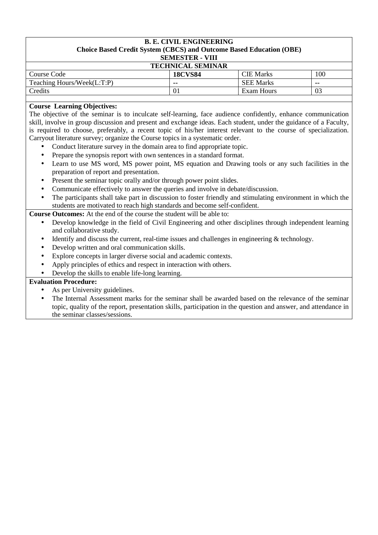## **B. E. CIVIL ENGINEERING Choice Based Credit System (CBCS) and Outcome Based Education (OBE) SEMESTER - VIII TECHNICAL SEMINAR**

| Course Code                | <b>18CVS84</b> | <b>CIE Marks</b> | 100 |
|----------------------------|----------------|------------------|-----|
| Teaching Hours/Week(L:T:P) | --             | <b>SEE Marks</b> | --  |
| Credits                    | 0 <sub>1</sub> | Exam Hours       | 03  |

## **Course Learning Objectives:**

The objective of the seminar is to inculcate self-learning, face audience confidently, enhance communication skill, involve in group discussion and present and exchange ideas. Each student, under the guidance of a Faculty, is required to choose, preferably, a recent topic of his/her interest relevant to the course of specialization. Carryout literature survey; organize the Course topics in a systematic order.

- Conduct literature survey in the domain area to find appropriate topic.
- Prepare the synopsis report with own sentences in a standard format.
- Learn to use MS word, MS power point, MS equation and Drawing tools or any such facilities in the preparation of report and presentation.
- Present the seminar topic orally and/or through power point slides.
- Communicate effectively to answer the queries and involve in debate/discussion.
- The participants shall take part in discussion to foster friendly and stimulating environment in which the students are motivated to reach high standards and become self-confident.

**Course Outcomes:** At the end of the course the student will be able to:

- Develop knowledge in the field of Civil Engineering and other disciplines through independent learning and collaborative study.
- Identify and discuss the current, real-time issues and challenges in engineering  $&$  technology.
- Develop written and oral communication skills.
- Explore concepts in larger diverse social and academic contexts.
- Apply principles of ethics and respect in interaction with others.
- Develop the skills to enable life-long learning.

## **Evaluation Procedure:**

- As per University guidelines.
- The Internal Assessment marks for the seminar shall be awarded based on the relevance of the seminar topic, quality of the report, presentation skills, participation in the question and answer, and attendance in the seminar classes/sessions.